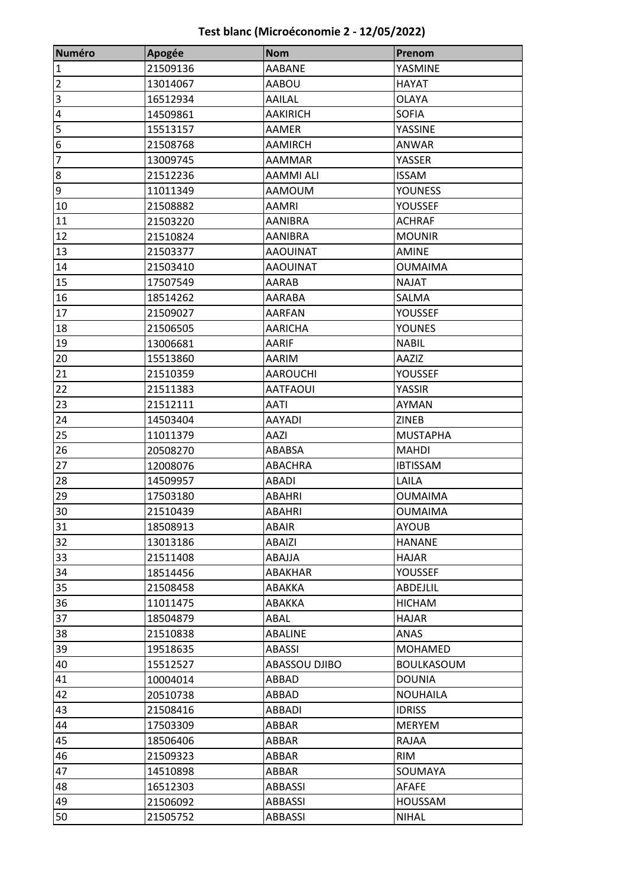| <b>Numéro</b>  | Apogée   | <b>Nom</b>           | Prenom            |
|----------------|----------|----------------------|-------------------|
| $\mathbf{1}$   | 21509136 | AABANE               | YASMINE           |
| $\overline{2}$ | 13014067 | <b>AABOU</b>         | <b>HAYAT</b>      |
| $\overline{3}$ | 16512934 | <b>AAILAL</b>        | <b>OLAYA</b>      |
| $\sqrt{4}$     | 14509861 | <b>AAKIRICH</b>      | <b>SOFIA</b>      |
| 5              | 15513157 | AAMER                | YASSINE           |
| 6              | 21508768 | <b>AAMIRCH</b>       | ANWAR             |
| $\overline{7}$ | 13009745 | <b>AAMMAR</b>        | YASSER            |
| $\bf 8$        | 21512236 | <b>AAMMI ALI</b>     | <b>ISSAM</b>      |
| 9              | 11011349 | <b>AAMOUM</b>        | <b>YOUNESS</b>    |
| 10             | 21508882 | AAMRI                | <b>YOUSSEF</b>    |
| 11             | 21503220 | <b>AANIBRA</b>       | <b>ACHRAF</b>     |
| 12             | 21510824 | <b>AANIBRA</b>       | <b>MOUNIR</b>     |
| 13             | 21503377 | <b>AAOUINAT</b>      | <b>AMINE</b>      |
| 14             | 21503410 | <b>AAOUINAT</b>      | <b>OUMAIMA</b>    |
| 15             | 17507549 | AARAB                | <b>NAJAT</b>      |
| 16             | 18514262 | AARABA               | SALMA             |
| 17             | 21509027 | <b>AARFAN</b>        | <b>YOUSSEF</b>    |
| 18             | 21506505 | <b>AARICHA</b>       | <b>YOUNES</b>     |
| 19             | 13006681 | AARIF                | <b>NABIL</b>      |
| 20             | 15513860 | AARIM                | AAZIZ             |
| 21             | 21510359 | <b>AAROUCHI</b>      | <b>YOUSSEF</b>    |
| 22             | 21511383 | <b>AATFAOUI</b>      | YASSIR            |
| 23             | 21512111 | AATI                 | <b>AYMAN</b>      |
| 24             | 14503404 | AAYADI               | <b>ZINEB</b>      |
| 25             | 11011379 | AAZI                 | <b>MUSTAPHA</b>   |
| 26             | 20508270 | ABABSA               | <b>MAHDI</b>      |
| 27             | 12008076 | <b>ABACHRA</b>       | <b>IBTISSAM</b>   |
| 28             | 14509957 | ABADI                | LAILA             |
| 29             | 17503180 | ABAHRI               | <b>OUMAIMA</b>    |
| 30             | 21510439 | <b>ABAHRI</b>        | <b>OUMAIMA</b>    |
| 31             | 18508913 | ABAIR                | <b>AYOUB</b>      |
| 32             | 13013186 | ABAIZI               | <b>HANANE</b>     |
| 33             | 21511408 | ABAJJA               | <b>HAJAR</b>      |
| 34             | 18514456 | ABAKHAR              | YOUSSEF           |
| 35             | 21508458 | ABAKKA               | ABDEJLIL          |
| 36             | 11011475 | ABAKKA               | <b>HICHAM</b>     |
| 37             | 18504879 | ABAL                 | <b>HAJAR</b>      |
| 38             | 21510838 | ABALINE              | ANAS              |
| 39             | 19518635 | ABASSI               | <b>MOHAMED</b>    |
| 40             | 15512527 | <b>ABASSOU DJIBO</b> | <b>BOULKASOUM</b> |
| 41             |          | ABBAD                | <b>DOUNIA</b>     |
| 42             | 10004014 |                      | <b>NOUHAILA</b>   |
|                | 20510738 | ABBAD                |                   |
| 43             | 21508416 | ABBADI               | <b>IDRISS</b>     |
| 44             | 17503309 | ABBAR                | <b>MERYEM</b>     |
| 45             | 18506406 | ABBAR                | RAJAA             |
| 46             | 21509323 | ABBAR                | RIM               |
| 47             | 14510898 | ABBAR                | SOUMAYA           |
| 48             | 16512303 | ABBASSI              | AFAFE             |
| 49             | 21506092 | ABBASSI              | <b>HOUSSAM</b>    |
| 50             | 21505752 | ABBASSI              | <b>NIHAL</b>      |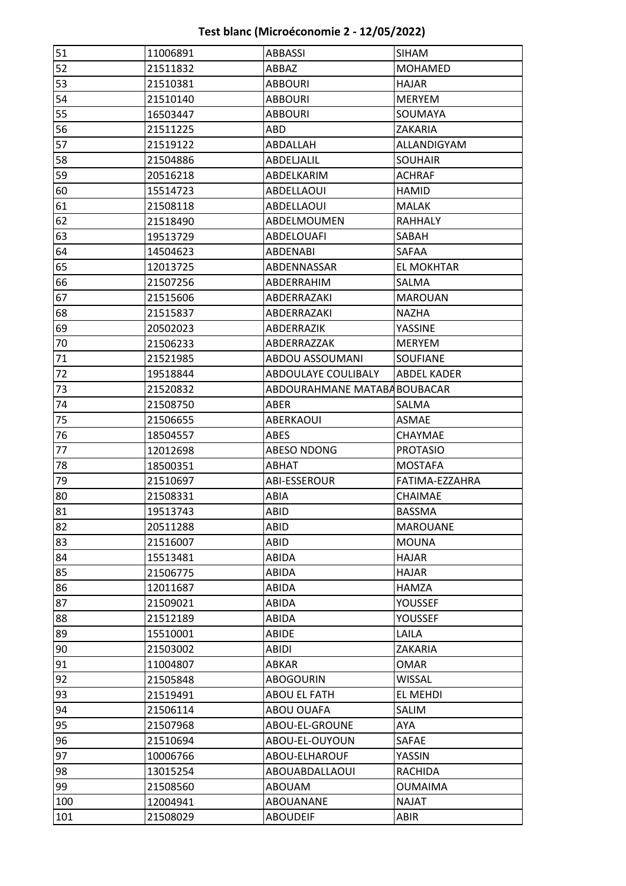| 51  | 11006891 | ABBASSI                     | <b>SIHAM</b>       |
|-----|----------|-----------------------------|--------------------|
| 52  | 21511832 | ABBAZ                       | <b>MOHAMED</b>     |
| 53  | 21510381 | <b>ABBOURI</b>              | HAJAR              |
| 54  | 21510140 | <b>ABBOURI</b>              | <b>MERYEM</b>      |
| 55  | 16503447 | <b>ABBOURI</b>              | SOUMAYA            |
| 56  | 21511225 | ABD                         | ZAKARIA            |
| 57  | 21519122 | ABDALLAH                    | ALLANDIGYAM        |
| 58  | 21504886 | ABDELJALIL                  | <b>SOUHAIR</b>     |
| 59  | 20516218 | ABDELKARIM                  | <b>ACHRAF</b>      |
| 60  | 15514723 | ABDELLAOUI                  | <b>HAMID</b>       |
| 61  | 21508118 | ABDELLAOUI                  | <b>MALAK</b>       |
| 62  | 21518490 | ABDELMOUMEN                 | RAHHALY            |
| 63  | 19513729 | ABDELOUAFI                  | SABAH              |
| 64  | 14504623 | ABDENABI                    | SAFAA              |
| 65  | 12013725 | ABDENNASSAR                 | EL MOKHTAR         |
| 66  | 21507256 | ABDERRAHIM                  | SALMA              |
| 67  | 21515606 | ABDERRAZAKI                 | <b>MAROUAN</b>     |
| 68  | 21515837 | ABDERRAZAKI                 | <b>NAZHA</b>       |
| 69  | 20502023 | ABDERRAZIK                  | YASSINE            |
| 70  | 21506233 | ABDERRAZZAK                 | <b>MERYEM</b>      |
| 71  | 21521985 | ABDOU ASSOUMANI             | <b>SOUFIANE</b>    |
| 72  | 19518844 | <b>ABDOULAYE COULIBALY</b>  | <b>ABDEL KADER</b> |
| 73  | 21520832 | ABDOURAHMANE MATABABOUBACAR |                    |
| 74  | 21508750 | ABER                        | SALMA              |
| 75  | 21506655 | ABERKAOUI                   | ASMAE              |
| 76  | 18504557 | ABES                        | CHAYMAE            |
| 77  | 12012698 | ABESO NDONG                 | <b>PROTASIO</b>    |
| 78  | 18500351 | <b>ABHAT</b>                | <b>MOSTAFA</b>     |
| 79  | 21510697 | ABI-ESSEROUR                | FATIMA-EZZAHRA     |
| 80  | 21508331 | ABIA                        | <b>CHAIMAE</b>     |
| 81  | 19513743 | ABID                        | <b>BASSMA</b>      |
| 82  | 20511288 | ABID                        | <b>MAROUANE</b>    |
| 83  | 21516007 | ABID                        | <b>MOUNA</b>       |
| 84  | 15513481 | ABIDA                       | HAJAR              |
| 85  | 21506775 | ABIDA                       | <b>HAJAR</b>       |
| 86  | 12011687 | ABIDA                       | HAMZA              |
| 87  | 21509021 | ABIDA                       | <b>YOUSSEF</b>     |
| 88  | 21512189 | ABIDA                       | <b>YOUSSEF</b>     |
| 89  | 15510001 | ABIDE                       | LAILA              |
| 90  | 21503002 | ABIDI                       | ZAKARIA            |
| 91  | 11004807 | ABKAR                       | OMAR               |
| 92  | 21505848 | <b>ABOGOURIN</b>            | WISSAL             |
| 93  | 21519491 | ABOU EL FATH                | <b>EL MEHDI</b>    |
| 94  | 21506114 | <b>ABOU OUAFA</b>           | SALIM              |
| 95  | 21507968 | ABOU-EL-GROUNE              | AYA                |
| 96  | 21510694 | ABOU-EL-OUYOUN              | SAFAE              |
| 97  | 10006766 | ABOU-ELHAROUF               | YASSIN             |
| 98  | 13015254 | ABOUABDALLAOUI              | RACHIDA            |
| 99  | 21508560 | <b>ABOUAM</b>               | <b>OUMAIMA</b>     |
| 100 | 12004941 | ABOUANANE                   | <b>NAJAT</b>       |
| 101 | 21508029 | <b>ABOUDEIF</b>             | ABIR               |
|     |          |                             |                    |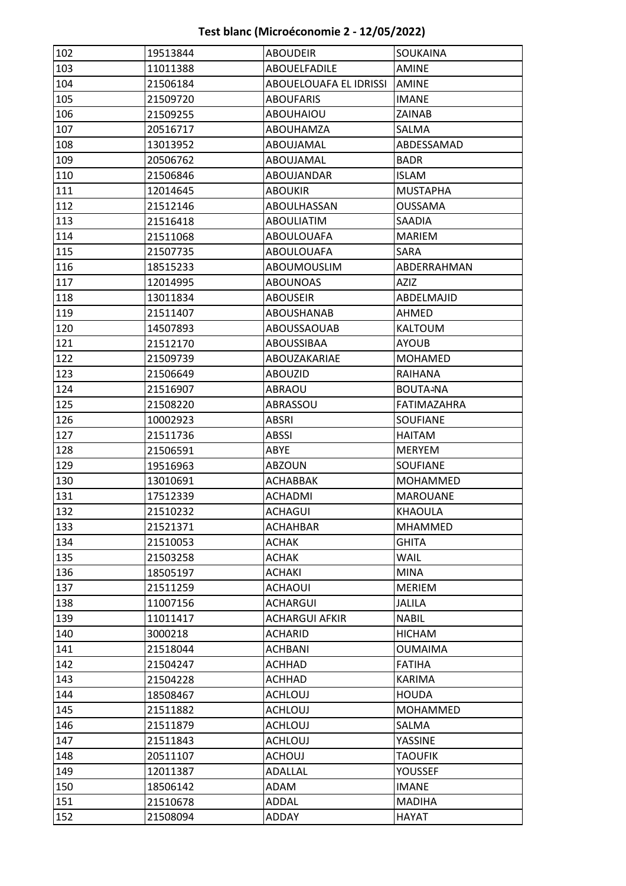| 102 | 19513844 | <b>ABOUDEIR</b>                | SOUKAINA        |
|-----|----------|--------------------------------|-----------------|
| 103 | 11011388 | ABOUELFADILE                   | <b>AMINE</b>    |
| 104 | 21506184 | ABOUELOUAFA EL IDRISSI   AMINE |                 |
| 105 | 21509720 | <b>ABOUFARIS</b>               | <b>IMANE</b>    |
| 106 | 21509255 | <b>ABOUHAIOU</b>               | ZAINAB          |
| 107 | 20516717 | ABOUHAMZA                      | SALMA           |
| 108 | 13013952 | ABOUJAMAL                      | ABDESSAMAD      |
| 109 | 20506762 | ABOUJAMAL                      | <b>BADR</b>     |
| 110 | 21506846 | ABOUJANDAR                     | <b>ISLAM</b>    |
| 111 | 12014645 | <b>ABOUKIR</b>                 | <b>MUSTAPHA</b> |
| 112 | 21512146 | ABOULHASSAN                    | OUSSAMA         |
| 113 | 21516418 | <b>ABOULIATIM</b>              | SAADIA          |
| 114 | 21511068 | ABOULOUAFA                     | <b>MARIEM</b>   |
| 115 | 21507735 | <b>ABOULOUAFA</b>              | SARA            |
| 116 | 18515233 | ABOUMOUSLIM                    | ABDERRAHMAN     |
| 117 | 12014995 | <b>ABOUNOAS</b>                | <b>AZIZ</b>     |
| 118 | 13011834 | <b>ABOUSEIR</b>                | ABDELMAJID      |
| 119 | 21511407 | ABOUSHANAB                     | AHMED           |
| 120 | 14507893 | ABOUSSAOUAB                    | KALTOUM         |
| 121 | 21512170 | ABOUSSIBAA                     | AYOUB           |
| 122 | 21509739 | ABOUZAKARIAE                   | <b>MOHAMED</b>  |
| 123 | 21506649 | ABOUZID                        | RAIHANA         |
| 124 | 21516907 | ABRAOU                         | <b>BOUTA-NA</b> |
| 125 | 21508220 | ABRASSOU                       | FATIMAZAHRA     |
| 126 | 10002923 | <b>ABSRI</b>                   | <b>SOUFIANE</b> |
| 127 | 21511736 | <b>ABSSI</b>                   | HAITAM          |
| 128 | 21506591 | ABYE                           | <b>MERYEM</b>   |
| 129 | 19516963 | <b>ABZOUN</b>                  | SOUFIANE        |
| 130 | 13010691 | <b>ACHABBAK</b>                | <b>MOHAMMED</b> |
| 131 | 17512339 | <b>ACHADMI</b>                 | <b>MAROUANE</b> |
| 132 | 21510232 | <b>ACHAGUI</b>                 | KHAOULA         |
| 133 | 21521371 | ACHAHBAR                       | MHAMMED         |
| 134 | 21510053 | <b>ACHAK</b>                   | <b>GHITA</b>    |
| 135 | 21503258 | <b>ACHAK</b>                   | <b>WAIL</b>     |
| 136 | 18505197 | <b>ACHAKI</b>                  | <b>MINA</b>     |
| 137 | 21511259 | <b>ACHAOUI</b>                 | <b>MERIEM</b>   |
| 138 | 11007156 | ACHARGUI                       | <b>JALILA</b>   |
| 139 | 11011417 | <b>ACHARGUI AFKIR</b>          | <b>NABIL</b>    |
| 140 | 3000218  | <b>ACHARID</b>                 | <b>HICHAM</b>   |
| 141 | 21518044 | <b>ACHBANI</b>                 | <b>OUMAIMA</b>  |
| 142 | 21504247 | ACHHAD                         | <b>FATIHA</b>   |
| 143 | 21504228 | <b>ACHHAD</b>                  | <b>KARIMA</b>   |
| 144 | 18508467 | ACHLOUJ                        | <b>HOUDA</b>    |
| 145 | 21511882 | <b>ACHLOUJ</b>                 | MOHAMMED        |
| 146 | 21511879 | <b>ACHLOUJ</b>                 | SALMA           |
| 147 | 21511843 | <b>ACHLOUJ</b>                 | YASSINE         |
| 148 | 20511107 | ACHOUJ                         | <b>TAOUFIK</b>  |
| 149 | 12011387 | ADALLAL                        | YOUSSEF         |
| 150 | 18506142 | ADAM                           | <b>IMANE</b>    |
| 151 | 21510678 | ADDAL                          | <b>MADIHA</b>   |
| 152 | 21508094 | ADDAY                          | HAYAT           |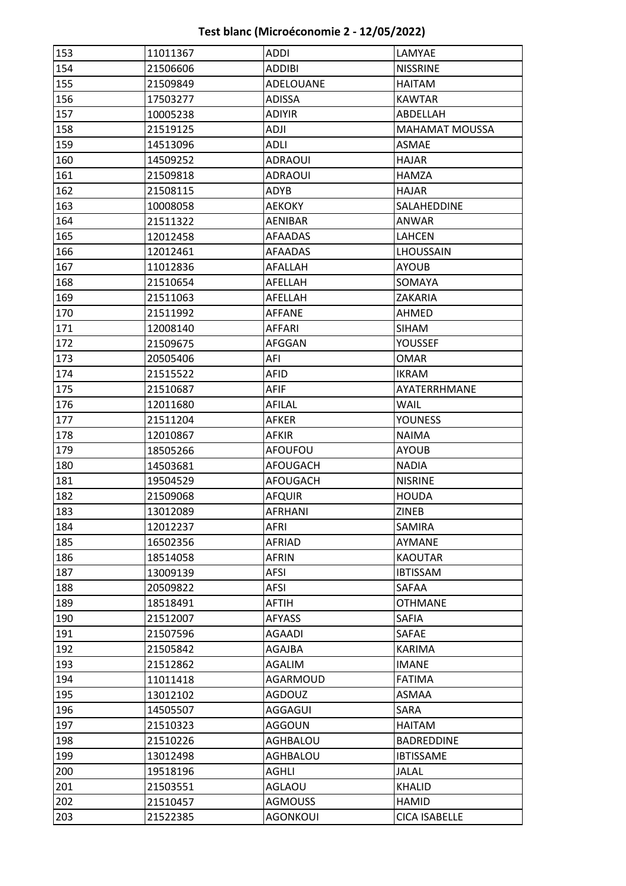| 153 | 11011367 | ADDI            | LAMYAE            |
|-----|----------|-----------------|-------------------|
| 154 | 21506606 | <b>ADDIBI</b>   | <b>NISSRINE</b>   |
| 155 | 21509849 | ADELOUANE       | HAITAM            |
| 156 | 17503277 | <b>ADISSA</b>   | <b>KAWTAR</b>     |
| 157 | 10005238 | <b>ADIYIR</b>   | ABDELLAH          |
| 158 | 21519125 | <b>ADJI</b>     | MAHAMAT MOUSSA    |
| 159 | 14513096 | <b>ADLI</b>     | <b>ASMAE</b>      |
| 160 | 14509252 | <b>ADRAOUI</b>  | HAJAR             |
| 161 | 21509818 | <b>ADRAOUI</b>  | <b>HAMZA</b>      |
| 162 | 21508115 | ADYB            | <b>HAJAR</b>      |
| 163 | 10008058 | <b>AEKOKY</b>   | SALAHEDDINE       |
| 164 | 21511322 | <b>AENIBAR</b>  | <b>ANWAR</b>      |
| 165 | 12012458 | AFAADAS         | LAHCEN            |
| 166 | 12012461 | <b>AFAADAS</b>  | <b>LHOUSSAIN</b>  |
| 167 | 11012836 | AFALLAH         | <b>AYOUB</b>      |
| 168 | 21510654 | AFELLAH         | SOMAYA            |
| 169 | 21511063 | AFELLAH         | ZAKARIA           |
| 170 | 21511992 | <b>AFFANE</b>   | AHMED             |
| 171 | 12008140 | AFFARI          | <b>SIHAM</b>      |
| 172 | 21509675 | <b>AFGGAN</b>   | YOUSSEF           |
| 173 | 20505406 | AFI             | <b>OMAR</b>       |
| 174 | 21515522 | <b>AFID</b>     | <b>IKRAM</b>      |
| 175 | 21510687 | <b>AFIF</b>     | AYATERRHMANE      |
| 176 | 12011680 | AFILAL          | WAIL              |
| 177 | 21511204 | AFKER           | YOUNESS           |
| 178 | 12010867 | <b>AFKIR</b>    | <b>NAIMA</b>      |
| 179 | 18505266 | AFOUFOU         | <b>AYOUB</b>      |
| 180 | 14503681 | <b>AFOUGACH</b> | <b>NADIA</b>      |
| 181 | 19504529 | AFOUGACH        | <b>NISRINE</b>    |
| 182 | 21509068 | <b>AFQUIR</b>   | <b>HOUDA</b>      |
| 183 | 13012089 | <b>AFRHANI</b>  | <b>ZINEB</b>      |
| 184 | 12012237 | AFRI            | SAMIRA            |
| 185 | 16502356 | <b>AFRIAD</b>   | AYMANE            |
| 186 | 18514058 | AFRIN           | <b>KAOUTAR</b>    |
| 187 | 13009139 | <b>AFSI</b>     | <b>IBTISSAM</b>   |
| 188 | 20509822 | <b>AFSI</b>     | SAFAA             |
| 189 | 18518491 | <b>AFTIH</b>    | <b>OTHMANE</b>    |
| 190 | 21512007 | AFYASS          | <b>SAFIA</b>      |
| 191 | 21507596 | AGAADI          | SAFAE             |
| 192 | 21505842 | <b>AGAJBA</b>   | <b>KARIMA</b>     |
| 193 | 21512862 | <b>AGALIM</b>   | <b>IMANE</b>      |
| 194 | 11011418 | AGARMOUD        | <b>FATIMA</b>     |
| 195 | 13012102 | <b>AGDOUZ</b>   | ASMAA             |
| 196 | 14505507 | AGGAGUI         | SARA              |
| 197 | 21510323 | <b>AGGOUN</b>   | HAITAM            |
| 198 | 21510226 | AGHBALOU        | <b>BADREDDINE</b> |
| 199 | 13012498 | AGHBALOU        | <b>IBTISSAME</b>  |
| 200 | 19518196 | <b>AGHLI</b>    | <b>JALAL</b>      |
| 201 | 21503551 | AGLAOU          | <b>KHALID</b>     |
| 202 | 21510457 | <b>AGMOUSS</b>  | <b>HAMID</b>      |
| 203 | 21522385 | <b>AGONKOUI</b> | CICA ISABELLE     |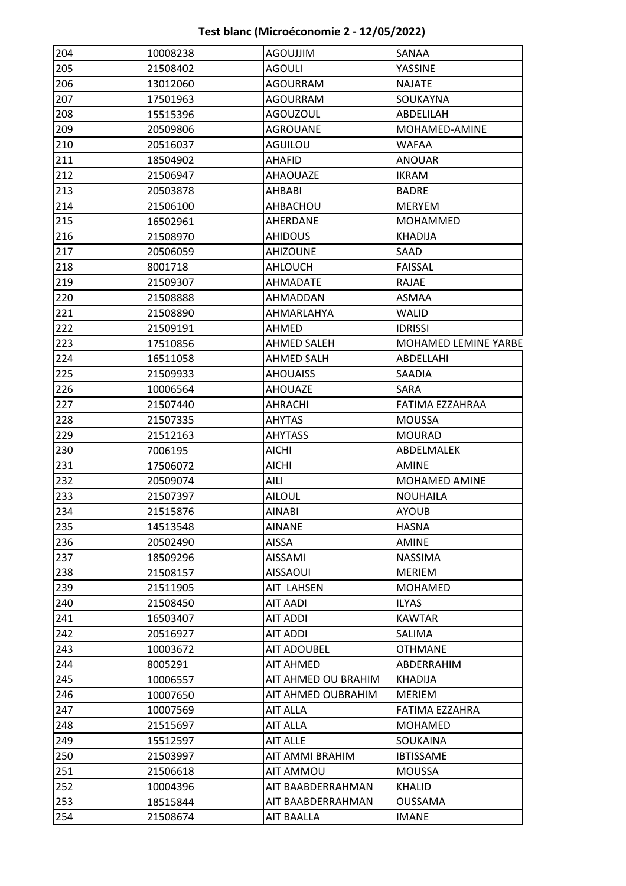| 204 | 10008238 | <b>AGOUJJIM</b>     | SANAA                       |
|-----|----------|---------------------|-----------------------------|
| 205 | 21508402 | <b>AGOULI</b>       | YASSINE                     |
| 206 | 13012060 | <b>AGOURRAM</b>     | <b>NAJATE</b>               |
| 207 | 17501963 | <b>AGOURRAM</b>     | SOUKAYNA                    |
| 208 | 15515396 | <b>AGOUZOUL</b>     | ABDELILAH                   |
| 209 | 20509806 | <b>AGROUANE</b>     | MOHAMED-AMINE               |
| 210 | 20516037 | AGUILOU             | <b>WAFAA</b>                |
| 211 | 18504902 | <b>AHAFID</b>       | <b>ANOUAR</b>               |
| 212 | 21506947 | AHAOUAZE            | <b>IKRAM</b>                |
| 213 | 20503878 | AHBABI              | <b>BADRE</b>                |
| 214 | 21506100 | AHBACHOU            | <b>MERYEM</b>               |
| 215 | 16502961 | AHERDANE            | MOHAMMED                    |
| 216 | 21508970 | <b>AHIDOUS</b>      | <b>KHADIJA</b>              |
| 217 | 20506059 | <b>AHIZOUNE</b>     | SAAD                        |
| 218 | 8001718  | AHLOUCH             | <b>FAISSAL</b>              |
| 219 | 21509307 | <b>AHMADATE</b>     | <b>RAJAE</b>                |
| 220 | 21508888 | AHMADDAN            | ASMAA                       |
| 221 | 21508890 | AHMARLAHYA          | WALID                       |
| 222 | 21509191 | AHMED               | <b>IDRISSI</b>              |
| 223 | 17510856 | AHMED SALEH         | <b>MOHAMED LEMINE YARBE</b> |
| 224 | 16511058 | AHMED SALH          | ABDELLAHI                   |
| 225 | 21509933 | <b>AHOUAISS</b>     | SAADIA                      |
| 226 | 10006564 | <b>AHOUAZE</b>      | SARA                        |
| 227 | 21507440 | AHRACHI             | FATIMA EZZAHRAA             |
| 228 | 21507335 | AHYTAS              | <b>MOUSSA</b>               |
| 229 | 21512163 | <b>AHYTASS</b>      | <b>MOURAD</b>               |
| 230 | 7006195  | <b>AICHI</b>        | ABDELMALEK                  |
| 231 | 17506072 | <b>AICHI</b>        | <b>AMINE</b>                |
| 232 | 20509074 | AILI                | <b>MOHAMED AMINE</b>        |
| 233 | 21507397 | <b>AILOUL</b>       | <b>NOUHAILA</b>             |
| 234 | 21515876 | <b>AINABI</b>       | <b>AYOUB</b>                |
| 235 | 14513548 | <b>AINANE</b>       | <b>HASNA</b>                |
| 236 | 20502490 | <b>AISSA</b>        | <b>AMINE</b>                |
| 237 | 18509296 | <b>AISSAMI</b>      | <b>NASSIMA</b>              |
| 238 | 21508157 | <b>AISSAOUI</b>     | <b>MERIEM</b>               |
| 239 | 21511905 | AIT LAHSEN          | MOHAMED                     |
| 240 | 21508450 | <b>AIT AADI</b>     | <b>ILYAS</b>                |
| 241 | 16503407 | <b>AIT ADDI</b>     | <b>KAWTAR</b>               |
| 242 | 20516927 | <b>AIT ADDI</b>     | SALIMA                      |
| 243 | 10003672 | <b>AIT ADOUBEL</b>  | <b>OTHMANE</b>              |
| 244 | 8005291  | AIT AHMED           | ABDERRAHIM                  |
| 245 | 10006557 | AIT AHMED OU BRAHIM | <b>KHADIJA</b>              |
| 246 | 10007650 | AIT AHMED OUBRAHIM  | <b>MERIEM</b>               |
| 247 | 10007569 | <b>AIT ALLA</b>     | FATIMA EZZAHRA              |
| 248 | 21515697 | <b>AIT ALLA</b>     | <b>MOHAMED</b>              |
| 249 | 15512597 | <b>AIT ALLE</b>     | SOUKAINA                    |
| 250 | 21503997 | AIT AMMI BRAHIM     | <b>IBTISSAME</b>            |
| 251 | 21506618 | AIT AMMOU           | <b>MOUSSA</b>               |
| 252 | 10004396 | AIT BAABDERRAHMAN   | <b>KHALID</b>               |
| 253 | 18515844 | AIT BAABDERRAHMAN   | OUSSAMA                     |
| 254 | 21508674 | AIT BAALLA          | <b>IMANE</b>                |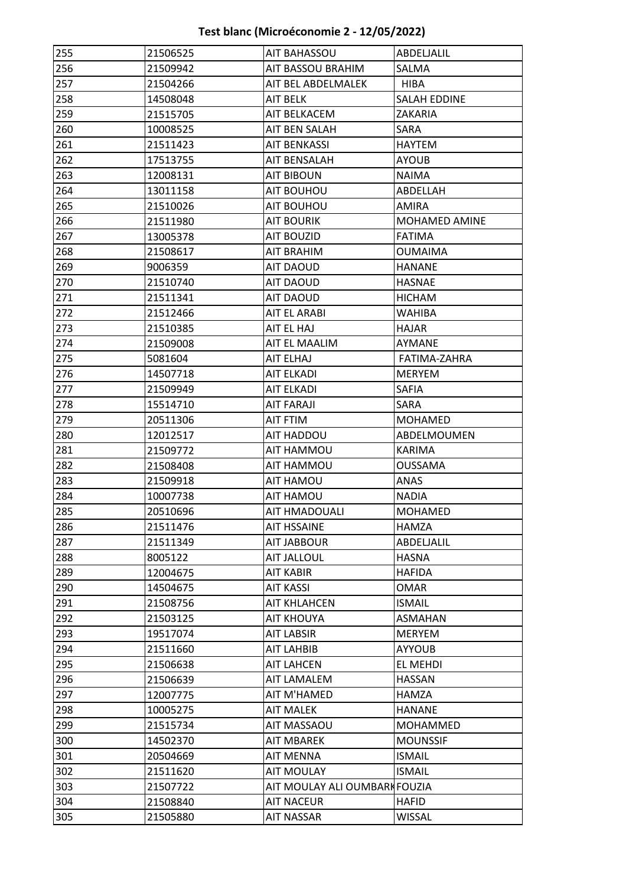| 255 | 21506525 | AIT BAHASSOU                  | ABDELJALIL          |
|-----|----------|-------------------------------|---------------------|
| 256 | 21509942 | AIT BASSOU BRAHIM             | SALMA               |
| 257 | 21504266 | AIT BEL ABDELMALEK            | HIBA                |
| 258 | 14508048 | AIT BELK                      | <b>SALAH EDDINE</b> |
| 259 | 21515705 | AIT BELKACEM                  | ZAKARIA             |
| 260 | 10008525 | AIT BEN SALAH                 | SARA                |
| 261 | 21511423 | <b>AIT BENKASSI</b>           | <b>HAYTEM</b>       |
| 262 | 17513755 | <b>AIT BENSALAH</b>           | <b>AYOUB</b>        |
| 263 | 12008131 | <b>AIT BIBOUN</b>             | <b>NAIMA</b>        |
| 264 | 13011158 | AIT BOUHOU                    | ABDELLAH            |
| 265 | 21510026 | AIT BOUHOU                    | AMIRA               |
| 266 | 21511980 | <b>AIT BOURIK</b>             | MOHAMED AMINE       |
| 267 | 13005378 | AIT BOUZID                    | <b>FATIMA</b>       |
| 268 | 21508617 | <b>AIT BRAHIM</b>             | <b>OUMAIMA</b>      |
| 269 | 9006359  | AIT DAOUD                     | HANANE              |
| 270 | 21510740 | <b>AIT DAOUD</b>              | HASNAE              |
| 271 | 21511341 | AIT DAOUD                     | <b>HICHAM</b>       |
| 272 | 21512466 | AIT EL ARABI                  | WAHIBA              |
| 273 | 21510385 | AIT EL HAJ                    | <b>HAJAR</b>        |
| 274 | 21509008 | AIT EL MAALIM                 | AYMANE              |
| 275 | 5081604  | AIT ELHAJ                     | FATIMA-ZAHRA        |
| 276 | 14507718 | <b>AIT ELKADI</b>             | <b>MERYEM</b>       |
| 277 | 21509949 | AIT ELKADI                    | <b>SAFIA</b>        |
| 278 | 15514710 | <b>AIT FARAJI</b>             | SARA                |
| 279 | 20511306 | <b>AIT FTIM</b>               | <b>MOHAMED</b>      |
| 280 | 12012517 | AIT HADDOU                    | ABDELMOUMEN         |
| 281 | 21509772 | AIT HAMMOU                    | <b>KARIMA</b>       |
| 282 | 21508408 | AIT HAMMOU                    | OUSSAMA             |
| 283 | 21509918 | AIT HAMOU                     | ANAS                |
| 284 | 10007738 | AIT HAMOU                     | NADIA               |
| 285 | 20510696 | AIT HMADOUALI                 | MOHAMED             |
| 286 | 21511476 | <b>AIT HSSAINE</b>            | <b>HAMZA</b>        |
| 287 | 21511349 | <b>AIT JABBOUR</b>            | ABDELJALIL          |
| 288 | 8005122  | <b>AIT JALLOUL</b>            | <b>HASNA</b>        |
| 289 | 12004675 | AIT KABIR                     | HAFIDA              |
| 290 | 14504675 | <b>AIT KASSI</b>              | OMAR                |
| 291 | 21508756 | AIT KHLAHCEN                  | <b>ISMAIL</b>       |
| 292 | 21503125 | AIT KHOUYA                    | <b>ASMAHAN</b>      |
| 293 | 19517074 | <b>AIT LABSIR</b>             | <b>MERYEM</b>       |
| 294 | 21511660 | AIT LAHBIB                    | <b>AYYOUB</b>       |
| 295 | 21506638 | <b>AIT LAHCEN</b>             | EL MEHDI            |
| 296 | 21506639 | AIT LAMALEM                   | <b>HASSAN</b>       |
| 297 | 12007775 | AIT M'HAMED                   | HAMZA               |
| 298 | 10005275 | <b>AIT MALEK</b>              | HANANE              |
| 299 | 21515734 | AIT MASSAOU                   | MOHAMMED            |
| 300 | 14502370 | <b>AIT MBAREK</b>             | <b>MOUNSSIF</b>     |
| 301 | 20504669 | AIT MENNA                     | <b>ISMAIL</b>       |
| 302 | 21511620 | <b>AIT MOULAY</b>             | <b>ISMAIL</b>       |
| 303 | 21507722 | AIT MOULAY ALI OUMBARK FOUZIA |                     |
| 304 | 21508840 | <b>AIT NACEUR</b>             | <b>HAFID</b>        |
| 305 | 21505880 | AIT NASSAR                    | WISSAL              |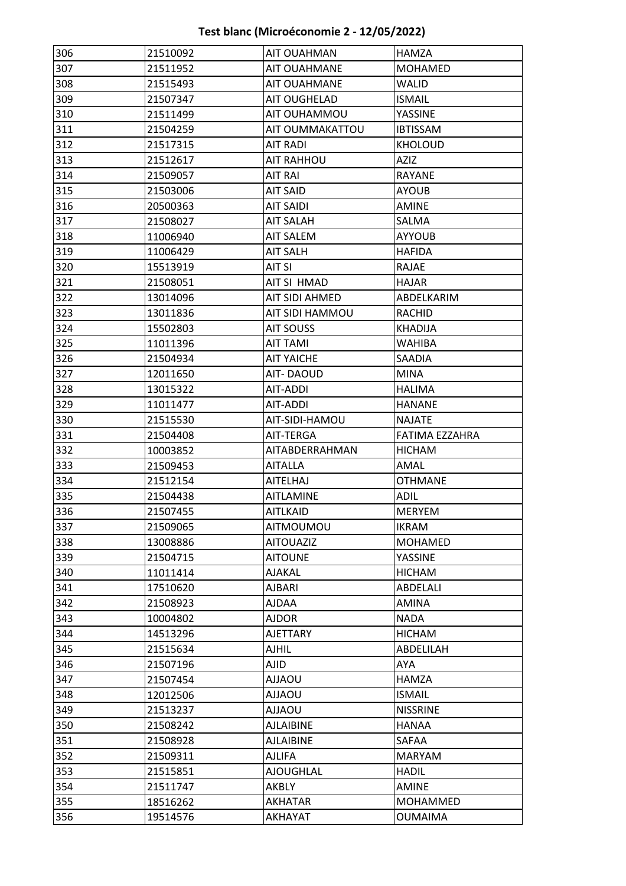| 306 | 21510092 | AIT OUAHMAN         | HAMZA                 |
|-----|----------|---------------------|-----------------------|
| 307 | 21511952 | <b>AIT OUAHMANE</b> | <b>MOHAMED</b>        |
| 308 | 21515493 | <b>AIT OUAHMANE</b> | <b>WALID</b>          |
| 309 | 21507347 | AIT OUGHELAD        | <b>ISMAIL</b>         |
| 310 | 21511499 | AIT OUHAMMOU        | YASSINE               |
| 311 | 21504259 | AIT OUMMAKATTOU     | <b>IBTISSAM</b>       |
| 312 | 21517315 | <b>AIT RADI</b>     | <b>KHOLOUD</b>        |
| 313 | 21512617 | AIT RAHHOU          | <b>AZIZ</b>           |
| 314 | 21509057 | <b>AIT RAI</b>      | <b>RAYANE</b>         |
| 315 | 21503006 | AIT SAID            | <b>AYOUB</b>          |
| 316 | 20500363 | <b>AIT SAIDI</b>    | <b>AMINE</b>          |
| 317 | 21508027 | <b>AIT SALAH</b>    | SALMA                 |
| 318 | 11006940 | <b>AIT SALEM</b>    | <b>AYYOUB</b>         |
| 319 | 11006429 | <b>AIT SALH</b>     | <b>HAFIDA</b>         |
| 320 | 15513919 | AIT SI              | <b>RAJAE</b>          |
| 321 | 21508051 | AIT SI HMAD         | <b>HAJAR</b>          |
| 322 | 13014096 | AIT SIDI AHMED      | ABDELKARIM            |
| 323 | 13011836 | AIT SIDI HAMMOU     | RACHID                |
| 324 | 15502803 | <b>AIT SOUSS</b>    | <b>KHADIJA</b>        |
| 325 | 11011396 | <b>AIT TAMI</b>     | <b>WAHIBA</b>         |
| 326 | 21504934 | <b>AIT YAICHE</b>   | <b>SAADIA</b>         |
| 327 | 12011650 | AIT-DAOUD           | <b>MINA</b>           |
| 328 | 13015322 | AIT-ADDI            | <b>HALIMA</b>         |
| 329 | 11011477 | AIT-ADDI            | <b>HANANE</b>         |
| 330 | 21515530 | AIT-SIDI-HAMOU      | <b>NAJATE</b>         |
| 331 | 21504408 | AIT-TERGA           | <b>FATIMA EZZAHRA</b> |
| 332 | 10003852 | AITABDERRAHMAN      | <b>HICHAM</b>         |
| 333 | 21509453 | <b>AITALLA</b>      | <b>AMAL</b>           |
| 334 | 21512154 | AITELHAJ            | <b>OTHMANE</b>        |
| 335 | 21504438 | <b>AITLAMINE</b>    | ADIL                  |
| 336 | 21507455 | <b>AITLKAID</b>     | <b>MERYEM</b>         |
| 337 | 21509065 | <b>AITMOUMOU</b>    | <b>IKRAM</b>          |
| 338 | 13008886 | <b>AITOUAZIZ</b>    | <b>MOHAMED</b>        |
| 339 | 21504715 | <b>AITOUNE</b>      | YASSINE               |
| 340 | 11011414 | AJAKAL              | <b>HICHAM</b>         |
| 341 | 17510620 | <b>AJBARI</b>       | ABDELALI              |
| 342 | 21508923 | AJDAA               | AMINA                 |
| 343 | 10004802 | <b>AJDOR</b>        | <b>NADA</b>           |
| 344 | 14513296 | <b>AJETTARY</b>     | <b>HICHAM</b>         |
| 345 | 21515634 | <b>AJHIL</b>        | ABDELILAH             |
| 346 | 21507196 | AJID                | AYA                   |
| 347 | 21507454 | <b>UOALLA</b>       | <b>HAMZA</b>          |
| 348 | 12012506 | <b>UOALLA</b>       | <b>ISMAIL</b>         |
| 349 | 21513237 | <b>UOALLA</b>       | <b>NISSRINE</b>       |
| 350 | 21508242 | <b>AJLAIBINE</b>    | <b>HANAA</b>          |
| 351 | 21508928 | AJLAIBINE           | SAFAA                 |
| 352 | 21509311 | <b>AJLIFA</b>       | <b>MARYAM</b>         |
| 353 | 21515851 | <b>AJOUGHLAL</b>    | <b>HADIL</b>          |
| 354 | 21511747 | AKBLY               | <b>AMINE</b>          |
| 355 | 18516262 | <b>AKHATAR</b>      | <b>MOHAMMED</b>       |
| 356 | 19514576 | AKHAYAT             | <b>OUMAIMA</b>        |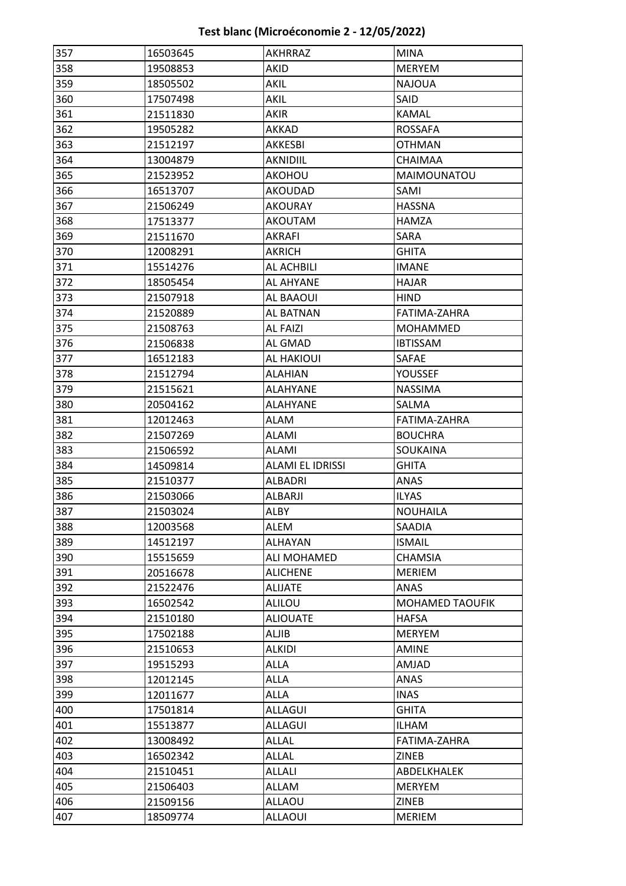| 357 | 16503645 | <b>AKHRRAZ</b>          | MINA                |
|-----|----------|-------------------------|---------------------|
| 358 | 19508853 | <b>AKID</b>             | <b>MERYEM</b>       |
| 359 | 18505502 | AKIL                    | <b>NAJOUA</b>       |
| 360 | 17507498 | AKIL                    | SAID                |
| 361 | 21511830 | AKIR                    | <b>KAMAL</b>        |
| 362 | 19505282 | AKKAD                   | <b>ROSSAFA</b>      |
| 363 | 21512197 | <b>AKKESBI</b>          | <b>OTHMAN</b>       |
| 364 | 13004879 | AKNIDIIL                | CHAIMAA             |
| 365 | 21523952 | AKOHOU                  | MAIMOUNATOU         |
| 366 | 16513707 | AKOUDAD                 | SAMI                |
| 367 | 21506249 | <b>AKOURAY</b>          | <b>HASSNA</b>       |
| 368 | 17513377 | AKOUTAM                 | <b>HAMZA</b>        |
| 369 | 21511670 | <b>AKRAFI</b>           | SARA                |
| 370 | 12008291 | <b>AKRICH</b>           | <b>GHITA</b>        |
| 371 | 15514276 | AL ACHBILI              | <b>IMANE</b>        |
| 372 | 18505454 | AL AHYANE               | HAJAR               |
| 373 | 21507918 | AL BAAOUI               | <b>HIND</b>         |
| 374 | 21520889 | <b>AL BATNAN</b>        | <b>FATIMA-ZAHRA</b> |
| 375 | 21508763 | <b>AL FAIZI</b>         | <b>MOHAMMED</b>     |
| 376 | 21506838 | AL GMAD                 | <b>IBTISSAM</b>     |
| 377 | 16512183 | AL HAKIOUI              | SAFAE               |
| 378 | 21512794 | <b>ALAHIAN</b>          | YOUSSEF             |
| 379 | 21515621 | <b>ALAHYANE</b>         | <b>NASSIMA</b>      |
| 380 | 20504162 | <b>ALAHYANE</b>         | SALMA               |
| 381 | 12012463 | ALAM                    | FATIMA-ZAHRA        |
| 382 | 21507269 | <b>ALAMI</b>            | <b>BOUCHRA</b>      |
| 383 | 21506592 | ALAMI                   | SOUKAINA            |
| 384 | 14509814 | <b>ALAMI EL IDRISSI</b> | <b>GHITA</b>        |
| 385 | 21510377 | ALBADRI                 | ANAS                |
| 386 | 21503066 | <b>ALBARJI</b>          | <b>ILYAS</b>        |
| 387 | 21503024 | <b>ALBY</b>             | <b>NOUHAILA</b>     |
| 388 | 12003568 | <b>ALEM</b>             | SAADIA              |
| 389 | 14512197 | <b>ALHAYAN</b>          | <b>ISMAIL</b>       |
| 390 | 15515659 | ALI MOHAMED             | CHAMSIA             |
| 391 | 20516678 | <b>ALICHENE</b>         | <b>MERIEM</b>       |
| 392 | 21522476 | <b>ALIJATE</b>          | ANAS                |
| 393 | 16502542 | ALILOU                  | MOHAMED TAOUFIK     |
| 394 | 21510180 | <b>ALIOUATE</b>         | <b>HAFSA</b>        |
| 395 | 17502188 | <b>ALJIB</b>            | MERYEM              |
| 396 | 21510653 | <b>ALKIDI</b>           | <b>AMINE</b>        |
| 397 | 19515293 | <b>ALLA</b>             | AMJAD               |
| 398 | 12012145 | <b>ALLA</b>             | ANAS                |
| 399 | 12011677 | <b>ALLA</b>             | <b>INAS</b>         |
| 400 | 17501814 | ALLAGUI                 | GHITA               |
| 401 | 15513877 | <b>ALLAGUI</b>          | <b>ILHAM</b>        |
| 402 | 13008492 | <b>ALLAL</b>            | FATIMA-ZAHRA        |
| 403 | 16502342 | <b>ALLAL</b>            | ZINEB               |
| 404 | 21510451 | <b>ALLALI</b>           | ABDELKHALEK         |
| 405 | 21506403 | ALLAM                   | <b>MERYEM</b>       |
| 406 | 21509156 | <b>ALLAOU</b>           | <b>ZINEB</b>        |
| 407 | 18509774 | ALLAOUI                 | <b>MERIEM</b>       |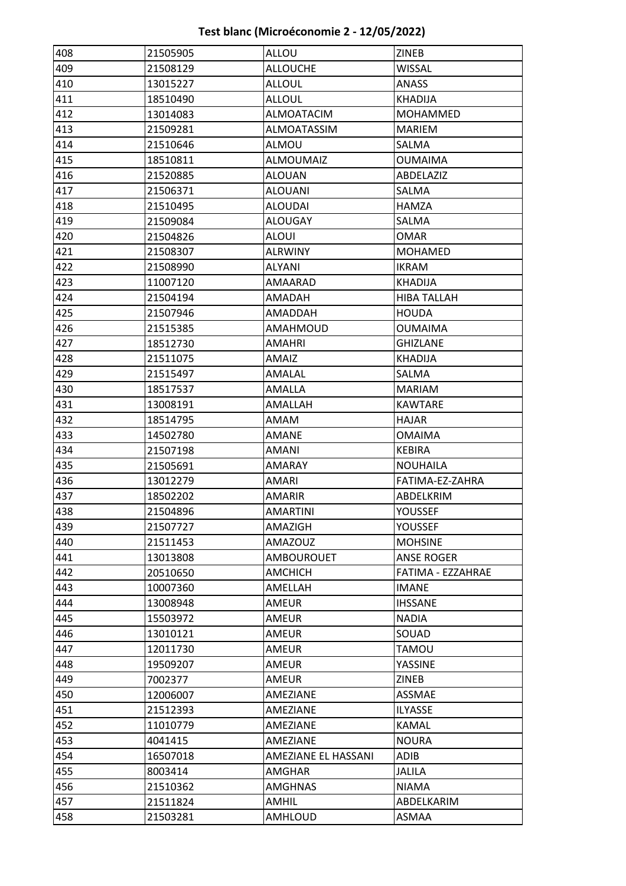| 408 | 21505905 | ALLOU               | ZINEB              |
|-----|----------|---------------------|--------------------|
| 409 | 21508129 | <b>ALLOUCHE</b>     | <b>WISSAL</b>      |
| 410 | 13015227 | <b>ALLOUL</b>       | ANASS              |
| 411 | 18510490 | <b>ALLOUL</b>       | <b>KHADIJA</b>     |
| 412 | 13014083 | ALMOATACIM          | MOHAMMED           |
| 413 | 21509281 | ALMOATASSIM         | <b>MARIEM</b>      |
| 414 | 21510646 | ALMOU               | SALMA              |
| 415 | 18510811 | <b>ALMOUMAIZ</b>    | <b>OUMAIMA</b>     |
| 416 | 21520885 | <b>ALOUAN</b>       | ABDELAZIZ          |
| 417 | 21506371 | <b>ALOUANI</b>      | SALMA              |
| 418 | 21510495 | <b>ALOUDAI</b>      | HAMZA              |
| 419 | 21509084 | <b>ALOUGAY</b>      | SALMA              |
| 420 | 21504826 | ALOUI               | OMAR               |
| 421 | 21508307 | <b>ALRWINY</b>      | <b>MOHAMED</b>     |
| 422 | 21508990 | ALYANI              | IKRAM              |
| 423 | 11007120 | AMAARAD             | <b>KHADIJA</b>     |
| 424 | 21504194 | AMADAH              | <b>HIBA TALLAH</b> |
| 425 | 21507946 | AMADDAH             | <b>HOUDA</b>       |
| 426 | 21515385 | AMAHMOUD            | <b>OUMAIMA</b>     |
| 427 | 18512730 | <b>AMAHRI</b>       | GHIZLANE           |
| 428 | 21511075 | AMAIZ               | KHADIJA            |
| 429 | 21515497 | AMALAL              | SALMA              |
| 430 | 18517537 | AMALLA              | <b>MARIAM</b>      |
| 431 | 13008191 | AMALLAH             | KAWTARE            |
| 432 | 18514795 | AMAM                | HAJAR              |
| 433 | 14502780 | AMANE               | OMAIMA             |
| 434 | 21507198 | <b>AMANI</b>        | <b>KEBIRA</b>      |
| 435 | 21505691 | <b>AMARAY</b>       | <b>NOUHAILA</b>    |
| 436 | 13012279 | AMARI               | FATIMA-EZ-ZAHRA    |
| 437 | 18502202 | <b>AMARIR</b>       | ABDELKRIM          |
| 438 | 21504896 | <b>AMARTINI</b>     | <b>YOUSSEF</b>     |
| 439 | 21507727 | AMAZIGH             | YOUSSEF            |
| 440 | 21511453 | <b>AMAZOUZ</b>      | <b>MOHSINE</b>     |
| 441 | 13013808 | <b>AMBOUROUET</b>   | <b>ANSE ROGER</b>  |
| 442 | 20510650 | <b>AMCHICH</b>      | FATIMA - EZZAHRAE  |
| 443 | 10007360 | AMELLAH             | <b>IMANE</b>       |
| 444 | 13008948 | <b>AMEUR</b>        | <b>IHSSANE</b>     |
| 445 | 15503972 | AMEUR               | <b>NADIA</b>       |
| 446 | 13010121 | AMEUR               | SOUAD              |
| 447 | 12011730 | AMEUR               | TAMOU              |
| 448 | 19509207 | AMEUR               | YASSINE            |
| 449 | 7002377  | AMEUR               | ZINEB              |
| 450 | 12006007 | AMEZIANE            | <b>ASSMAE</b>      |
| 451 | 21512393 | AMEZIANE            | <b>ILYASSE</b>     |
| 452 | 11010779 | AMEZIANE            | <b>KAMAL</b>       |
| 453 | 4041415  | AMEZIANE            | <b>NOURA</b>       |
| 454 | 16507018 | AMEZIANE EL HASSANI | <b>ADIB</b>        |
| 455 | 8003414  | AMGHAR              | <b>JALILA</b>      |
| 456 | 21510362 | <b>AMGHNAS</b>      | NIAMA              |
| 457 | 21511824 | <b>AMHIL</b>        | ABDELKARIM         |
| 458 | 21503281 | AMHLOUD             | ASMAA              |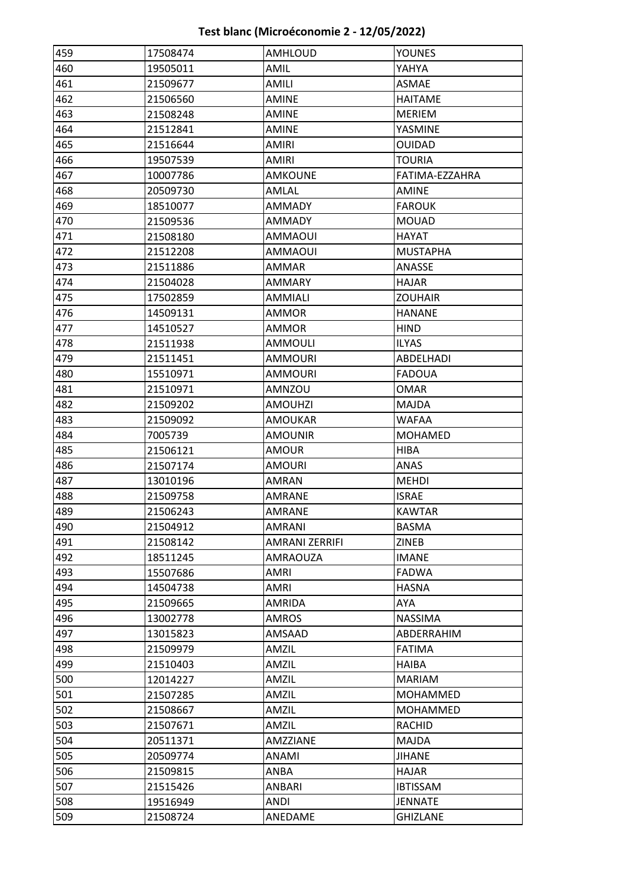| 459 | 17508474             | <b>AMHLOUD</b>        | <b>YOUNES</b>                |
|-----|----------------------|-----------------------|------------------------------|
| 460 | 19505011             | AMIL                  | YAHYA                        |
| 461 | 21509677             | AMILI                 | ASMAE                        |
| 462 | 21506560             | <b>AMINE</b>          | <b>HAITAME</b>               |
| 463 | 21508248             | <b>AMINE</b>          | <b>MERIEM</b>                |
| 464 | 21512841             | AMINE                 | YASMINE                      |
| 465 | 21516644             | <b>AMIRI</b>          | <b>OUIDAD</b>                |
| 466 | 19507539             | AMIRI                 | <b>TOURIA</b>                |
| 467 | 10007786             | <b>AMKOUNE</b>        | FATIMA-EZZAHRA               |
| 468 | 20509730             | AMLAL                 | <b>AMINE</b>                 |
| 469 | 18510077             | <b>AMMADY</b>         | <b>FAROUK</b>                |
| 470 | 21509536             | <b>AMMADY</b>         | <b>MOUAD</b>                 |
| 471 | 21508180             | AMMAOUI               | HAYAT                        |
| 472 | 21512208             | <b>IUOAMMA</b>        | <b>MUSTAPHA</b>              |
| 473 | 21511886             | <b>AMMAR</b>          | ANASSE                       |
| 474 | 21504028             | AMMARY                | HAJAR                        |
| 475 | 17502859             | AMMIALI               | <b>ZOUHAIR</b>               |
| 476 | 14509131             | AMMOR                 | <b>HANANE</b>                |
| 477 | 14510527             | <b>AMMOR</b>          | HIND                         |
| 478 | 21511938             | <b>AMMOULI</b>        | <b>ILYAS</b>                 |
| 479 | 21511451             | <b>AMMOURI</b>        | ABDELHADI                    |
| 480 | 15510971             | AMMOURI               | <b>FADOUA</b>                |
| 481 | 21510971             | AMNZOU                | OMAR                         |
| 482 | 21509202             | <b>AMOUHZI</b>        | MAJDA                        |
| 483 | 21509092             | AMOUKAR               | <b>WAFAA</b>                 |
| 484 | 7005739              | <b>AMOUNIR</b>        | MOHAMED                      |
| 485 | 21506121             | AMOUR                 | <b>HIBA</b>                  |
| 486 | 21507174             | <b>AMOURI</b>         | ANAS                         |
| 487 | 13010196             | AMRAN                 | <b>MEHDI</b>                 |
| 488 |                      | AMRANE                | <b>ISRAE</b>                 |
| 489 | 21509758<br>21506243 | AMRANE                | <b>KAWTAR</b>                |
| 490 | 21504912             | <b>AMRANI</b>         | <b>BASMA</b>                 |
| 491 | 21508142             | <b>AMRANI ZERRIFI</b> | <b>ZINEB</b>                 |
| 492 |                      |                       |                              |
|     | 18511245             | AMRAOUZA              | <b>IMANE</b><br><b>FADWA</b> |
| 493 | 15507686             | AMRI                  |                              |
| 494 | 14504738             | AMRI                  | <b>HASNA</b>                 |
| 495 | 21509665             | <b>AMRIDA</b>         | AYA                          |
| 496 | 13002778             | AMROS                 | <b>NASSIMA</b>               |
| 497 | 13015823             | AMSAAD                | ABDERRAHIM                   |
| 498 | 21509979             | AMZIL                 | <b>FATIMA</b>                |
| 499 | 21510403             | AMZIL                 | <b>HAIBA</b>                 |
| 500 | 12014227             | AMZIL                 | <b>MARIAM</b>                |
| 501 | 21507285             | AMZIL                 | <b>MOHAMMED</b>              |
| 502 | 21508667             | AMZIL                 | MOHAMMED                     |
| 503 | 21507671             | AMZIL                 | <b>RACHID</b>                |
| 504 | 20511371             | AMZZIANE              | MAJDA                        |
| 505 | 20509774             | ANAMI                 | <b>JIHANE</b>                |
| 506 | 21509815             | ANBA                  | <b>HAJAR</b>                 |
| 507 | 21515426             | ANBARI                | <b>IBTISSAM</b>              |
| 508 | 19516949             | <b>ANDI</b>           | <b>JENNATE</b>               |
| 509 | 21508724             | ANEDAME               | GHIZLANE                     |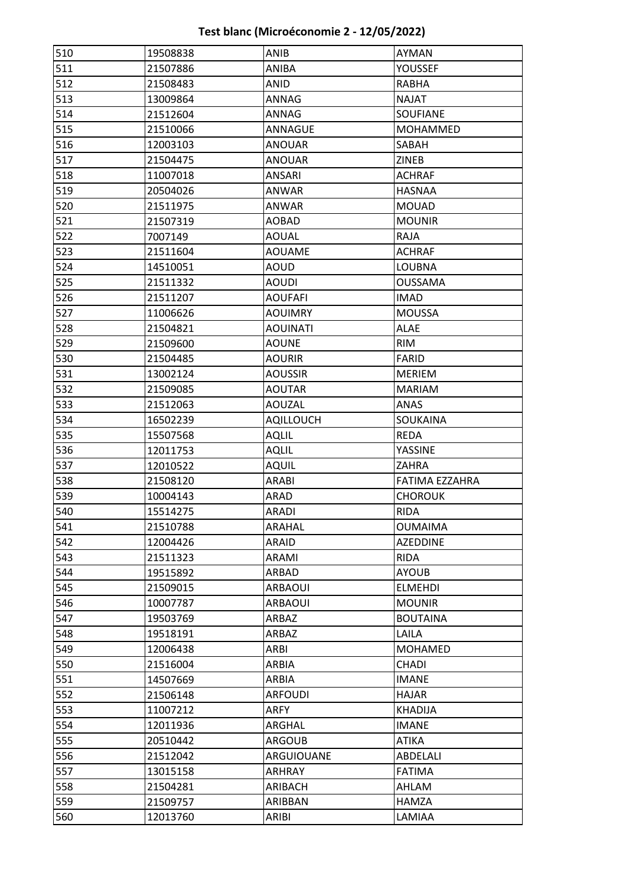| 510 | 19508838 | ANIB             | AYMAN                 |
|-----|----------|------------------|-----------------------|
| 511 | 21507886 | ANIBA            | <b>YOUSSEF</b>        |
| 512 | 21508483 | ANID             | <b>RABHA</b>          |
| 513 | 13009864 | ANNAG            | <b>NAJAT</b>          |
| 514 | 21512604 | ANNAG            | SOUFIANE              |
| 515 | 21510066 | ANNAGUE          | <b>MOHAMMED</b>       |
| 516 | 12003103 | <b>ANOUAR</b>    | SABAH                 |
| 517 | 21504475 | <b>ANOUAR</b>    | ZINEB                 |
| 518 | 11007018 | ANSARI           | <b>ACHRAF</b>         |
| 519 | 20504026 | <b>ANWAR</b>     | <b>HASNAA</b>         |
| 520 | 21511975 | ANWAR            | <b>MOUAD</b>          |
| 521 | 21507319 | AOBAD            | <b>MOUNIR</b>         |
| 522 | 7007149  | <b>AOUAL</b>     | <b>RAJA</b>           |
| 523 | 21511604 | <b>AOUAME</b>    | <b>ACHRAF</b>         |
| 524 | 14510051 | AOUD             | <b>LOUBNA</b>         |
| 525 | 21511332 | <b>AOUDI</b>     | <b>OUSSAMA</b>        |
| 526 | 21511207 | <b>AOUFAFI</b>   | <b>IMAD</b>           |
| 527 | 11006626 | <b>AOUIMRY</b>   | <b>MOUSSA</b>         |
| 528 | 21504821 | <b>AOUINATI</b>  | <b>ALAE</b>           |
| 529 | 21509600 | <b>AOUNE</b>     | <b>RIM</b>            |
| 530 | 21504485 | <b>AOURIR</b>    | FARID                 |
| 531 | 13002124 | <b>AOUSSIR</b>   | <b>MERIEM</b>         |
| 532 | 21509085 | <b>AOUTAR</b>    | <b>MARIAM</b>         |
| 533 | 21512063 | AOUZAL           | ANAS                  |
| 534 | 16502239 | <b>AQILLOUCH</b> | SOUKAINA              |
| 535 | 15507568 | <b>AQLIL</b>     | <b>REDA</b>           |
| 536 | 12011753 | <b>AQLIL</b>     | YASSINE               |
| 537 | 12010522 | <b>AQUIL</b>     | <b>ZAHRA</b>          |
| 538 | 21508120 | ARABI            | <b>FATIMA EZZAHRA</b> |
| 539 | 10004143 | ARAD             | CHOROUK               |
| 540 | 15514275 | <b>ARADI</b>     | <b>RIDA</b>           |
| 541 | 21510788 | ARAHAL           | OUMAIMA               |
| 542 | 12004426 | ARAID            | <b>AZEDDINE</b>       |
| 543 | 21511323 | ARAMI            | <b>RIDA</b>           |
| 544 | 19515892 | ARBAD            | <b>AYOUB</b>          |
| 545 | 21509015 | ARBAOUI          | <b>ELMEHDI</b>        |
| 546 | 10007787 | ARBAOUI          | <b>MOUNIR</b>         |
| 547 | 19503769 | ARBAZ            | <b>BOUTAINA</b>       |
| 548 | 19518191 | ARBAZ            | LAILA                 |
| 549 | 12006438 | ARBI             | MOHAMED               |
| 550 | 21516004 | ARBIA            | CHADI                 |
| 551 | 14507669 | ARBIA            | <b>IMANE</b>          |
| 552 | 21506148 | <b>ARFOUDI</b>   | HAJAR                 |
| 553 | 11007212 | ARFY             | KHADIJA               |
| 554 | 12011936 | ARGHAL           | <b>IMANE</b>          |
| 555 | 20510442 | ARGOUB           | <b>ATIKA</b>          |
| 556 | 21512042 | ARGUIOUANE       | ABDELALI              |
| 557 | 13015158 | ARHRAY           | <b>FATIMA</b>         |
| 558 | 21504281 | ARIBACH          | AHLAM                 |
| 559 | 21509757 | ARIBBAN          | HAMZA                 |
| 560 | 12013760 | ARIBI            | LAMIAA                |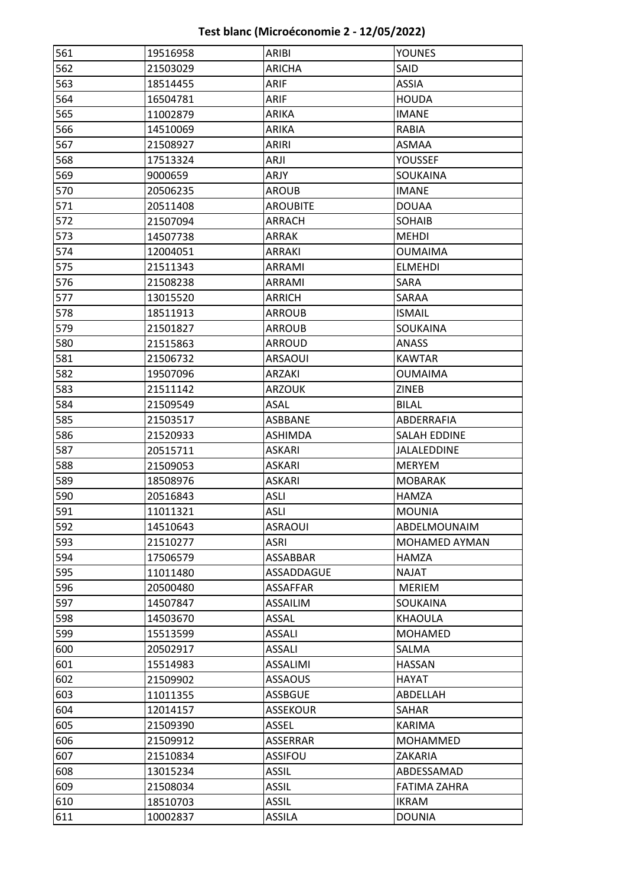| 561 | 19516958 | ARIBI           | <b>YOUNES</b>      |
|-----|----------|-----------------|--------------------|
| 562 | 21503029 | <b>ARICHA</b>   | SAID               |
| 563 | 18514455 | ARIF            | <b>ASSIA</b>       |
| 564 | 16504781 | ARIF            | <b>HOUDA</b>       |
| 565 | 11002879 | ARIKA           | <b>IMANE</b>       |
| 566 | 14510069 | ARIKA           | RABIA              |
| 567 | 21508927 | <b>ARIRI</b>    | <b>ASMAA</b>       |
| 568 | 17513324 | ARJI            | YOUSSEF            |
| 569 | 9000659  | ARJY            | SOUKAINA           |
| 570 | 20506235 | <b>AROUB</b>    | <b>IMANE</b>       |
| 571 | 20511408 | <b>AROUBITE</b> | <b>DOUAA</b>       |
| 572 | 21507094 | ARRACH          | <b>SOHAIB</b>      |
| 573 | 14507738 | ARRAK           | <b>MEHDI</b>       |
| 574 | 12004051 | <b>ARRAKI</b>   | <b>OUMAIMA</b>     |
| 575 | 21511343 | ARRAMI          | <b>ELMEHDI</b>     |
| 576 | 21508238 | ARRAMI          | SARA               |
| 577 | 13015520 | ARRICH          | SARAA              |
| 578 | 18511913 | <b>ARROUB</b>   | <b>ISMAIL</b>      |
| 579 | 21501827 | <b>ARROUB</b>   | SOUKAINA           |
| 580 | 21515863 | ARROUD          | ANASS              |
| 581 | 21506732 | ARSAOUI         | <b>KAWTAR</b>      |
| 582 | 19507096 | ARZAKI          | <b>OUMAIMA</b>     |
| 583 | 21511142 | <b>ARZOUK</b>   | <b>ZINEB</b>       |
| 584 | 21509549 | <b>ASAL</b>     | <b>BILAL</b>       |
| 585 | 21503517 | ASBBANE         | ABDERRAFIA         |
| 586 | 21520933 | <b>ASHIMDA</b>  | SALAH EDDINE       |
| 587 | 20515711 | ASKARI          | <b>JALALEDDINE</b> |
| 588 | 21509053 | <b>ASKARI</b>   | <b>MERYEM</b>      |
| 589 | 18508976 | <b>ASKARI</b>   | <b>MOBARAK</b>     |
| 590 | 20516843 | ASLI            | HAMZA              |
| 591 | 11011321 | <b>ASLI</b>     | <b>MOUNIA</b>      |
| 592 | 14510643 | <b>ASRAOUI</b>  | ABDELMOUNAIM       |
| 593 | 21510277 | <b>ASRI</b>     | MOHAMED AYMAN      |
| 594 | 17506579 | ASSABBAR        | HAMZA              |
| 595 | 11011480 | ASSADDAGUE      | <b>NAJAT</b>       |
| 596 | 20500480 | <b>ASSAFFAR</b> | <b>MERIEM</b>      |
| 597 | 14507847 | <b>ASSAILIM</b> | SOUKAINA           |
| 598 | 14503670 | ASSAL           | KHAOULA            |
| 599 | 15513599 | <b>ASSALI</b>   | <b>MOHAMED</b>     |
| 600 | 20502917 | <b>ASSALI</b>   | SALMA              |
| 601 | 15514983 | <b>ASSALIMI</b> | <b>HASSAN</b>      |
| 602 | 21509902 | <b>ASSAOUS</b>  | HAYAT              |
| 603 | 11011355 | ASSBGUE         | ABDELLAH           |
| 604 | 12014157 | <b>ASSEKOUR</b> | SAHAR              |
| 605 | 21509390 | ASSEL           | <b>KARIMA</b>      |
| 606 | 21509912 | <b>ASSERRAR</b> | MOHAMMED           |
| 607 | 21510834 | <b>ASSIFOU</b>  | ZAKARIA            |
| 608 | 13015234 | <b>ASSIL</b>    | ABDESSAMAD         |
| 609 | 21508034 | <b>ASSIL</b>    | FATIMA ZAHRA       |
| 610 | 18510703 | <b>ASSIL</b>    | <b>IKRAM</b>       |
| 611 | 10002837 | <b>ASSILA</b>   | <b>DOUNIA</b>      |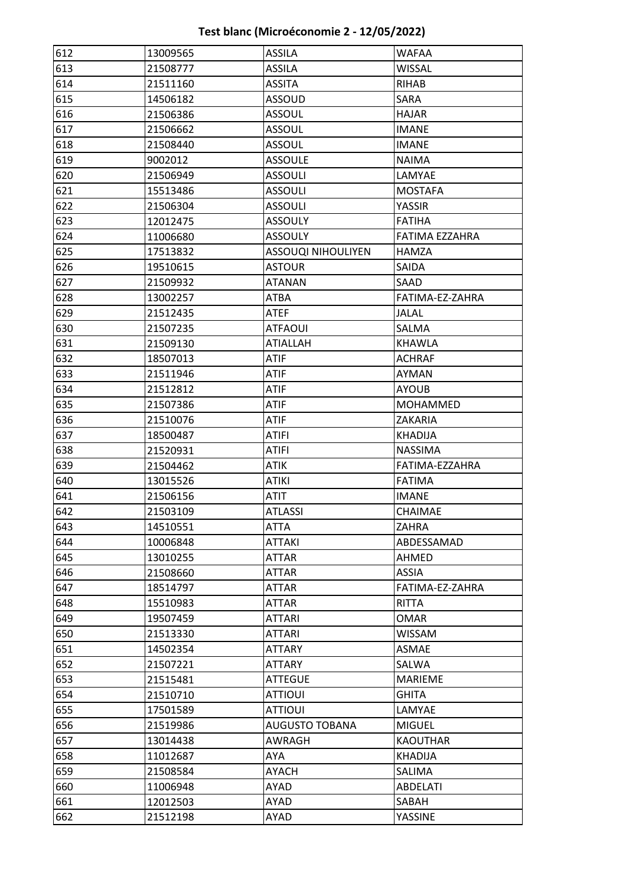| 612 | 13009565 | <b>ASSILA</b>             | <b>WAFAA</b>    |
|-----|----------|---------------------------|-----------------|
| 613 | 21508777 | <b>ASSILA</b>             | <b>WISSAL</b>   |
| 614 | 21511160 | <b>ASSITA</b>             | <b>RIHAB</b>    |
| 615 | 14506182 | <b>ASSOUD</b>             | SARA            |
| 616 | 21506386 | <b>ASSOUL</b>             | HAJAR           |
| 617 | 21506662 | <b>ASSOUL</b>             | <b>IMANE</b>    |
| 618 | 21508440 | <b>ASSOUL</b>             | <b>IMANE</b>    |
| 619 | 9002012  | <b>ASSOULE</b>            | <b>NAIMA</b>    |
| 620 | 21506949 | <b>ASSOULI</b>            | LAMYAE          |
| 621 | 15513486 | <b>ASSOULI</b>            | <b>MOSTAFA</b>  |
| 622 | 21506304 | <b>ASSOULI</b>            | YASSIR          |
| 623 | 12012475 | <b>ASSOULY</b>            | <b>FATIHA</b>   |
| 624 | 11006680 | <b>ASSOULY</b>            | FATIMA EZZAHRA  |
| 625 | 17513832 | <b>ASSOUQI NIHOULIYEN</b> | HAMZA           |
| 626 | 19510615 | <b>ASTOUR</b>             | SAIDA           |
| 627 | 21509932 | <b>ATANAN</b>             | SAAD            |
| 628 | 13002257 | <b>ATBA</b>               | FATIMA-EZ-ZAHRA |
| 629 | 21512435 | <b>ATEF</b>               | <b>JALAL</b>    |
| 630 | 21507235 | <b>ATFAOUI</b>            | SALMA           |
| 631 | 21509130 | <b>ATIALLAH</b>           | <b>KHAWLA</b>   |
| 632 | 18507013 | <b>ATIF</b>               | <b>ACHRAF</b>   |
| 633 | 21511946 | <b>ATIF</b>               | AYMAN           |
| 634 | 21512812 | <b>ATIF</b>               | <b>AYOUB</b>    |
| 635 | 21507386 | <b>ATIF</b>               | <b>MOHAMMED</b> |
| 636 | 21510076 | <b>ATIF</b>               | ZAKARIA         |
| 637 | 18500487 | <b>ATIFI</b>              | <b>KHADIJA</b>  |
| 638 | 21520931 | ATIFI                     | NASSIMA         |
| 639 | 21504462 | <b>ATIK</b>               | FATIMA-EZZAHRA  |
| 640 | 13015526 | <b>ATIKI</b>              | <b>FATIMA</b>   |
| 641 | 21506156 | ATIT                      | <b>IMANE</b>    |
| 642 | 21503109 | <b>ATLASSI</b>            | <b>CHAIMAE</b>  |
| 643 | 14510551 | ATTA                      | ZAHRA           |
| 644 | 10006848 | <b>ATTAKI</b>             | ABDESSAMAD      |
| 645 | 13010255 | ATTAR                     | AHMED           |
| 646 | 21508660 | <b>ATTAR</b>              | <b>ASSIA</b>    |
| 647 | 18514797 | <b>ATTAR</b>              | FATIMA-EZ-ZAHRA |
| 648 | 15510983 | <b>ATTAR</b>              | <b>RITTA</b>    |
| 649 | 19507459 | <b>ATTARI</b>             | <b>OMAR</b>     |
| 650 | 21513330 | <b>ATTARI</b>             | WISSAM          |
| 651 | 14502354 | <b>ATTARY</b>             | ASMAE           |
| 652 | 21507221 | <b>ATTARY</b>             | SALWA           |
| 653 | 21515481 | <b>ATTEGUE</b>            | MARIEME         |
| 654 | 21510710 | <b>ATTIOUI</b>            | <b>GHITA</b>    |
| 655 | 17501589 | <b>ATTIOUI</b>            | LAMYAE          |
| 656 | 21519986 | <b>AUGUSTO TOBANA</b>     | <b>MIGUEL</b>   |
| 657 | 13014438 | AWRAGH                    | <b>KAOUTHAR</b> |
| 658 | 11012687 | AYA                       | <b>KHADIJA</b>  |
| 659 | 21508584 | <b>AYACH</b>              | SALIMA          |
| 660 | 11006948 | AYAD                      | <b>ABDELATI</b> |
| 661 | 12012503 | AYAD                      | SABAH           |
| 662 | 21512198 | AYAD                      | YASSINE         |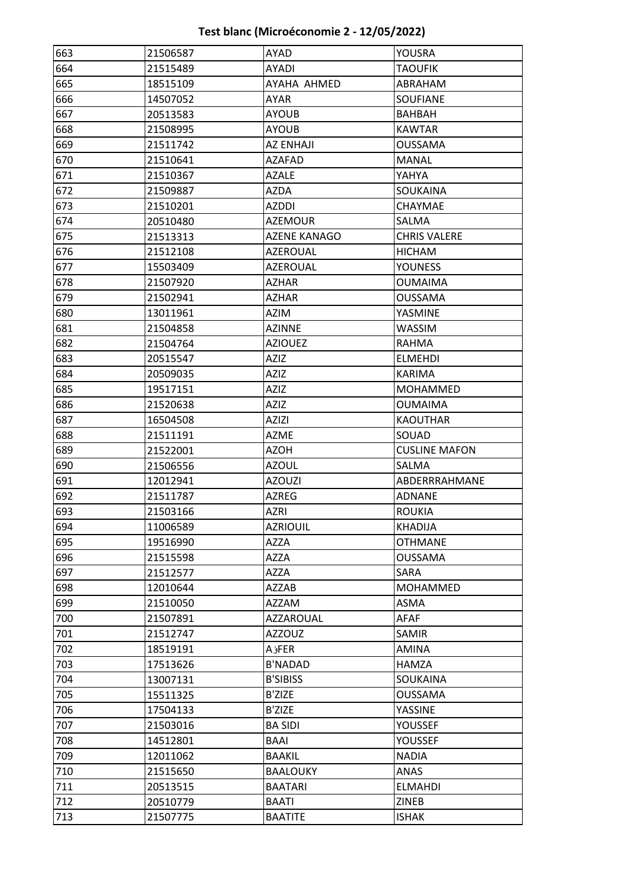| 663 | 21506587 | AYAD             | YOUSRA               |
|-----|----------|------------------|----------------------|
| 664 | 21515489 | <b>AYADI</b>     | <b>TAOUFIK</b>       |
| 665 | 18515109 | AYAHA AHMED      | ABRAHAM              |
| 666 | 14507052 | AYAR             | <b>SOUFIANE</b>      |
| 667 | 20513583 | <b>AYOUB</b>     | <b>BAHBAH</b>        |
| 668 | 21508995 | AYOUB            | KAWTAR               |
| 669 | 21511742 | <b>AZ ENHAJI</b> | <b>OUSSAMA</b>       |
| 670 | 21510641 | AZAFAD           | <b>MANAL</b>         |
| 671 | 21510367 | <b>AZALE</b>     | YAHYA                |
| 672 | 21509887 | AZDA             | SOUKAINA             |
| 673 | 21510201 | AZDDI            | <b>CHAYMAE</b>       |
| 674 | 20510480 | <b>AZEMOUR</b>   | SALMA                |
| 675 | 21513313 | AZENE KANAGO     | <b>CHRIS VALERE</b>  |
| 676 | 21512108 | AZEROUAL         | <b>HICHAM</b>        |
| 677 | 15503409 | AZEROUAL         | <b>YOUNESS</b>       |
| 678 | 21507920 | <b>AZHAR</b>     | <b>OUMAIMA</b>       |
| 679 | 21502941 | <b>AZHAR</b>     | <b>OUSSAMA</b>       |
| 680 | 13011961 | AZIM             | YASMINE              |
| 681 | 21504858 | <b>AZINNE</b>    | WASSIM               |
| 682 | 21504764 | <b>AZIOUEZ</b>   | RAHMA                |
| 683 | 20515547 | <b>AZIZ</b>      | <b>ELMEHDI</b>       |
| 684 | 20509035 | <b>AZIZ</b>      | <b>KARIMA</b>        |
| 685 | 19517151 | AZIZ             | <b>MOHAMMED</b>      |
| 686 | 21520638 | <b>AZIZ</b>      | <b>OUMAIMA</b>       |
| 687 | 16504508 | AZIZI            | <b>KAOUTHAR</b>      |
| 688 | 21511191 | <b>AZME</b>      | SOUAD                |
| 689 | 21522001 | AZOH             | <b>CUSLINE MAFON</b> |
| 690 | 21506556 | <b>AZOUL</b>     | SALMA                |
| 691 | 12012941 | <b>AZOUZI</b>    | ABDERRRAHMANE        |
| 692 | 21511787 | <b>AZREG</b>     | ADNANE               |
| 693 | 21503166 | <b>AZRI</b>      | <b>ROUKIA</b>        |
| 694 | 11006589 | <b>AZRIOUIL</b>  | <b>KHADIJA</b>       |
| 695 | 19516990 | <b>AZZA</b>      | <b>OTHMANE</b>       |
| 696 | 21515598 | <b>AZZA</b>      | <b>OUSSAMA</b>       |
| 697 | 21512577 | AZZA             | SARA                 |
| 698 | 12010644 | AZZAB            | MOHAMMED             |
| 699 | 21510050 | <b>AZZAM</b>     | ASMA                 |
| 700 | 21507891 | AZZAROUAL        | AFAF                 |
| 701 | 21512747 | <b>AZZOUZ</b>    | SAMIR                |
| 702 | 18519191 | FERؤA            | AMINA                |
| 703 | 17513626 | <b>B'NADAD</b>   | <b>HAMZA</b>         |
| 704 | 13007131 | <b>B'SIBISS</b>  | SOUKAINA             |
| 705 | 15511325 | <b>B'ZIZE</b>    | <b>OUSSAMA</b>       |
| 706 | 17504133 | <b>B'ZIZE</b>    | YASSINE              |
| 707 | 21503016 | <b>BA SIDI</b>   | <b>YOUSSEF</b>       |
| 708 | 14512801 | <b>BAAI</b>      | <b>YOUSSEF</b>       |
| 709 | 12011062 | <b>BAAKIL</b>    | <b>NADIA</b>         |
| 710 | 21515650 | <b>BAALOUKY</b>  | ANAS                 |
| 711 | 20513515 | <b>BAATARI</b>   | <b>ELMAHDI</b>       |
| 712 | 20510779 | <b>BAATI</b>     | <b>ZINEB</b>         |
| 713 | 21507775 | <b>BAATITE</b>   | <b>ISHAK</b>         |
|     |          |                  |                      |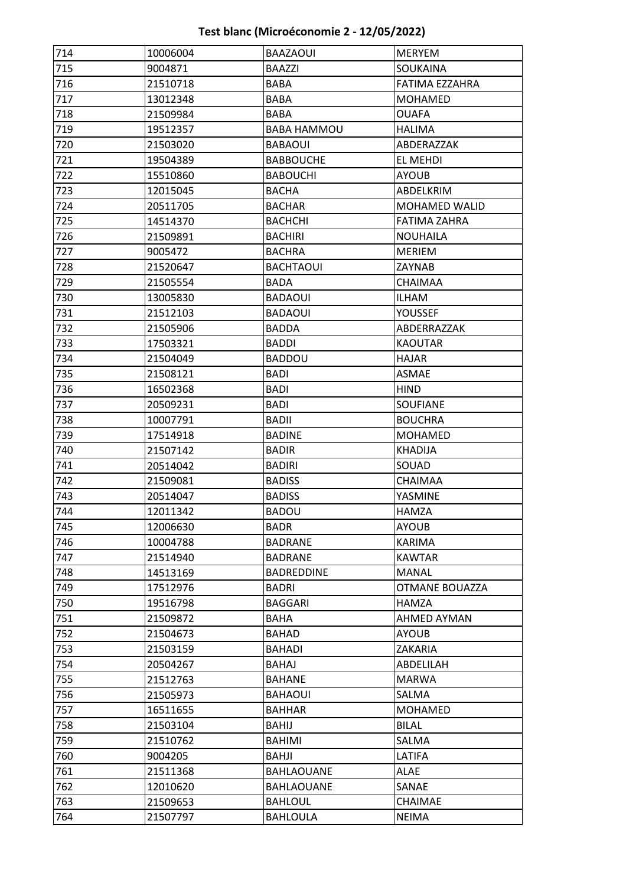| 714 | 10006004 | <b>BAAZAOUI</b>    | <b>MERYEM</b>         |
|-----|----------|--------------------|-----------------------|
| 715 | 9004871  | <b>BAAZZI</b>      | SOUKAINA              |
| 716 | 21510718 | BABA               | FATIMA EZZAHRA        |
| 717 | 13012348 | <b>BABA</b>        | <b>MOHAMED</b>        |
| 718 | 21509984 | <b>BABA</b>        | <b>OUAFA</b>          |
| 719 | 19512357 | <b>BABA HAMMOU</b> | HALIMA                |
| 720 | 21503020 | <b>BABAOUI</b>     | ABDERAZZAK            |
| 721 | 19504389 | <b>BABBOUCHE</b>   | EL MEHDI              |
| 722 | 15510860 | <b>BABOUCHI</b>    | <b>AYOUB</b>          |
| 723 | 12015045 | <b>BACHA</b>       | ABDELKRIM             |
| 724 | 20511705 | <b>BACHAR</b>      | <b>MOHAMED WALID</b>  |
| 725 | 14514370 | <b>BACHCHI</b>     | <b>FATIMA ZAHRA</b>   |
| 726 | 21509891 | <b>BACHIRI</b>     | <b>NOUHAILA</b>       |
| 727 | 9005472  | <b>BACHRA</b>      | <b>MERIEM</b>         |
| 728 | 21520647 | <b>BACHTAOUI</b>   | ZAYNAB                |
| 729 | 21505554 | <b>BADA</b>        | CHAIMAA               |
| 730 | 13005830 | <b>BADAOUI</b>     | <b>ILHAM</b>          |
| 731 | 21512103 | <b>BADAOUI</b>     | <b>YOUSSEF</b>        |
| 732 | 21505906 | <b>BADDA</b>       | ABDERRAZZAK           |
| 733 | 17503321 | <b>BADDI</b>       | <b>KAOUTAR</b>        |
| 734 | 21504049 | <b>BADDOU</b>      | HAJAR                 |
| 735 | 21508121 | <b>BADI</b>        | ASMAE                 |
| 736 | 16502368 | <b>BADI</b>        | <b>HIND</b>           |
| 737 | 20509231 | <b>BADI</b>        | SOUFIANE              |
| 738 | 10007791 | <b>BADII</b>       | <b>BOUCHRA</b>        |
| 739 | 17514918 | <b>BADINE</b>      | <b>MOHAMED</b>        |
| 740 | 21507142 | <b>BADIR</b>       | <b>KHADIJA</b>        |
| 741 | 20514042 | <b>BADIRI</b>      | SOUAD                 |
| 742 | 21509081 | <b>BADISS</b>      | CHAIMAA               |
| 743 | 20514047 | <b>BADISS</b>      | YASMINE               |
| 744 | 12011342 | <b>BADOU</b>       | HAMZA                 |
| 745 | 12006630 | <b>BADR</b>        | <b>AYOUB</b>          |
| 746 | 10004788 | <b>BADRANE</b>     | <b>KARIMA</b>         |
| 747 | 21514940 | <b>BADRANE</b>     | <b>KAWTAR</b>         |
| 748 | 14513169 | <b>BADREDDINE</b>  | <b>MANAL</b>          |
| 749 | 17512976 | <b>BADRI</b>       | <b>OTMANE BOUAZZA</b> |
| 750 | 19516798 | <b>BAGGARI</b>     | HAMZA                 |
| 751 | 21509872 | <b>BAHA</b>        | AHMED AYMAN           |
| 752 | 21504673 | <b>BAHAD</b>       | <b>AYOUB</b>          |
| 753 | 21503159 | <b>BAHADI</b>      | <b>ZAKARIA</b>        |
| 754 | 20504267 | <b>BAHAJ</b>       | ABDELILAH             |
| 755 | 21512763 | <b>BAHANE</b>      | MARWA                 |
| 756 | 21505973 | <b>BAHAOUI</b>     | SALMA                 |
| 757 | 16511655 | <b>BAHHAR</b>      | <b>MOHAMED</b>        |
| 758 | 21503104 | <b>BAHIJ</b>       | <b>BILAL</b>          |
| 759 | 21510762 | <b>BAHIMI</b>      | SALMA                 |
| 760 | 9004205  | BAHJI              | LATIFA                |
| 761 | 21511368 | <b>BAHLAOUANE</b>  | ALAE                  |
| 762 | 12010620 | <b>BAHLAOUANE</b>  | SANAE                 |
| 763 | 21509653 | <b>BAHLOUL</b>     | CHAIMAE               |
| 764 | 21507797 | <b>BAHLOULA</b>    | <b>NEIMA</b>          |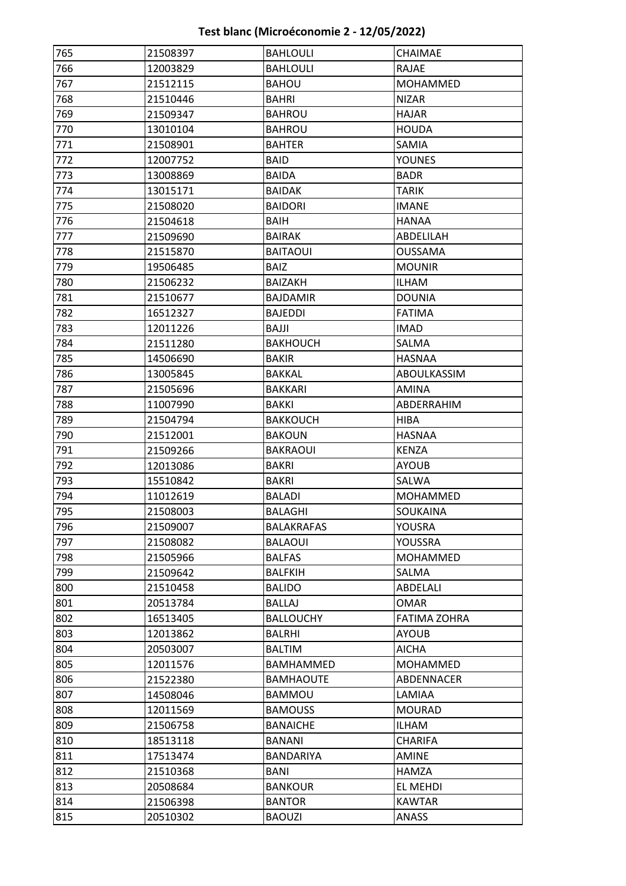| 765 | 21508397 | <b>BAHLOULI</b>   | CHAIMAE             |
|-----|----------|-------------------|---------------------|
| 766 | 12003829 | <b>BAHLOULI</b>   | <b>RAJAE</b>        |
| 767 | 21512115 | <b>BAHOU</b>      | <b>MOHAMMED</b>     |
| 768 | 21510446 | <b>BAHRI</b>      | <b>NIZAR</b>        |
| 769 | 21509347 | <b>BAHROU</b>     | <b>HAJAR</b>        |
| 770 | 13010104 | <b>BAHROU</b>     | <b>HOUDA</b>        |
| 771 | 21508901 | <b>BAHTER</b>     | SAMIA               |
| 772 | 12007752 | <b>BAID</b>       | <b>YOUNES</b>       |
| 773 | 13008869 | <b>BAIDA</b>      | <b>BADR</b>         |
| 774 | 13015171 | <b>BAIDAK</b>     | <b>TARIK</b>        |
| 775 | 21508020 | <b>BAIDORI</b>    | <b>IMANE</b>        |
| 776 | 21504618 | <b>BAIH</b>       | <b>HANAA</b>        |
| 777 | 21509690 | <b>BAIRAK</b>     | ABDELILAH           |
| 778 | 21515870 | <b>BAITAOUI</b>   | <b>OUSSAMA</b>      |
| 779 | 19506485 | <b>BAIZ</b>       | <b>MOUNIR</b>       |
| 780 | 21506232 | <b>BAIZAKH</b>    | <b>ILHAM</b>        |
| 781 | 21510677 | <b>BAJDAMIR</b>   | <b>DOUNIA</b>       |
| 782 | 16512327 | <b>BAJEDDI</b>    | <b>FATIMA</b>       |
| 783 | 12011226 | <b>BAJJI</b>      | <b>IMAD</b>         |
| 784 | 21511280 | <b>BAKHOUCH</b>   | SALMA               |
| 785 | 14506690 | <b>BAKIR</b>      | <b>HASNAA</b>       |
| 786 | 13005845 | <b>BAKKAL</b>     | ABOULKASSIM         |
| 787 | 21505696 | <b>BAKKARI</b>    | <b>AMINA</b>        |
| 788 | 11007990 | BAKKI             | ABDERRAHIM          |
| 789 | 21504794 | <b>BAKKOUCH</b>   | HIBA                |
| 790 | 21512001 | <b>BAKOUN</b>     | <b>HASNAA</b>       |
| 791 | 21509266 | <b>BAKRAOUI</b>   | KENZA               |
| 792 | 12013086 | <b>BAKRI</b>      | <b>AYOUB</b>        |
| 793 | 15510842 | BAKRI             | SALWA               |
| 794 | 11012619 | <b>BALADI</b>     | <b>MOHAMMED</b>     |
| 795 | 21508003 | <b>BALAGHI</b>    | SOUKAINA            |
| 796 | 21509007 | <b>BALAKRAFAS</b> | YOUSRA              |
| 797 | 21508082 | <b>BALAOUI</b>    | YOUSSRA             |
| 798 | 21505966 | <b>BALFAS</b>     | <b>MOHAMMED</b>     |
| 799 | 21509642 | <b>BALFKIH</b>    | SALMA               |
| 800 | 21510458 | <b>BALIDO</b>     | ABDELALI            |
| 801 | 20513784 | <b>BALLAJ</b>     | OMAR                |
| 802 | 16513405 | <b>BALLOUCHY</b>  | <b>FATIMA ZOHRA</b> |
| 803 | 12013862 | <b>BALRHI</b>     | <b>AYOUB</b>        |
| 804 | 20503007 | <b>BALTIM</b>     | <b>AICHA</b>        |
| 805 | 12011576 | BAMHAMMED         | MOHAMMED            |
| 806 | 21522380 | <b>BAMHAOUTE</b>  | ABDENNACER          |
| 807 | 14508046 | <b>BAMMOU</b>     | LAMIAA              |
| 808 | 12011569 | <b>BAMOUSS</b>    | <b>MOURAD</b>       |
| 809 | 21506758 | <b>BANAICHE</b>   | <b>ILHAM</b>        |
| 810 | 18513118 | <b>BANANI</b>     | CHARIFA             |
| 811 | 17513474 | BANDARIYA         | AMINE               |
| 812 | 21510368 | <b>BANI</b>       | HAMZA               |
| 813 | 20508684 | <b>BANKOUR</b>    | EL MEHDI            |
| 814 | 21506398 | <b>BANTOR</b>     | <b>KAWTAR</b>       |
| 815 | 20510302 | <b>BAOUZI</b>     | ANASS               |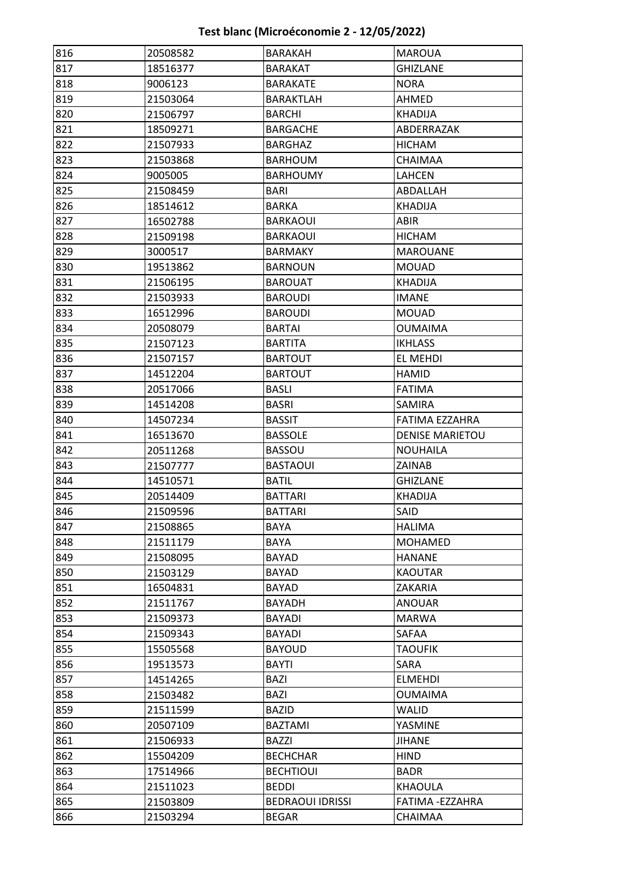| 816 | 20508582 | <b>BARAKAH</b>          | <b>MAROUA</b>          |
|-----|----------|-------------------------|------------------------|
| 817 | 18516377 | <b>BARAKAT</b>          | <b>GHIZLANE</b>        |
| 818 | 9006123  | <b>BARAKATE</b>         | <b>NORA</b>            |
| 819 | 21503064 | <b>BARAKTLAH</b>        | AHMED                  |
| 820 | 21506797 | <b>BARCHI</b>           | <b>KHADIJA</b>         |
| 821 | 18509271 | <b>BARGACHE</b>         | ABDERRAZAK             |
| 822 | 21507933 | <b>BARGHAZ</b>          | <b>HICHAM</b>          |
| 823 | 21503868 | <b>BARHOUM</b>          | <b>CHAIMAA</b>         |
| 824 | 9005005  | <b>BARHOUMY</b>         | <b>LAHCEN</b>          |
| 825 | 21508459 | <b>BARI</b>             | ABDALLAH               |
| 826 | 18514612 | <b>BARKA</b>            | <b>KHADIJA</b>         |
| 827 | 16502788 | <b>BARKAOUI</b>         | ABIR                   |
| 828 | 21509198 | <b>BARKAOUI</b>         | <b>HICHAM</b>          |
| 829 | 3000517  | <b>BARMAKY</b>          | <b>MAROUANE</b>        |
| 830 | 19513862 | <b>BARNOUN</b>          | <b>MOUAD</b>           |
| 831 | 21506195 | <b>BAROUAT</b>          | <b>KHADIJA</b>         |
| 832 | 21503933 | <b>BAROUDI</b>          | <b>IMANE</b>           |
| 833 | 16512996 | <b>BAROUDI</b>          | <b>MOUAD</b>           |
| 834 | 20508079 | <b>BARTAI</b>           | <b>OUMAIMA</b>         |
| 835 | 21507123 | <b>BARTITA</b>          | <b>IKHLASS</b>         |
| 836 | 21507157 | <b>BARTOUT</b>          | EL MEHDI               |
| 837 | 14512204 | <b>BARTOUT</b>          | <b>HAMID</b>           |
| 838 | 20517066 | <b>BASLI</b>            | <b>FATIMA</b>          |
| 839 | 14514208 | <b>BASRI</b>            | SAMIRA                 |
| 840 | 14507234 | <b>BASSIT</b>           | FATIMA EZZAHRA         |
| 841 | 16513670 | <b>BASSOLE</b>          | <b>DENISE MARIETOU</b> |
| 842 | 20511268 | <b>BASSOU</b>           | <b>NOUHAILA</b>        |
| 843 | 21507777 | <b>BASTAOUI</b>         | ZAINAB                 |
| 844 | 14510571 | <b>BATIL</b>            | <b>GHIZLANE</b>        |
| 845 | 20514409 | <b>BATTARI</b>          | <b>KHADIJA</b>         |
| 846 | 21509596 | <b>BATTARI</b>          | SAID                   |
| 847 | 21508865 | <b>BAYA</b>             | <b>HALIMA</b>          |
| 848 | 21511179 | BAYA                    | <b>MOHAMED</b>         |
| 849 | 21508095 | <b>BAYAD</b>            | <b>HANANE</b>          |
| 850 | 21503129 | <b>BAYAD</b>            | <b>KAOUTAR</b>         |
| 851 | 16504831 | <b>BAYAD</b>            | ZAKARIA                |
| 852 | 21511767 | <b>BAYADH</b>           | <b>ANOUAR</b>          |
| 853 | 21509373 | <b>BAYADI</b>           | <b>MARWA</b>           |
| 854 | 21509343 | <b>BAYADI</b>           | SAFAA                  |
| 855 | 15505568 | <b>BAYOUD</b>           | <b>TAOUFIK</b>         |
| 856 | 19513573 | <b>BAYTI</b>            | SARA                   |
| 857 | 14514265 | <b>BAZI</b>             | <b>ELMEHDI</b>         |
| 858 | 21503482 | <b>BAZI</b>             | <b>OUMAIMA</b>         |
| 859 | 21511599 | <b>BAZID</b>            | WALID                  |
| 860 | 20507109 | <b>BAZTAMI</b>          | YASMINE                |
| 861 | 21506933 | <b>BAZZI</b>            | <b>JIHANE</b>          |
| 862 | 15504209 | <b>BECHCHAR</b>         | <b>HIND</b>            |
| 863 | 17514966 | <b>BECHTIOUI</b>        | <b>BADR</b>            |
| 864 | 21511023 | <b>BEDDI</b>            | KHAOULA                |
| 865 | 21503809 | <b>BEDRAOUI IDRISSI</b> | FATIMA - EZZAHRA       |
| 866 | 21503294 | <b>BEGAR</b>            | CHAIMAA                |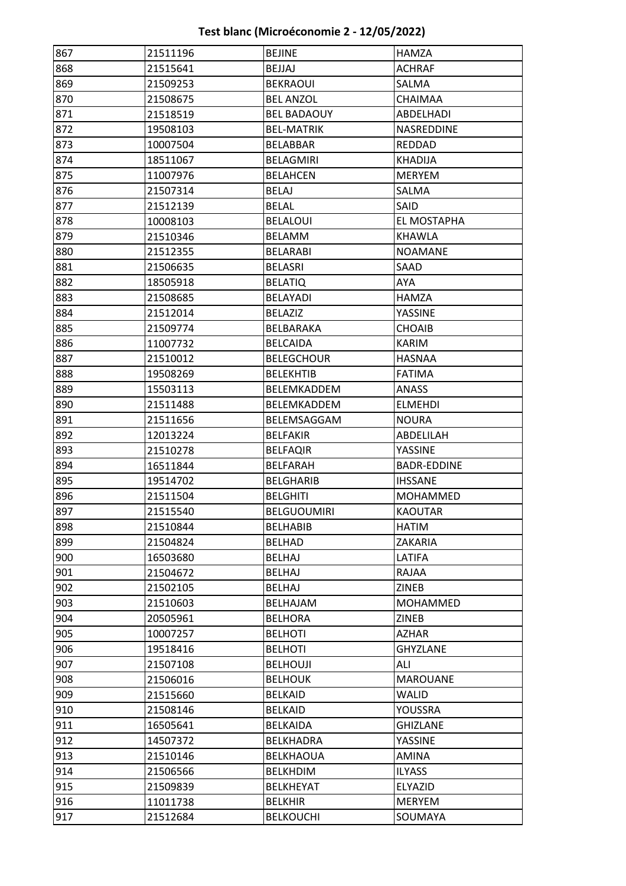| 867 | 21511196 | <b>BEJINE</b>      | HAMZA              |
|-----|----------|--------------------|--------------------|
| 868 | 21515641 | <b>BEJJAJ</b>      | <b>ACHRAF</b>      |
| 869 | 21509253 | <b>BEKRAOUI</b>    | SALMA              |
| 870 | 21508675 | <b>BEL ANZOL</b>   | CHAIMAA            |
| 871 | 21518519 | <b>BEL BADAOUY</b> | ABDELHADI          |
| 872 | 19508103 | <b>BEL-MATRIK</b>  | <b>NASREDDINE</b>  |
| 873 | 10007504 | <b>BELABBAR</b>    | <b>REDDAD</b>      |
| 874 | 18511067 | <b>BELAGMIRI</b>   | <b>KHADIJA</b>     |
| 875 | 11007976 | <b>BELAHCEN</b>    | <b>MERYEM</b>      |
| 876 | 21507314 | <b>BELAJ</b>       | SALMA              |
| 877 | 21512139 | <b>BELAL</b>       | <b>SAID</b>        |
| 878 | 10008103 | <b>BELALOUI</b>    | EL MOSTAPHA        |
| 879 | 21510346 | <b>BELAMM</b>      | <b>KHAWLA</b>      |
| 880 | 21512355 | <b>BELARABI</b>    | <b>NOAMANE</b>     |
| 881 | 21506635 | <b>BELASRI</b>     | SAAD               |
| 882 | 18505918 | <b>BELATIQ</b>     | AYA                |
| 883 | 21508685 | <b>BELAYADI</b>    | HAMZA              |
| 884 | 21512014 | <b>BELAZIZ</b>     | YASSINE            |
| 885 | 21509774 | BELBARAKA          | CHOAIB             |
| 886 | 11007732 | <b>BELCAIDA</b>    | KARIM              |
| 887 | 21510012 | <b>BELEGCHOUR</b>  | <b>HASNAA</b>      |
| 888 | 19508269 | <b>BELEKHTIB</b>   | <b>FATIMA</b>      |
| 889 | 15503113 | BELEMKADDEM        | ANASS              |
| 890 | 21511488 | BELEMKADDEM        | <b>ELMEHDI</b>     |
| 891 | 21511656 | BELEMSAGGAM        | <b>NOURA</b>       |
| 892 | 12013224 | <b>BELFAKIR</b>    | ABDELILAH          |
| 893 | 21510278 | <b>BELFAQIR</b>    | YASSINE            |
| 894 | 16511844 | <b>BELFARAH</b>    | <b>BADR-EDDINE</b> |
| 895 | 19514702 | <b>BELGHARIB</b>   | <b>IHSSANE</b>     |
| 896 | 21511504 | <b>BELGHITI</b>    | MOHAMMED           |
| 897 | 21515540 | <b>BELGUOUMIRI</b> | <b>KAOUTAR</b>     |
| 898 | 21510844 | <b>BELHABIB</b>    | <b>HATIM</b>       |
| 899 | 21504824 | <b>BELHAD</b>      | ZAKARIA            |
| 900 | 16503680 | <b>BELHAJ</b>      | LATIFA             |
| 901 | 21504672 | <b>BELHAJ</b>      | RAJAA              |
| 902 | 21502105 | <b>BELHAJ</b>      | ZINEB              |
| 903 | 21510603 | BELHAJAM           | MOHAMMED           |
| 904 | 20505961 | <b>BELHORA</b>     | ZINEB              |
| 905 | 10007257 | <b>BELHOTI</b>     | AZHAR              |
| 906 | 19518416 | <b>BELHOTI</b>     | <b>GHYZLANE</b>    |
| 907 | 21507108 | <b>BELHOUJI</b>    | ALI                |
| 908 | 21506016 | <b>BELHOUK</b>     | <b>MAROUANE</b>    |
| 909 | 21515660 | <b>BELKAID</b>     | WALID              |
| 910 | 21508146 | <b>BELKAID</b>     | YOUSSRA            |
| 911 | 16505641 | <b>BELKAIDA</b>    | <b>GHIZLANE</b>    |
| 912 | 14507372 | <b>BELKHADRA</b>   | YASSINE            |
| 913 | 21510146 | <b>BELKHAOUA</b>   | AMINA              |
| 914 | 21506566 | <b>BELKHDIM</b>    | <b>ILYASS</b>      |
| 915 | 21509839 | <b>BELKHEYAT</b>   | <b>ELYAZID</b>     |
| 916 | 11011738 | <b>BELKHIR</b>     | <b>MERYEM</b>      |
| 917 | 21512684 | <b>BELKOUCHI</b>   | SOUMAYA            |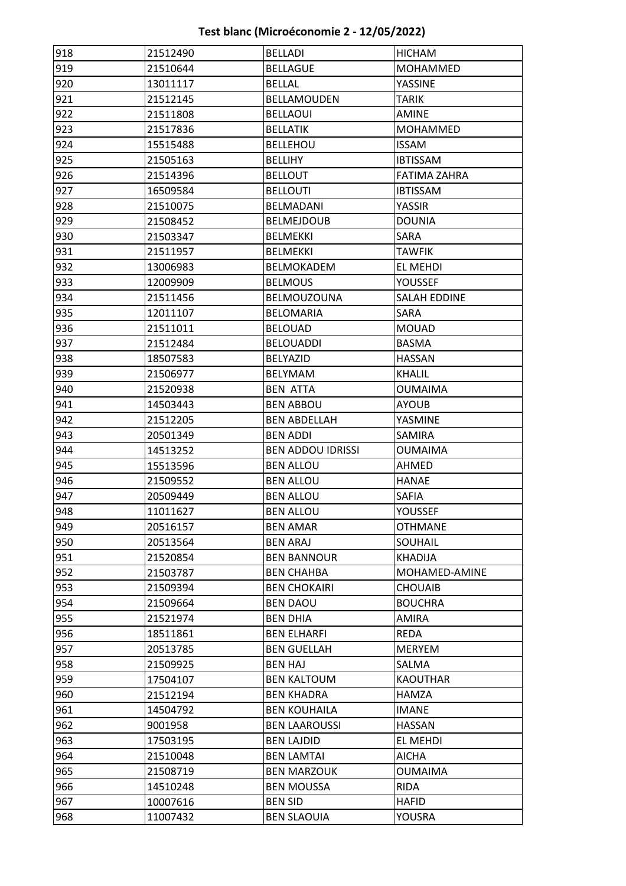| 918 | 21512490 | <b>BELLADI</b>           | HICHAM              |
|-----|----------|--------------------------|---------------------|
| 919 | 21510644 | <b>BELLAGUE</b>          | <b>MOHAMMED</b>     |
| 920 | 13011117 | <b>BELLAL</b>            | YASSINE             |
| 921 | 21512145 | BELLAMOUDEN              | TARIK               |
| 922 | 21511808 | <b>BELLAOUI</b>          | AMINE               |
| 923 | 21517836 | <b>BELLATIK</b>          | MOHAMMED            |
| 924 | 15515488 | <b>BELLEHOU</b>          | <b>ISSAM</b>        |
| 925 | 21505163 | <b>BELLIHY</b>           | <b>IBTISSAM</b>     |
| 926 | 21514396 | <b>BELLOUT</b>           | <b>FATIMA ZAHRA</b> |
| 927 | 16509584 | <b>BELLOUTI</b>          | <b>IBTISSAM</b>     |
| 928 | 21510075 | BELMADANI                | YASSIR              |
| 929 | 21508452 | <b>BELMEJDOUB</b>        | <b>DOUNIA</b>       |
| 930 | 21503347 | <b>BELMEKKI</b>          | SARA                |
| 931 | 21511957 | <b>BELMEKKI</b>          | <b>TAWFIK</b>       |
| 932 | 13006983 | <b>BELMOKADEM</b>        | EL MEHDI            |
| 933 | 12009909 | <b>BELMOUS</b>           | <b>YOUSSEF</b>      |
| 934 | 21511456 | BELMOUZOUNA              | <b>SALAH EDDINE</b> |
| 935 | 12011107 | <b>BELOMARIA</b>         | SARA                |
| 936 | 21511011 | <b>BELOUAD</b>           | <b>MOUAD</b>        |
| 937 | 21512484 | <b>BELOUADDI</b>         | BASMA               |
| 938 | 18507583 | <b>BELYAZID</b>          | <b>HASSAN</b>       |
| 939 | 21506977 | BELYMAM                  | KHALIL              |
| 940 | 21520938 | <b>BEN ATTA</b>          | OUMAIMA             |
| 941 | 14503443 | <b>BEN ABBOU</b>         | AYOUB               |
| 942 | 21512205 | <b>BEN ABDELLAH</b>      | YASMINE             |
| 943 | 20501349 | <b>BEN ADDI</b>          | <b>SAMIRA</b>       |
| 944 | 14513252 | <b>BEN ADDOU IDRISSI</b> | OUMAIMA             |
| 945 | 15513596 | <b>BEN ALLOU</b>         | AHMED               |
| 946 | 21509552 | <b>BEN ALLOU</b>         | <b>HANAE</b>        |
| 947 | 20509449 | <b>BEN ALLOU</b>         | SAFIA               |
| 948 | 11011627 | <b>BEN ALLOU</b>         | YOUSSEF             |
| 949 | 20516157 | <b>BEN AMAR</b>          | OTHMANE             |
| 950 | 20513564 | <b>BEN ARAJ</b>          | SOUHAIL             |
| 951 | 21520854 | <b>BEN BANNOUR</b>       | KHADIJA             |
| 952 | 21503787 | <b>BEN CHAHBA</b>        | MOHAMED-AMINE       |
| 953 | 21509394 | <b>BEN CHOKAIRI</b>      | <b>CHOUAIB</b>      |
| 954 | 21509664 | <b>BEN DAOU</b>          | <b>BOUCHRA</b>      |
| 955 | 21521974 | <b>BEN DHIA</b>          | AMIRA               |
| 956 | 18511861 | <b>BEN ELHARFI</b>       | <b>REDA</b>         |
| 957 | 20513785 | <b>BEN GUELLAH</b>       | <b>MERYEM</b>       |
| 958 | 21509925 | <b>BEN HAJ</b>           | SALMA               |
| 959 | 17504107 | <b>BEN KALTOUM</b>       | <b>KAOUTHAR</b>     |
| 960 | 21512194 | <b>BEN KHADRA</b>        | HAMZA               |
| 961 | 14504792 | <b>BEN KOUHAILA</b>      | <b>IMANE</b>        |
| 962 | 9001958  | <b>BEN LAAROUSSI</b>     | <b>HASSAN</b>       |
| 963 | 17503195 | <b>BEN LAJDID</b>        | EL MEHDI            |
| 964 | 21510048 | <b>BEN LAMTAI</b>        | <b>AICHA</b>        |
| 965 | 21508719 | <b>BEN MARZOUK</b>       | <b>OUMAIMA</b>      |
| 966 | 14510248 | <b>BEN MOUSSA</b>        | <b>RIDA</b>         |
| 967 | 10007616 | <b>BEN SID</b>           | <b>HAFID</b>        |
| 968 | 11007432 | <b>BEN SLAOUIA</b>       | YOUSRA              |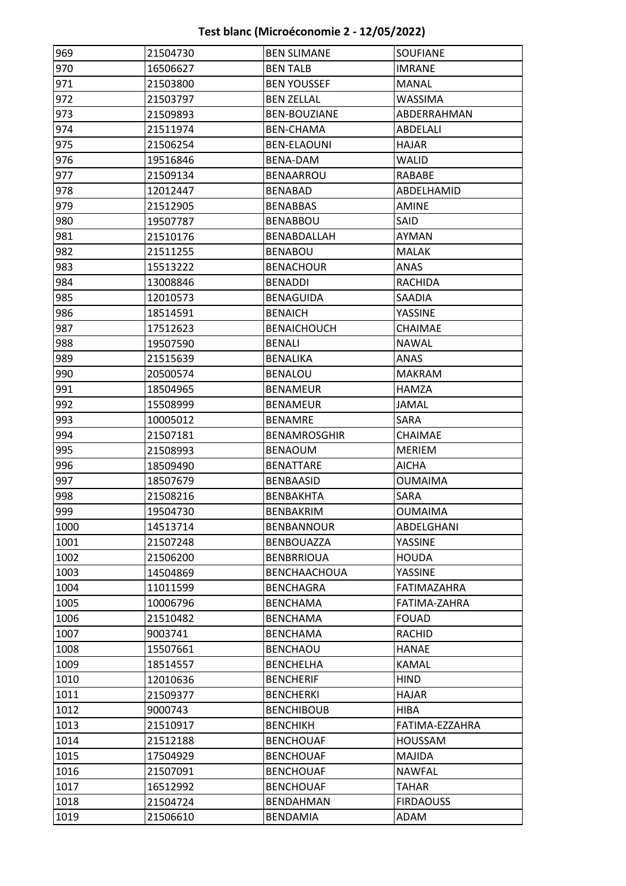| 969  | 21504730 | <b>BEN SLIMANE</b>  | <b>SOUFIANE</b>    |
|------|----------|---------------------|--------------------|
| 970  | 16506627 | <b>BEN TALB</b>     | <b>IMRANE</b>      |
| 971  | 21503800 | <b>BEN YOUSSEF</b>  | MANAL              |
| 972  | 21503797 | <b>BEN ZELLAL</b>   | WASSIMA            |
| 973  | 21509893 | <b>BEN-BOUZIANE</b> | ABDERRAHMAN        |
| 974  | 21511974 | <b>BEN-CHAMA</b>    | ABDELALI           |
| 975  | 21506254 | <b>BEN-ELAOUNI</b>  | HAJAR              |
| 976  | 19516846 | BENA-DAM            | WALID              |
| 977  | 21509134 | <b>BENAARROU</b>    | RABABE             |
| 978  | 12012447 | <b>BENABAD</b>      | ABDELHAMID         |
| 979  | 21512905 | <b>BENABBAS</b>     | <b>AMINE</b>       |
| 980  | 19507787 | <b>BENABBOU</b>     | SAID               |
| 981  | 21510176 | BENABDALLAH         | AYMAN              |
| 982  | 21511255 | <b>BENABOU</b>      | <b>MALAK</b>       |
| 983  | 15513222 | <b>BENACHOUR</b>    | ANAS               |
| 984  | 13008846 | <b>BENADDI</b>      | <b>RACHIDA</b>     |
| 985  | 12010573 | <b>BENAGUIDA</b>    | SAADIA             |
| 986  | 18514591 | <b>BENAICH</b>      | YASSINE            |
| 987  | 17512623 | <b>BENAICHOUCH</b>  | <b>CHAIMAE</b>     |
| 988  | 19507590 | <b>BENALI</b>       | NAWAL              |
| 989  | 21515639 | <b>BENALIKA</b>     | ANAS               |
| 990  | 20500574 | <b>BENALOU</b>      | <b>MAKRAM</b>      |
| 991  | 18504965 | <b>BENAMEUR</b>     | HAMZA              |
| 992  | 15508999 | <b>BENAMEUR</b>     | <b>JAMAL</b>       |
| 993  | 10005012 | <b>BENAMRE</b>      | SARA               |
| 994  | 21507181 | <b>BENAMROSGHIR</b> | CHAIMAE            |
| 995  | 21508993 | <b>BENAOUM</b>      | <b>MERIEM</b>      |
| 996  | 18509490 | <b>BENATTARE</b>    | <b>AICHA</b>       |
| 997  | 18507679 | <b>BENBAASID</b>    | OUMAIMA            |
| 998  | 21508216 | <b>BENBAKHTA</b>    | SARA               |
| 999  | 19504730 | <b>BENBAKRIM</b>    | <b>OUMAIMA</b>     |
| 1000 | 14513714 | <b>BENBANNOUR</b>   | ABDELGHANI         |
| 1001 | 21507248 | BENBOUAZZA          | YASSINE            |
| 1002 | 21506200 | <b>BENBRRIOUA</b>   | <b>HOUDA</b>       |
| 1003 | 14504869 | BENCHAACHOUA        | YASSINE            |
| 1004 | 11011599 | <b>BENCHAGRA</b>    | <b>FATIMAZAHRA</b> |
| 1005 | 10006796 | <b>BENCHAMA</b>     | FATIMA-ZAHRA       |
| 1006 | 21510482 | <b>BENCHAMA</b>     | <b>FOUAD</b>       |
| 1007 | 9003741  | <b>BENCHAMA</b>     | <b>RACHID</b>      |
| 1008 | 15507661 | <b>BENCHAOU</b>     | <b>HANAE</b>       |
| 1009 | 18514557 | <b>BENCHELHA</b>    | KAMAL              |
| 1010 | 12010636 | <b>BENCHERIF</b>    | <b>HIND</b>        |
| 1011 | 21509377 | <b>BENCHERKI</b>    | <b>HAJAR</b>       |
| 1012 | 9000743  | <b>BENCHIBOUB</b>   | HIBA               |
| 1013 | 21510917 | <b>BENCHIKH</b>     | FATIMA-EZZAHRA     |
| 1014 | 21512188 | <b>BENCHOUAF</b>    | <b>HOUSSAM</b>     |
| 1015 | 17504929 | <b>BENCHOUAF</b>    | <b>MAJIDA</b>      |
| 1016 | 21507091 | <b>BENCHOUAF</b>    | <b>NAWFAL</b>      |
| 1017 | 16512992 | <b>BENCHOUAF</b>    | TAHAR              |
| 1018 | 21504724 | BENDAHMAN           | <b>FIRDAOUSS</b>   |
| 1019 | 21506610 | <b>BENDAMIA</b>     | ADAM               |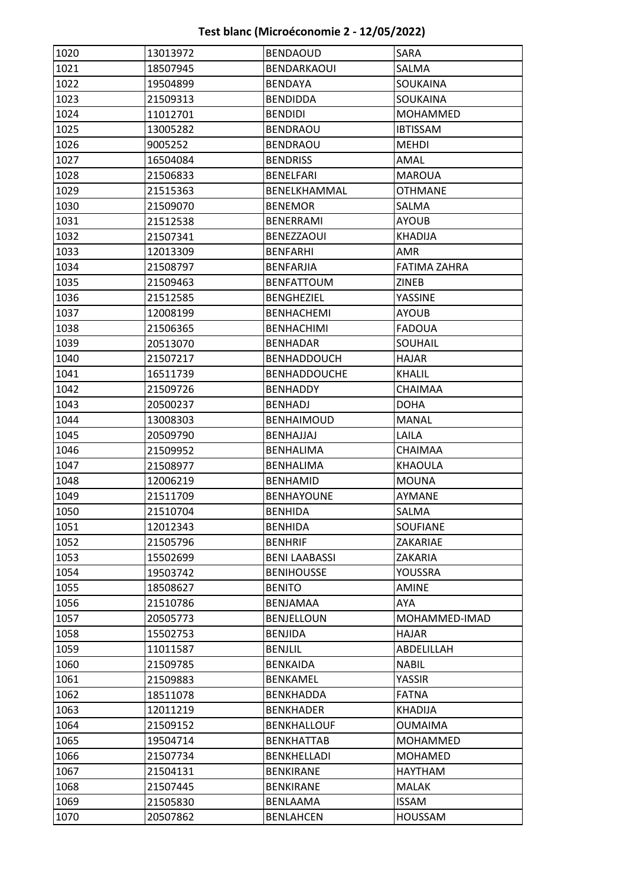| 1020 | 13013972 | <b>BENDAOUD</b>      | SARA                        |
|------|----------|----------------------|-----------------------------|
| 1021 | 18507945 | <b>BENDARKAOUI</b>   | SALMA                       |
| 1022 | 19504899 | <b>BENDAYA</b>       | SOUKAINA                    |
| 1023 | 21509313 | <b>BENDIDDA</b>      | SOUKAINA                    |
| 1024 | 11012701 | <b>BENDIDI</b>       | <b>MOHAMMED</b>             |
| 1025 | 13005282 | <b>BENDRAOU</b>      | <b>IBTISSAM</b>             |
| 1026 | 9005252  | <b>BENDRAOU</b>      | <b>MEHDI</b>                |
| 1027 | 16504084 | <b>BENDRISS</b>      | AMAL                        |
| 1028 | 21506833 | <b>BENELFARI</b>     | <b>MAROUA</b>               |
| 1029 | 21515363 | BENELKHAMMAL         | OTHMANE                     |
| 1030 | 21509070 | <b>BENEMOR</b>       | SALMA                       |
| 1031 | 21512538 | <b>BENERRAMI</b>     | <b>AYOUB</b>                |
| 1032 | 21507341 | <b>BENEZZAOUI</b>    | <b>KHADIJA</b>              |
| 1033 | 12013309 | <b>BENFARHI</b>      | AMR                         |
| 1034 | 21508797 | <b>BENFARJIA</b>     | <b>FATIMA ZAHRA</b>         |
| 1035 | 21509463 | <b>BENFATTOUM</b>    | <b>ZINEB</b>                |
| 1036 | 21512585 | <b>BENGHEZIEL</b>    | YASSINE                     |
| 1037 | 12008199 | <b>BENHACHEMI</b>    | <b>AYOUB</b>                |
| 1038 | 21506365 | <b>BENHACHIMI</b>    | <b>FADOUA</b>               |
| 1039 | 20513070 | <b>BENHADAR</b>      | SOUHAIL                     |
| 1040 | 21507217 | <b>BENHADDOUCH</b>   | <b>HAJAR</b>                |
| 1041 | 16511739 | <b>BENHADDOUCHE</b>  | <b>KHALIL</b>               |
| 1042 |          | <b>BENHADDY</b>      | CHAIMAA                     |
| 1043 | 21509726 | <b>BENHADJ</b>       |                             |
|      | 20500237 |                      | <b>DOHA</b><br><b>MANAL</b> |
| 1044 | 13008303 | <b>BENHAIMOUD</b>    |                             |
| 1045 | 20509790 | BENHAJJAJ            | LAILA                       |
| 1046 | 21509952 | BENHALIMA            | CHAIMAA                     |
| 1047 | 21508977 | <b>BENHALIMA</b>     | <b>KHAOULA</b>              |
| 1048 | 12006219 | <b>BENHAMID</b>      | <b>MOUNA</b>                |
| 1049 | 21511709 | <b>BENHAYOUNE</b>    | AYMANE                      |
| 1050 | 21510704 | <b>BENHIDA</b>       | SALMA                       |
| 1051 | 12012343 | <b>BENHIDA</b>       | SOUFIANE                    |
| 1052 | 21505796 | <b>BENHRIF</b>       | ZAKARIAE                    |
| 1053 | 15502699 | <b>BENI LAABASSI</b> | ZAKARIA                     |
| 1054 | 19503742 | <b>BENIHOUSSE</b>    | YOUSSRA                     |
| 1055 | 18508627 | <b>BENITO</b>        | <b>AMINE</b>                |
| 1056 | 21510786 | BENJAMAA             | AYA                         |
| 1057 | 20505773 | <b>BENJELLOUN</b>    | MOHAMMED-IMAD               |
| 1058 | 15502753 | <b>BENJIDA</b>       | HAJAR                       |
| 1059 | 11011587 | <b>BENJLIL</b>       | ABDELILLAH                  |
| 1060 | 21509785 | <b>BENKAIDA</b>      | <b>NABIL</b>                |
| 1061 | 21509883 | BENKAMEL             | YASSIR                      |
| 1062 | 18511078 | BENKHADDA            | <b>FATNA</b>                |
| 1063 | 12011219 | <b>BENKHADER</b>     | <b>KHADIJA</b>              |
| 1064 | 21509152 | <b>BENKHALLOUF</b>   | <b>OUMAIMA</b>              |
| 1065 | 19504714 | <b>BENKHATTAB</b>    | MOHAMMED                    |
| 1066 | 21507734 | BENKHELLADI          | <b>MOHAMED</b>              |
| 1067 | 21504131 | <b>BENKIRANE</b>     | HAYTHAM                     |
| 1068 | 21507445 | <b>BENKIRANE</b>     | <b>MALAK</b>                |
| 1069 | 21505830 | BENLAAMA             | <b>ISSAM</b>                |
| 1070 | 20507862 | <b>BENLAHCEN</b>     | <b>HOUSSAM</b>              |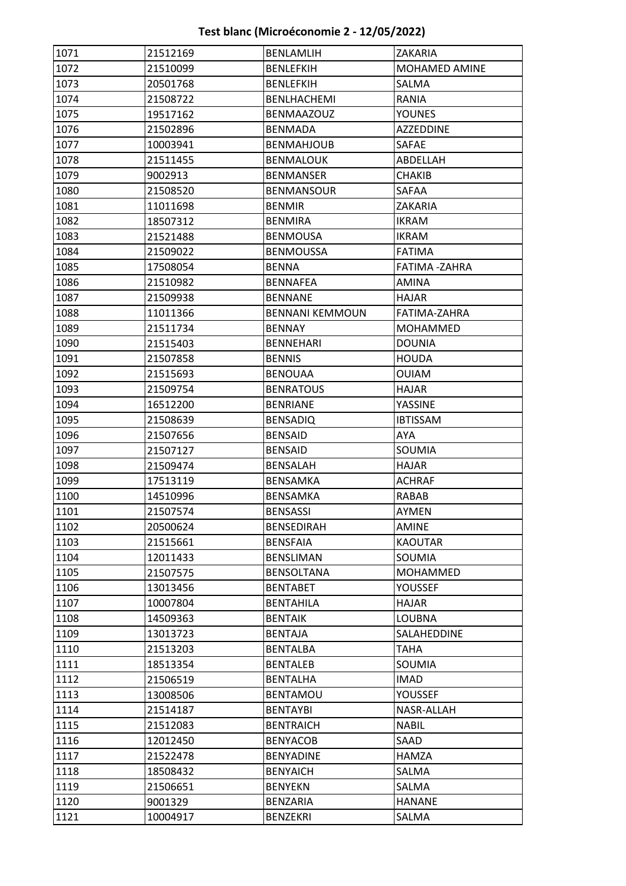| 1071 | 21512169             | <b>BENLAMLIH</b>       | ZAKARIA          |
|------|----------------------|------------------------|------------------|
| 1072 | 21510099             | <b>BENLEFKIH</b>       | MOHAMED AMINE    |
| 1073 | 20501768             | <b>BENLEFKIH</b>       | SALMA            |
| 1074 | 21508722             | <b>BENLHACHEMI</b>     | RANIA            |
| 1075 | 19517162             | <b>BENMAAZOUZ</b>      | <b>YOUNES</b>    |
| 1076 | 21502896             | <b>BENMADA</b>         | <b>AZZEDDINE</b> |
| 1077 | 10003941             | <b>BENMAHJOUB</b>      | <b>SAFAE</b>     |
| 1078 | 21511455             | <b>BENMALOUK</b>       | ABDELLAH         |
| 1079 | 9002913              | <b>BENMANSER</b>       | <b>CHAKIB</b>    |
| 1080 | 21508520             | <b>BENMANSOUR</b>      | <b>SAFAA</b>     |
| 1081 | 11011698             | <b>BENMIR</b>          | ZAKARIA          |
| 1082 | 18507312             | <b>BENMIRA</b>         | <b>IKRAM</b>     |
| 1083 | 21521488             | <b>BENMOUSA</b>        | IKRAM            |
| 1084 | 21509022             | <b>BENMOUSSA</b>       | <b>FATIMA</b>    |
| 1085 | 17508054             | <b>BENNA</b>           | FATIMA -ZAHRA    |
| 1086 | 21510982             | <b>BENNAFEA</b>        | <b>AMINA</b>     |
| 1087 | 21509938             | <b>BENNANE</b>         | <b>HAJAR</b>     |
| 1088 | 11011366             | <b>BENNANI KEMMOUN</b> | FATIMA-ZAHRA     |
| 1089 | 21511734             | <b>BENNAY</b>          | <b>MOHAMMED</b>  |
| 1090 | 21515403             | <b>BENNEHARI</b>       | DOUNIA           |
| 1091 | 21507858             | <b>BENNIS</b>          | <b>HOUDA</b>     |
| 1092 | 21515693             | <b>BENOUAA</b>         | <b>OUIAM</b>     |
| 1093 | 21509754             | <b>BENRATOUS</b>       | HAJAR            |
| 1094 | 16512200             | <b>BENRIANE</b>        | YASSINE          |
| 1095 | 21508639             | <b>BENSADIQ</b>        | <b>IBTISSAM</b>  |
| 1096 | 21507656             | <b>BENSAID</b>         | AYA              |
| 1097 | 21507127             | <b>BENSAID</b>         | SOUMIA           |
| 1098 | 21509474             | <b>BENSALAH</b>        | <b>HAJAR</b>     |
| 1099 | 17513119             | <b>BENSAMKA</b>        | ACHRAF           |
| 1100 | 14510996             | BENSAMKA               | RABAB            |
| 1101 | 21507574             | <b>BENSASSI</b>        | <b>AYMEN</b>     |
| 1102 | 20500624             | <b>BENSEDIRAH</b>      | <b>AMINE</b>     |
| 1103 | 21515661             | <b>BENSFAIA</b>        | <b>KAOUTAR</b>   |
| 1104 | 12011433             | <b>BENSLIMAN</b>       | SOUMIA           |
| 1105 | 21507575             | <b>BENSOLTANA</b>      | <b>MOHAMMED</b>  |
| 1106 | 13013456             | <b>BENTABET</b>        | YOUSSEF          |
| 1107 | 10007804             | <b>BENTAHILA</b>       | HAJAR            |
| 1108 | 14509363             | <b>BENTAIK</b>         | <b>LOUBNA</b>    |
| 1109 | 13013723             | <b>BENTAJA</b>         | SALAHEDDINE      |
| 1110 | 21513203             | <b>BENTALBA</b>        | <b>TAHA</b>      |
| 1111 | 18513354             | <b>BENTALEB</b>        | SOUMIA           |
| 1112 | 21506519             | <b>BENTALHA</b>        | <b>IMAD</b>      |
| 1113 |                      |                        | YOUSSEF          |
| 1114 | 13008506             | <b>BENTAMOU</b>        | NASR-ALLAH       |
| 1115 | 21514187<br>21512083 | <b>BENTAYBI</b>        | <b>NABIL</b>     |
|      |                      | <b>BENTRAICH</b>       |                  |
| 1116 | 12012450             | <b>BENYACOB</b>        | SAAD             |
| 1117 | 21522478             | <b>BENYADINE</b>       | <b>HAMZA</b>     |
| 1118 | 18508432             | <b>BENYAICH</b>        | SALMA            |
| 1119 | 21506651             | <b>BENYEKN</b>         | SALMA            |
| 1120 | 9001329              | <b>BENZARIA</b>        | <b>HANANE</b>    |
| 1121 | 10004917             | BENZEKRI               | SALMA            |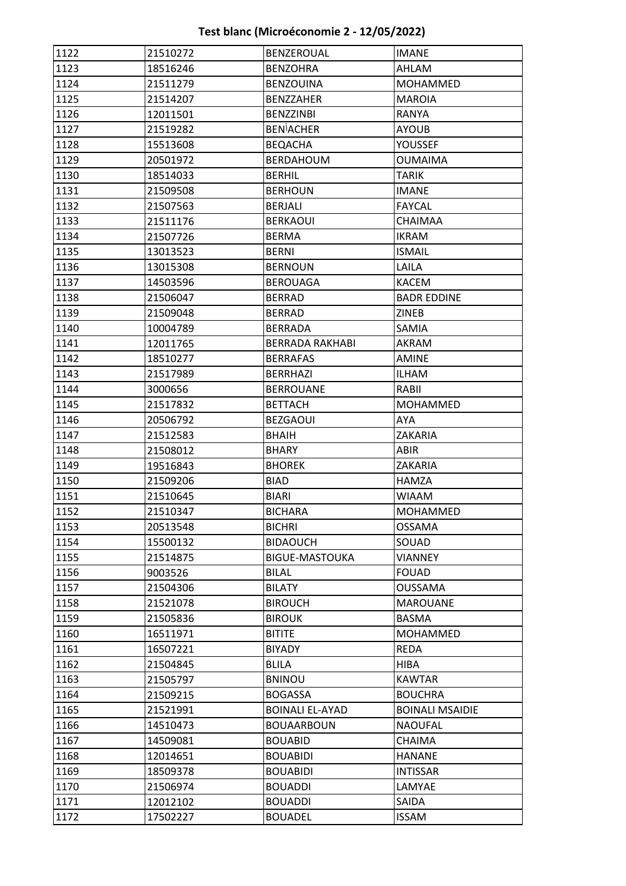| 1122 | 21510272 | <b>BENZEROUAL</b>             | <b>IMANE</b>           |
|------|----------|-------------------------------|------------------------|
| 1123 | 18516246 | <b>BENZOHRA</b>               | AHLAM                  |
| 1124 | 21511279 | <b>BENZOUINA</b>              | <b>MOHAMMED</b>        |
| 1125 | 21514207 | <b>BENZZAHER</b>              | <b>MAROIA</b>          |
| 1126 | 12011501 | <b>BENZZINBI</b>              | <b>RANYA</b>           |
| 1127 | 21519282 | <b>BEN</b> <sup>I</sup> ACHER | <b>AYOUB</b>           |
| 1128 | 15513608 | <b>BEQACHA</b>                | <b>YOUSSEF</b>         |
| 1129 | 20501972 | <b>BERDAHOUM</b>              | <b>OUMAIMA</b>         |
| 1130 | 18514033 | <b>BERHIL</b>                 | <b>TARIK</b>           |
| 1131 | 21509508 | <b>BERHOUN</b>                | <b>IMANE</b>           |
| 1132 | 21507563 | <b>BERJALI</b>                | <b>FAYCAL</b>          |
| 1133 | 21511176 | <b>BERKAOUI</b>               | CHAIMAA                |
| 1134 | 21507726 | <b>BERMA</b>                  | IKRAM                  |
| 1135 | 13013523 | <b>BERNI</b>                  | <b>ISMAIL</b>          |
| 1136 | 13015308 | <b>BERNOUN</b>                | LAILA                  |
| 1137 | 14503596 | <b>BEROUAGA</b>               | <b>KACEM</b>           |
| 1138 | 21506047 | <b>BERRAD</b>                 | <b>BADR EDDINE</b>     |
| 1139 | 21509048 | <b>BERRAD</b>                 | <b>ZINEB</b>           |
| 1140 | 10004789 | <b>BERRADA</b>                | SAMIA                  |
| 1141 | 12011765 | <b>BERRADA RAKHABI</b>        | AKRAM                  |
| 1142 | 18510277 | <b>BERRAFAS</b>               | <b>AMINE</b>           |
| 1143 | 21517989 | <b>BERRHAZI</b>               | ILHAM                  |
| 1144 | 3000656  | <b>BERROUANE</b>              | RABII                  |
| 1145 | 21517832 | <b>BETTACH</b>                | MOHAMMED               |
| 1146 | 20506792 | <b>BEZGAOUI</b>               | AYA                    |
| 1147 | 21512583 | <b>BHAIH</b>                  | ZAKARIA                |
| 1148 | 21508012 | <b>BHARY</b>                  | <b>ABIR</b>            |
| 1149 | 19516843 | <b>BHOREK</b>                 | ZAKARIA                |
| 1150 | 21509206 | <b>BIAD</b>                   | HAMZA                  |
| 1151 | 21510645 | <b>BIARI</b>                  | <b>WIAAM</b>           |
| 1152 | 21510347 | <b>BICHARA</b>                | <b>MOHAMMED</b>        |
| 1153 | 20513548 | <b>BICHRI</b>                 | <b>OSSAMA</b>          |
| 1154 | 15500132 | <b>BIDAOUCH</b>               | SOUAD                  |
| 1155 | 21514875 | <b>BIGUE-MASTOUKA</b>         | <b>VIANNEY</b>         |
| 1156 | 9003526  | <b>BILAL</b>                  | <b>FOUAD</b>           |
| 1157 | 21504306 | <b>BILATY</b>                 | <b>OUSSAMA</b>         |
| 1158 | 21521078 | <b>BIROUCH</b>                | <b>MAROUANE</b>        |
| 1159 | 21505836 | <b>BIROUK</b>                 | <b>BASMA</b>           |
| 1160 | 16511971 | <b>BITITE</b>                 | <b>MOHAMMED</b>        |
| 1161 | 16507221 | <b>BIYADY</b>                 | <b>REDA</b>            |
| 1162 | 21504845 | <b>BLILA</b>                  | <b>HIBA</b>            |
| 1163 | 21505797 | <b>BNINOU</b>                 | <b>KAWTAR</b>          |
| 1164 | 21509215 | <b>BOGASSA</b>                | <b>BOUCHRA</b>         |
| 1165 | 21521991 | <b>BOINALI EL-AYAD</b>        | <b>BOINALI MSAIDIE</b> |
| 1166 | 14510473 | <b>BOUAARBOUN</b>             | <b>NAOUFAL</b>         |
| 1167 | 14509081 | <b>BOUABID</b>                | CHAIMA                 |
| 1168 | 12014651 | <b>BOUABIDI</b>               | <b>HANANE</b>          |
| 1169 | 18509378 | <b>BOUABIDI</b>               | <b>INTISSAR</b>        |
| 1170 | 21506974 | <b>BOUADDI</b>                | LAMYAE                 |
| 1171 | 12012102 | <b>BOUADDI</b>                | SAIDA                  |
| 1172 | 17502227 | <b>BOUADEL</b>                | <b>ISSAM</b>           |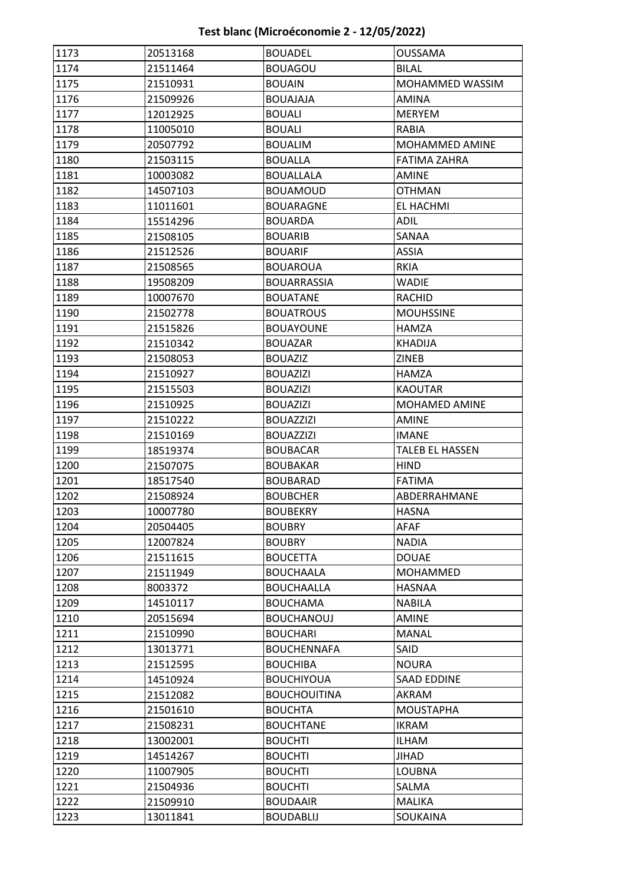| 1173 | 20513168 | <b>BOUADEL</b>      | <b>OUSSAMA</b>         |
|------|----------|---------------------|------------------------|
| 1174 | 21511464 | <b>BOUAGOU</b>      | <b>BILAL</b>           |
| 1175 | 21510931 | <b>BOUAIN</b>       | MOHAMMED WASSIM        |
| 1176 | 21509926 | <b>BOUAJAJA</b>     | <b>AMINA</b>           |
| 1177 | 12012925 | <b>BOUALI</b>       | <b>MERYEM</b>          |
| 1178 | 11005010 | <b>BOUALI</b>       | RABIA                  |
| 1179 | 20507792 | <b>BOUALIM</b>      | MOHAMMED AMINE         |
| 1180 | 21503115 | <b>BOUALLA</b>      | <b>FATIMA ZAHRA</b>    |
| 1181 | 10003082 | <b>BOUALLALA</b>    | AMINE                  |
| 1182 | 14507103 | <b>BOUAMOUD</b>     | OTHMAN                 |
| 1183 | 11011601 | <b>BOUARAGNE</b>    | EL HACHMI              |
| 1184 | 15514296 | <b>BOUARDA</b>      | <b>ADIL</b>            |
| 1185 | 21508105 | <b>BOUARIB</b>      | SANAA                  |
| 1186 | 21512526 | <b>BOUARIF</b>      | <b>ASSIA</b>           |
| 1187 | 21508565 | <b>BOUAROUA</b>     | <b>RKIA</b>            |
| 1188 | 19508209 | <b>BOUARRASSIA</b>  | WADIE                  |
| 1189 | 10007670 | <b>BOUATANE</b>     | RACHID                 |
| 1190 | 21502778 | <b>BOUATROUS</b>    | <b>MOUHSSINE</b>       |
| 1191 | 21515826 | <b>BOUAYOUNE</b>    | <b>HAMZA</b>           |
| 1192 | 21510342 | <b>BOUAZAR</b>      | <b>KHADIJA</b>         |
| 1193 | 21508053 | <b>BOUAZIZ</b>      | <b>ZINEB</b>           |
| 1194 | 21510927 | <b>BOUAZIZI</b>     | HAMZA                  |
| 1195 | 21515503 | <b>BOUAZIZI</b>     | <b>KAOUTAR</b>         |
| 1196 | 21510925 | <b>BOUAZIZI</b>     | MOHAMED AMINE          |
| 1197 | 21510222 | <b>BOUAZZIZI</b>    | AMINE                  |
| 1198 | 21510169 | <b>BOUAZZIZI</b>    | <b>IMANE</b>           |
| 1199 | 18519374 | <b>BOUBACAR</b>     | <b>TALEB EL HASSEN</b> |
| 1200 | 21507075 | <b>BOUBAKAR</b>     | <b>HIND</b>            |
| 1201 | 18517540 | <b>BOUBARAD</b>     | <b>FATIMA</b>          |
| 1202 | 21508924 | <b>BOUBCHER</b>     | ABDERRAHMANE           |
| 1203 | 10007780 | <b>BOUBEKRY</b>     | <b>HASNA</b>           |
| 1204 | 20504405 | <b>BOUBRY</b>       | <b>AFAF</b>            |
| 1205 | 12007824 | <b>BOUBRY</b>       | <b>NADIA</b>           |
| 1206 | 21511615 | <b>BOUCETTA</b>     | <b>DOUAE</b>           |
| 1207 | 21511949 | <b>BOUCHAALA</b>    | MOHAMMED               |
| 1208 | 8003372  | <b>BOUCHAALLA</b>   | <b>HASNAA</b>          |
| 1209 | 14510117 | <b>BOUCHAMA</b>     | <b>NABILA</b>          |
| 1210 | 20515694 | <b>BOUCHANOUJ</b>   | <b>AMINE</b>           |
| 1211 | 21510990 | <b>BOUCHARI</b>     | MANAL                  |
| 1212 | 13013771 | <b>BOUCHENNAFA</b>  | SAID                   |
| 1213 | 21512595 | <b>BOUCHIBA</b>     | <b>NOURA</b>           |
| 1214 | 14510924 | <b>BOUCHIYOUA</b>   | <b>SAAD EDDINE</b>     |
| 1215 | 21512082 | <b>BOUCHOUITINA</b> | AKRAM                  |
| 1216 | 21501610 | <b>BOUCHTA</b>      | MOUSTAPHA              |
| 1217 | 21508231 | <b>BOUCHTANE</b>    | <b>IKRAM</b>           |
| 1218 | 13002001 | <b>BOUCHTI</b>      | <b>ILHAM</b>           |
| 1219 | 14514267 | <b>BOUCHTI</b>      | <b>JIHAD</b>           |
| 1220 | 11007905 | <b>BOUCHTI</b>      | <b>LOUBNA</b>          |
| 1221 | 21504936 | <b>BOUCHTI</b>      | SALMA                  |
| 1222 | 21509910 | <b>BOUDAAIR</b>     | <b>MALIKA</b>          |
| 1223 | 13011841 | <b>BOUDABLIJ</b>    | SOUKAINA               |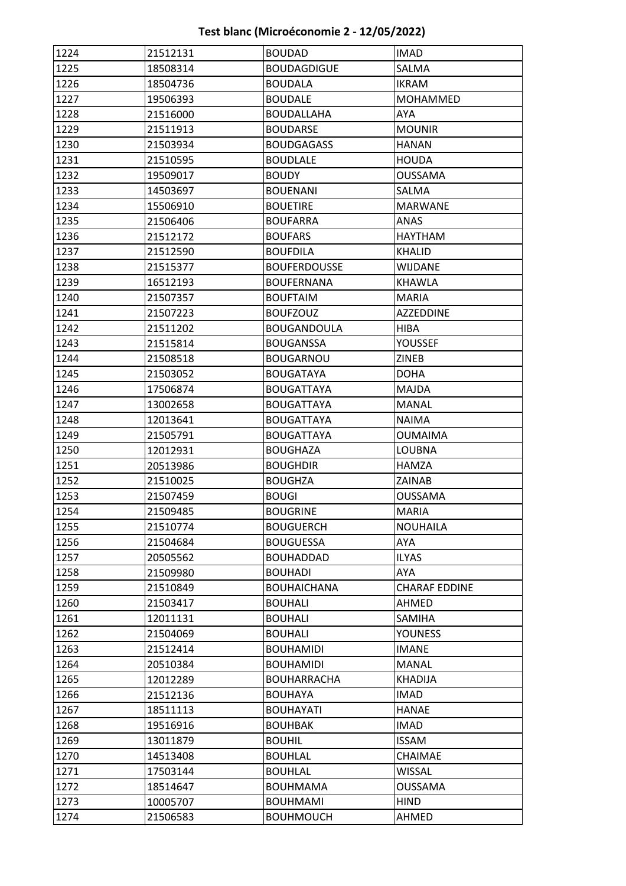| 1224 | 21512131 | <b>BOUDAD</b>       | <b>IMAD</b>          |
|------|----------|---------------------|----------------------|
| 1225 | 18508314 | <b>BOUDAGDIGUE</b>  | SALMA                |
| 1226 | 18504736 | <b>BOUDALA</b>      | IKRAM                |
| 1227 | 19506393 | <b>BOUDALE</b>      | <b>MOHAMMED</b>      |
| 1228 | 21516000 | <b>BOUDALLAHA</b>   | AYA                  |
| 1229 | 21511913 | <b>BOUDARSE</b>     | <b>MOUNIR</b>        |
| 1230 | 21503934 | <b>BOUDGAGASS</b>   | <b>HANAN</b>         |
| 1231 | 21510595 | <b>BOUDLALE</b>     | <b>HOUDA</b>         |
| 1232 | 19509017 | <b>BOUDY</b>        | <b>OUSSAMA</b>       |
| 1233 | 14503697 | <b>BOUENANI</b>     | SALMA                |
| 1234 | 15506910 | <b>BOUETIRE</b>     | <b>MARWANE</b>       |
| 1235 | 21506406 | <b>BOUFARRA</b>     | ANAS                 |
| 1236 | 21512172 | <b>BOUFARS</b>      | <b>HAYTHAM</b>       |
| 1237 | 21512590 | <b>BOUFDILA</b>     | <b>KHALID</b>        |
| 1238 | 21515377 | <b>BOUFERDOUSSE</b> | WIJDANE              |
| 1239 | 16512193 | <b>BOUFERNANA</b>   | <b>KHAWLA</b>        |
| 1240 | 21507357 | <b>BOUFTAIM</b>     | <b>MARIA</b>         |
| 1241 | 21507223 | <b>BOUFZOUZ</b>     | <b>AZZEDDINE</b>     |
| 1242 | 21511202 | <b>BOUGANDOULA</b>  | <b>HIBA</b>          |
| 1243 | 21515814 | <b>BOUGANSSA</b>    | YOUSSEF              |
| 1244 | 21508518 | <b>BOUGARNOU</b>    | <b>ZINEB</b>         |
| 1245 | 21503052 | <b>BOUGATAYA</b>    | <b>DOHA</b>          |
| 1246 | 17506874 | <b>BOUGATTAYA</b>   | MAJDA                |
| 1247 | 13002658 | <b>BOUGATTAYA</b>   | <b>MANAL</b>         |
| 1248 | 12013641 | <b>BOUGATTAYA</b>   | <b>NAIMA</b>         |
| 1249 | 21505791 | <b>BOUGATTAYA</b>   | <b>OUMAIMA</b>       |
| 1250 | 12012931 | <b>BOUGHAZA</b>     | LOUBNA               |
| 1251 | 20513986 | <b>BOUGHDIR</b>     | HAMZA                |
| 1252 | 21510025 | <b>BOUGHZA</b>      | ZAINAB               |
| 1253 | 21507459 | <b>BOUGI</b>        | <b>OUSSAMA</b>       |
| 1254 | 21509485 | <b>BOUGRINE</b>     | <b>MARIA</b>         |
| 1255 | 21510774 | <b>BOUGUERCH</b>    | <b>NOUHAILA</b>      |
| 1256 | 21504684 | <b>BOUGUESSA</b>    | <b>AYA</b>           |
| 1257 | 20505562 | <b>BOUHADDAD</b>    | <b>ILYAS</b>         |
| 1258 | 21509980 | <b>BOUHADI</b>      | AYA                  |
| 1259 | 21510849 | <b>BOUHAICHANA</b>  | <b>CHARAF EDDINE</b> |
| 1260 | 21503417 | <b>BOUHALI</b>      | AHMED                |
| 1261 | 12011131 | <b>BOUHALI</b>      | SAMIHA               |
| 1262 | 21504069 | <b>BOUHALI</b>      | <b>YOUNESS</b>       |
| 1263 | 21512414 | <b>BOUHAMIDI</b>    | <b>IMANE</b>         |
| 1264 | 20510384 | <b>BOUHAMIDI</b>    | MANAL                |
| 1265 | 12012289 | <b>BOUHARRACHA</b>  | <b>KHADIJA</b>       |
| 1266 | 21512136 | <b>BOUHAYA</b>      | <b>IMAD</b>          |
| 1267 | 18511113 | <b>BOUHAYATI</b>    | HANAE                |
| 1268 | 19516916 | <b>BOUHBAK</b>      | <b>IMAD</b>          |
| 1269 | 13011879 | <b>BOUHIL</b>       | <b>ISSAM</b>         |
| 1270 | 14513408 | <b>BOUHLAL</b>      | CHAIMAE              |
| 1271 | 17503144 | <b>BOUHLAL</b>      | WISSAL               |
| 1272 | 18514647 | <b>BOUHMAMA</b>     | OUSSAMA              |
| 1273 | 10005707 | <b>BOUHMAMI</b>     | <b>HIND</b>          |
| 1274 | 21506583 | <b>BOUHMOUCH</b>    | AHMED                |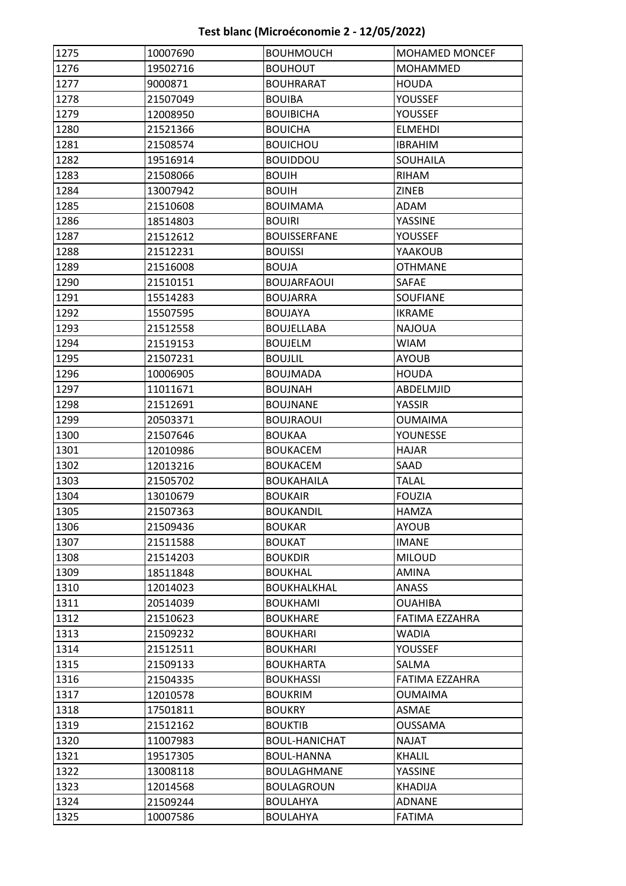| 1275 | 10007690 | <b>BOUHMOUCH</b>     | MOHAMED MONCEF  |
|------|----------|----------------------|-----------------|
| 1276 | 19502716 | <b>BOUHOUT</b>       | <b>MOHAMMED</b> |
| 1277 | 9000871  | <b>BOUHRARAT</b>     | <b>HOUDA</b>    |
| 1278 | 21507049 | <b>BOUIBA</b>        | <b>YOUSSEF</b>  |
| 1279 | 12008950 | <b>BOUIBICHA</b>     | YOUSSEF         |
| 1280 | 21521366 | <b>BOUICHA</b>       | <b>ELMEHDI</b>  |
| 1281 | 21508574 | <b>BOUICHOU</b>      | <b>IBRAHIM</b>  |
| 1282 | 19516914 | <b>BOUIDDOU</b>      | SOUHAILA        |
| 1283 | 21508066 | <b>BOUIH</b>         | <b>RIHAM</b>    |
| 1284 | 13007942 | <b>BOUIH</b>         | ZINEB           |
| 1285 | 21510608 | <b>BOUIMAMA</b>      | ADAM            |
| 1286 | 18514803 | <b>BOUIRI</b>        | YASSINE         |
| 1287 | 21512612 | <b>BOUISSERFANE</b>  | <b>YOUSSEF</b>  |
| 1288 | 21512231 | <b>BOUISSI</b>       | YAAKOUB         |
| 1289 | 21516008 | <b>BOUJA</b>         | <b>OTHMANE</b>  |
| 1290 | 21510151 | <b>BOUJARFAOUI</b>   | <b>SAFAE</b>    |
| 1291 | 15514283 | <b>BOUJARRA</b>      | SOUFIANE        |
| 1292 | 15507595 | <b>BOUJAYA</b>       | <b>IKRAME</b>   |
| 1293 | 21512558 | <b>BOUJELLABA</b>    | <b>NAJOUA</b>   |
| 1294 | 21519153 | <b>BOUJELM</b>       | WIAM            |
| 1295 | 21507231 | <b>BOUJLIL</b>       | <b>AYOUB</b>    |
| 1296 | 10006905 | <b>BOUJMADA</b>      | <b>HOUDA</b>    |
| 1297 | 11011671 | <b>BOUJNAH</b>       | ABDELMJID       |
| 1298 | 21512691 | <b>BOUJNANE</b>      | YASSIR          |
| 1299 | 20503371 | <b>BOUJRAOUI</b>     | <b>OUMAIMA</b>  |
| 1300 | 21507646 | <b>BOUKAA</b>        | <b>YOUNESSE</b> |
| 1301 | 12010986 | <b>BOUKACEM</b>      | HAJAR           |
| 1302 | 12013216 | <b>BOUKACEM</b>      | SAAD            |
| 1303 | 21505702 | <b>BOUKAHAILA</b>    | TALAL           |
| 1304 | 13010679 | <b>BOUKAIR</b>       | <b>FOUZIA</b>   |
| 1305 | 21507363 | <b>BOUKANDIL</b>     | <b>HAMZA</b>    |
| 1306 | 21509436 | <b>BOUKAR</b>        | <b>AYOUB</b>    |
| 1307 | 21511588 | <b>BOUKAT</b>        | <b>IMANE</b>    |
| 1308 | 21514203 | <b>BOUKDIR</b>       | <b>MILOUD</b>   |
| 1309 | 18511848 | <b>BOUKHAL</b>       | AMINA           |
| 1310 | 12014023 | <b>BOUKHALKHAL</b>   | ANASS           |
| 1311 | 20514039 | <b>BOUKHAMI</b>      | OUAHIBA         |
| 1312 | 21510623 | <b>BOUKHARE</b>      | FATIMA EZZAHRA  |
| 1313 | 21509232 | <b>BOUKHARI</b>      | WADIA           |
| 1314 | 21512511 | <b>BOUKHARI</b>      | <b>YOUSSEF</b>  |
| 1315 | 21509133 | <b>BOUKHARTA</b>     | SALMA           |
| 1316 | 21504335 | <b>BOUKHASSI</b>     | FATIMA EZZAHRA  |
| 1317 | 12010578 | <b>BOUKRIM</b>       | OUMAIMA         |
| 1318 | 17501811 | <b>BOUKRY</b>        | ASMAE           |
| 1319 | 21512162 | <b>BOUKTIB</b>       | <b>OUSSAMA</b>  |
| 1320 | 11007983 | <b>BOUL-HANICHAT</b> | NAJAT           |
| 1321 | 19517305 | <b>BOUL-HANNA</b>    | <b>KHALIL</b>   |
| 1322 | 13008118 | <b>BOULAGHMANE</b>   | YASSINE         |
| 1323 | 12014568 | <b>BOULAGROUN</b>    | KHADIJA         |
| 1324 | 21509244 | <b>BOULAHYA</b>      | ADNANE          |
| 1325 | 10007586 | <b>BOULAHYA</b>      | <b>FATIMA</b>   |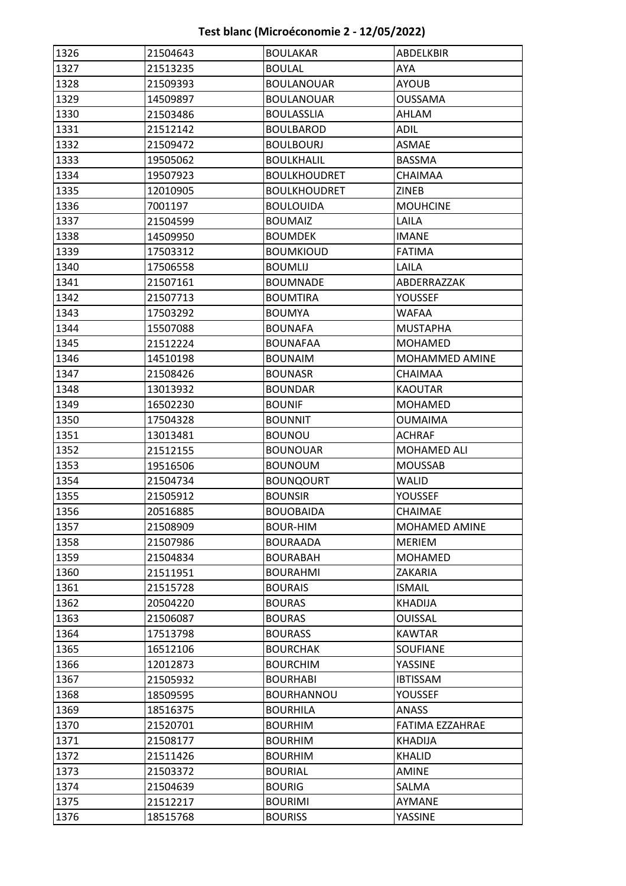| 1327<br>21513235<br><b>BOULAL</b><br>AYA<br>1328<br><b>BOULANOUAR</b><br><b>AYOUB</b><br>21509393<br>1329<br>14509897<br><b>BOULANOUAR</b><br><b>OUSSAMA</b><br>1330<br><b>BOULASSLIA</b><br>21503486<br>AHLAM<br>1331<br>21512142<br><b>BOULBAROD</b><br>ADIL<br>1332<br><b>ASMAE</b><br>21509472<br><b>BOULBOURJ</b><br>1333<br><b>BASSMA</b><br><b>BOULKHALIL</b><br>19505062<br>1334<br><b>BOULKHOUDRET</b><br>19507923<br><b>CHAIMAA</b> |
|-----------------------------------------------------------------------------------------------------------------------------------------------------------------------------------------------------------------------------------------------------------------------------------------------------------------------------------------------------------------------------------------------------------------------------------------------|
|                                                                                                                                                                                                                                                                                                                                                                                                                                               |
|                                                                                                                                                                                                                                                                                                                                                                                                                                               |
|                                                                                                                                                                                                                                                                                                                                                                                                                                               |
|                                                                                                                                                                                                                                                                                                                                                                                                                                               |
|                                                                                                                                                                                                                                                                                                                                                                                                                                               |
|                                                                                                                                                                                                                                                                                                                                                                                                                                               |
|                                                                                                                                                                                                                                                                                                                                                                                                                                               |
|                                                                                                                                                                                                                                                                                                                                                                                                                                               |
| 1335<br><b>ZINEB</b><br>12010905<br><b>BOULKHOUDRET</b>                                                                                                                                                                                                                                                                                                                                                                                       |
| 1336<br><b>MOUHCINE</b><br>7001197<br><b>BOULOUIDA</b>                                                                                                                                                                                                                                                                                                                                                                                        |
| 1337<br>LAILA<br><b>BOUMAIZ</b><br>21504599                                                                                                                                                                                                                                                                                                                                                                                                   |
| 1338<br>14509950<br><b>BOUMDEK</b><br><b>IMANE</b>                                                                                                                                                                                                                                                                                                                                                                                            |
| 1339<br>17503312<br><b>BOUMKIOUD</b><br><b>FATIMA</b>                                                                                                                                                                                                                                                                                                                                                                                         |
| 1340<br>LAILA<br>17506558<br><b>BOUMLIJ</b>                                                                                                                                                                                                                                                                                                                                                                                                   |
| 1341<br><b>BOUMNADE</b><br>ABDERRAZZAK<br>21507161                                                                                                                                                                                                                                                                                                                                                                                            |
| 1342<br><b>YOUSSEF</b><br>21507713<br><b>BOUMTIRA</b>                                                                                                                                                                                                                                                                                                                                                                                         |
| 1343<br>17503292<br><b>WAFAA</b><br><b>BOUMYA</b>                                                                                                                                                                                                                                                                                                                                                                                             |
| 1344<br>15507088<br><b>MUSTAPHA</b><br><b>BOUNAFA</b>                                                                                                                                                                                                                                                                                                                                                                                         |
| 1345<br><b>BOUNAFAA</b><br><b>MOHAMED</b><br>21512224                                                                                                                                                                                                                                                                                                                                                                                         |
| 1346<br>MOHAMMED AMINE<br>14510198<br><b>BOUNAIM</b>                                                                                                                                                                                                                                                                                                                                                                                          |
| 1347<br>21508426<br><b>BOUNASR</b><br><b>CHAIMAA</b>                                                                                                                                                                                                                                                                                                                                                                                          |
| 1348<br><b>BOUNDAR</b><br><b>KAOUTAR</b><br>13013932                                                                                                                                                                                                                                                                                                                                                                                          |
| 1349<br><b>MOHAMED</b><br><b>BOUNIF</b><br>16502230                                                                                                                                                                                                                                                                                                                                                                                           |
| 1350<br>17504328<br><b>BOUNNIT</b><br><b>OUMAIMA</b>                                                                                                                                                                                                                                                                                                                                                                                          |
| 1351<br>13013481<br><b>BOUNOU</b><br><b>ACHRAF</b>                                                                                                                                                                                                                                                                                                                                                                                            |
| 1352<br>MOHAMED ALI<br>21512155<br><b>BOUNOUAR</b>                                                                                                                                                                                                                                                                                                                                                                                            |
| 1353<br>19516506<br><b>BOUNOUM</b><br><b>MOUSSAB</b>                                                                                                                                                                                                                                                                                                                                                                                          |
| 1354<br><b>WALID</b><br>21504734<br><b>BOUNQOURT</b>                                                                                                                                                                                                                                                                                                                                                                                          |
| 1355<br>21505912<br><b>BOUNSIR</b><br><b>YOUSSEF</b>                                                                                                                                                                                                                                                                                                                                                                                          |
| 1356<br><b>BOUOBAIDA</b><br><b>CHAIMAE</b><br>20516885                                                                                                                                                                                                                                                                                                                                                                                        |
| 1357<br>21508909<br><b>BOUR-HIM</b><br>MOHAMED AMINE                                                                                                                                                                                                                                                                                                                                                                                          |
| 1358<br>21507986<br><b>BOURAADA</b><br><b>MERIEM</b>                                                                                                                                                                                                                                                                                                                                                                                          |
| 1359<br>21504834<br><b>BOURABAH</b><br><b>MOHAMED</b>                                                                                                                                                                                                                                                                                                                                                                                         |
| 1360<br><b>BOURAHMI</b><br>ZAKARIA<br>21511951                                                                                                                                                                                                                                                                                                                                                                                                |
| 1361<br><b>ISMAIL</b><br>21515728<br><b>BOURAIS</b>                                                                                                                                                                                                                                                                                                                                                                                           |
| 1362<br>20504220<br><b>BOURAS</b><br><b>KHADIJA</b>                                                                                                                                                                                                                                                                                                                                                                                           |
| 1363<br><b>BOURAS</b><br><b>OUISSAL</b><br>21506087                                                                                                                                                                                                                                                                                                                                                                                           |
| 1364<br>17513798<br><b>BOURASS</b><br><b>KAWTAR</b>                                                                                                                                                                                                                                                                                                                                                                                           |
| 1365<br>16512106<br><b>BOURCHAK</b><br><b>SOUFIANE</b>                                                                                                                                                                                                                                                                                                                                                                                        |
| 1366<br>YASSINE<br>12012873<br><b>BOURCHIM</b>                                                                                                                                                                                                                                                                                                                                                                                                |
| 1367<br><b>BOURHABI</b><br><b>IBTISSAM</b><br>21505932                                                                                                                                                                                                                                                                                                                                                                                        |
| 1368<br><b>YOUSSEF</b><br>18509595<br><b>BOURHANNOU</b>                                                                                                                                                                                                                                                                                                                                                                                       |
| 1369<br>18516375<br><b>BOURHILA</b><br>ANASS                                                                                                                                                                                                                                                                                                                                                                                                  |
| 1370<br>21520701<br><b>FATIMA EZZAHRAE</b><br><b>BOURHIM</b>                                                                                                                                                                                                                                                                                                                                                                                  |
| 1371<br><b>KHADIJA</b><br>21508177<br><b>BOURHIM</b>                                                                                                                                                                                                                                                                                                                                                                                          |
| 1372<br>21511426<br><b>BOURHIM</b><br><b>KHALID</b>                                                                                                                                                                                                                                                                                                                                                                                           |
| 1373<br><b>BOURIAL</b><br><b>AMINE</b><br>21503372                                                                                                                                                                                                                                                                                                                                                                                            |
| 1374<br><b>BOURIG</b><br>SALMA<br>21504639                                                                                                                                                                                                                                                                                                                                                                                                    |
| 1375<br><b>BOURIMI</b><br>AYMANE<br>21512217                                                                                                                                                                                                                                                                                                                                                                                                  |
| 1376<br>YASSINE<br>18515768<br><b>BOURISS</b>                                                                                                                                                                                                                                                                                                                                                                                                 |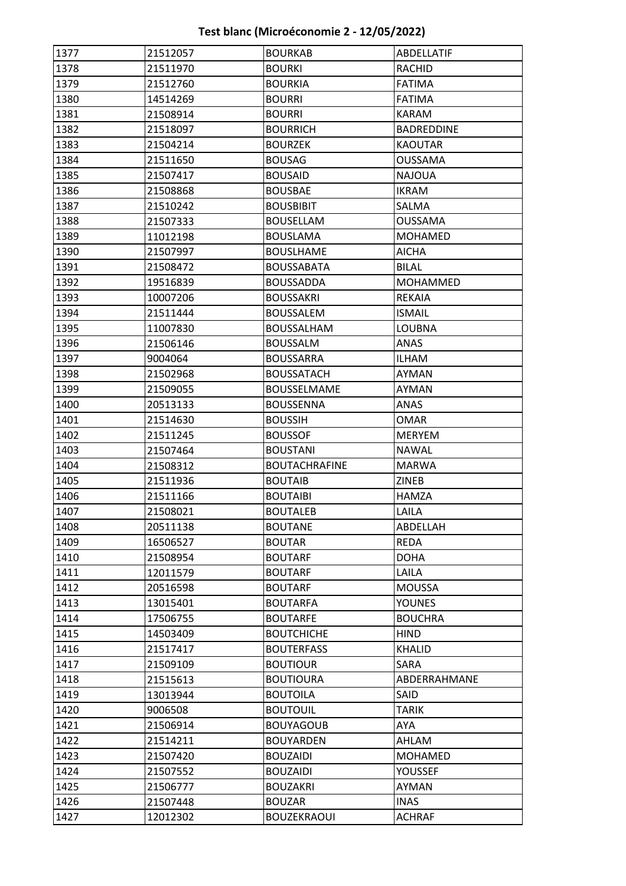| 1377 | 21512057 | <b>BOURKAB</b>       | ABDELLATIF        |
|------|----------|----------------------|-------------------|
| 1378 | 21511970 | <b>BOURKI</b>        | <b>RACHID</b>     |
| 1379 | 21512760 | <b>BOURKIA</b>       | <b>FATIMA</b>     |
| 1380 | 14514269 | <b>BOURRI</b>        | <b>FATIMA</b>     |
| 1381 | 21508914 | <b>BOURRI</b>        | KARAM             |
| 1382 | 21518097 | <b>BOURRICH</b>      | <b>BADREDDINE</b> |
| 1383 | 21504214 | <b>BOURZEK</b>       | <b>KAOUTAR</b>    |
| 1384 | 21511650 | <b>BOUSAG</b>        | OUSSAMA           |
| 1385 | 21507417 | <b>BOUSAID</b>       | <b>NAJOUA</b>     |
| 1386 | 21508868 | <b>BOUSBAE</b>       | <b>IKRAM</b>      |
| 1387 | 21510242 | <b>BOUSBIBIT</b>     | SALMA             |
| 1388 | 21507333 | <b>BOUSELLAM</b>     | <b>OUSSAMA</b>    |
| 1389 | 11012198 | <b>BOUSLAMA</b>      | MOHAMED           |
| 1390 | 21507997 | <b>BOUSLHAME</b>     | <b>AICHA</b>      |
| 1391 | 21508472 | <b>BOUSSABATA</b>    | <b>BILAL</b>      |
| 1392 | 19516839 | <b>BOUSSADDA</b>     | MOHAMMED          |
| 1393 | 10007206 | <b>BOUSSAKRI</b>     | REKAIA            |
| 1394 | 21511444 | <b>BOUSSALEM</b>     | <b>ISMAIL</b>     |
| 1395 | 11007830 | <b>BOUSSALHAM</b>    | <b>LOUBNA</b>     |
| 1396 | 21506146 | <b>BOUSSALM</b>      | ANAS              |
| 1397 | 9004064  | <b>BOUSSARRA</b>     | <b>ILHAM</b>      |
| 1398 | 21502968 | <b>BOUSSATACH</b>    | AYMAN             |
| 1399 | 21509055 | <b>BOUSSELMAME</b>   | AYMAN             |
| 1400 | 20513133 | <b>BOUSSENNA</b>     | ANAS              |
| 1401 | 21514630 | <b>BOUSSIH</b>       | OMAR              |
| 1402 | 21511245 | <b>BOUSSOF</b>       | <b>MERYEM</b>     |
| 1403 | 21507464 | <b>BOUSTANI</b>      | <b>NAWAL</b>      |
| 1404 | 21508312 | <b>BOUTACHRAFINE</b> | <b>MARWA</b>      |
| 1405 | 21511936 | <b>BOUTAIB</b>       | <b>ZINEB</b>      |
| 1406 | 21511166 | <b>BOUTAIBI</b>      | HAMZA             |
| 1407 | 21508021 | <b>BOUTALEB</b>      | LAILA             |
| 1408 | 20511138 | <b>BOUTANE</b>       | ABDELLAH          |
| 1409 | 16506527 | <b>BOUTAR</b>        | <b>REDA</b>       |
| 1410 | 21508954 | <b>BOUTARF</b>       | <b>DOHA</b>       |
| 1411 | 12011579 | <b>BOUTARF</b>       | LAILA             |
| 1412 | 20516598 | <b>BOUTARF</b>       | <b>MOUSSA</b>     |
| 1413 | 13015401 | <b>BOUTARFA</b>      | <b>YOUNES</b>     |
| 1414 | 17506755 | <b>BOUTARFE</b>      | <b>BOUCHRA</b>    |
| 1415 | 14503409 | <b>BOUTCHICHE</b>    | <b>HIND</b>       |
| 1416 | 21517417 | <b>BOUTERFASS</b>    | <b>KHALID</b>     |
| 1417 | 21509109 | <b>BOUTIOUR</b>      | SARA              |
| 1418 | 21515613 | <b>BOUTIOURA</b>     | ABDERRAHMANE      |
| 1419 | 13013944 | <b>BOUTOILA</b>      | SAID              |
| 1420 | 9006508  | <b>BOUTOUIL</b>      | <b>TARIK</b>      |
| 1421 | 21506914 | <b>BOUYAGOUB</b>     | AYA               |
| 1422 | 21514211 | <b>BOUYARDEN</b>     | AHLAM             |
| 1423 | 21507420 | <b>BOUZAIDI</b>      | <b>MOHAMED</b>    |
| 1424 | 21507552 | <b>BOUZAIDI</b>      | <b>YOUSSEF</b>    |
| 1425 | 21506777 | <b>BOUZAKRI</b>      | AYMAN             |
| 1426 | 21507448 | <b>BOUZAR</b>        | <b>INAS</b>       |
| 1427 | 12012302 | <b>BOUZEKRAOUI</b>   | <b>ACHRAF</b>     |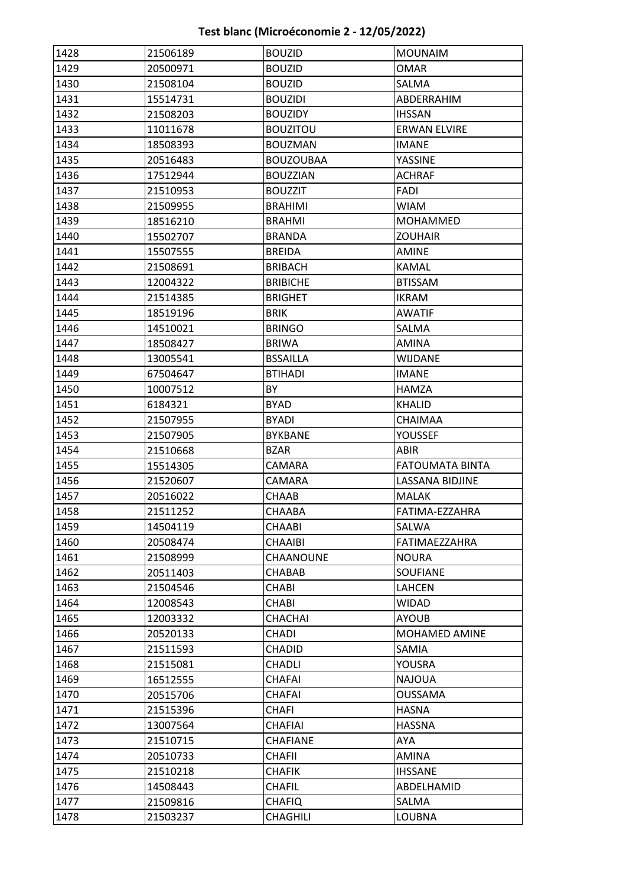| 1428 | 21506189 | <b>BOUZID</b>    | <b>MOUNAIM</b>         |
|------|----------|------------------|------------------------|
| 1429 | 20500971 | <b>BOUZID</b>    | <b>OMAR</b>            |
| 1430 | 21508104 | <b>BOUZID</b>    | SALMA                  |
| 1431 | 15514731 | <b>BOUZIDI</b>   | ABDERRAHIM             |
| 1432 | 21508203 | <b>BOUZIDY</b>   | <b>IHSSAN</b>          |
| 1433 | 11011678 | <b>BOUZITOU</b>  | <b>ERWAN ELVIRE</b>    |
| 1434 | 18508393 | <b>BOUZMAN</b>   | <b>IMANE</b>           |
| 1435 | 20516483 | <b>BOUZOUBAA</b> | YASSINE                |
| 1436 | 17512944 | <b>BOUZZIAN</b>  | <b>ACHRAF</b>          |
| 1437 | 21510953 | <b>BOUZZIT</b>   | <b>FADI</b>            |
| 1438 | 21509955 | <b>BRAHIMI</b>   | <b>WIAM</b>            |
| 1439 | 18516210 | <b>BRAHMI</b>    | MOHAMMED               |
| 1440 | 15502707 | <b>BRANDA</b>    | <b>ZOUHAIR</b>         |
| 1441 | 15507555 | <b>BREIDA</b>    | <b>AMINE</b>           |
| 1442 | 21508691 | <b>BRIBACH</b>   | <b>KAMAL</b>           |
| 1443 | 12004322 | <b>BRIBICHE</b>  | <b>BTISSAM</b>         |
| 1444 | 21514385 | <b>BRIGHET</b>   | <b>IKRAM</b>           |
| 1445 | 18519196 | <b>BRIK</b>      | <b>AWATIF</b>          |
| 1446 | 14510021 | <b>BRINGO</b>    | SALMA                  |
| 1447 | 18508427 | <b>BRIWA</b>     | AMINA                  |
| 1448 | 13005541 | <b>BSSAILLA</b>  | <b>WIJDANE</b>         |
| 1449 | 67504647 | <b>BTIHADI</b>   | <b>IMANE</b>           |
| 1450 | 10007512 | BY               | HAMZA                  |
| 1451 | 6184321  | <b>BYAD</b>      | <b>KHALID</b>          |
| 1452 | 21507955 | <b>BYADI</b>     | CHAIMAA                |
| 1453 | 21507905 | <b>BYKBANE</b>   | <b>YOUSSEF</b>         |
| 1454 | 21510668 | <b>BZAR</b>      | <b>ABIR</b>            |
| 1455 | 15514305 | <b>CAMARA</b>    | <b>FATOUMATA BINTA</b> |
| 1456 | 21520607 | CAMARA           | LASSANA BIDJINE        |
| 1457 | 20516022 | <b>CHAAB</b>     | <b>MALAK</b>           |
| 1458 | 21511252 | <b>CHAABA</b>    | FATIMA-EZZAHRA         |
| 1459 | 14504119 | CHAABI           | SALWA                  |
| 1460 | 20508474 | <b>CHAAIBI</b>   | FATIMAEZZAHRA          |
| 1461 | 21508999 | <b>CHAANOUNE</b> | <b>NOURA</b>           |
| 1462 | 20511403 | <b>CHABAB</b>    | SOUFIANE               |
| 1463 | 21504546 | <b>CHABI</b>     | LAHCEN                 |
| 1464 | 12008543 | CHABI            | <b>WIDAD</b>           |
| 1465 | 12003332 | <b>CHACHAI</b>   | <b>AYOUB</b>           |
| 1466 | 20520133 | <b>CHADI</b>     | MOHAMED AMINE          |
| 1467 | 21511593 | <b>CHADID</b>    | SAMIA                  |
| 1468 | 21515081 | CHADLI           | YOUSRA                 |
| 1469 | 16512555 | <b>CHAFAI</b>    | <b>NAJOUA</b>          |
| 1470 | 20515706 | <b>CHAFAI</b>    | <b>OUSSAMA</b>         |
| 1471 | 21515396 | CHAFI            | <b>HASNA</b>           |
| 1472 | 13007564 | <b>CHAFIAI</b>   | <b>HASSNA</b>          |
| 1473 | 21510715 | CHAFIANE         | AYA                    |
| 1474 | 20510733 | <b>CHAFII</b>    | AMINA                  |
| 1475 | 21510218 | <b>CHAFIK</b>    | <b>IHSSANE</b>         |
| 1476 | 14508443 | <b>CHAFIL</b>    | ABDELHAMID             |
| 1477 | 21509816 | <b>CHAFIQ</b>    | SALMA                  |
| 1478 | 21503237 | CHAGHILI         | LOUBNA                 |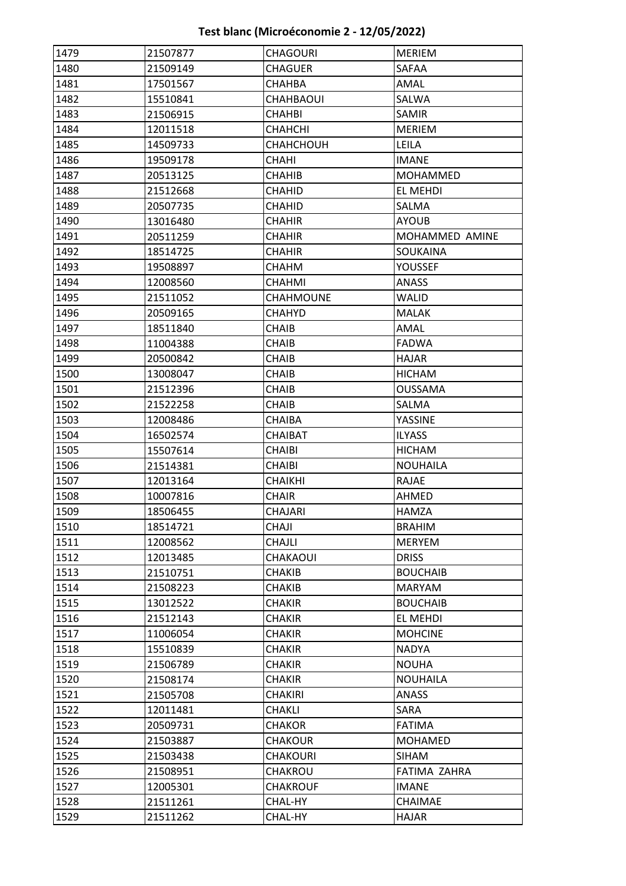| 1479 | 21507877 | <b>CHAGOURI</b>  | <b>MERIEM</b>   |
|------|----------|------------------|-----------------|
| 1480 | 21509149 | <b>CHAGUER</b>   | SAFAA           |
| 1481 | 17501567 | CHAHBA           | AMAL            |
| 1482 | 15510841 | <b>CHAHBAOUI</b> | SALWA           |
| 1483 | 21506915 | <b>CHAHBI</b>    | SAMIR           |
| 1484 | 12011518 | <b>CHAHCHI</b>   | <b>MERIEM</b>   |
| 1485 | 14509733 | <b>CHAHCHOUH</b> | LEILA           |
| 1486 | 19509178 | CHAHI            | <b>IMANE</b>    |
| 1487 | 20513125 | <b>CHAHIB</b>    | <b>MOHAMMED</b> |
| 1488 | 21512668 | CHAHID           | EL MEHDI        |
| 1489 | 20507735 | CHAHID           | SALMA           |
| 1490 | 13016480 | CHAHIR           | <b>AYOUB</b>    |
| 1491 | 20511259 | <b>CHAHIR</b>    | MOHAMMED AMINE  |
| 1492 | 18514725 | <b>CHAHIR</b>    | <b>SOUKAINA</b> |
| 1493 | 19508897 | CHAHM            | YOUSSEF         |
| 1494 | 12008560 | <b>CHAHMI</b>    | <b>ANASS</b>    |
| 1495 | 21511052 | <b>CHAHMOUNE</b> | WALID           |
| 1496 | 20509165 | <b>CHAHYD</b>    | <b>MALAK</b>    |
| 1497 | 18511840 | CHAIB            | AMAL            |
| 1498 | 11004388 | CHAIB            | <b>FADWA</b>    |
| 1499 | 20500842 | <b>CHAIB</b>     | <b>HAJAR</b>    |
| 1500 | 13008047 | CHAIB            | <b>HICHAM</b>   |
| 1501 | 21512396 | CHAIB            | <b>OUSSAMA</b>  |
| 1502 | 21522258 | <b>CHAIB</b>     | SALMA           |
| 1503 | 12008486 | CHAIBA           | YASSINE         |
| 1504 | 16502574 | CHAIBAT          | <b>ILYASS</b>   |
| 1505 | 15507614 | CHAIBI           | <b>HICHAM</b>   |
| 1506 | 21514381 | <b>CHAIBI</b>    | <b>NOUHAILA</b> |
| 1507 | 12013164 | <b>CHAIKHI</b>   | RAJAE           |
| 1508 | 10007816 | <b>CHAIR</b>     | AHMED           |
| 1509 | 18506455 | <b>CHAJARI</b>   | <b>HAMZA</b>    |
| 1510 | 18514721 | <b>CHAJI</b>     | <b>BRAHIM</b>   |
| 1511 | 12008562 | CHAJLI           | <b>MERYEM</b>   |
| 1512 | 12013485 | CHAKAOUI         | <b>DRISS</b>    |
| 1513 | 21510751 | <b>CHAKIB</b>    | <b>BOUCHAIB</b> |
| 1514 | 21508223 | CHAKIB           | <b>MARYAM</b>   |
| 1515 | 13012522 | <b>CHAKIR</b>    | <b>BOUCHAIB</b> |
| 1516 | 21512143 | <b>CHAKIR</b>    | EL MEHDI        |
| 1517 | 11006054 | <b>CHAKIR</b>    | <b>MOHCINE</b>  |
| 1518 | 15510839 | <b>CHAKIR</b>    | <b>NADYA</b>    |
| 1519 | 21506789 | CHAKIR           | <b>NOUHA</b>    |
| 1520 | 21508174 | <b>CHAKIR</b>    | <b>NOUHAILA</b> |
| 1521 | 21505708 | CHAKIRI          | ANASS           |
| 1522 | 12011481 | <b>CHAKLI</b>    | SARA            |
| 1523 | 20509731 | <b>CHAKOR</b>    | <b>FATIMA</b>   |
| 1524 | 21503887 | CHAKOUR          | <b>MOHAMED</b>  |
| 1525 | 21503438 | CHAKOURI         | SIHAM           |
| 1526 | 21508951 | CHAKROU          | FATIMA ZAHRA    |
| 1527 | 12005301 | <b>CHAKROUF</b>  | <b>IMANE</b>    |
| 1528 | 21511261 | CHAL-HY          | CHAIMAE         |
| 1529 | 21511262 | CHAL-HY          | HAJAR           |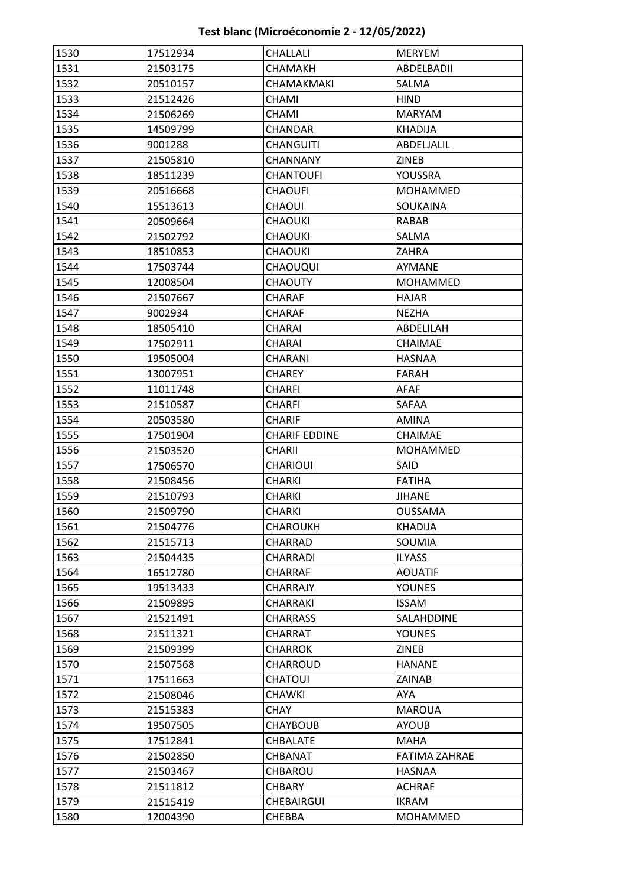| 1530         | 17512934             | CHALLALI                       | <b>MERYEM</b>            |
|--------------|----------------------|--------------------------------|--------------------------|
| 1531         | 21503175             | <b>CHAMAKH</b>                 | ABDELBADII               |
| 1532         | 20510157             | CHAMAKMAKI                     | SALMA                    |
| 1533         | 21512426             | CHAMI                          | HIND                     |
| 1534         | 21506269             | CHAMI                          | <b>MARYAM</b>            |
| 1535         | 14509799             | CHANDAR                        | <b>KHADIJA</b>           |
| 1536         | 9001288              | <b>CHANGUITI</b>               | ABDELJALIL               |
| 1537         | 21505810             | CHANNANY                       | ZINEB                    |
| 1538         | 18511239             | <b>CHANTOUFI</b>               | YOUSSRA                  |
| 1539         | 20516668             | CHAOUFI                        | MOHAMMED                 |
| 1540         | 15513613             | <b>CHAOUI</b>                  | SOUKAINA                 |
| 1541         | 20509664             | <b>CHAOUKI</b>                 | RABAB                    |
| 1542         | 21502792             | <b>CHAOUKI</b>                 | SALMA                    |
| 1543         | 18510853             | <b>CHAOUKI</b>                 | ZAHRA                    |
| 1544         | 17503744             | CHAOUQUI                       | <b>AYMANE</b>            |
| 1545         | 12008504             | <b>CHAOUTY</b>                 | <b>MOHAMMED</b>          |
| 1546         | 21507667             | <b>CHARAF</b>                  | HAJAR                    |
| 1547         | 9002934              | <b>CHARAF</b>                  | <b>NEZHA</b>             |
| 1548         | 18505410             | <b>CHARAI</b>                  | ABDELILAH                |
| 1549         | 17502911             | CHARAI                         | CHAIMAE                  |
| 1550         | 19505004             | CHARANI                        | <b>HASNAA</b>            |
| 1551         | 13007951             | CHAREY                         | <b>FARAH</b>             |
| 1552         | 11011748             | <b>CHARFI</b>                  | AFAF                     |
| 1553         | 21510587             | <b>CHARFI</b>                  | SAFAA                    |
| 1554         | 20503580             | <b>CHARIF</b>                  | <b>AMINA</b>             |
| 1555         | 17501904             | <b>CHARIF EDDINE</b>           | CHAIMAE                  |
| 1556         |                      | <b>CHARII</b>                  | MOHAMMED                 |
| 1557         | 21503520<br>17506570 | <b>CHARIOUI</b>                | <b>SAID</b>              |
|              |                      | CHARKI                         |                          |
| 1558<br>1559 | 21508456             |                                | <b>FATIHA</b>            |
| 1560         | 21510793<br>21509790 | <b>CHARKI</b><br><b>CHARKI</b> | <b>JIHANE</b><br>OUSSAMA |
| 1561         | 21504776             |                                |                          |
| 1562         |                      | <b>CHAROUKH</b>                | <b>KHADIJA</b><br>SOUMIA |
| 1563         | 21515713             | CHARRAD                        |                          |
|              | 21504435             | CHARRADI                       | <b>ILYASS</b>            |
| 1564         | 16512780             | <b>CHARRAF</b>                 | <b>AOUATIF</b>           |
| 1565         | 19513433             | CHARRAJY                       | <b>YOUNES</b>            |
| 1566         | 21509895             | <b>CHARRAKI</b>                | <b>ISSAM</b>             |
| 1567         | 21521491             | CHARRASS                       | SALAHDDINE               |
| 1568         | 21511321             | CHARRAT                        | <b>YOUNES</b>            |
| 1569         | 21509399             | <b>CHARROK</b>                 | <b>ZINEB</b>             |
| 1570         | 21507568             | CHARROUD                       | <b>HANANE</b>            |
| 1571         | 17511663             | <b>CHATOUI</b>                 | ZAINAB                   |
| 1572         | 21508046             | CHAWKI                         | AYA                      |
| 1573         | 21515383             | <b>CHAY</b>                    | <b>MAROUA</b>            |
| 1574         | 19507505             | <b>CHAYBOUB</b>                | <b>AYOUB</b>             |
| 1575         | 17512841             | CHBALATE                       | MAHA                     |
| 1576         | 21502850             | CHBANAT                        | <b>FATIMA ZAHRAE</b>     |
| 1577         | 21503467             | CHBAROU                        | HASNAA                   |
| 1578         | 21511812             | <b>CHBARY</b>                  | <b>ACHRAF</b>            |
| 1579         | 21515419             | <b>CHEBAIRGUI</b>              | IKRAM                    |
| 1580         | 12004390             | <b>CHEBBA</b>                  | MOHAMMED                 |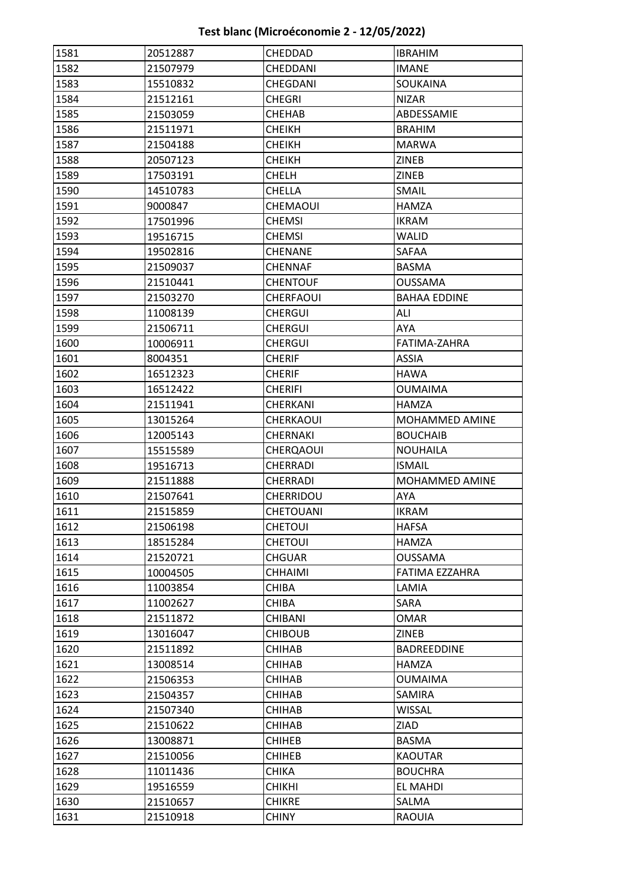| 1581 | 20512887 | CHEDDAD          | <b>IBRAHIM</b>          |
|------|----------|------------------|-------------------------|
| 1582 | 21507979 | CHEDDANI         | <b>IMANE</b>            |
| 1583 | 15510832 | CHEGDANI         | SOUKAINA                |
| 1584 | 21512161 | <b>CHEGRI</b>    | <b>NIZAR</b>            |
| 1585 | 21503059 | <b>CHEHAB</b>    | ABDESSAMIE              |
| 1586 | 21511971 | <b>CHEIKH</b>    | <b>BRAHIM</b>           |
| 1587 | 21504188 | <b>CHEIKH</b>    | <b>MARWA</b>            |
| 1588 | 20507123 | CHEIKH           | <b>ZINEB</b>            |
| 1589 | 17503191 | <b>CHELH</b>     | <b>ZINEB</b>            |
| 1590 | 14510783 | <b>CHELLA</b>    | <b>SMAIL</b>            |
| 1591 | 9000847  | <b>CHEMAOUI</b>  | <b>HAMZA</b>            |
| 1592 | 17501996 | <b>CHEMSI</b>    | <b>IKRAM</b>            |
| 1593 | 19516715 | <b>CHEMSI</b>    | WALID                   |
| 1594 | 19502816 | <b>CHENANE</b>   | SAFAA                   |
| 1595 | 21509037 | CHENNAF          | BASMA                   |
| 1596 | 21510441 | <b>CHENTOUF</b>  | OUSSAMA                 |
| 1597 | 21503270 | <b>CHERFAOUI</b> | <b>BAHAA EDDINE</b>     |
| 1598 | 11008139 | <b>CHERGUI</b>   | ALI                     |
| 1599 | 21506711 | <b>CHERGUI</b>   | AYA                     |
| 1600 | 10006911 | CHERGUI          | FATIMA-ZAHRA            |
| 1601 | 8004351  | <b>CHERIF</b>    | <b>ASSIA</b>            |
| 1602 | 16512323 | <b>CHERIF</b>    | <b>HAWA</b>             |
| 1603 | 16512422 | <b>CHERIFI</b>   | OUMAIMA                 |
| 1604 | 21511941 | CHERKANI         | HAMZA                   |
| 1605 | 13015264 | <b>CHERKAOUI</b> | MOHAMMED AMINE          |
| 1606 | 12005143 | CHERNAKI         | <b>BOUCHAIB</b>         |
| 1607 | 15515589 | CHERQAOUI        | <b>NOUHAILA</b>         |
| 1608 | 19516713 | <b>CHERRADI</b>  | <b>ISMAIL</b>           |
| 1609 | 21511888 | CHERRADI         | MOHAMMED AMINE          |
| 1610 | 21507641 | CHERRIDOU        | <b>AYA</b>              |
| 1611 | 21515859 | <b>CHETOUANI</b> | <b>IKRAM</b>            |
| 1612 | 21506198 | <b>CHETOUI</b>   | <b>HAFSA</b>            |
| 1613 | 18515284 | <b>CHETOUI</b>   | <b>HAMZA</b>            |
| 1614 | 21520721 | CHGUAR           | <b>OUSSAMA</b>          |
| 1615 | 10004505 | CHHAIMI          | FATIMA EZZAHRA          |
| 1616 | 11003854 | CHIBA            | LAMIA                   |
| 1617 | 11002627 | CHIBA            | SARA                    |
| 1618 | 21511872 | CHIBANI          | OMAR                    |
| 1619 | 13016047 | CHIBOUB          | ZINEB                   |
| 1620 | 21511892 | <b>CHIHAB</b>    | <b>BADREEDDINE</b>      |
| 1621 | 13008514 | CHIHAB           | HAMZA                   |
| 1622 | 21506353 | <b>CHIHAB</b>    | <b>OUMAIMA</b>          |
| 1623 |          |                  |                         |
| 1624 | 21504357 | <b>CHIHAB</b>    | SAMIRA<br><b>WISSAL</b> |
|      | 21507340 | CHIHAB           |                         |
| 1625 | 21510622 | <b>CHIHAB</b>    | ZIAD                    |
| 1626 | 13008871 | CHIHEB           | <b>BASMA</b>            |
| 1627 | 21510056 | <b>CHIHEB</b>    | KAOUTAR                 |
| 1628 | 11011436 | CHIKA            | <b>BOUCHRA</b>          |
| 1629 | 19516559 | <b>CHIKHI</b>    | EL MAHDI                |
| 1630 | 21510657 | <b>CHIKRE</b>    | SALMA                   |
| 1631 | 21510918 | <b>CHINY</b>     | <b>RAOUIA</b>           |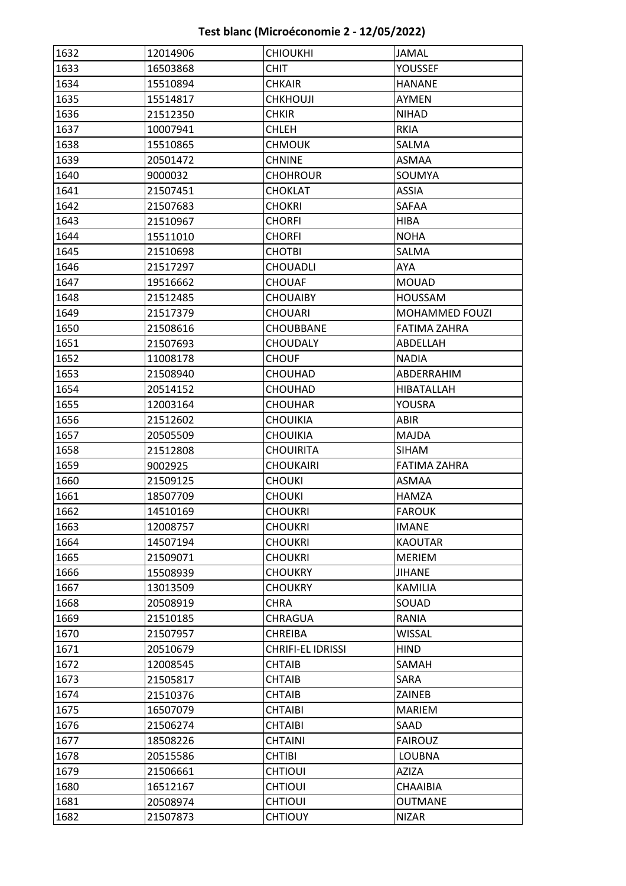| 1632 | 12014906 | <b>CHIOUKHI</b>          | JAMAL                 |
|------|----------|--------------------------|-----------------------|
| 1633 | 16503868 | <b>CHIT</b>              | YOUSSEF               |
| 1634 | 15510894 | CHKAIR                   | <b>HANANE</b>         |
| 1635 | 15514817 | <b>CHKHOUJI</b>          | <b>AYMEN</b>          |
| 1636 | 21512350 | <b>CHKIR</b>             | <b>NIHAD</b>          |
| 1637 | 10007941 | <b>CHLEH</b>             | <b>RKIA</b>           |
| 1638 | 15510865 | <b>CHMOUK</b>            | SALMA                 |
| 1639 | 20501472 | <b>CHNINE</b>            | ASMAA                 |
| 1640 | 9000032  | <b>CHOHROUR</b>          | SOUMYA                |
| 1641 | 21507451 | CHOKLAT                  | <b>ASSIA</b>          |
| 1642 | 21507683 | <b>CHOKRI</b>            | SAFAA                 |
| 1643 | 21510967 | <b>CHORFI</b>            | <b>HIBA</b>           |
| 1644 | 15511010 | <b>CHORFI</b>            | <b>NOHA</b>           |
| 1645 | 21510698 | <b>CHOTBI</b>            | SALMA                 |
| 1646 | 21517297 | <b>CHOUADLI</b>          | <b>AYA</b>            |
| 1647 | 19516662 | <b>CHOUAF</b>            | <b>MOUAD</b>          |
| 1648 | 21512485 | <b>CHOUAIBY</b>          | <b>HOUSSAM</b>        |
| 1649 | 21517379 | <b>CHOUARI</b>           | <b>MOHAMMED FOUZI</b> |
| 1650 | 21508616 | <b>CHOUBBANE</b>         | <b>FATIMA ZAHRA</b>   |
| 1651 | 21507693 | <b>CHOUDALY</b>          | ABDELLAH              |
| 1652 | 11008178 | <b>CHOUF</b>             | <b>NADIA</b>          |
| 1653 | 21508940 | CHOUHAD                  | ABDERRAHIM            |
| 1654 | 20514152 | CHOUHAD                  | HIBATALLAH            |
| 1655 | 12003164 | <b>CHOUHAR</b>           | YOUSRA                |
| 1656 | 21512602 | <b>CHOUIKIA</b>          | ABIR                  |
| 1657 | 20505509 | <b>CHOUIKIA</b>          | MAJDA                 |
| 1658 | 21512808 | <b>CHOUIRITA</b>         | <b>SIHAM</b>          |
| 1659 | 9002925  | <b>CHOUKAIRI</b>         | <b>FATIMA ZAHRA</b>   |
| 1660 | 21509125 | <b>CHOUKI</b>            | ASMAA                 |
| 1661 | 18507709 | <b>CHOUKI</b>            | HAMZA                 |
| 1662 | 14510169 | <b>CHOUKRI</b>           | <b>FAROUK</b>         |
| 1663 | 12008757 | <b>CHOUKRI</b>           | <b>IMANE</b>          |
| 1664 | 14507194 | <b>CHOUKRI</b>           | <b>KAOUTAR</b>        |
| 1665 | 21509071 | <b>CHOUKRI</b>           | <b>MERIEM</b>         |
| 1666 | 15508939 | <b>CHOUKRY</b>           | <b>JIHANE</b>         |
| 1667 | 13013509 | <b>CHOUKRY</b>           | <b>KAMILIA</b>        |
| 1668 | 20508919 | <b>CHRA</b>              | SOUAD                 |
| 1669 | 21510185 | <b>CHRAGUA</b>           | RANIA                 |
| 1670 | 21507957 | <b>CHREIBA</b>           | WISSAL                |
| 1671 | 20510679 | <b>CHRIFI-EL IDRISSI</b> | <b>HIND</b>           |
| 1672 | 12008545 | <b>CHTAIB</b>            | SAMAH                 |
| 1673 | 21505817 | <b>CHTAIB</b>            | SARA                  |
| 1674 | 21510376 | <b>CHTAIB</b>            | ZAINEB                |
| 1675 | 16507079 | <b>CHTAIBI</b>           | <b>MARIEM</b>         |
| 1676 | 21506274 | <b>CHTAIBI</b>           | SAAD                  |
| 1677 | 18508226 | CHTAINI                  | <b>FAIROUZ</b>        |
| 1678 | 20515586 | <b>CHTIBI</b>            | <b>LOUBNA</b>         |
| 1679 | 21506661 | <b>CHTIOUI</b>           | AZIZA                 |
| 1680 | 16512167 | <b>CHTIOUI</b>           | CHAAIBIA              |
| 1681 | 20508974 | <b>CHTIOUI</b>           | <b>OUTMANE</b>        |
| 1682 | 21507873 | <b>CHTIOUY</b>           | <b>NIZAR</b>          |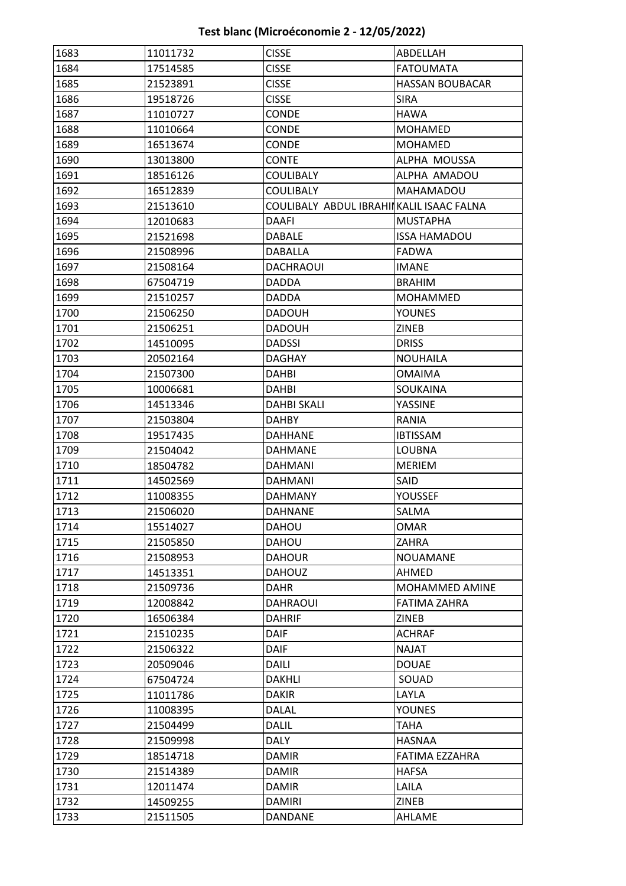| 1683 | 11011732 | <b>CISSE</b>                              | ABDELLAH               |
|------|----------|-------------------------------------------|------------------------|
| 1684 | 17514585 | <b>CISSE</b>                              | <b>FATOUMATA</b>       |
| 1685 | 21523891 | <b>CISSE</b>                              | <b>HASSAN BOUBACAR</b> |
| 1686 | 19518726 | <b>CISSE</b>                              | <b>SIRA</b>            |
| 1687 | 11010727 | <b>CONDE</b>                              | <b>HAWA</b>            |
| 1688 | 11010664 | <b>CONDE</b>                              | <b>MOHAMED</b>         |
| 1689 | 16513674 | CONDE                                     | <b>MOHAMED</b>         |
| 1690 | 13013800 | <b>CONTE</b>                              | ALPHA MOUSSA           |
| 1691 | 18516126 | <b>COULIBALY</b>                          | ALPHA AMADOU           |
| 1692 | 16512839 | <b>COULIBALY</b>                          | MAHAMADOU              |
| 1693 | 21513610 | COULIBALY ABDUL IBRAHII KALIL ISAAC FALNA |                        |
| 1694 | 12010683 | <b>DAAFI</b>                              | <b>MUSTAPHA</b>        |
| 1695 | 21521698 | <b>DABALE</b>                             | <b>ISSA HAMADOU</b>    |
| 1696 | 21508996 | <b>DABALLA</b>                            | <b>FADWA</b>           |
| 1697 | 21508164 | <b>DACHRAOUI</b>                          | <b>IMANE</b>           |
| 1698 | 67504719 | <b>DADDA</b>                              | <b>BRAHIM</b>          |
| 1699 | 21510257 | <b>DADDA</b>                              | MOHAMMED               |
| 1700 | 21506250 | <b>DADOUH</b>                             | <b>YOUNES</b>          |
| 1701 | 21506251 | <b>DADOUH</b>                             | <b>ZINEB</b>           |
| 1702 | 14510095 | <b>DADSSI</b>                             | <b>DRISS</b>           |
| 1703 | 20502164 | <b>DAGHAY</b>                             | <b>NOUHAILA</b>        |
| 1704 | 21507300 | DAHBI                                     | OMAIMA                 |
| 1705 | 10006681 | <b>DAHBI</b>                              | SOUKAINA               |
| 1706 | 14513346 | <b>DAHBI SKALI</b>                        | YASSINE                |
| 1707 | 21503804 | <b>DAHBY</b>                              | RANIA                  |
| 1708 | 19517435 | DAHHANE                                   | <b>IBTISSAM</b>        |
| 1709 | 21504042 | <b>DAHMANE</b>                            | <b>LOUBNA</b>          |
| 1710 | 18504782 | <b>DAHMANI</b>                            | <b>MERIEM</b>          |
| 1711 | 14502569 | <b>DAHMANI</b>                            | SAID                   |
| 1712 | 11008355 | <b>DAHMANY</b>                            | YOUSSEF                |
| 1713 | 21506020 | <b>DAHNANE</b>                            | SALMA                  |
| 1714 | 15514027 | <b>DAHOU</b>                              | <b>OMAR</b>            |
| 1715 | 21505850 | <b>DAHOU</b>                              | ZAHRA                  |
| 1716 | 21508953 | <b>DAHOUR</b>                             | <b>NOUAMANE</b>        |
| 1717 | 14513351 | <b>DAHOUZ</b>                             | AHMED                  |
| 1718 | 21509736 | <b>DAHR</b>                               | MOHAMMED AMINE         |
| 1719 | 12008842 | <b>DAHRAOUI</b>                           | <b>FATIMA ZAHRA</b>    |
| 1720 | 16506384 | <b>DAHRIF</b>                             | <b>ZINEB</b>           |
| 1721 | 21510235 | <b>DAIF</b>                               | <b>ACHRAF</b>          |
| 1722 | 21506322 | <b>DAIF</b>                               | <b>NAJAT</b>           |
| 1723 | 20509046 | <b>DAILI</b>                              | <b>DOUAE</b>           |
| 1724 | 67504724 | <b>DAKHLI</b>                             | SOUAD                  |
| 1725 | 11011786 | <b>DAKIR</b>                              | LAYLA                  |
| 1726 | 11008395 | <b>DALAL</b>                              | <b>YOUNES</b>          |
| 1727 | 21504499 | <b>DALIL</b>                              | <b>TAHA</b>            |
| 1728 | 21509998 | <b>DALY</b>                               | <b>HASNAA</b>          |
| 1729 | 18514718 | <b>DAMIR</b>                              | FATIMA EZZAHRA         |
| 1730 | 21514389 | <b>DAMIR</b>                              | <b>HAFSA</b>           |
| 1731 | 12011474 | <b>DAMIR</b>                              | LAILA                  |
| 1732 | 14509255 | <b>DAMIRI</b>                             | ZINEB                  |
| 1733 | 21511505 | <b>DANDANE</b>                            | AHLAME                 |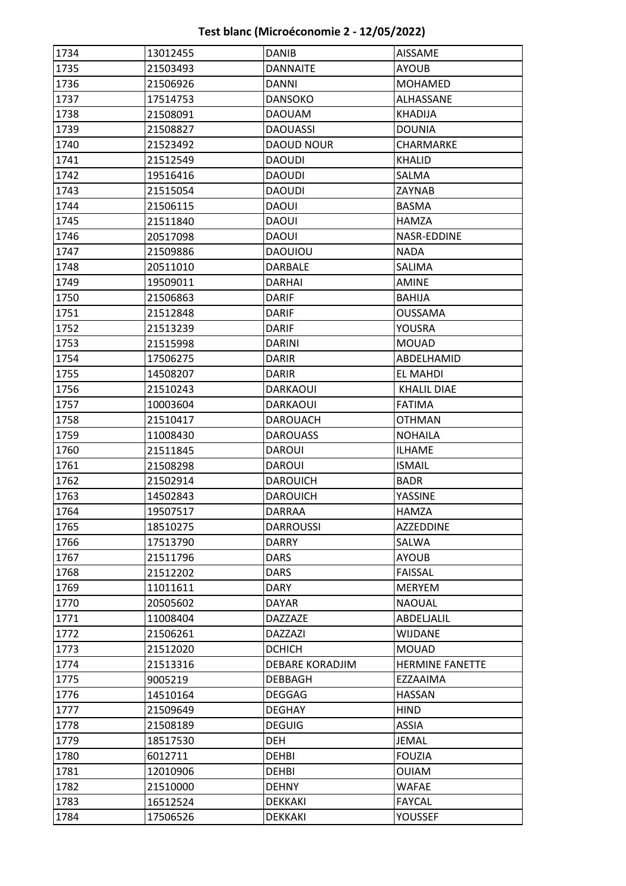| 1734 | 13012455 | <b>DANIB</b>      | AISSAME                |
|------|----------|-------------------|------------------------|
| 1735 | 21503493 | <b>DANNAITE</b>   | <b>AYOUB</b>           |
| 1736 | 21506926 | DANNI             | <b>MOHAMED</b>         |
| 1737 | 17514753 | <b>DANSOKO</b>    | ALHASSANE              |
| 1738 | 21508091 | <b>DAOUAM</b>     | <b>KHADIJA</b>         |
| 1739 | 21508827 | <b>DAOUASSI</b>   | <b>DOUNIA</b>          |
| 1740 | 21523492 | <b>DAOUD NOUR</b> | CHARMARKE              |
| 1741 | 21512549 | <b>DAOUDI</b>     | <b>KHALID</b>          |
| 1742 | 19516416 | <b>DAOUDI</b>     | SALMA                  |
| 1743 | 21515054 | <b>DAOUDI</b>     | ZAYNAB                 |
| 1744 | 21506115 | <b>DAOUI</b>      | <b>BASMA</b>           |
| 1745 | 21511840 | <b>DAOUI</b>      | HAMZA                  |
| 1746 | 20517098 | <b>DAOUI</b>      | NASR-EDDINE            |
| 1747 | 21509886 | <b>DAOUIOU</b>    | <b>NADA</b>            |
| 1748 | 20511010 | DARBALE           | SALIMA                 |
| 1749 | 19509011 | <b>DARHAI</b>     | <b>AMINE</b>           |
| 1750 | 21506863 | <b>DARIF</b>      | <b>BAHIJA</b>          |
| 1751 | 21512848 | <b>DARIF</b>      | <b>OUSSAMA</b>         |
| 1752 | 21513239 | <b>DARIF</b>      | YOUSRA                 |
| 1753 | 21515998 | <b>DARINI</b>     | <b>MOUAD</b>           |
| 1754 | 17506275 | <b>DARIR</b>      | ABDELHAMID             |
| 1755 | 14508207 | <b>DARIR</b>      | <b>EL MAHDI</b>        |
| 1756 | 21510243 | <b>DARKAOUI</b>   | <b>KHALIL DIAE</b>     |
| 1757 | 10003604 | <b>DARKAOUI</b>   | <b>FATIMA</b>          |
| 1758 | 21510417 | <b>DAROUACH</b>   | <b>OTHMAN</b>          |
| 1759 | 11008430 | <b>DAROUASS</b>   | <b>NOHAILA</b>         |
| 1760 | 21511845 | <b>DAROUI</b>     | <b>ILHAME</b>          |
| 1761 | 21508298 | <b>DAROUI</b>     | <b>ISMAIL</b>          |
| 1762 | 21502914 | <b>DAROUICH</b>   | <b>BADR</b>            |
| 1763 | 14502843 | <b>DAROUICH</b>   | YASSINE                |
| 1764 | 19507517 | DARRAA            | <b>HAMZA</b>           |
| 1765 | 18510275 | <b>DARROUSSI</b>  | <b>AZZEDDINE</b>       |
| 1766 | 17513790 | <b>DARRY</b>      | SALWA                  |
| 1767 | 21511796 | <b>DARS</b>       | <b>AYOUB</b>           |
| 1768 | 21512202 | <b>DARS</b>       | <b>FAISSAL</b>         |
| 1769 | 11011611 | <b>DARY</b>       | <b>MERYEM</b>          |
| 1770 | 20505602 | <b>DAYAR</b>      | <b>NAOUAL</b>          |
| 1771 | 11008404 | <b>DAZZAZE</b>    | ABDELJALIL             |
| 1772 | 21506261 | <b>DAZZAZI</b>    | <b>WIJDANE</b>         |
| 1773 | 21512020 | <b>DCHICH</b>     | <b>MOUAD</b>           |
| 1774 | 21513316 | DEBARE KORADJIM   | <b>HERMINE FANETTE</b> |
| 1775 | 9005219  | <b>DEBBAGH</b>    | EZZAAIMA               |
| 1776 | 14510164 | <b>DEGGAG</b>     | <b>HASSAN</b>          |
| 1777 | 21509649 | <b>DEGHAY</b>     | <b>HIND</b>            |
| 1778 | 21508189 | <b>DEGUIG</b>     | <b>ASSIA</b>           |
| 1779 | 18517530 | <b>DEH</b>        | <b>JEMAL</b>           |
| 1780 | 6012711  | <b>DEHBI</b>      | <b>FOUZIA</b>          |
| 1781 | 12010906 | <b>DEHBI</b>      | <b>OUIAM</b>           |
| 1782 | 21510000 | <b>DEHNY</b>      | WAFAE                  |
| 1783 | 16512524 | <b>DEKKAKI</b>    | <b>FAYCAL</b>          |
| 1784 | 17506526 | <b>DEKKAKI</b>    | <b>YOUSSEF</b>         |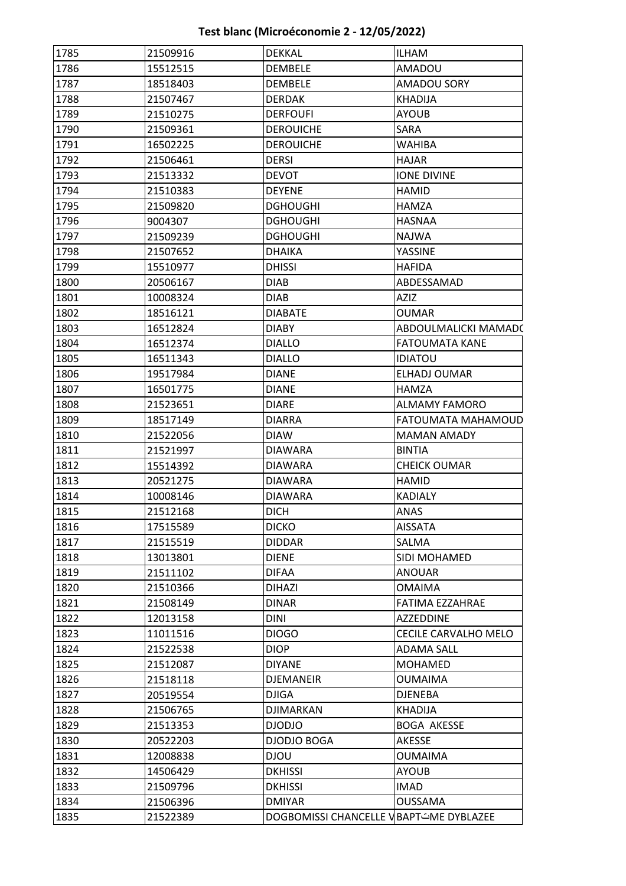| 1785 | 21509916 | <b>DEKKAL</b>                          | <b>ILHAM</b>          |
|------|----------|----------------------------------------|-----------------------|
| 1786 | 15512515 | <b>DEMBELE</b>                         | AMADOU                |
| 1787 | 18518403 | <b>DEMBELE</b>                         | <b>AMADOU SORY</b>    |
| 1788 | 21507467 | <b>DERDAK</b>                          | <b>KHADIJA</b>        |
| 1789 | 21510275 | <b>DERFOUFI</b>                        | <b>AYOUB</b>          |
| 1790 | 21509361 | <b>DEROUICHE</b>                       | SARA                  |
| 1791 | 16502225 | <b>DEROUICHE</b>                       | <b>WAHIBA</b>         |
| 1792 | 21506461 | <b>DERSI</b>                           | <b>HAJAR</b>          |
| 1793 | 21513332 | <b>DEVOT</b>                           | <b>IONE DIVINE</b>    |
| 1794 | 21510383 | <b>DEYENE</b>                          | <b>HAMID</b>          |
| 1795 | 21509820 | <b>DGHOUGHI</b>                        | <b>HAMZA</b>          |
| 1796 | 9004307  | <b>DGHOUGHI</b>                        | <b>HASNAA</b>         |
| 1797 | 21509239 | <b>DGHOUGHI</b>                        | <b>NAJWA</b>          |
| 1798 | 21507652 | <b>DHAIKA</b>                          | YASSINE               |
| 1799 | 15510977 | <b>DHISSI</b>                          | <b>HAFIDA</b>         |
| 1800 | 20506167 | <b>DIAB</b>                            | ABDESSAMAD            |
| 1801 | 10008324 | <b>DIAB</b>                            | <b>AZIZ</b>           |
| 1802 | 18516121 | <b>DIABATE</b>                         | <b>OUMAR</b>          |
| 1803 | 16512824 | <b>DIABY</b>                           | ABDOULMALICKI MAMAD(  |
| 1804 | 16512374 | <b>DIALLO</b>                          | <b>FATOUMATA KANE</b> |
| 1805 | 16511343 | <b>DIALLO</b>                          | <b>IDIATOU</b>        |
| 1806 | 19517984 | <b>DIANE</b>                           | ELHADJ OUMAR          |
| 1807 | 16501775 | <b>DIANE</b>                           | <b>HAMZA</b>          |
| 1808 | 21523651 | <b>DIARE</b>                           | <b>ALMAMY FAMORO</b>  |
| 1809 | 18517149 | <b>DIARRA</b>                          | FATOUMATA MAHAMOUD    |
| 1810 | 21522056 | <b>DIAW</b>                            | <b>MAMAN AMADY</b>    |
| 1811 | 21521997 | <b>DIAWARA</b>                         | <b>BINTIA</b>         |
| 1812 | 15514392 | <b>DIAWARA</b>                         | <b>CHEICK OUMAR</b>   |
| 1813 | 20521275 | <b>DIAWARA</b>                         | <b>HAMID</b>          |
| 1814 | 10008146 | <b>DIAWARA</b>                         | <b>KADIALY</b>        |
| 1815 |          | <b>DICH</b>                            | <b>ANAS</b>           |
| 1816 | 21512168 | <b>DICKO</b>                           | <b>AISSATA</b>        |
|      | 17515589 |                                        |                       |
| 1817 | 21515519 | <b>DIDDAR</b>                          | SALMA                 |
| 1818 | 13013801 | <b>DIENE</b>                           | <b>SIDI MOHAMED</b>   |
| 1819 | 21511102 | <b>DIFAA</b>                           | <b>ANOUAR</b>         |
| 1820 | 21510366 | <b>DIHAZI</b>                          | <b>OMAIMA</b>         |
| 1821 | 21508149 | <b>DINAR</b>                           | FATIMA EZZAHRAE       |
| 1822 | 12013158 | <b>DINI</b>                            | AZZEDDINE             |
| 1823 | 11011516 | <b>DIOGO</b>                           | CECILE CARVALHO MELO  |
| 1824 | 21522538 | <b>DIOP</b>                            | <b>ADAMA SALL</b>     |
| 1825 | 21512087 | <b>DIYANE</b>                          | <b>MOHAMED</b>        |
| 1826 | 21518118 | <b>DJEMANEIR</b>                       | <b>OUMAIMA</b>        |
| 1827 | 20519554 | <b>DJIGA</b>                           | <b>DJENEBA</b>        |
| 1828 | 21506765 | <b>DJIMARKAN</b>                       | <b>KHADIJA</b>        |
| 1829 | 21513353 | <b>DJODJO</b>                          | <b>BOGA AKESSE</b>    |
| 1830 | 20522203 | DJODJO BOGA                            | AKESSE                |
| 1831 | 12008838 | <b>DJOU</b>                            | <b>OUMAIMA</b>        |
| 1832 | 14506429 | <b>DKHISSI</b>                         | <b>AYOUB</b>          |
| 1833 | 21509796 | <b>DKHISSI</b>                         | <b>IMAD</b>           |
| 1834 | 21506396 | <b>DMIYAR</b>                          | <b>OUSSAMA</b>        |
| 1835 | 21522389 | DOGBOMISSI CHANCELLE VBAPT-ME DYBLAZEE |                       |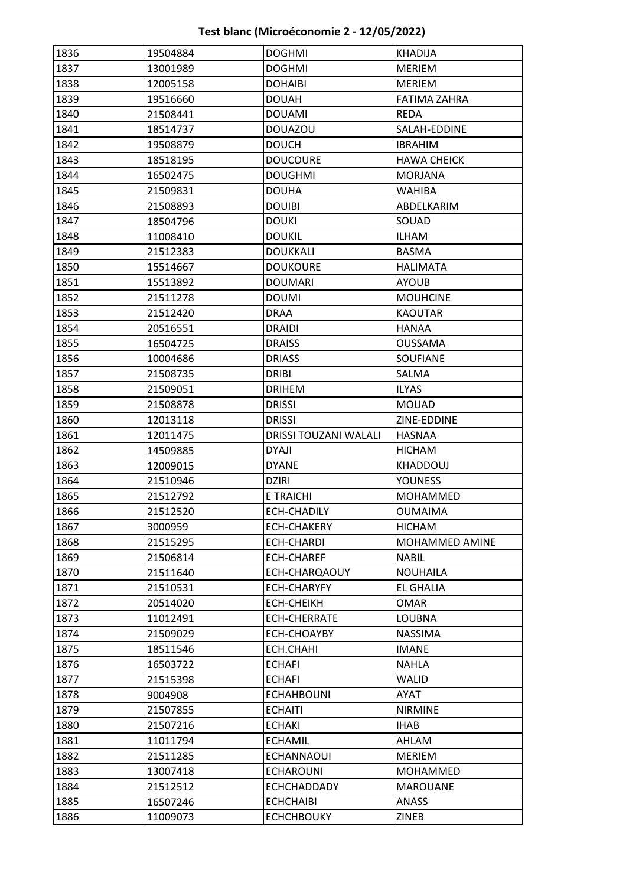| 1836 | 19504884 | <b>DOGHMI</b>         | <b>KHADIJA</b>      |
|------|----------|-----------------------|---------------------|
| 1837 | 13001989 | <b>DOGHMI</b>         | <b>MERIEM</b>       |
| 1838 | 12005158 | <b>DOHAIBI</b>        | <b>MERIEM</b>       |
| 1839 | 19516660 | <b>DOUAH</b>          | <b>FATIMA ZAHRA</b> |
| 1840 | 21508441 | <b>DOUAMI</b>         | <b>REDA</b>         |
| 1841 | 18514737 | <b>DOUAZOU</b>        | SALAH-EDDINE        |
| 1842 | 19508879 | <b>DOUCH</b>          | <b>IBRAHIM</b>      |
| 1843 | 18518195 | <b>DOUCOURE</b>       | <b>HAWA CHEICK</b>  |
| 1844 | 16502475 | <b>DOUGHMI</b>        | <b>MORJANA</b>      |
| 1845 | 21509831 | <b>DOUHA</b>          | WAHIBA              |
| 1846 | 21508893 | <b>DOUIBI</b>         | ABDELKARIM          |
| 1847 | 18504796 | <b>DOUKI</b>          | SOUAD               |
| 1848 | 11008410 | <b>DOUKIL</b>         | ILHAM               |
| 1849 | 21512383 | <b>DOUKKALI</b>       | <b>BASMA</b>        |
| 1850 | 15514667 | <b>DOUKOURE</b>       | <b>HALIMATA</b>     |
| 1851 | 15513892 | <b>DOUMARI</b>        | <b>AYOUB</b>        |
| 1852 | 21511278 | <b>DOUMI</b>          | <b>MOUHCINE</b>     |
| 1853 | 21512420 | <b>DRAA</b>           | <b>KAOUTAR</b>      |
| 1854 | 20516551 | <b>DRAIDI</b>         | <b>HANAA</b>        |
| 1855 | 16504725 | <b>DRAISS</b>         | OUSSAMA             |
| 1856 | 10004686 | <b>DRIASS</b>         | SOUFIANE            |
| 1857 | 21508735 | <b>DRIBI</b>          | SALMA               |
| 1858 | 21509051 | <b>DRIHEM</b>         | <b>ILYAS</b>        |
| 1859 | 21508878 | <b>DRISSI</b>         | <b>MOUAD</b>        |
| 1860 | 12013118 | <b>DRISSI</b>         | ZINE-EDDINE         |
| 1861 | 12011475 | DRISSI TOUZANI WALALI | <b>HASNAA</b>       |
| 1862 | 14509885 | <b>DYAJI</b>          | <b>HICHAM</b>       |
| 1863 | 12009015 | <b>DYANE</b>          | KHADDOUJ            |
| 1864 | 21510946 | <b>DZIRI</b>          | YOUNESS             |
| 1865 | 21512792 | <b>E TRAICHI</b>      | MOHAMMED            |
| 1866 | 21512520 | <b>ECH-CHADILY</b>    | <b>OUMAIMA</b>      |
| 1867 | 3000959  | <b>ECH-CHAKERY</b>    | <b>HICHAM</b>       |
| 1868 | 21515295 | <b>ECH-CHARDI</b>     | MOHAMMED AMINE      |
| 1869 | 21506814 | <b>ECH-CHAREF</b>     | NABIL               |
| 1870 | 21511640 | ECH-CHARQAOUY         | <b>NOUHAILA</b>     |
| 1871 | 21510531 | ECH-CHARYFY           | EL GHALIA           |
| 1872 | 20514020 | <b>ECH-CHEIKH</b>     | OMAR                |
| 1873 | 11012491 | <b>ECH-CHERRATE</b>   | <b>LOUBNA</b>       |
| 1874 | 21509029 | ECH-CHOAYBY           | NASSIMA             |
| 1875 | 18511546 | ECH.CHAHI             | <b>IMANE</b>        |
| 1876 | 16503722 | <b>ECHAFI</b>         | <b>NAHLA</b>        |
| 1877 | 21515398 | <b>ECHAFI</b>         | WALID               |
| 1878 | 9004908  | <b>ECHAHBOUNI</b>     | AYAT                |
| 1879 | 21507855 | <b>ECHAITI</b>        | <b>NIRMINE</b>      |
| 1880 | 21507216 | <b>ECHAKI</b>         | <b>IHAB</b>         |
| 1881 | 11011794 | <b>ECHAMIL</b>        | AHLAM               |
| 1882 | 21511285 | <b>ECHANNAOUI</b>     | MERIEM              |
| 1883 | 13007418 | <b>ECHAROUNI</b>      | MOHAMMED            |
| 1884 | 21512512 | <b>ECHCHADDADY</b>    | <b>MAROUANE</b>     |
| 1885 | 16507246 | <b>ECHCHAIBI</b>      | <b>ANASS</b>        |
| 1886 | 11009073 | <b>ECHCHBOUKY</b>     | ZINEB               |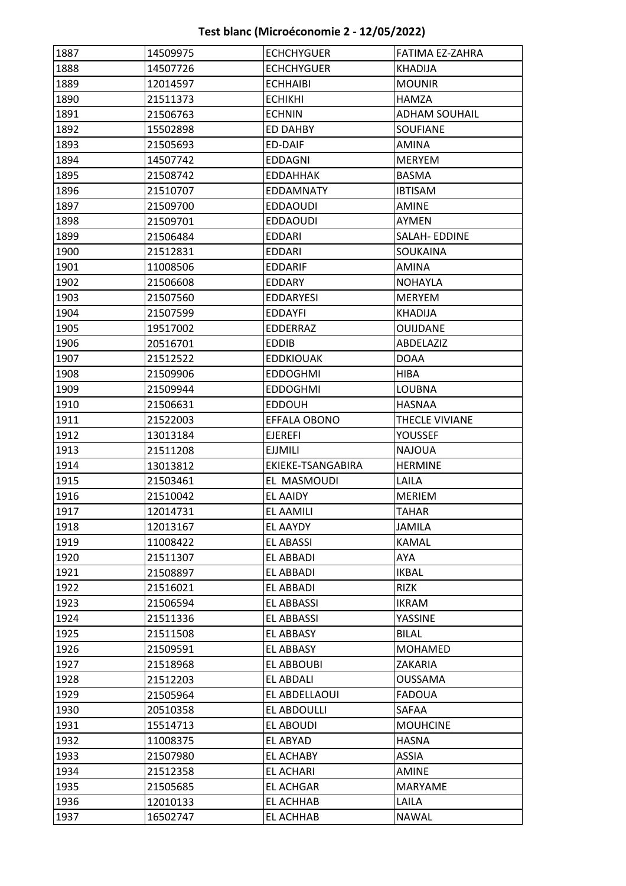| 1887 | 14509975 | <b>ECHCHYGUER</b> | FATIMA EZ-ZAHRA      |
|------|----------|-------------------|----------------------|
| 1888 | 14507726 | <b>ECHCHYGUER</b> | <b>KHADIJA</b>       |
| 1889 | 12014597 | <b>ECHHAIBI</b>   | <b>MOUNIR</b>        |
| 1890 | 21511373 | <b>ECHIKHI</b>    | <b>HAMZA</b>         |
| 1891 | 21506763 | <b>ECHNIN</b>     | <b>ADHAM SOUHAIL</b> |
| 1892 | 15502898 | ED DAHBY          | <b>SOUFIANE</b>      |
| 1893 | 21505693 | ED-DAIF           | <b>AMINA</b>         |
| 1894 | 14507742 | <b>EDDAGNI</b>    | <b>MERYEM</b>        |
| 1895 | 21508742 | <b>EDDAHHAK</b>   | <b>BASMA</b>         |
| 1896 | 21510707 | <b>EDDAMNATY</b>  | <b>IBTISAM</b>       |
| 1897 | 21509700 | <b>EDDAOUDI</b>   | <b>AMINE</b>         |
| 1898 | 21509701 | <b>EDDAOUDI</b>   | AYMEN                |
| 1899 | 21506484 | <b>EDDARI</b>     | SALAH- EDDINE        |
| 1900 | 21512831 | <b>EDDARI</b>     | SOUKAINA             |
| 1901 | 11008506 | <b>EDDARIF</b>    | AMINA                |
| 1902 | 21506608 | <b>EDDARY</b>     | <b>NOHAYLA</b>       |
| 1903 | 21507560 | <b>EDDARYESI</b>  | <b>MERYEM</b>        |
| 1904 | 21507599 | <b>EDDAYFI</b>    | <b>KHADIJA</b>       |
| 1905 | 19517002 | <b>EDDERRAZ</b>   | <b>OUIJDANE</b>      |
| 1906 | 20516701 | <b>EDDIB</b>      | ABDELAZIZ            |
| 1907 | 21512522 | <b>EDDKIOUAK</b>  | <b>DOAA</b>          |
| 1908 | 21509906 | <b>EDDOGHMI</b>   | <b>HIBA</b>          |
| 1909 | 21509944 | <b>EDDOGHMI</b>   | LOUBNA               |
| 1910 | 21506631 | <b>EDDOUH</b>     | <b>HASNAA</b>        |
| 1911 | 21522003 | EFFALA OBONO      | THECLE VIVIANE       |
| 1912 | 13013184 | <b>EJEREFI</b>    | YOUSSEF              |
| 1913 | 21511208 | <b>EJJMILI</b>    | <b>NAJOUA</b>        |
| 1914 | 13013812 | EKIEKE-TSANGABIRA | <b>HERMINE</b>       |
| 1915 | 21503461 | EL MASMOUDI       | LAILA                |
| 1916 | 21510042 | <b>EL AAIDY</b>   | <b>MERIEM</b>        |
| 1917 | 12014731 | <b>EL AAMILI</b>  | <b>TAHAR</b>         |
| 1918 | 12013167 | <b>EL AAYDY</b>   | JAMILA               |
| 1919 | 11008422 | <b>EL ABASSI</b>  | <b>KAMAL</b>         |
| 1920 | 21511307 | EL ABBADI         | AYA                  |
| 1921 | 21508897 | EL ABBADI         | <b>IKBAL</b>         |
| 1922 | 21516021 | EL ABBADI         | <b>RIZK</b>          |
| 1923 | 21506594 | EL ABBASSI        | <b>IKRAM</b>         |
| 1924 | 21511336 | EL ABBASSI        | YASSINE              |
| 1925 | 21511508 | EL ABBASY         | BILAL                |
| 1926 | 21509591 | <b>EL ABBASY</b>  | MOHAMED              |
| 1927 | 21518968 | EL ABBOUBI        | ZAKARIA              |
| 1928 | 21512203 | EL ABDALI         | OUSSAMA              |
| 1929 | 21505964 | EL ABDELLAOUI     | <b>FADOUA</b>        |
| 1930 | 20510358 | EL ABDOULLI       | SAFAA                |
| 1931 | 15514713 | EL ABOUDI         | <b>MOUHCINE</b>      |
| 1932 | 11008375 | EL ABYAD          | HASNA                |
| 1933 | 21507980 | <b>EL ACHABY</b>  | ASSIA                |
| 1934 | 21512358 | EL ACHARI         | AMINE                |
| 1935 | 21505685 | <b>EL ACHGAR</b>  | <b>MARYAME</b>       |
| 1936 | 12010133 | EL ACHHAB         | LAILA                |
| 1937 | 16502747 | EL ACHHAB         | NAWAL                |
|      |          |                   |                      |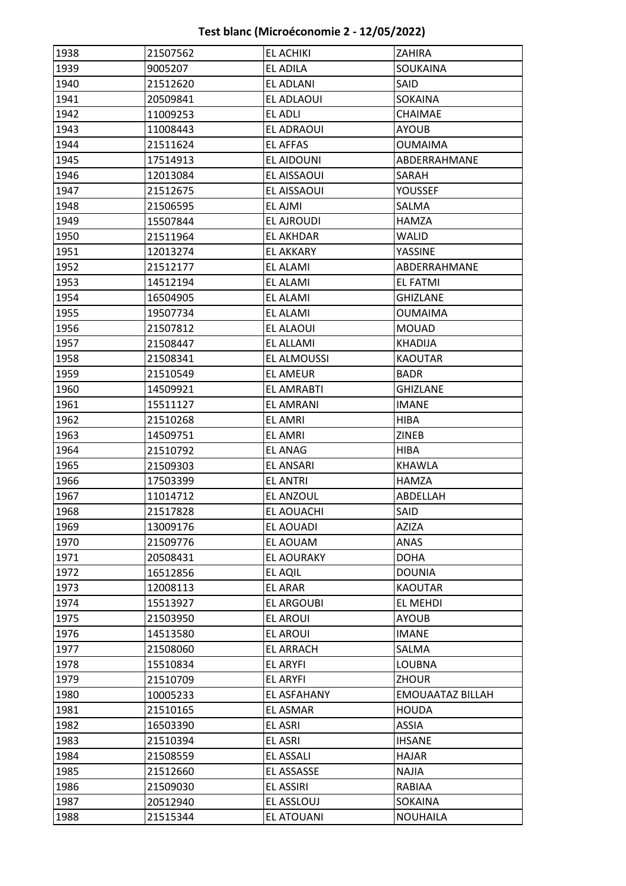| 1938 | 21507562 | EL ACHIKI          | ZAHIRA                  |
|------|----------|--------------------|-------------------------|
| 1939 | 9005207  | <b>EL ADILA</b>    | SOUKAINA                |
| 1940 | 21512620 | EL ADLANI          | SAID                    |
| 1941 | 20509841 | EL ADLAOUI         | <b>SOKAINA</b>          |
| 1942 | 11009253 | <b>EL ADLI</b>     | CHAIMAE                 |
| 1943 | 11008443 | EL ADRAOUI         | AYOUB                   |
| 1944 | 21511624 | <b>EL AFFAS</b>    | <b>OUMAIMA</b>          |
| 1945 | 17514913 | EL AIDOUNI         | ABDERRAHMANE            |
| 1946 | 12013084 | EL AISSAOUI        | SARAH                   |
| 1947 | 21512675 | EL AISSAOUI        | YOUSSEF                 |
| 1948 | 21506595 | EL AJMI            | SALMA                   |
| 1949 | 15507844 | <b>EL AJROUDI</b>  | <b>HAMZA</b>            |
| 1950 | 21511964 | EL AKHDAR          | WALID                   |
| 1951 | 12013274 | <b>EL AKKARY</b>   | YASSINE                 |
| 1952 | 21512177 | <b>EL ALAMI</b>    | ABDERRAHMANE            |
| 1953 | 14512194 | <b>EL ALAMI</b>    | EL FATMI                |
| 1954 | 16504905 | <b>EL ALAMI</b>    | <b>GHIZLANE</b>         |
| 1955 | 19507734 | EL ALAMI           | OUMAIMA                 |
| 1956 | 21507812 | EL ALAOUI          | <b>MOUAD</b>            |
| 1957 | 21508447 | EL ALLAMI          | <b>KHADIJA</b>          |
| 1958 | 21508341 | EL ALMOUSSI        | <b>KAOUTAR</b>          |
| 1959 | 21510549 | EL AMEUR           | <b>BADR</b>             |
| 1960 | 14509921 | EL AMRABTI         | GHIZLANE                |
| 1961 | 15511127 | <b>EL AMRANI</b>   | <b>IMANE</b>            |
| 1962 | 21510268 | EL AMRI            | HIBA                    |
| 1963 | 14509751 | EL AMRI            | <b>ZINEB</b>            |
| 1964 | 21510792 | EL ANAG            | <b>HIBA</b>             |
| 1965 | 21509303 | <b>EL ANSARI</b>   | KHAWLA                  |
| 1966 | 17503399 | EL ANTRI           | HAMZA                   |
| 1967 | 11014712 | EL ANZOUL          | ABDELLAH                |
| 1968 | 21517828 | EL AOUACHI         | SAID                    |
| 1969 | 13009176 | EL AOUADI          | <b>AZIZA</b>            |
| 1970 | 21509776 | EL AOUAM           | <b>ANAS</b>             |
| 1971 | 20508431 | <b>EL AOURAKY</b>  | <b>DOHA</b>             |
| 1972 | 16512856 | <b>EL AQIL</b>     | <b>DOUNIA</b>           |
| 1973 | 12008113 | <b>EL ARAR</b>     | <b>KAOUTAR</b>          |
| 1974 | 15513927 | EL ARGOUBI         | EL MEHDI                |
| 1975 | 21503950 | <b>EL AROUI</b>    | <b>AYOUB</b>            |
| 1976 | 14513580 | <b>EL AROUI</b>    | <b>IMANE</b>            |
| 1977 | 21508060 | EL ARRACH          | SALMA                   |
| 1978 | 15510834 | <b>EL ARYFI</b>    | <b>LOUBNA</b>           |
| 1979 | 21510709 | <b>EL ARYFI</b>    | <b>ZHOUR</b>            |
| 1980 | 10005233 | <b>EL ASFAHANY</b> | <b>EMOUAATAZ BILLAH</b> |
| 1981 | 21510165 | EL ASMAR           | <b>HOUDA</b>            |
| 1982 | 16503390 | <b>EL ASRI</b>     | <b>ASSIA</b>            |
| 1983 | 21510394 | EL ASRI            | <b>IHSANE</b>           |
| 1984 | 21508559 | EL ASSALI          | <b>HAJAR</b>            |
| 1985 | 21512660 | EL ASSASSE         | <b>NAJIA</b>            |
| 1986 | 21509030 | EL ASSIRI          | RABIAA                  |
| 1987 | 20512940 | EL ASSLOUJ         | SOKAINA                 |
| 1988 | 21515344 | EL ATOUANI         | <b>NOUHAILA</b>         |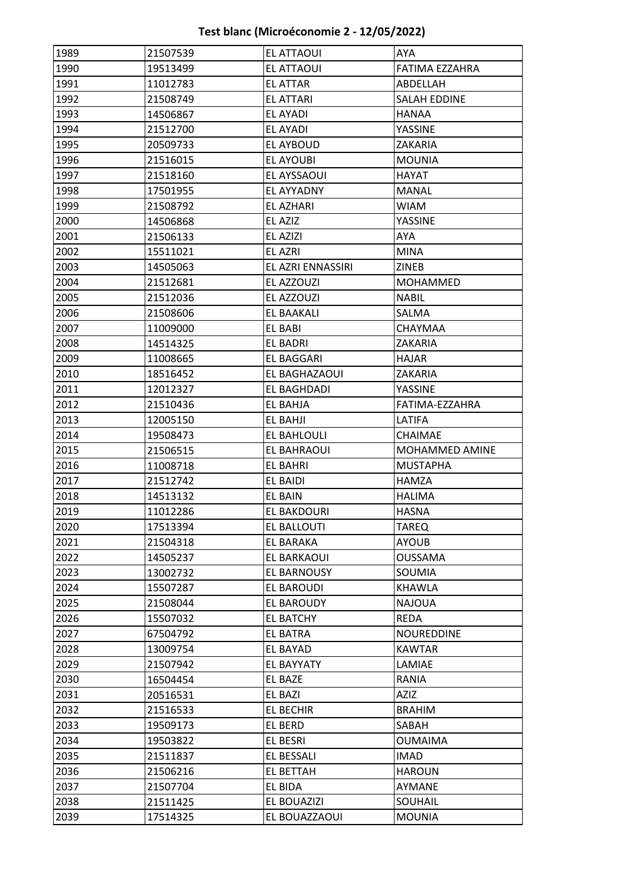| 1989 | 21507539 | EL ATTAOUI        | AYA                 |
|------|----------|-------------------|---------------------|
| 1990 | 19513499 | EL ATTAOUI        | FATIMA EZZAHRA      |
| 1991 | 11012783 | <b>EL ATTAR</b>   | ABDELLAH            |
| 1992 | 21508749 | <b>EL ATTARI</b>  | <b>SALAH EDDINE</b> |
| 1993 | 14506867 | <b>EL AYADI</b>   | <b>HANAA</b>        |
| 1994 | 21512700 | EL AYADI          | YASSINE             |
| 1995 | 20509733 | EL AYBOUD         | ZAKARIA             |
| 1996 | 21516015 | EL AYOUBI         | <b>MOUNIA</b>       |
| 1997 | 21518160 | EL AYSSAOUI       | <b>HAYAT</b>        |
| 1998 | 17501955 | EL AYYADNY        | MANAL               |
| 1999 | 21508792 | EL AZHARI         | WIAM                |
| 2000 | 14506868 | EL AZIZ           | YASSINE             |
| 2001 | 21506133 | EL AZIZI          | AYA                 |
| 2002 | 15511021 | <b>EL AZRI</b>    | <b>MINA</b>         |
| 2003 | 14505063 | EL AZRI ENNASSIRI | ZINEB               |
| 2004 | 21512681 | EL AZZOUZI        | MOHAMMED            |
| 2005 | 21512036 | EL AZZOUZI        | <b>NABIL</b>        |
| 2006 | 21508606 | <b>EL BAAKALI</b> | SALMA               |
| 2007 | 11009000 | <b>EL BABI</b>    | CHAYMAA             |
| 2008 | 14514325 | EL BADRI          | ZAKARIA             |
| 2009 | 11008665 | EL BAGGARI        | HAJAR               |
| 2010 | 18516452 | EL BAGHAZAOUI     | ZAKARIA             |
| 2011 | 12012327 | EL BAGHDADI       | YASSINE             |
| 2012 | 21510436 | EL BAHJA          | FATIMA-EZZAHRA      |
| 2013 | 12005150 | EL BAHJI          | LATIFA              |
| 2014 | 19508473 | EL BAHLOULI       | CHAIMAE             |
| 2015 | 21506515 | EL BAHRAOUI       | MOHAMMED AMINE      |
| 2016 | 11008718 | EL BAHRI          | <b>MUSTAPHA</b>     |
| 2017 | 21512742 | EL BAIDI          | HAMZA               |
| 2018 | 14513132 | <b>EL BAIN</b>    | <b>HALIMA</b>       |
| 2019 | 11012286 | EL BAKDOURI       | <b>HASNA</b>        |
| 2020 | 17513394 | EL BALLOUTI       | TAREQ               |
| 2021 | 21504318 | EL BARAKA         | <b>AYOUB</b>        |
| 2022 | 14505237 | EL BARKAOUI       | <b>OUSSAMA</b>      |
| 2023 | 13002732 | EL BARNOUSY       | SOUMIA              |
| 2024 | 15507287 | EL BAROUDI        | <b>KHAWLA</b>       |
| 2025 | 21508044 | EL BAROUDY        | <b>NAJOUA</b>       |
| 2026 | 15507032 | <b>EL BATCHY</b>  | <b>REDA</b>         |
| 2027 | 67504792 | EL BATRA          | NOUREDDINE          |
| 2028 | 13009754 | <b>EL BAYAD</b>   | <b>KAWTAR</b>       |
| 2029 | 21507942 | EL BAYYATY        | LAMIAE              |
| 2030 | 16504454 | EL BAZE           | RANIA               |
| 2031 | 20516531 | <b>EL BAZI</b>    | <b>AZIZ</b>         |
| 2032 | 21516533 | <b>EL BECHIR</b>  | <b>BRAHIM</b>       |
| 2033 | 19509173 | EL BERD           | SABAH               |
| 2034 | 19503822 | EL BESRI          | OUMAIMA             |
| 2035 | 21511837 | EL BESSALI        | <b>IMAD</b>         |
| 2036 | 21506216 | <b>EL BETTAH</b>  | <b>HAROUN</b>       |
| 2037 | 21507704 | EL BIDA           | AYMANE              |
| 2038 | 21511425 | EL BOUAZIZI       | SOUHAIL             |
| 2039 | 17514325 | EL BOUAZZAOUI     | <b>MOUNIA</b>       |
|      |          |                   |                     |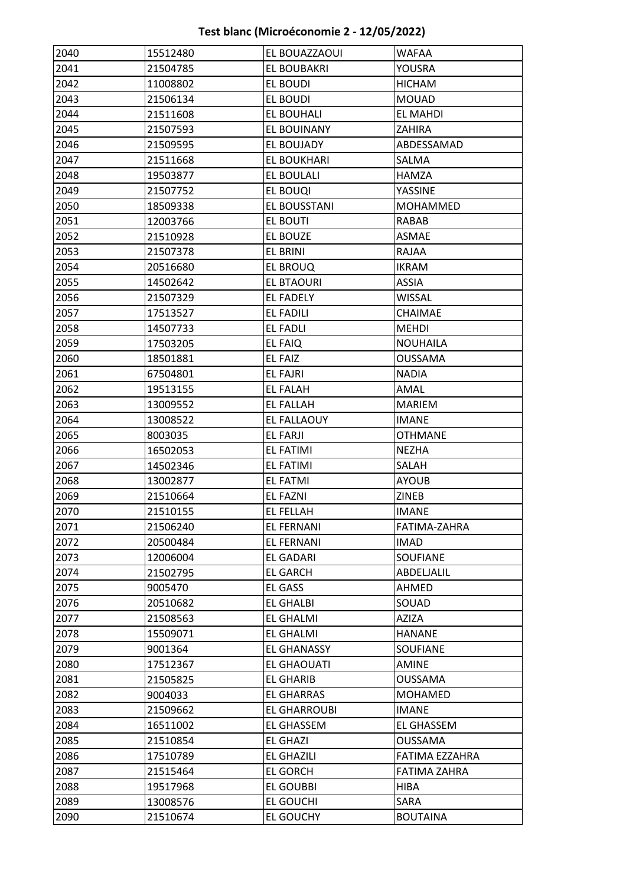| 2040 | 15512480             | EL BOUAZZAOUI               | WAFAA           |
|------|----------------------|-----------------------------|-----------------|
| 2041 | 21504785             | EL BOUBAKRI                 | <b>YOUSRA</b>   |
| 2042 | 11008802             | EL BOUDI                    | <b>HICHAM</b>   |
| 2043 | 21506134             | EL BOUDI                    | <b>MOUAD</b>    |
| 2044 | 21511608             | EL BOUHALI                  | EL MAHDI        |
| 2045 | 21507593             | EL BOUINANY                 | ZAHIRA          |
| 2046 | 21509595             | EL BOUJADY                  | ABDESSAMAD      |
| 2047 | 21511668             | EL BOUKHARI                 | SALMA           |
| 2048 | 19503877             | EL BOULALI                  | <b>HAMZA</b>    |
| 2049 | 21507752             | EL BOUQI                    | YASSINE         |
| 2050 | 18509338             | EL BOUSSTANI                | MOHAMMED        |
| 2051 | 12003766             | EL BOUTI                    | RABAB           |
| 2052 | 21510928             | EL BOUZE                    | <b>ASMAE</b>    |
| 2053 | 21507378             | <b>EL BRINI</b>             | RAJAA           |
| 2054 | 20516680             | EL BROUQ                    | <b>IKRAM</b>    |
| 2055 | 14502642             | <b>EL BTAOURI</b>           | <b>ASSIA</b>    |
| 2056 | 21507329             | <b>EL FADELY</b>            | WISSAL          |
| 2057 | 17513527             | <b>EL FADILI</b>            | CHAIMAE         |
| 2058 | 14507733             | <b>EL FADLI</b>             | <b>MEHDI</b>    |
| 2059 | 17503205             | <b>EL FAIQ</b>              | <b>NOUHAILA</b> |
| 2060 | 18501881             | <b>EL FAIZ</b>              | <b>OUSSAMA</b>  |
| 2061 | 67504801             | <b>EL FAJRI</b>             | <b>NADIA</b>    |
| 2062 | 19513155             | <b>EL FALAH</b>             | AMAL            |
| 2063 | 13009552             | <b>EL FALLAH</b>            | <b>MARIEM</b>   |
| 2064 | 13008522             | EL FALLAOUY                 | <b>IMANE</b>    |
| 2065 | 8003035              | <b>EL FARJI</b>             | <b>OTHMANE</b>  |
| 2066 | 16502053             | EL FATIMI                   | NEZHA           |
| 2067 | 14502346             | <b>EL FATIMI</b>            | SALAH           |
| 2068 |                      |                             | <b>AYOUB</b>    |
| 2069 | 13002877             | EL FATMI<br><b>EL FAZNI</b> | <b>ZINEB</b>    |
| 2070 | 21510664<br>21510155 | <b>EL FELLAH</b>            | <b>IMANE</b>    |
| 2071 | 21506240             | <b>EL FERNANI</b>           |                 |
| 2072 | 20500484             |                             | FATIMA-ZAHRA    |
|      |                      | EL FERNANI                  | <b>IMAD</b>     |
| 2073 | 12006004             | EL GADARI                   | <b>SOUFIANE</b> |
| 2074 | 21502795             | <b>EL GARCH</b>             | ABDELJALIL      |
| 2075 | 9005470              | EL GASS                     | AHMED           |
| 2076 | 20510682             | <b>EL GHALBI</b>            | SOUAD           |
| 2077 | 21508563             | EL GHALMI                   | <b>AZIZA</b>    |
| 2078 | 15509071             | EL GHALMI                   | <b>HANANE</b>   |
| 2079 | 9001364              | <b>EL GHANASSY</b>          | <b>SOUFIANE</b> |
| 2080 | 17512367             | EL GHAOUATI                 | AMINE           |
| 2081 | 21505825             | <b>EL GHARIB</b>            | <b>OUSSAMA</b>  |
| 2082 | 9004033              | <b>EL GHARRAS</b>           | <b>MOHAMED</b>  |
| 2083 | 21509662             | <b>EL GHARROUBI</b>         | <b>IMANE</b>    |
| 2084 | 16511002             | EL GHASSEM                  | EL GHASSEM      |
| 2085 | 21510854             | EL GHAZI                    | OUSSAMA         |
| 2086 | 17510789             | <b>EL GHAZILI</b>           | FATIMA EZZAHRA  |
| 2087 | 21515464             | <b>EL GORCH</b>             | FATIMA ZAHRA    |
| 2088 | 19517968             | EL GOUBBI                   | HIBA            |
| 2089 | 13008576             | EL GOUCHI                   | SARA            |
| 2090 | 21510674             | EL GOUCHY                   | <b>BOUTAINA</b> |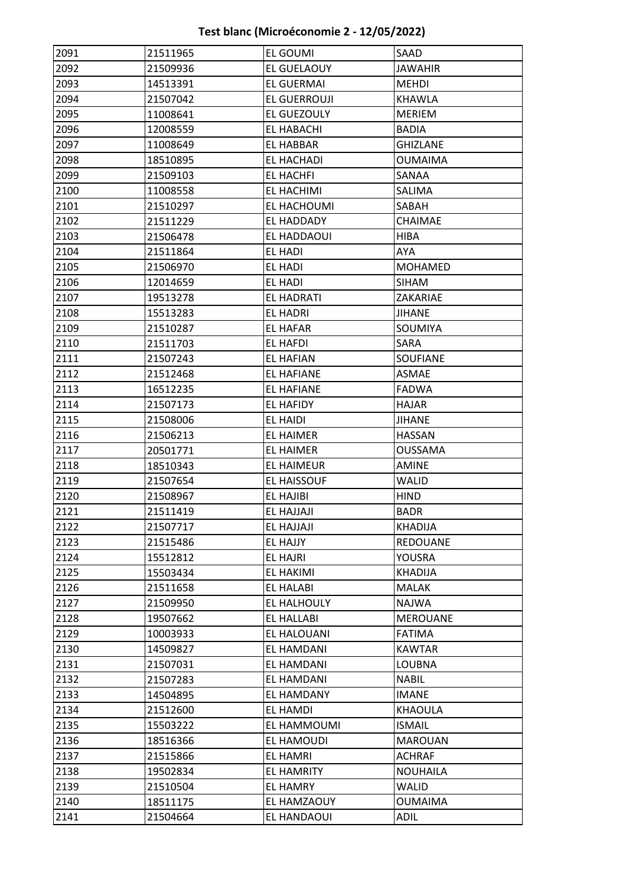| 2091 | 21511965 | EL GOUMI         | SAAD            |
|------|----------|------------------|-----------------|
| 2092 | 21509936 | EL GUELAOUY      | <b>JAWAHIR</b>  |
| 2093 | 14513391 | EL GUERMAI       | <b>MEHDI</b>    |
| 2094 | 21507042 | EL GUERROUJI     | <b>KHAWLA</b>   |
| 2095 | 11008641 | EL GUEZOULY      | <b>MERIEM</b>   |
| 2096 | 12008559 | EL HABACHI       | <b>BADIA</b>    |
| 2097 | 11008649 | EL HABBAR        | <b>GHIZLANE</b> |
| 2098 | 18510895 | EL HACHADI       | OUMAIMA         |
| 2099 | 21509103 | <b>EL HACHFI</b> | SANAA           |
| 2100 | 11008558 | EL HACHIMI       | SALIMA          |
| 2101 | 21510297 | EL HACHOUMI      | SABAH           |
| 2102 | 21511229 | EL HADDADY       | CHAIMAE         |
| 2103 | 21506478 | EL HADDAOUI      | HIBA            |
| 2104 | 21511864 | <b>EL HADI</b>   | AYA             |
| 2105 | 21506970 | EL HADI          | <b>MOHAMED</b>  |
| 2106 | 12014659 | EL HADI          | <b>SIHAM</b>    |
| 2107 | 19513278 | EL HADRATI       | <b>ZAKARIAE</b> |
| 2108 | 15513283 | EL HADRI         | <b>JIHANE</b>   |
| 2109 | 21510287 | <b>EL HAFAR</b>  | SOUMIYA         |
| 2110 | 21511703 | EL HAFDI         | SARA            |
| 2111 | 21507243 | EL HAFIAN        | SOUFIANE        |
| 2112 | 21512468 | EL HAFIANE       | ASMAE           |
| 2113 | 16512235 | EL HAFIANE       | <b>FADWA</b>    |
| 2114 | 21507173 | EL HAFIDY        | HAJAR           |
| 2115 | 21508006 | EL HAIDI         | <b>JIHANE</b>   |
| 2116 | 21506213 | <b>EL HAIMER</b> | <b>HASSAN</b>   |
| 2117 | 20501771 | EL HAIMER        | OUSSAMA         |
| 2118 | 18510343 | EL HAIMEUR       | <b>AMINE</b>    |
| 2119 | 21507654 | EL HAISSOUF      | WALID           |
| 2120 | 21508967 | EL HAJIBI        | <b>HIND</b>     |
| 2121 | 21511419 | EL HAJJAJI       | <b>BADR</b>     |
| 2122 | 21507717 | EL HAJJAJI       | KHADIJA         |
| 2123 | 21515486 | <b>EL HAJJY</b>  | <b>REDOUANE</b> |
| 2124 | 15512812 | EL HAJRI         | YOUSRA          |
| 2125 | 15503434 | EL HAKIMI        | KHADIJA         |
| 2126 | 21511658 | <b>EL HALABI</b> | <b>MALAK</b>    |
| 2127 | 21509950 | EL HALHOULY      | NAJWA           |
| 2128 | 19507662 | EL HALLABI       | <b>MEROUANE</b> |
| 2129 | 10003933 | EL HALOUANI      | <b>FATIMA</b>   |
| 2130 | 14509827 | EL HAMDANI       | <b>KAWTAR</b>   |
| 2131 | 21507031 | EL HAMDANI       | LOUBNA          |
| 2132 | 21507283 | EL HAMDANI       | <b>NABIL</b>    |
| 2133 | 14504895 | EL HAMDANY       | <b>IMANE</b>    |
| 2134 | 21512600 | EL HAMDI         | KHAOULA         |
| 2135 | 15503222 | EL HAMMOUMI      | <b>ISMAIL</b>   |
| 2136 | 18516366 | EL HAMOUDI       | <b>MAROUAN</b>  |
| 2137 | 21515866 | EL HAMRI         | <b>ACHRAF</b>   |
| 2138 | 19502834 | EL HAMRITY       | <b>NOUHAILA</b> |
| 2139 | 21510504 | <b>EL HAMRY</b>  | WALID           |
| 2140 | 18511175 | EL HAMZAOUY      | <b>OUMAIMA</b>  |
| 2141 | 21504664 | EL HANDAOUI      | ADIL            |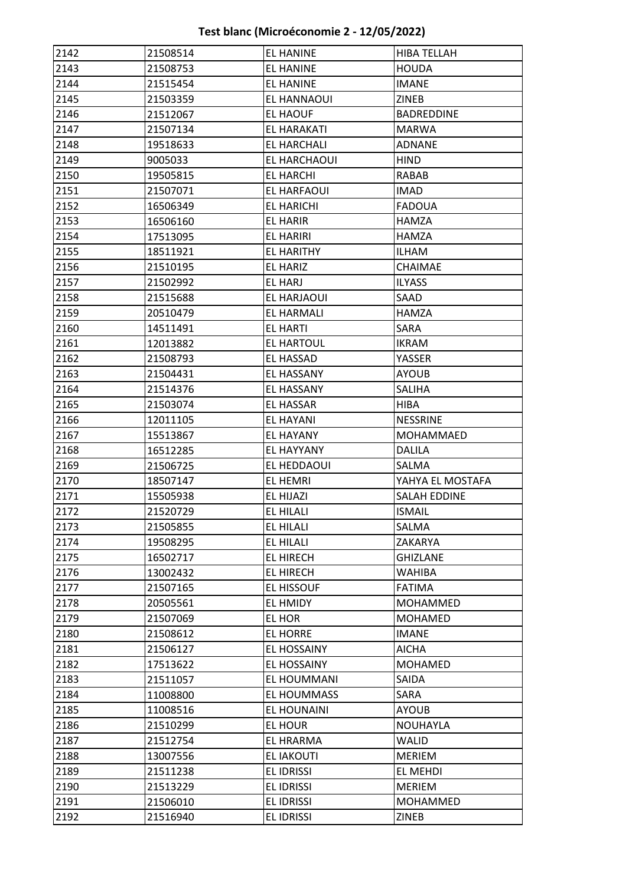| 2142 | 21508514 | EL HANINE        | <b>HIBA TELLAH</b> |
|------|----------|------------------|--------------------|
| 2143 | 21508753 | EL HANINE        | <b>HOUDA</b>       |
| 2144 | 21515454 | <b>EL HANINE</b> | <b>IMANE</b>       |
| 2145 | 21503359 | EL HANNAOUI      | <b>ZINEB</b>       |
| 2146 | 21512067 | EL HAOUF         | <b>BADREDDINE</b>  |
| 2147 | 21507134 | EL HARAKATI      | MARWA              |
| 2148 | 19518633 | EL HARCHALI      | ADNANE             |
| 2149 | 9005033  | EL HARCHAOUI     | <b>HIND</b>        |
| 2150 | 19505815 | EL HARCHI        | RABAB              |
| 2151 | 21507071 | EL HARFAOUI      | <b>IMAD</b>        |
| 2152 | 16506349 | EL HARICHI       | <b>FADOUA</b>      |
| 2153 | 16506160 | <b>EL HARIR</b>  | <b>HAMZA</b>       |
| 2154 | 17513095 | EL HARIRI        | HAMZA              |
| 2155 | 18511921 | EL HARITHY       | <b>ILHAM</b>       |
| 2156 | 21510195 | EL HARIZ         | CHAIMAE            |
| 2157 | 21502992 | EL HARJ          | <b>ILYASS</b>      |
| 2158 | 21515688 | EL HARJAOUI      | SAAD               |
| 2159 | 20510479 | EL HARMALI       | HAMZA              |
| 2160 | 14511491 | <b>EL HARTI</b>  | SARA               |
| 2161 | 12013882 | EL HARTOUL       | <b>IKRAM</b>       |
| 2162 | 21508793 | EL HASSAD        | YASSER             |
| 2163 | 21504431 | EL HASSANY       | <b>AYOUB</b>       |
| 2164 | 21514376 | EL HASSANY       | SALIHA             |
| 2165 | 21503074 | EL HASSAR        | HIBA               |
| 2166 | 12011105 | EL HAYANI        | <b>NESSRINE</b>    |
| 2167 | 15513867 | EL HAYANY        | MOHAMMAED          |
| 2168 | 16512285 | EL HAYYANY       | <b>DALILA</b>      |
| 2169 | 21506725 | EL HEDDAOUI      | SALMA              |
| 2170 | 18507147 | EL HEMRI         | YAHYA EL MOSTAFA   |
| 2171 | 15505938 | EL HIJAZI        | SALAH EDDINE       |
| 2172 | 21520729 | EL HILALI        | <b>ISMAIL</b>      |
| 2173 | 21505855 | EL HILALI        | SALMA              |
| 2174 | 19508295 | EL HILALI        | ZAKARYA            |
| 2175 | 16502717 | EL HIRECH        | <b>GHIZLANE</b>    |
| 2176 | 13002432 | EL HIRECH        | WAHIBA             |
| 2177 | 21507165 | EL HISSOUF       | <b>FATIMA</b>      |
| 2178 | 20505561 | EL HMIDY         | <b>MOHAMMED</b>    |
| 2179 | 21507069 | EL HOR           | MOHAMED            |
| 2180 | 21508612 | <b>EL HORRE</b>  | <b>IMANE</b>       |
| 2181 | 21506127 | EL HOSSAINY      | <b>AICHA</b>       |
| 2182 | 17513622 | EL HOSSAINY      | <b>MOHAMED</b>     |
| 2183 | 21511057 | EL HOUMMANI      | SAIDA              |
| 2184 | 11008800 | EL HOUMMASS      | SARA               |
| 2185 | 11008516 | EL HOUNAINI      | AYOUB              |
| 2186 | 21510299 | EL HOUR          | <b>NOUHAYLA</b>    |
| 2187 | 21512754 | EL HRARMA        | WALID              |
| 2188 | 13007556 | EL IAKOUTI       | <b>MERIEM</b>      |
| 2189 | 21511238 | EL IDRISSI       | EL MEHDI           |
| 2190 | 21513229 | EL IDRISSI       | <b>MERIEM</b>      |
| 2191 | 21506010 | EL IDRISSI       | MOHAMMED           |
| 2192 | 21516940 | EL IDRISSI       | ZINEB              |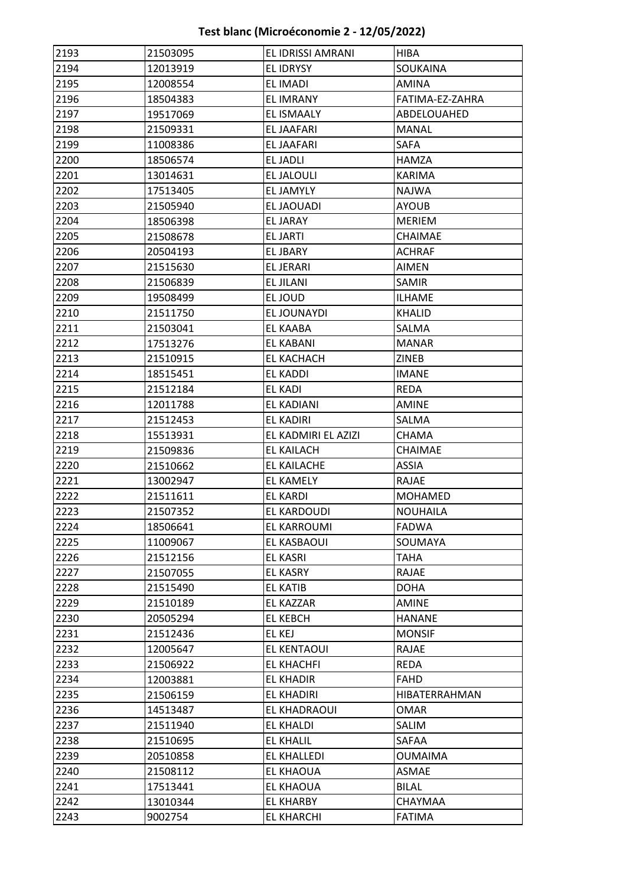| 2193 | 21503095 | EL IDRISSI AMRANI   | HIBA            |
|------|----------|---------------------|-----------------|
| 2194 | 12013919 | <b>EL IDRYSY</b>    | SOUKAINA        |
| 2195 | 12008554 | EL IMADI            | AMINA           |
| 2196 | 18504383 | EL IMRANY           | FATIMA-EZ-ZAHRA |
| 2197 | 19517069 | EL ISMAALY          | ABDELOUAHED     |
| 2198 | 21509331 | EL JAAFARI          | MANAL           |
| 2199 | 11008386 | <b>EL JAAFARI</b>   | <b>SAFA</b>     |
| 2200 | 18506574 | <b>EL JADLI</b>     | HAMZA           |
| 2201 | 13014631 | EL JALOULI          | KARIMA          |
| 2202 | 17513405 | EL JAMYLY           | <b>NAJWA</b>    |
| 2203 | 21505940 | EL JAOUADI          | <b>AYOUB</b>    |
| 2204 | 18506398 | <b>EL JARAY</b>     | <b>MERIEM</b>   |
| 2205 | 21508678 | EL JARTI            | CHAIMAE         |
| 2206 | 20504193 | <b>EL JBARY</b>     | <b>ACHRAF</b>   |
| 2207 | 21515630 | EL JERARI           | AIMEN           |
| 2208 | 21506839 | <b>EL JILANI</b>    | SAMIR           |
| 2209 | 19508499 | EL JOUD             | <b>ILHAME</b>   |
| 2210 | 21511750 | EL JOUNAYDI         | <b>KHALID</b>   |
| 2211 | 21503041 | <b>EL KAABA</b>     | SALMA           |
| 2212 | 17513276 | EL KABANI           | <b>MANAR</b>    |
| 2213 | 21510915 | EL KACHACH          | <b>ZINEB</b>    |
| 2214 | 18515451 | <b>EL KADDI</b>     | <b>IMANE</b>    |
| 2215 | 21512184 | <b>EL KADI</b>      | <b>REDA</b>     |
| 2216 | 12011788 | <b>EL KADIANI</b>   | <b>AMINE</b>    |
| 2217 | 21512453 | EL KADIRI           | SALMA           |
| 2218 | 15513931 | EL KADMIRI EL AZIZI | <b>CHAMA</b>    |
| 2219 | 21509836 | EL KAILACH          | CHAIMAE         |
| 2220 | 21510662 | EL KAILACHE         | <b>ASSIA</b>    |
| 2221 | 13002947 | <b>EL KAMELY</b>    | RAJAE           |
| 2222 | 21511611 | <b>EL KARDI</b>     | <b>MOHAMED</b>  |
| 2223 | 21507352 | EL KARDOUDI         | <b>NOUHAILA</b> |
| 2224 | 18506641 | EL KARROUMI         | <b>FADWA</b>    |
| 2225 | 11009067 | EL KASBAOUI         | SOUMAYA         |
| 2226 | 21512156 | EL KASRI            | <b>TAHA</b>     |
| 2227 | 21507055 | <b>EL KASRY</b>     | RAJAE           |
| 2228 | 21515490 | <b>EL KATIB</b>     | <b>DOHA</b>     |
| 2229 | 21510189 | EL KAZZAR           | <b>AMINE</b>    |
| 2230 | 20505294 | <b>EL KEBCH</b>     | <b>HANANE</b>   |
| 2231 | 21512436 | <b>ELKEJ</b>        | <b>MONSIF</b>   |
| 2232 | 12005647 | EL KENTAOUI         | RAJAE           |
| 2233 | 21506922 | EL KHACHFI          | <b>REDA</b>     |
| 2234 | 12003881 | EL KHADIR           | <b>FAHD</b>     |
| 2235 | 21506159 | EL KHADIRI          | HIBATERRAHMAN   |
| 2236 | 14513487 | EL KHADRAOUI        | OMAR            |
| 2237 | 21511940 | <b>EL KHALDI</b>    | SALIM           |
| 2238 | 21510695 | <b>EL KHALIL</b>    | SAFAA           |
| 2239 | 20510858 | EL KHALLEDI         | <b>OUMAIMA</b>  |
| 2240 | 21508112 | EL KHAOUA           | ASMAE           |
| 2241 | 17513441 | EL KHAOUA           | <b>BILAL</b>    |
| 2242 | 13010344 | <b>EL KHARBY</b>    | CHAYMAA         |
| 2243 | 9002754  | <b>EL KHARCHI</b>   | <b>FATIMA</b>   |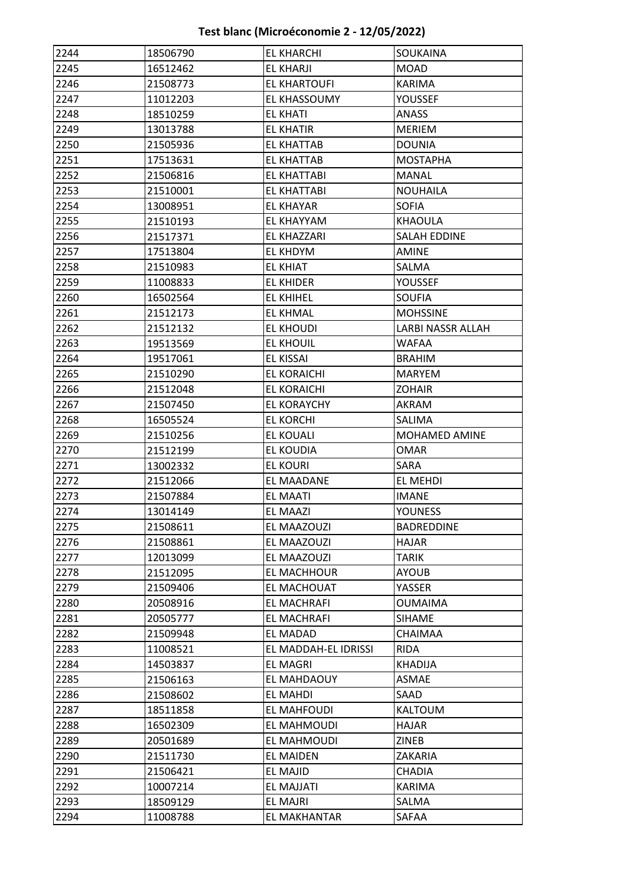| 2244 | 18506790 | <b>EL KHARCHI</b>    | SOUKAINA                 |
|------|----------|----------------------|--------------------------|
| 2245 | 16512462 | <b>EL KHARJI</b>     | <b>MOAD</b>              |
| 2246 | 21508773 | <b>EL KHARTOUFI</b>  | <b>KARIMA</b>            |
| 2247 | 11012203 | EL KHASSOUMY         | YOUSSEF                  |
| 2248 | 18510259 | <b>EL KHATI</b>      | <b>ANASS</b>             |
| 2249 | 13013788 | EL KHATIR            | <b>MERIEM</b>            |
| 2250 | 21505936 | <b>EL KHATTAB</b>    | <b>DOUNIA</b>            |
| 2251 | 17513631 | EL KHATTAB           | <b>MOSTAPHA</b>          |
| 2252 | 21506816 | <b>EL KHATTABI</b>   | MANAL                    |
| 2253 | 21510001 | <b>EL KHATTABI</b>   | <b>NOUHAILA</b>          |
| 2254 | 13008951 | EL KHAYAR            | <b>SOFIA</b>             |
| 2255 | 21510193 | EL KHAYYAM           | <b>KHAOULA</b>           |
| 2256 | 21517371 | EL KHAZZARI          | <b>SALAH EDDINE</b>      |
| 2257 | 17513804 | EL KHDYM             | <b>AMINE</b>             |
| 2258 | 21510983 | <b>EL KHIAT</b>      | SALMA                    |
| 2259 | 11008833 | EL KHIDER            | <b>YOUSSEF</b>           |
| 2260 | 16502564 | EL KHIHEL            | SOUFIA                   |
| 2261 | 21512173 | <b>EL KHMAL</b>      | <b>MOHSSINE</b>          |
| 2262 | 21512132 | <b>EL KHOUDI</b>     | <b>LARBI NASSR ALLAH</b> |
| 2263 | 19513569 | EL KHOUIL            | WAFAA                    |
| 2264 | 19517061 | EL KISSAI            | <b>BRAHIM</b>            |
| 2265 | 21510290 | <b>EL KORAICHI</b>   | <b>MARYEM</b>            |
| 2266 | 21512048 | EL KORAICHI          | <b>ZOHAIR</b>            |
| 2267 | 21507450 | <b>EL KORAYCHY</b>   | AKRAM                    |
| 2268 | 16505524 | EL KORCHI            | SALIMA                   |
| 2269 | 21510256 | EL KOUALI            | MOHAMED AMINE            |
| 2270 | 21512199 | EL KOUDIA            | <b>OMAR</b>              |
| 2271 | 13002332 | <b>EL KOURI</b>      | <b>SARA</b>              |
| 2272 | 21512066 | EL MAADANE           | EL MEHDI                 |
| 2273 | 21507884 | EL MAATI             | <b>IMANE</b>             |
| 2274 | 13014149 | <b>EL MAAZI</b>      | <b>YOUNESS</b>           |
| 2275 | 21508611 | EL MAAZOUZI          | <b>BADREDDINE</b>        |
| 2276 | 21508861 | EL MAAZOUZI          | <b>HAJAR</b>             |
| 2277 | 12013099 | EL MAAZOUZI          | <b>TARIK</b>             |
| 2278 | 21512095 | EL MACHHOUR          | <b>AYOUB</b>             |
| 2279 | 21509406 | EL MACHOUAT          | YASSER                   |
| 2280 | 20508916 | EL MACHRAFI          | <b>OUMAIMA</b>           |
| 2281 | 20505777 | EL MACHRAFI          | <b>SIHAME</b>            |
| 2282 | 21509948 | EL MADAD             | CHAIMAA                  |
| 2283 | 11008521 | EL MADDAH-EL IDRISSI | <b>RIDA</b>              |
| 2284 | 14503837 | <b>EL MAGRI</b>      | <b>KHADIJA</b>           |
| 2285 | 21506163 | EL MAHDAOUY          | ASMAE                    |
| 2286 | 21508602 | EL MAHDI             | SAAD                     |
| 2287 | 18511858 | EL MAHFOUDI          | KALTOUM                  |
| 2288 | 16502309 | EL MAHMOUDI          | <b>HAJAR</b>             |
| 2289 | 20501689 | EL MAHMOUDI          | <b>ZINEB</b>             |
| 2290 | 21511730 | EL MAIDEN            | ZAKARIA                  |
| 2291 | 21506421 | EL MAJID             | CHADIA                   |
| 2292 | 10007214 | <b>EL MAJJATI</b>    | KARIMA                   |
| 2293 | 18509129 | <b>EL MAJRI</b>      | SALMA                    |
| 2294 | 11008788 | EL MAKHANTAR         | SAFAA                    |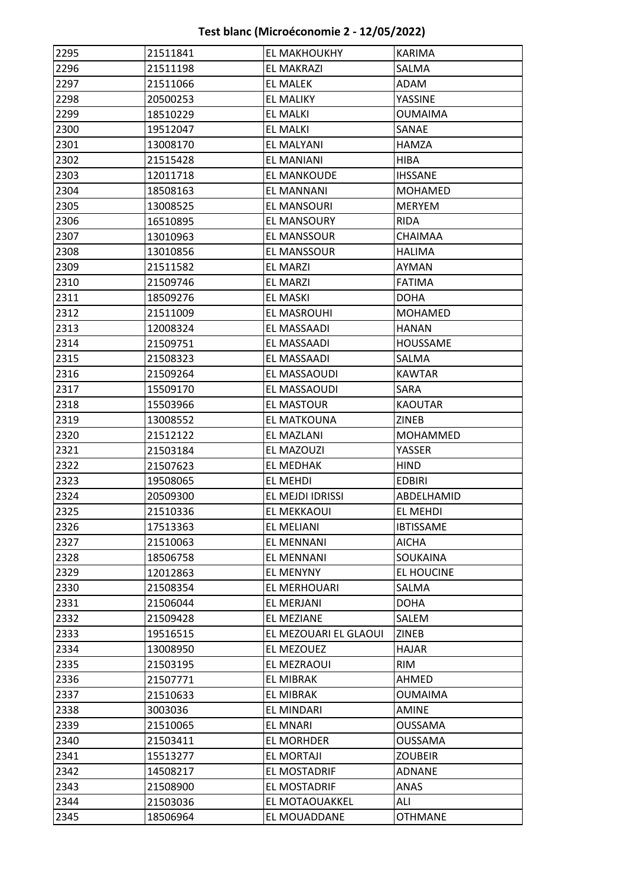| 2295 | 21511841 | EL MAKHOUKHY          | <b>KARIMA</b>     |
|------|----------|-----------------------|-------------------|
| 2296 | 21511198 | <b>EL MAKRAZI</b>     | SALMA             |
| 2297 | 21511066 | <b>EL MALEK</b>       | ADAM              |
| 2298 | 20500253 | EL MALIKY             | YASSINE           |
| 2299 | 18510229 | EL MALKI              | <b>OUMAIMA</b>    |
| 2300 | 19512047 | EL MALKI              | SANAE             |
| 2301 | 13008170 | EL MALYANI            | <b>HAMZA</b>      |
| 2302 | 21515428 | EL MANIANI            | <b>HIBA</b>       |
| 2303 | 12011718 | <b>EL MANKOUDE</b>    | <b>IHSSANE</b>    |
| 2304 | 18508163 | EL MANNANI            | <b>MOHAMED</b>    |
| 2305 | 13008525 | EL MANSOURI           | <b>MERYEM</b>     |
| 2306 | 16510895 | EL MANSOURY           | <b>RIDA</b>       |
| 2307 | 13010963 | EL MANSSOUR           | <b>CHAIMAA</b>    |
| 2308 | 13010856 | EL MANSSOUR           | <b>HALIMA</b>     |
| 2309 | 21511582 | <b>EL MARZI</b>       | <b>AYMAN</b>      |
| 2310 | 21509746 | EL MARZI              | <b>FATIMA</b>     |
| 2311 | 18509276 | EL MASKI              | <b>DOHA</b>       |
| 2312 | 21511009 | EL MASROUHI           | <b>MOHAMED</b>    |
| 2313 | 12008324 | EL MASSAADI           | <b>HANAN</b>      |
| 2314 | 21509751 | EL MASSAADI           | <b>HOUSSAME</b>   |
| 2315 | 21508323 | EL MASSAADI           | SALMA             |
| 2316 | 21509264 | EL MASSAOUDI          | <b>KAWTAR</b>     |
| 2317 | 15509170 | EL MASSAOUDI          | <b>SARA</b>       |
| 2318 | 15503966 | EL MASTOUR            | <b>KAOUTAR</b>    |
| 2319 | 13008552 | EL MATKOUNA           | ZINEB             |
| 2320 | 21512122 | EL MAZLANI            | <b>MOHAMMED</b>   |
| 2321 | 21503184 | EL MAZOUZI            | YASSER            |
| 2322 | 21507623 | <b>EL MEDHAK</b>      | <b>HIND</b>       |
| 2323 | 19508065 | EL MEHDI              | <b>EDBIRI</b>     |
| 2324 | 20509300 | EL MEJDI IDRISSI      | ABDELHAMID        |
| 2325 | 21510336 | EL MEKKAOUI           | EL MEHDI          |
| 2326 | 17513363 | EL MELIANI            | <b>IBTISSAME</b>  |
| 2327 | 21510063 | <b>EL MENNANI</b>     | <b>AICHA</b>      |
| 2328 | 18506758 | EL MENNANI            | SOUKAINA          |
| 2329 | 12012863 | <b>EL MENYNY</b>      | <b>EL HOUCINE</b> |
| 2330 | 21508354 | EL MERHOUARI          | <b>SALMA</b>      |
| 2331 | 21506044 | EL MERJANI            | <b>DOHA</b>       |
| 2332 | 21509428 | EL MEZIANE            | SALEM             |
| 2333 | 19516515 | EL MEZOUARI EL GLAOUI | ZINEB             |
| 2334 | 13008950 | EL MEZOUEZ            | <b>HAJAR</b>      |
| 2335 | 21503195 | EL MEZRAOUI           | <b>RIM</b>        |
| 2336 | 21507771 | EL MIBRAK             | AHMED             |
| 2337 | 21510633 | EL MIBRAK             | <b>OUMAIMA</b>    |
| 2338 | 3003036  | EL MINDARI            | <b>AMINE</b>      |
| 2339 | 21510065 | <b>EL MNARI</b>       | <b>OUSSAMA</b>    |
| 2340 | 21503411 | EL MORHDER            | OUSSAMA           |
| 2341 | 15513277 | EL MORTAJI            | <b>ZOUBEIR</b>    |
| 2342 | 14508217 | EL MOSTADRIF          | ADNANE            |
| 2343 | 21508900 | EL MOSTADRIF          | ANAS              |
| 2344 | 21503036 | EL MOTAOUAKKEL        | ALI               |
| 2345 | 18506964 | EL MOUADDANE          | <b>OTHMANE</b>    |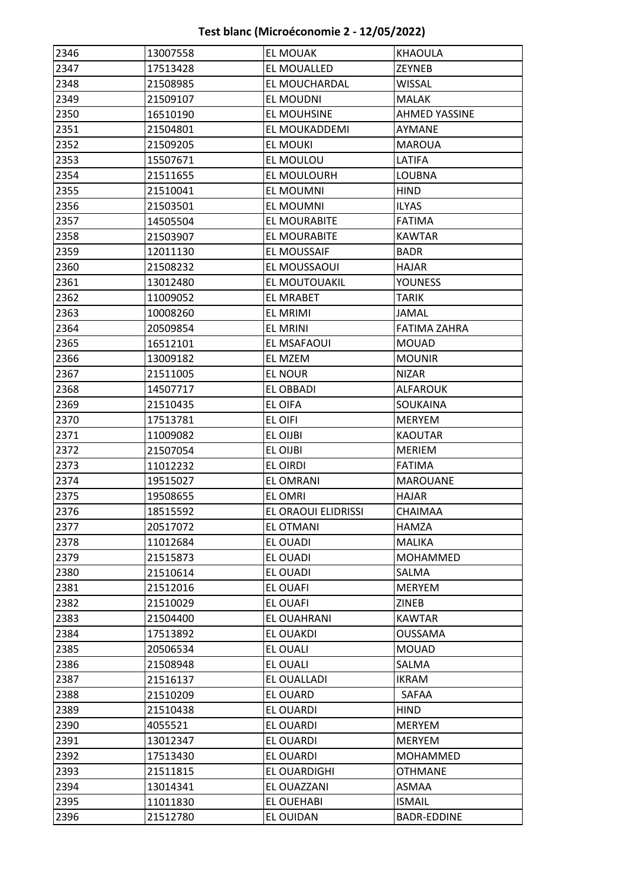| 2346 | 13007558 | EL MOUAK            | KHAOULA              |
|------|----------|---------------------|----------------------|
| 2347 | 17513428 | EL MOUALLED         | <b>ZEYNEB</b>        |
| 2348 | 21508985 | EL MOUCHARDAL       | WISSAL               |
| 2349 | 21509107 | EL MOUDNI           | <b>MALAK</b>         |
| 2350 | 16510190 | EL MOUHSINE         | <b>AHMED YASSINE</b> |
| 2351 | 21504801 | EL MOUKADDEMI       | AYMANE               |
| 2352 | 21509205 | <b>EL MOUKI</b>     | <b>MAROUA</b>        |
| 2353 | 15507671 | EL MOULOU           | LATIFA               |
| 2354 | 21511655 | EL MOULOURH         | <b>LOUBNA</b>        |
| 2355 | 21510041 | EL MOUMNI           | <b>HIND</b>          |
| 2356 | 21503501 | EL MOUMNI           | <b>ILYAS</b>         |
| 2357 | 14505504 | EL MOURABITE        | <b>FATIMA</b>        |
| 2358 | 21503907 | EL MOURABITE        | <b>KAWTAR</b>        |
| 2359 | 12011130 | EL MOUSSAIF         | <b>BADR</b>          |
| 2360 | 21508232 | EL MOUSSAOUI        | HAJAR                |
| 2361 | 13012480 | EL MOUTOUAKIL       | <b>YOUNESS</b>       |
| 2362 | 11009052 | <b>EL MRABET</b>    | <b>TARIK</b>         |
| 2363 | 10008260 | EL MRIMI            | <b>JAMAL</b>         |
| 2364 | 20509854 | <b>EL MRINI</b>     | <b>FATIMA ZAHRA</b>  |
| 2365 | 16512101 | EL MSAFAOUI         | <b>MOUAD</b>         |
| 2366 | 13009182 | EL MZEM             | <b>MOUNIR</b>        |
| 2367 | 21511005 | EL NOUR             | <b>NIZAR</b>         |
| 2368 | 14507717 | EL OBBADI           | <b>ALFAROUK</b>      |
| 2369 | 21510435 | <b>EL OIFA</b>      | SOUKAINA             |
| 2370 | 17513781 | EL OIFI             | <b>MERYEM</b>        |
| 2371 | 11009082 | EL OIJBI            | <b>KAOUTAR</b>       |
| 2372 | 21507054 | EL OIJBI            | <b>MERIEM</b>        |
| 2373 | 11012232 | EL OIRDI            | <b>FATIMA</b>        |
| 2374 | 19515027 | <b>EL OMRANI</b>    | <b>MAROUANE</b>      |
| 2375 | 19508655 | <b>EL OMRI</b>      | <b>HAJAR</b>         |
| 2376 | 18515592 | EL ORAOUI ELIDRISSI | CHAIMAA              |
| 2377 | 20517072 | EL OTMANI           | HAMZA                |
| 2378 | 11012684 | EL OUADI            | <b>MALIKA</b>        |
| 2379 | 21515873 | EL OUADI            | <b>MOHAMMED</b>      |
| 2380 | 21510614 | EL OUADI            | SALMA                |
| 2381 | 21512016 | <b>EL OUAFI</b>     | <b>MERYEM</b>        |
| 2382 | 21510029 | <b>EL OUAFI</b>     | ZINEB                |
| 2383 | 21504400 | EL OUAHRANI         | <b>KAWTAR</b>        |
| 2384 | 17513892 | <b>EL OUAKDI</b>    | <b>OUSSAMA</b>       |
| 2385 | 20506534 | EL OUALI            | <b>MOUAD</b>         |
| 2386 | 21508948 | <b>EL OUALI</b>     | SALMA                |
| 2387 | 21516137 | EL OUALLADI         | <b>IKRAM</b>         |
| 2388 | 21510209 | EL OUARD            | SAFAA                |
| 2389 | 21510438 | EL OUARDI           | HIND                 |
| 2390 | 4055521  | EL OUARDI           | <b>MERYEM</b>        |
| 2391 | 13012347 | EL OUARDI           | MERYEM               |
| 2392 | 17513430 | EL OUARDI           | <b>MOHAMMED</b>      |
| 2393 | 21511815 | EL OUARDIGHI        | <b>OTHMANE</b>       |
| 2394 | 13014341 | EL OUAZZANI         | ASMAA                |
| 2395 | 11011830 | EL OUEHABI          | <b>ISMAIL</b>        |
| 2396 | 21512780 | EL OUIDAN           | <b>BADR-EDDINE</b>   |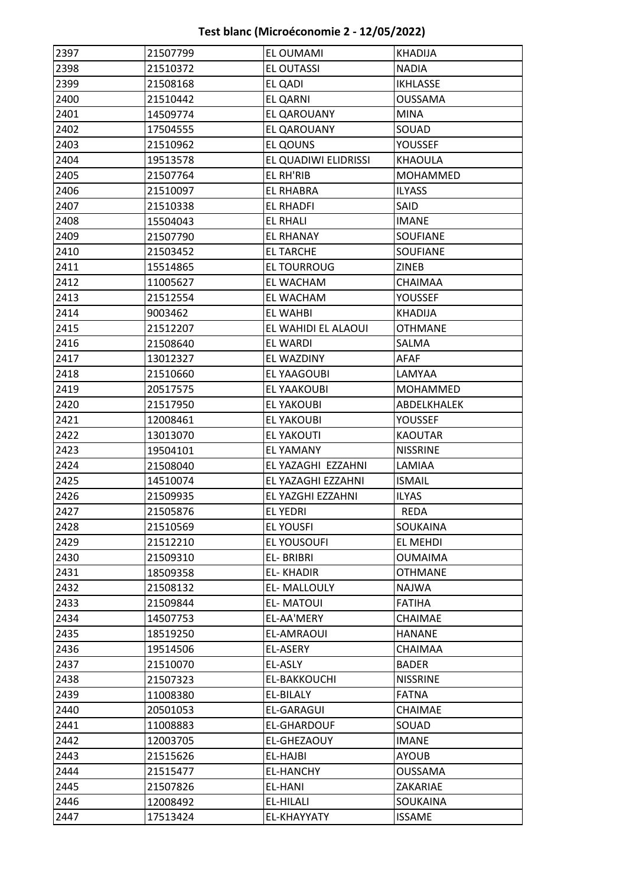| 2397 | 21507799 | EL OUMAMI            | <b>KHADIJA</b>  |
|------|----------|----------------------|-----------------|
| 2398 | 21510372 | EL OUTASSI           | <b>NADIA</b>    |
| 2399 | 21508168 | <b>EL QADI</b>       | <b>IKHLASSE</b> |
| 2400 | 21510442 | EL QARNI             | OUSSAMA         |
| 2401 | 14509774 | EL QAROUANY          | <b>MINA</b>     |
| 2402 | 17504555 | EL QAROUANY          | SOUAD           |
| 2403 | 21510962 | EL QOUNS             | <b>YOUSSEF</b>  |
| 2404 | 19513578 | EL QUADIWI ELIDRISSI | KHAOULA         |
| 2405 | 21507764 | EL RH'RIB            | <b>MOHAMMED</b> |
| 2406 | 21510097 | <b>EL RHABRA</b>     | <b>ILYASS</b>   |
| 2407 | 21510338 | <b>EL RHADFI</b>     | SAID            |
| 2408 | 15504043 | EL RHALI             | <b>IMANE</b>    |
| 2409 | 21507790 | EL RHANAY            | <b>SOUFIANE</b> |
| 2410 | 21503452 | <b>EL TARCHE</b>     | <b>SOUFIANE</b> |
| 2411 | 15514865 | EL TOURROUG          | ZINEB           |
| 2412 | 11005627 | EL WACHAM            | CHAIMAA         |
| 2413 | 21512554 | EL WACHAM            | <b>YOUSSEF</b>  |
| 2414 | 9003462  | EL WAHBI             | <b>KHADIJA</b>  |
| 2415 | 21512207 | EL WAHIDI EL ALAOUI  | OTHMANE         |
| 2416 | 21508640 | EL WARDI             | SALMA           |
| 2417 | 13012327 | EL WAZDINY           | <b>AFAF</b>     |
| 2418 | 21510660 | EL YAAGOUBI          | LAMYAA          |
| 2419 | 20517575 | <b>EL YAAKOUBI</b>   | MOHAMMED        |
| 2420 | 21517950 | EL YAKOUBI           | ABDELKHALEK     |
| 2421 | 12008461 | EL YAKOUBI           | YOUSSEF         |
| 2422 | 13013070 | <b>EL YAKOUTI</b>    | <b>KAOUTAR</b>  |
| 2423 | 19504101 | EL YAMANY            | <b>NISSRINE</b> |
| 2424 | 21508040 | EL YAZAGHI EZZAHNI   | LAMIAA          |
| 2425 | 14510074 | EL YAZAGHI EZZAHNI   | <b>ISMAIL</b>   |
| 2426 | 21509935 | EL YAZGHI EZZAHNI    | <b>ILYAS</b>    |
| 2427 | 21505876 | <b>EL YEDRI</b>      | REDA            |
| 2428 | 21510569 | <b>EL YOUSFI</b>     | SOUKAINA        |
| 2429 | 21512210 | EL YOUSOUFI          | EL MEHDI        |
| 2430 | 21509310 | EL-BRIBRI            | <b>OUMAIMA</b>  |
| 2431 | 18509358 | <b>EL-KHADIR</b>     | <b>OTHMANE</b>  |
| 2432 | 21508132 | EL-MALLOULY          | NAJWA           |
| 2433 | 21509844 | <b>EL-MATOUI</b>     | <b>FATIHA</b>   |
| 2434 | 14507753 | EL-AA'MERY           | <b>CHAIMAE</b>  |
| 2435 | 18519250 | EL-AMRAOUI           | <b>HANANE</b>   |
| 2436 | 19514506 | EL-ASERY             | CHAIMAA         |
| 2437 | 21510070 | EL-ASLY              | <b>BADER</b>    |
| 2438 | 21507323 | EL-BAKKOUCHI         | <b>NISSRINE</b> |
| 2439 | 11008380 | EL-BILALY            | <b>FATNA</b>    |
| 2440 | 20501053 | EL-GARAGUI           | CHAIMAE         |
| 2441 | 11008883 | <b>EL-GHARDOUF</b>   | SOUAD           |
| 2442 | 12003705 | EL-GHEZAOUY          | <b>IMANE</b>    |
| 2443 | 21515626 | EL-HAJBI             | <b>AYOUB</b>    |
| 2444 | 21515477 | EL-HANCHY            | OUSSAMA         |
| 2445 | 21507826 | <b>EL-HANI</b>       | ZAKARIAE        |
| 2446 | 12008492 | EL-HILALI            | SOUKAINA        |
| 2447 | 17513424 | EL-KHAYYATY          | <b>ISSAME</b>   |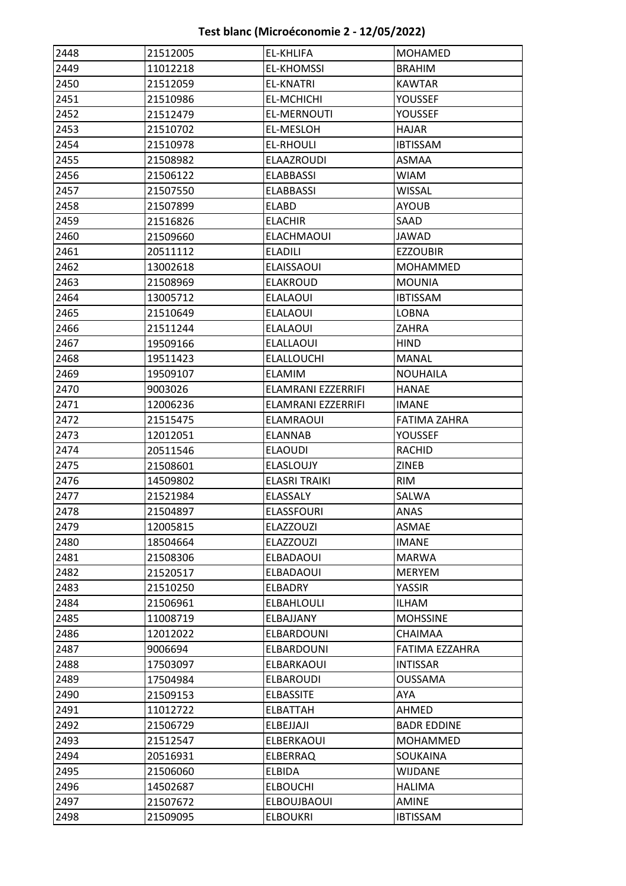| 2448 | 21512005 | EL-KHLIFA          | <b>MOHAMED</b>      |
|------|----------|--------------------|---------------------|
| 2449 | 11012218 | <b>EL-KHOMSSI</b>  | <b>BRAHIM</b>       |
| 2450 | 21512059 | EL-KNATRI          | <b>KAWTAR</b>       |
| 2451 | 21510986 | <b>EL-MCHICHI</b>  | <b>YOUSSEF</b>      |
| 2452 | 21512479 | EL-MERNOUTI        | YOUSSEF             |
| 2453 | 21510702 | EL-MESLOH          | <b>HAJAR</b>        |
| 2454 | 21510978 | <b>EL-RHOULI</b>   | <b>IBTISSAM</b>     |
| 2455 | 21508982 | ELAAZROUDI         | ASMAA               |
| 2456 | 21506122 | ELABBASSI          | <b>WIAM</b>         |
| 2457 | 21507550 | <b>ELABBASSI</b>   | <b>WISSAL</b>       |
| 2458 | 21507899 | <b>ELABD</b>       | <b>AYOUB</b>        |
| 2459 | 21516826 | <b>ELACHIR</b>     | SAAD                |
| 2460 | 21509660 | <b>ELACHMAOUI</b>  | JAWAD               |
| 2461 | 20511112 | <b>ELADILI</b>     | <b>EZZOUBIR</b>     |
| 2462 | 13002618 | <b>ELAISSAOUI</b>  | MOHAMMED            |
| 2463 | 21508969 | <b>ELAKROUD</b>    | <b>MOUNIA</b>       |
| 2464 | 13005712 | <b>ELALAOUI</b>    | <b>IBTISSAM</b>     |
| 2465 | 21510649 | <b>ELALAOUI</b>    | <b>LOBNA</b>        |
| 2466 | 21511244 | <b>ELALAOUI</b>    | ZAHRA               |
| 2467 | 19509166 | <b>ELALLAOUI</b>   | HIND                |
| 2468 | 19511423 | <b>ELALLOUCHI</b>  | <b>MANAL</b>        |
| 2469 | 19509107 | <b>ELAMIM</b>      | <b>NOUHAILA</b>     |
| 2470 | 9003026  | ELAMRANI EZZERRIFI | <b>HANAE</b>        |
| 2471 | 12006236 | ELAMRANI EZZERRIFI | <b>IMANE</b>        |
| 2472 | 21515475 | <b>ELAMRAOUI</b>   | <b>FATIMA ZAHRA</b> |
| 2473 | 12012051 | <b>ELANNAB</b>     | <b>YOUSSEF</b>      |
| 2474 | 20511546 | <b>ELAOUDI</b>     | <b>RACHID</b>       |
| 2475 | 21508601 | <b>ELASLOUJY</b>   | <b>ZINEB</b>        |
| 2476 | 14509802 | ELASRI TRAIKI      | <b>RIM</b>          |
| 2477 | 21521984 | <b>ELASSALY</b>    | SALWA               |
| 2478 | 21504897 | <b>ELASSFOURI</b>  | <b>ANAS</b>         |
| 2479 | 12005815 | <b>ELAZZOUZI</b>   | ASMAE               |
| 2480 | 18504664 | <b>ELAZZOUZI</b>   | <b>IMANE</b>        |
| 2481 | 21508306 | ELBADAOUI          | <b>MARWA</b>        |
| 2482 | 21520517 | ELBADAOUI          | <b>MERYEM</b>       |
| 2483 | 21510250 | <b>ELBADRY</b>     | YASSIR              |
| 2484 | 21506961 | <b>ELBAHLOULI</b>  | ILHAM               |
| 2485 | 11008719 | ELBAJJANY          | <b>MOHSSINE</b>     |
| 2486 | 12012022 | ELBARDOUNI         | CHAIMAA             |
| 2487 | 9006694  | ELBARDOUNI         | FATIMA EZZAHRA      |
| 2488 | 17503097 | ELBARKAOUI         | <b>INTISSAR</b>     |
| 2489 | 17504984 | <b>ELBAROUDI</b>   | OUSSAMA             |
| 2490 | 21509153 | <b>ELBASSITE</b>   | AYA                 |
| 2491 | 11012722 | <b>ELBATTAH</b>    | AHMED               |
| 2492 | 21506729 | ELBEJJAJI          | <b>BADR EDDINE</b>  |
| 2493 | 21512547 | ELBERKAOUI         | MOHAMMED            |
| 2494 | 20516931 | <b>ELBERRAQ</b>    | SOUKAINA            |
| 2495 | 21506060 | ELBIDA             | WIJDANE             |
| 2496 | 14502687 | <b>ELBOUCHI</b>    | <b>HALIMA</b>       |
| 2497 | 21507672 | <b>ELBOUJBAOUI</b> | AMINE               |
| 2498 | 21509095 | <b>ELBOUKRI</b>    | <b>IBTISSAM</b>     |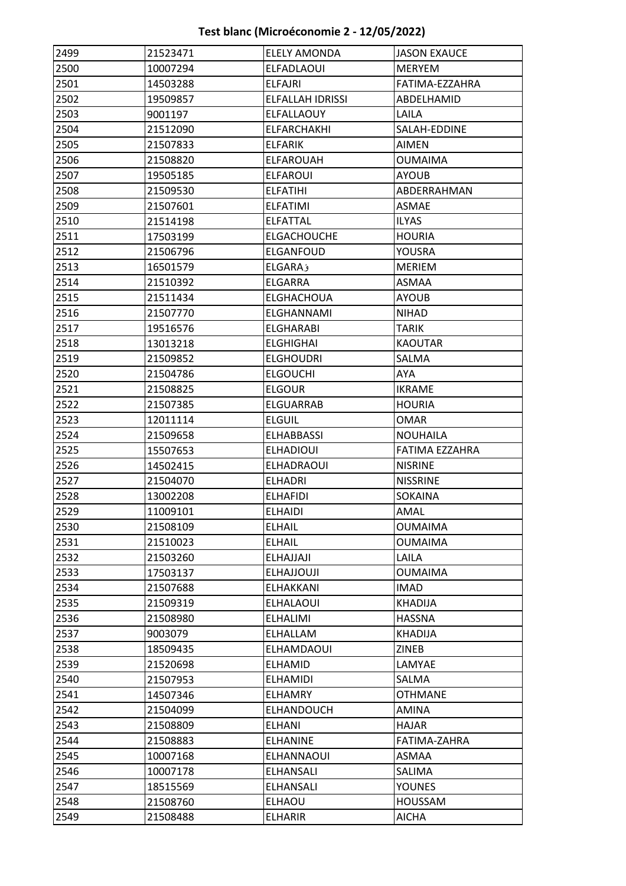| 2499 | 21523471 | ELELY AMONDA            | JASON EXAUCE    |
|------|----------|-------------------------|-----------------|
| 2500 | 10007294 | ELFADLAOUI              | <b>MERYEM</b>   |
| 2501 | 14503288 | <b>ELFAJRI</b>          | FATIMA-EZZAHRA  |
| 2502 | 19509857 | <b>ELFALLAH IDRISSI</b> | ABDELHAMID      |
| 2503 | 9001197  | ELFALLAOUY              | LAILA           |
| 2504 | 21512090 | ELFARCHAKHI             | SALAH-EDDINE    |
| 2505 | 21507833 | <b>ELFARIK</b>          | AIMEN           |
| 2506 | 21508820 | <b>ELFAROUAH</b>        | <b>OUMAIMA</b>  |
| 2507 | 19505185 | <b>ELFAROUI</b>         | <b>AYOUB</b>    |
| 2508 | 21509530 | <b>ELFATIHI</b>         | ABDERRAHMAN     |
| 2509 | 21507601 | <b>ELFATIMI</b>         | ASMAE           |
| 2510 | 21514198 | <b>ELFATTAL</b>         | <b>ILYAS</b>    |
| 2511 | 17503199 | <b>ELGACHOUCHE</b>      | <b>HOURIA</b>   |
| 2512 | 21506796 | <b>ELGANFOUD</b>        | YOUSRA          |
| 2513 | 16501579 | وَELGARA                | <b>MERIEM</b>   |
| 2514 | 21510392 | ELGARRA                 | <b>ASMAA</b>    |
| 2515 | 21511434 | <b>ELGHACHOUA</b>       | AYOUB           |
| 2516 | 21507770 | <b>ELGHANNAMI</b>       | <b>NIHAD</b>    |
| 2517 | 19516576 | <b>ELGHARABI</b>        | <b>TARIK</b>    |
| 2518 | 13013218 | <b>ELGHIGHAI</b>        | <b>KAOUTAR</b>  |
| 2519 | 21509852 | <b>ELGHOUDRI</b>        | SALMA           |
| 2520 | 21504786 | <b>ELGOUCHI</b>         | AYA             |
| 2521 | 21508825 | <b>ELGOUR</b>           | <b>IKRAME</b>   |
| 2522 | 21507385 | <b>ELGUARRAB</b>        | <b>HOURIA</b>   |
| 2523 | 12011114 | <b>ELGUIL</b>           | OMAR            |
| 2524 | 21509658 | <b>ELHABBASSI</b>       | <b>NOUHAILA</b> |
| 2525 | 15507653 | <b>ELHADIOUI</b>        | FATIMA EZZAHRA  |
| 2526 | 14502415 | <b>ELHADRAOUI</b>       | <b>NISRINE</b>  |
| 2527 | 21504070 | <b>ELHADRI</b>          | <b>NISSRINE</b> |
| 2528 | 13002208 | <b>ELHAFIDI</b>         | <b>SOKAINA</b>  |
| 2529 | 11009101 | <b>ELHAIDI</b>          | AMAL            |
| 2530 | 21508109 | <b>ELHAIL</b>           | OUMAIMA         |
| 2531 | 21510023 | <b>ELHAIL</b>           | <b>OUMAIMA</b>  |
| 2532 | 21503260 | <b>ELHAJJAJI</b>        | LAILA           |
| 2533 | 17503137 | <b>ELHAJJOUJI</b>       | <b>OUMAIMA</b>  |
| 2534 | 21507688 | ELHAKKANI               | <b>IMAD</b>     |
| 2535 | 21509319 | <b>ELHALAOUI</b>        | <b>KHADIJA</b>  |
| 2536 | 21508980 | ELHALIMI                | <b>HASSNA</b>   |
| 2537 | 9003079  | ELHALLAM                | KHADIJA         |
| 2538 | 18509435 | ELHAMDAOUI              | <b>ZINEB</b>    |
| 2539 | 21520698 | ELHAMID                 | LAMYAE          |
| 2540 | 21507953 | <b>ELHAMIDI</b>         | SALMA           |
| 2541 | 14507346 | ELHAMRY                 | <b>OTHMANE</b>  |
| 2542 | 21504099 | <b>ELHANDOUCH</b>       | <b>AMINA</b>    |
| 2543 | 21508809 | <b>ELHANI</b>           | <b>HAJAR</b>    |
| 2544 | 21508883 | <b>ELHANINE</b>         | FATIMA-ZAHRA    |
| 2545 | 10007168 | ELHANNAOUI              | ASMAA           |
| 2546 | 10007178 | ELHANSALI               | SALIMA          |
| 2547 | 18515569 | <b>ELHANSALI</b>        | <b>YOUNES</b>   |
| 2548 | 21508760 | <b>ELHAOU</b>           | <b>HOUSSAM</b>  |
| 2549 | 21508488 | <b>ELHARIR</b>          | AICHA           |
|      |          |                         |                 |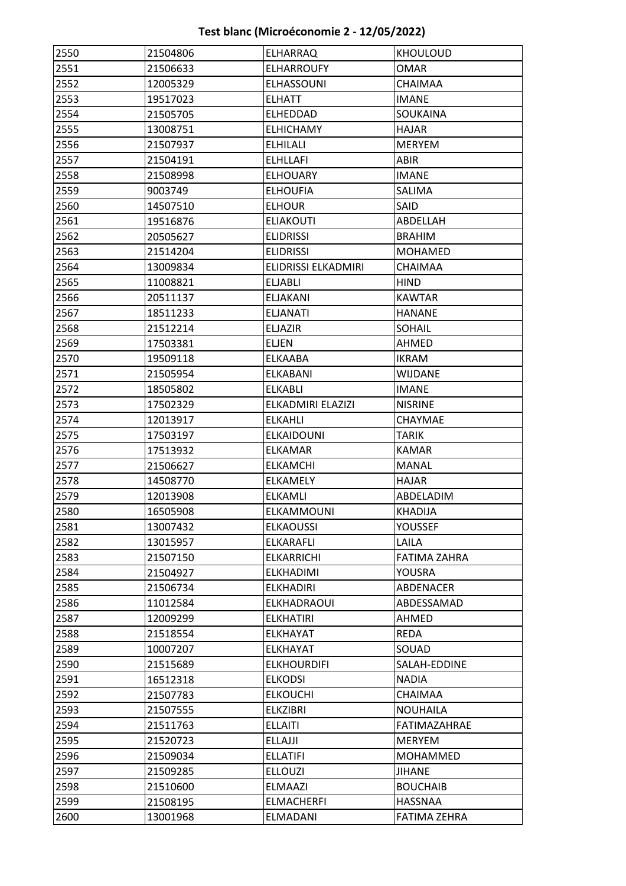| 2550 | 21504806 | <b>ELHARRAQ</b>     | <b>KHOULOUD</b>     |
|------|----------|---------------------|---------------------|
| 2551 | 21506633 | <b>ELHARROUFY</b>   | <b>OMAR</b>         |
| 2552 | 12005329 | <b>ELHASSOUNI</b>   | CHAIMAA             |
| 2553 | 19517023 | <b>ELHATT</b>       | <b>IMANE</b>        |
| 2554 | 21505705 | <b>ELHEDDAD</b>     | SOUKAINA            |
| 2555 | 13008751 | <b>ELHICHAMY</b>    | HAJAR               |
| 2556 | 21507937 | <b>ELHILALI</b>     | <b>MERYEM</b>       |
| 2557 | 21504191 | <b>ELHLLAFI</b>     | ABIR                |
| 2558 | 21508998 | <b>ELHOUARY</b>     | <b>IMANE</b>        |
| 2559 | 9003749  | <b>ELHOUFIA</b>     | SALIMA              |
| 2560 | 14507510 | <b>ELHOUR</b>       | SAID                |
| 2561 | 19516876 | <b>ELIAKOUTI</b>    | ABDELLAH            |
| 2562 | 20505627 | <b>ELIDRISSI</b>    | <b>BRAHIM</b>       |
| 2563 | 21514204 | <b>ELIDRISSI</b>    | <b>MOHAMED</b>      |
| 2564 | 13009834 | ELIDRISSI ELKADMIRI | CHAIMAA             |
| 2565 | 11008821 | <b>ELJABLI</b>      | <b>HIND</b>         |
| 2566 | 20511137 | <b>ELJAKANI</b>     | <b>KAWTAR</b>       |
| 2567 | 18511233 | <b>ELJANATI</b>     | <b>HANANE</b>       |
| 2568 | 21512214 | <b>ELJAZIR</b>      | SOHAIL              |
| 2569 | 17503381 | ELJEN               | AHMED               |
| 2570 | 19509118 | <b>ELKAABA</b>      | <b>IKRAM</b>        |
| 2571 | 21505954 | <b>ELKABANI</b>     | <b>WIJDANE</b>      |
| 2572 | 18505802 | <b>ELKABLI</b>      | <b>IMANE</b>        |
| 2573 | 17502329 | ELKADMIRI ELAZIZI   | <b>NISRINE</b>      |
| 2574 | 12013917 | ELKAHLI             | CHAYMAE             |
| 2575 | 17503197 | <b>ELKAIDOUNI</b>   | <b>TARIK</b>        |
| 2576 | 17513932 | <b>ELKAMAR</b>      | KAMAR               |
| 2577 | 21506627 | <b>ELKAMCHI</b>     | <b>MANAL</b>        |
| 2578 | 14508770 | ELKAMELY            | HAJAR               |
| 2579 | 12013908 | <b>ELKAMLI</b>      | ABDELADIM           |
| 2580 | 16505908 | ELKAMMOUNI          | <b>KHADIJA</b>      |
| 2581 | 13007432 | <b>ELKAOUSSI</b>    | <b>YOUSSEF</b>      |
| 2582 | 13015957 | <b>ELKARAFLI</b>    | LAILA               |
| 2583 | 21507150 | <b>ELKARRICHI</b>   | <b>FATIMA ZAHRA</b> |
| 2584 | 21504927 | <b>ELKHADIMI</b>    | YOUSRA              |
| 2585 | 21506734 | <b>ELKHADIRI</b>    | ABDENACER           |
| 2586 | 11012584 | ELKHADRAOUI         | ABDESSAMAD          |
| 2587 | 12009299 | <b>ELKHATIRI</b>    | AHMED               |
| 2588 | 21518554 | <b>ELKHAYAT</b>     | <b>REDA</b>         |
| 2589 | 10007207 | <b>ELKHAYAT</b>     | SOUAD               |
| 2590 | 21515689 | <b>ELKHOURDIFI</b>  | SALAH-EDDINE        |
| 2591 | 16512318 | <b>ELKODSI</b>      | <b>NADIA</b>        |
| 2592 | 21507783 | <b>ELKOUCHI</b>     | CHAIMAA             |
| 2593 | 21507555 | <b>ELKZIBRI</b>     | <b>NOUHAILA</b>     |
| 2594 | 21511763 | <b>ELLAITI</b>      | FATIMAZAHRAE        |
| 2595 | 21520723 | ELLAJJI             | MERYEM              |
| 2596 | 21509034 | <b>ELLATIFI</b>     | MOHAMMED            |
| 2597 | 21509285 | <b>ELLOUZI</b>      | <b>JIHANE</b>       |
| 2598 | 21510600 | <b>ELMAAZI</b>      | <b>BOUCHAIB</b>     |
| 2599 | 21508195 | <b>ELMACHERFI</b>   | HASSNAA             |
| 2600 | 13001968 | <b>ELMADANI</b>     | <b>FATIMA ZEHRA</b> |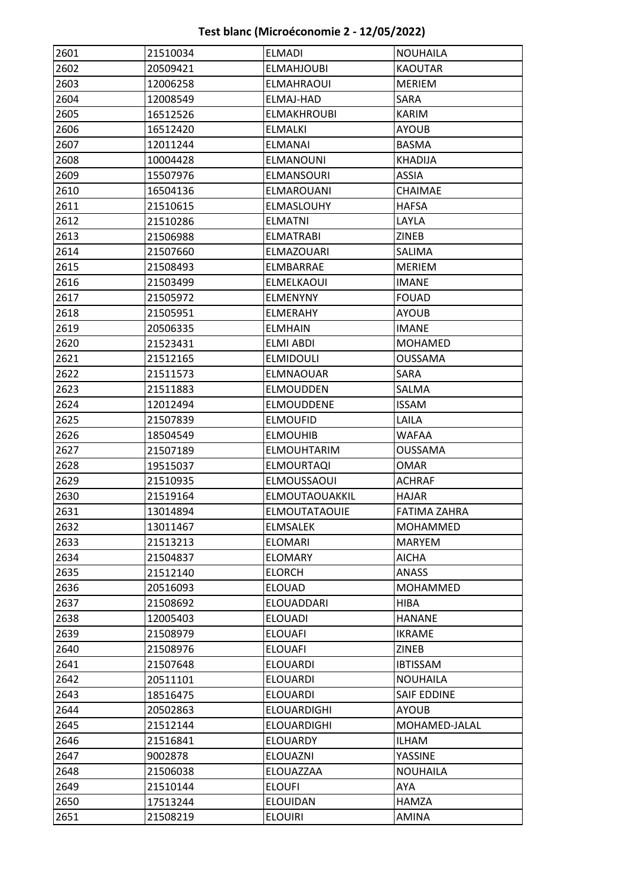| 2601 | 21510034 | <b>ELMADI</b>        | <b>NOUHAILA</b>     |
|------|----------|----------------------|---------------------|
| 2602 | 20509421 | <b>ELMAHJOUBI</b>    | <b>KAOUTAR</b>      |
| 2603 | 12006258 | <b>ELMAHRAOUI</b>    | <b>MERIEM</b>       |
| 2604 | 12008549 | ELMAJ-HAD            | SARA                |
| 2605 | 16512526 | <b>ELMAKHROUBI</b>   | <b>KARIM</b>        |
| 2606 | 16512420 | <b>ELMALKI</b>       | AYOUB               |
| 2607 | 12011244 | <b>ELMANAI</b>       | <b>BASMA</b>        |
| 2608 | 10004428 | <b>ELMANOUNI</b>     | <b>KHADIJA</b>      |
| 2609 | 15507976 | <b>ELMANSOURI</b>    | <b>ASSIA</b>        |
| 2610 | 16504136 | ELMAROUANI           | <b>CHAIMAE</b>      |
| 2611 | 21510615 | <b>ELMASLOUHY</b>    | <b>HAFSA</b>        |
| 2612 | 21510286 | <b>ELMATNI</b>       | LAYLA               |
| 2613 | 21506988 | <b>ELMATRABI</b>     | <b>ZINEB</b>        |
| 2614 | 21507660 | ELMAZOUARI           | SALIMA              |
| 2615 | 21508493 | ELMBARRAE            | <b>MERIEM</b>       |
| 2616 | 21503499 | <b>ELMELKAOUI</b>    | <b>IMANE</b>        |
| 2617 | 21505972 | <b>ELMENYNY</b>      | <b>FOUAD</b>        |
| 2618 | 21505951 | <b>ELMERAHY</b>      | <b>AYOUB</b>        |
| 2619 | 20506335 | <b>ELMHAIN</b>       | <b>IMANE</b>        |
| 2620 | 21523431 | ELMI ABDI            | <b>MOHAMED</b>      |
| 2621 | 21512165 | <b>ELMIDOULI</b>     | <b>OUSSAMA</b>      |
| 2622 | 21511573 | <b>ELMNAOUAR</b>     | SARA                |
| 2623 | 21511883 | <b>ELMOUDDEN</b>     | SALMA               |
| 2624 | 12012494 | <b>ELMOUDDENE</b>    | <b>ISSAM</b>        |
| 2625 | 21507839 | <b>ELMOUFID</b>      | LAILA               |
| 2626 | 18504549 | <b>ELMOUHIB</b>      | WAFAA               |
| 2627 | 21507189 | <b>ELMOUHTARIM</b>   | OUSSAMA             |
| 2628 | 19515037 | <b>ELMOURTAQI</b>    | <b>OMAR</b>         |
| 2629 | 21510935 | <b>ELMOUSSAOUI</b>   | <b>ACHRAF</b>       |
| 2630 | 21519164 | ELMOUTAOUAKKIL       | HAJAR               |
| 2631 | 13014894 | <b>ELMOUTATAOUIE</b> | <b>FATIMA ZAHRA</b> |
| 2632 | 13011467 | <b>ELMSALEK</b>      | <b>MOHAMMED</b>     |
| 2633 | 21513213 | <b>ELOMARI</b>       | <b>MARYEM</b>       |
| 2634 | 21504837 | <b>ELOMARY</b>       | <b>AICHA</b>        |
| 2635 | 21512140 | <b>ELORCH</b>        | <b>ANASS</b>        |
| 2636 | 20516093 | <b>ELOUAD</b>        | MOHAMMED            |
| 2637 | 21508692 | <b>ELOUADDARI</b>    | HIBA                |
| 2638 | 12005403 | <b>ELOUADI</b>       | <b>HANANE</b>       |
| 2639 | 21508979 | <b>ELOUAFI</b>       | <b>IKRAME</b>       |
| 2640 | 21508976 | <b>ELOUAFI</b>       | <b>ZINEB</b>        |
| 2641 | 21507648 | <b>ELOUARDI</b>      | <b>IBTISSAM</b>     |
| 2642 | 20511101 | <b>ELOUARDI</b>      | <b>NOUHAILA</b>     |
| 2643 | 18516475 | <b>ELOUARDI</b>      | SAIF EDDINE         |
| 2644 | 20502863 | <b>ELOUARDIGHI</b>   | <b>AYOUB</b>        |
| 2645 | 21512144 | <b>ELOUARDIGHI</b>   | MOHAMED-JALAL       |
| 2646 | 21516841 | <b>ELOUARDY</b>      | ILHAM               |
| 2647 | 9002878  | ELOUAZNI             | YASSINE             |
| 2648 | 21506038 | ELOUAZZAA            | <b>NOUHAILA</b>     |
| 2649 | 21510144 | <b>ELOUFI</b>        | AYA                 |
| 2650 | 17513244 | <b>ELOUIDAN</b>      | <b>HAMZA</b>        |
| 2651 | 21508219 | <b>ELOUIRI</b>       | AMINA               |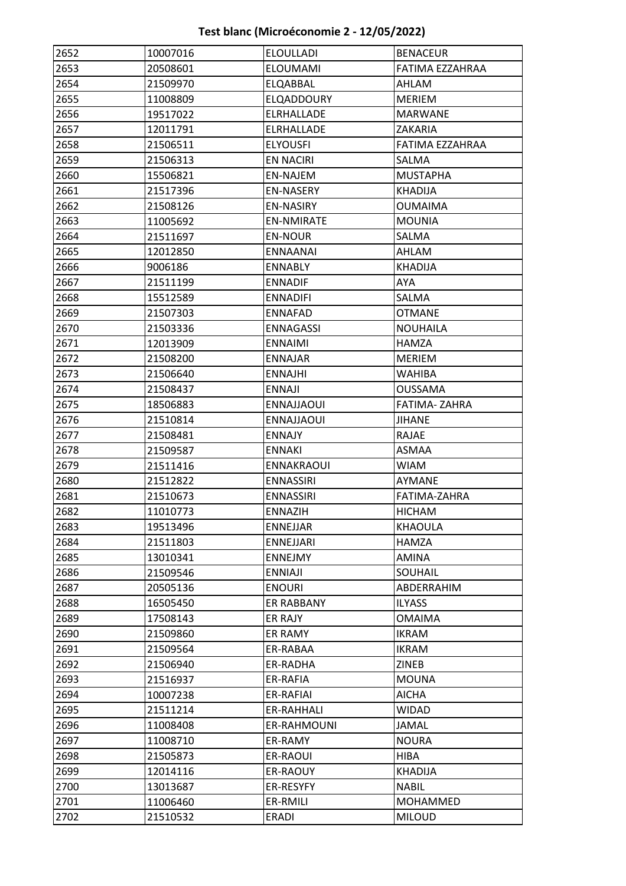| 2652 | 10007016 | <b>ELOULLADI</b>  | <b>BENACEUR</b> |
|------|----------|-------------------|-----------------|
| 2653 | 20508601 | <b>ELOUMAMI</b>   | FATIMA EZZAHRAA |
| 2654 | 21509970 | <b>ELQABBAL</b>   | AHLAM           |
| 2655 | 11008809 | ELQADDOURY        | <b>MERIEM</b>   |
| 2656 | 19517022 | ELRHALLADE        | <b>MARWANE</b>  |
| 2657 | 12011791 | ELRHALLADE        | ZAKARIA         |
| 2658 | 21506511 | <b>ELYOUSFI</b>   | FATIMA EZZAHRAA |
| 2659 | 21506313 | <b>EN NACIRI</b>  | SALMA           |
| 2660 | 15506821 | EN-NAJEM          | <b>MUSTAPHA</b> |
| 2661 | 21517396 | <b>EN-NASERY</b>  | <b>KHADIJA</b>  |
| 2662 | 21508126 | <b>EN-NASIRY</b>  | <b>OUMAIMA</b>  |
| 2663 | 11005692 | <b>EN-NMIRATE</b> | <b>MOUNIA</b>   |
| 2664 | 21511697 | <b>EN-NOUR</b>    | SALMA           |
| 2665 | 12012850 | <b>ENNAANAI</b>   | AHLAM           |
| 2666 | 9006186  | <b>ENNABLY</b>    | <b>KHADIJA</b>  |
| 2667 | 21511199 | <b>ENNADIF</b>    | AYA.            |
| 2668 | 15512589 | <b>ENNADIFI</b>   | SALMA           |
| 2669 | 21507303 | <b>ENNAFAD</b>    | <b>OTMANE</b>   |
| 2670 | 21503336 | <b>ENNAGASSI</b>  | <b>NOUHAILA</b> |
| 2671 | 12013909 | <b>ENNAIMI</b>    | HAMZA           |
| 2672 | 21508200 | <b>ENNAJAR</b>    | <b>MERIEM</b>   |
| 2673 | 21506640 | <b>ENNAJHI</b>    | WAHIBA          |
| 2674 | 21508437 | ENNAJI            | OUSSAMA         |
| 2675 | 18506883 | <b>ENNAJJAOUI</b> | FATIMA-ZAHRA    |
| 2676 | 21510814 | <b>ENNAJJAOUI</b> | <b>JIHANE</b>   |
| 2677 | 21508481 | <b>ENNAJY</b>     | RAJAE           |
| 2678 | 21509587 | ENNAKI            | ASMAA           |
| 2679 | 21511416 | <b>ENNAKRAOUI</b> | <b>WIAM</b>     |
| 2680 | 21512822 | <b>ENNASSIRI</b>  | AYMANE          |
| 2681 | 21510673 | <b>ENNASSIRI</b>  | FATIMA-ZAHRA    |
| 2682 | 11010773 | <b>ENNAZIH</b>    | <b>HICHAM</b>   |
| 2683 | 19513496 | <b>ENNEJJAR</b>   | <b>KHAOULA</b>  |
| 2684 | 21511803 | <b>ENNEJJARI</b>  | <b>HAMZA</b>    |
| 2685 | 13010341 | <b>ENNEJMY</b>    | <b>AMINA</b>    |
| 2686 | 21509546 | <b>ENNIAJI</b>    | SOUHAIL         |
| 2687 | 20505136 | <b>ENOURI</b>     | ABDERRAHIM      |
| 2688 | 16505450 | ER RABBANY        | <b>ILYASS</b>   |
| 2689 | 17508143 | ER RAJY           | <b>OMAIMA</b>   |
| 2690 | 21509860 | ER RAMY           | <b>IKRAM</b>    |
| 2691 | 21509564 | ER-RABAA          | <b>IKRAM</b>    |
| 2692 | 21506940 | ER-RADHA          | ZINEB           |
| 2693 | 21516937 | ER-RAFIA          | <b>MOUNA</b>    |
| 2694 | 10007238 | ER-RAFIAI         | <b>AICHA</b>    |
| 2695 | 21511214 | ER-RAHHALI        | WIDAD           |
| 2696 | 11008408 | ER-RAHMOUNI       | <b>JAMAL</b>    |
| 2697 | 11008710 | ER-RAMY           | <b>NOURA</b>    |
| 2698 | 21505873 | ER-RAOUI          | <b>HIBA</b>     |
| 2699 | 12014116 | ER-RAOUY          | <b>KHADIJA</b>  |
| 2700 | 13013687 | ER-RESYFY         | <b>NABIL</b>    |
| 2701 | 11006460 | ER-RMILI          | MOHAMMED        |
| 2702 | 21510532 | ERADI             | <b>MILOUD</b>   |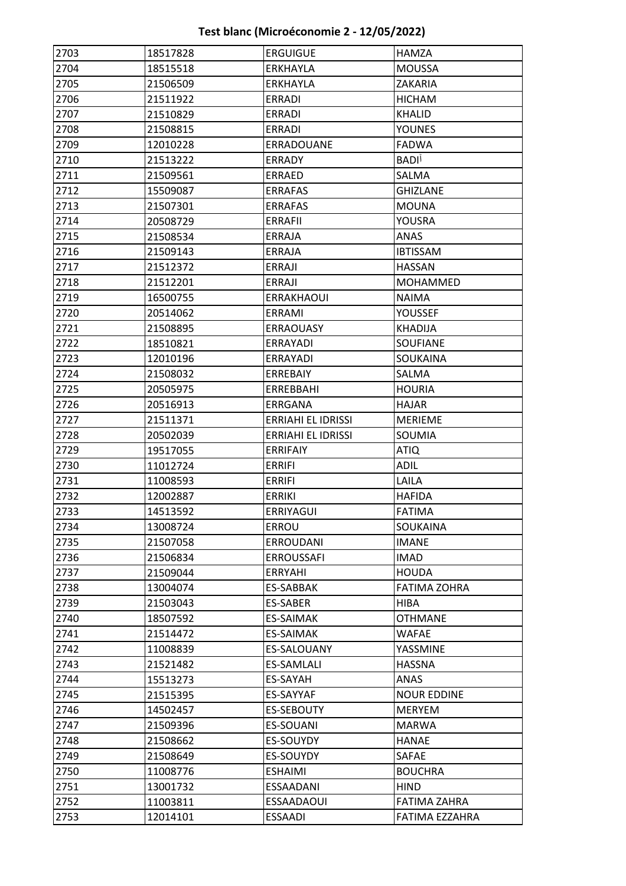| 2703 | 18517828 | <b>ERGUIGUE</b>           | HAMZA               |
|------|----------|---------------------------|---------------------|
| 2704 | 18515518 | ERKHAYLA                  | <b>MOUSSA</b>       |
| 2705 | 21506509 | ERKHAYLA                  | ZAKARIA             |
| 2706 | 21511922 | <b>ERRADI</b>             | <b>HICHAM</b>       |
| 2707 | 21510829 | ERRADI                    | <b>KHALID</b>       |
| 2708 | 21508815 | ERRADI                    | <b>YOUNES</b>       |
| 2709 | 12010228 | ERRADOUANE                | <b>FADWA</b>        |
| 2710 | 21513222 | ERRADY                    | BADI <sup>I</sup>   |
| 2711 | 21509561 | ERRAED                    | SALMA               |
| 2712 | 15509087 | <b>ERRAFAS</b>            | GHIZLANE            |
| 2713 | 21507301 | <b>ERRAFAS</b>            | <b>MOUNA</b>        |
| 2714 | 20508729 | ERRAFII                   | YOUSRA              |
| 2715 | 21508534 | ERRAJA                    | ANAS                |
| 2716 | 21509143 | <b>ERRAJA</b>             | <b>IBTISSAM</b>     |
| 2717 | 21512372 | ERRAJI                    | HASSAN              |
| 2718 | 21512201 | ERRAJI                    | MOHAMMED            |
| 2719 | 16500755 | <b>ERRAKHAOUI</b>         | <b>NAIMA</b>        |
| 2720 | 20514062 | ERRAMI                    | <b>YOUSSEF</b>      |
| 2721 | 21508895 | <b>ERRAOUASY</b>          | <b>KHADIJA</b>      |
| 2722 | 18510821 | ERRAYADI                  | <b>SOUFIANE</b>     |
| 2723 | 12010196 | ERRAYADI                  | SOUKAINA            |
| 2724 | 21508032 | ERREBAIY                  | SALMA               |
| 2725 | 20505975 | ERREBBAHI                 | <b>HOURIA</b>       |
| 2726 | 20516913 | ERRGANA                   | HAJAR               |
| 2727 | 21511371 | <b>ERRIAHI EL IDRISSI</b> | <b>MERIEME</b>      |
| 2728 | 20502039 | <b>ERRIAHI EL IDRISSI</b> | SOUMIA              |
| 2729 | 19517055 | <b>ERRIFAIY</b>           | <b>ATIQ</b>         |
| 2730 | 11012724 | <b>ERRIFI</b>             | ADIL                |
| 2731 | 11008593 | ERRIFI                    | LAILA               |
| 2732 | 12002887 | <b>ERRIKI</b>             | <b>HAFIDA</b>       |
| 2733 | 14513592 | <b>ERRIYAGUI</b>          | <b>FATIMA</b>       |
| 2734 | 13008724 | <b>ERROU</b>              | SOUKAINA            |
| 2735 | 21507058 | <b>ERROUDANI</b>          | <b>IMANE</b>        |
| 2736 | 21506834 | <b>ERROUSSAFI</b>         | <b>IMAD</b>         |
| 2737 | 21509044 | ERRYAHI                   | <b>HOUDA</b>        |
| 2738 | 13004074 | ES-SABBAK                 | FATIMA ZOHRA        |
| 2739 | 21503043 | <b>ES-SABER</b>           | <b>HIBA</b>         |
| 2740 | 18507592 | <b>ES-SAIMAK</b>          | <b>OTHMANE</b>      |
| 2741 | 21514472 | ES-SAIMAK                 | WAFAE               |
| 2742 | 11008839 | ES-SALOUANY               | YASSMINE            |
| 2743 | 21521482 | ES-SAMLALI                | HASSNA              |
| 2744 | 15513273 | <b>ES-SAYAH</b>           | ANAS                |
| 2745 | 21515395 | <b>ES-SAYYAF</b>          | <b>NOUR EDDINE</b>  |
| 2746 | 14502457 | <b>ES-SEBOUTY</b>         | <b>MERYEM</b>       |
| 2747 | 21509396 | <b>ES-SOUANI</b>          | <b>MARWA</b>        |
| 2748 | 21508662 | ES-SOUYDY                 | HANAE               |
| 2749 | 21508649 | ES-SOUYDY                 | SAFAE               |
| 2750 | 11008776 | <b>ESHAIMI</b>            | <b>BOUCHRA</b>      |
| 2751 | 13001732 | ESSAADANI                 | <b>HIND</b>         |
| 2752 | 11003811 | <b>ESSAADAOUI</b>         | <b>FATIMA ZAHRA</b> |
| 2753 | 12014101 | <b>ESSAADI</b>            | FATIMA EZZAHRA      |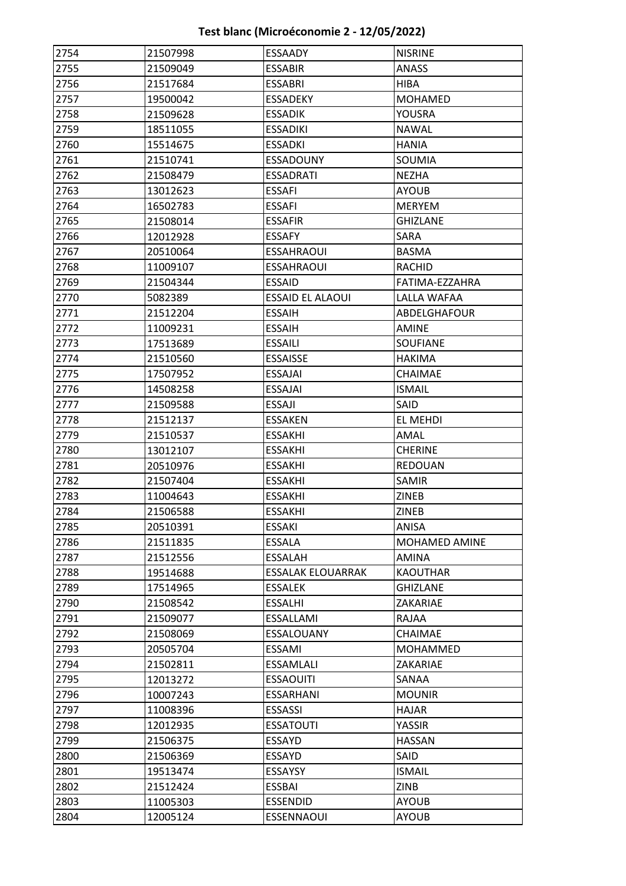| 2754 | 21507998 | <b>ESSAADY</b>           | <b>NISRINE</b>  |
|------|----------|--------------------------|-----------------|
| 2755 | 21509049 | <b>ESSABIR</b>           | <b>ANASS</b>    |
| 2756 | 21517684 | <b>ESSABRI</b>           | HIBA            |
| 2757 | 19500042 | <b>ESSADEKY</b>          | <b>MOHAMED</b>  |
| 2758 | 21509628 | <b>ESSADIK</b>           | YOUSRA          |
| 2759 | 18511055 | <b>ESSADIKI</b>          | <b>NAWAL</b>    |
| 2760 | 15514675 | <b>ESSADKI</b>           | <b>HANIA</b>    |
| 2761 | 21510741 | <b>ESSADOUNY</b>         | SOUMIA          |
| 2762 | 21508479 | <b>ESSADRATI</b>         | <b>NEZHA</b>    |
| 2763 | 13012623 | <b>ESSAFI</b>            | <b>AYOUB</b>    |
| 2764 | 16502783 | <b>ESSAFI</b>            | <b>MERYEM</b>   |
| 2765 | 21508014 | <b>ESSAFIR</b>           | <b>GHIZLANE</b> |
| 2766 | 12012928 | <b>ESSAFY</b>            | SARA            |
| 2767 | 20510064 | <b>ESSAHRAOUI</b>        | <b>BASMA</b>    |
| 2768 | 11009107 | <b>ESSAHRAOUI</b>        | RACHID          |
| 2769 | 21504344 | <b>ESSAID</b>            | FATIMA-EZZAHRA  |
| 2770 | 5082389  | <b>ESSAID EL ALAOUI</b>  | LALLA WAFAA     |
| 2771 | 21512204 | <b>ESSAIH</b>            | ABDELGHAFOUR    |
| 2772 | 11009231 | <b>ESSAIH</b>            | <b>AMINE</b>    |
| 2773 | 17513689 | <b>ESSAILI</b>           | SOUFIANE        |
| 2774 | 21510560 | <b>ESSAISSE</b>          | <b>HAKIMA</b>   |
| 2775 | 17507952 | <b>ESSAJAI</b>           | CHAIMAE         |
| 2776 | 14508258 | <b>ESSAJAI</b>           | <b>ISMAIL</b>   |
| 2777 | 21509588 | <b>ESSAJI</b>            | SAID            |
| 2778 | 21512137 | <b>ESSAKEN</b>           | EL MEHDI        |
| 2779 | 21510537 | <b>ESSAKHI</b>           | AMAL            |
| 2780 | 13012107 | <b>ESSAKHI</b>           | <b>CHERINE</b>  |
| 2781 | 20510976 | <b>ESSAKHI</b>           | <b>REDOUAN</b>  |
| 2782 | 21507404 | <b>ESSAKHI</b>           | <b>SAMIR</b>    |
| 2783 | 11004643 | <b>ESSAKHI</b>           | <b>ZINEB</b>    |
| 2784 | 21506588 | <b>ESSAKHI</b>           | <b>ZINEB</b>    |
| 2785 | 20510391 | <b>ESSAKI</b>            | <b>ANISA</b>    |
| 2786 | 21511835 | <b>ESSALA</b>            | MOHAMED AMINE   |
| 2787 | 21512556 | <b>ESSALAH</b>           | AMINA           |
| 2788 | 19514688 | <b>ESSALAK ELOUARRAK</b> | <b>KAOUTHAR</b> |
| 2789 | 17514965 | <b>ESSALEK</b>           | <b>GHIZLANE</b> |
| 2790 | 21508542 | <b>ESSALHI</b>           | ZAKARIAE        |
| 2791 | 21509077 | ESSALLAMI                | RAJAA           |
| 2792 | 21508069 | <b>ESSALOUANY</b>        | CHAIMAE         |
| 2793 | 20505704 | <b>ESSAMI</b>            | MOHAMMED        |
| 2794 | 21502811 | ESSAMLALI                | ZAKARIAE        |
| 2795 | 12013272 | <b>ESSAOUITI</b>         | SANAA           |
| 2796 | 10007243 | <b>ESSARHANI</b>         | <b>MOUNIR</b>   |
| 2797 | 11008396 | <b>ESSASSI</b>           | HAJAR           |
| 2798 | 12012935 | <b>ESSATOUTI</b>         | YASSIR          |
| 2799 | 21506375 | ESSAYD                   | HASSAN          |
| 2800 | 21506369 | ESSAYD                   | SAID            |
| 2801 | 19513474 | <b>ESSAYSY</b>           | <b>ISMAIL</b>   |
| 2802 | 21512424 | <b>ESSBAI</b>            | <b>ZINB</b>     |
| 2803 | 11005303 | <b>ESSENDID</b>          | <b>AYOUB</b>    |
| 2804 | 12005124 | <b>ESSENNAOUI</b>        | <b>AYOUB</b>    |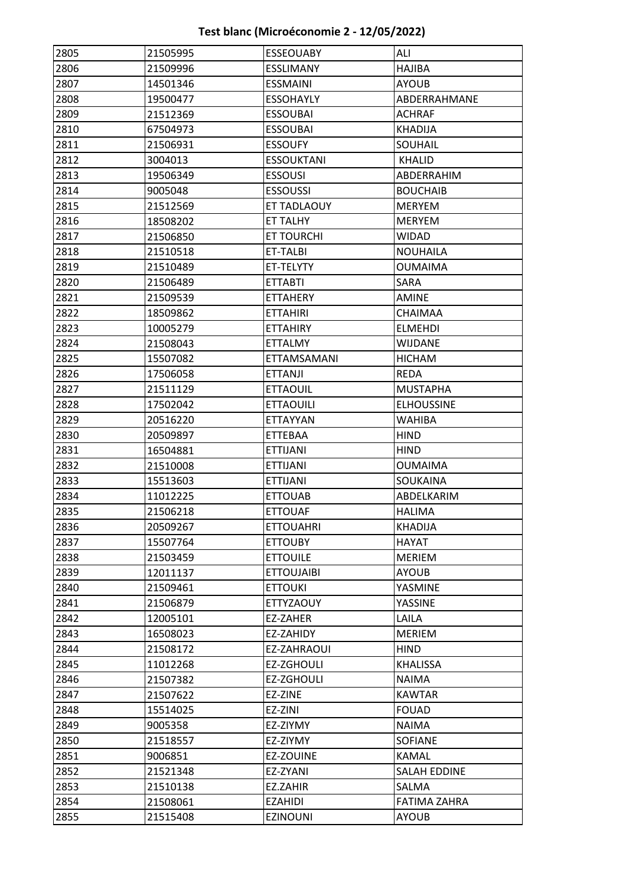| 2805 | 21505995 | <b>ESSEOUABY</b>  | ALI                 |
|------|----------|-------------------|---------------------|
| 2806 | 21509996 | ESSLIMANY         | <b>HAJIBA</b>       |
| 2807 | 14501346 | <b>ESSMAINI</b>   | <b>AYOUB</b>        |
| 2808 | 19500477 | <b>ESSOHAYLY</b>  | ABDERRAHMANE        |
| 2809 | 21512369 | <b>ESSOUBAI</b>   | <b>ACHRAF</b>       |
| 2810 | 67504973 | <b>ESSOUBAI</b>   | <b>KHADIJA</b>      |
| 2811 | 21506931 | <b>ESSOUFY</b>    | SOUHAIL             |
| 2812 | 3004013  | <b>ESSOUKTANI</b> | <b>KHALID</b>       |
| 2813 | 19506349 | <b>ESSOUSI</b>    | ABDERRAHIM          |
| 2814 | 9005048  | <b>ESSOUSSI</b>   | <b>BOUCHAIB</b>     |
| 2815 | 21512569 | ET TADLAOUY       | <b>MERYEM</b>       |
| 2816 | 18508202 | ET TALHY          | <b>MERYEM</b>       |
| 2817 | 21506850 | <b>ET TOURCHI</b> | <b>WIDAD</b>        |
| 2818 | 21510518 | ET-TALBI          | <b>NOUHAILA</b>     |
| 2819 | 21510489 | ET-TELYTY         | <b>OUMAIMA</b>      |
| 2820 | 21506489 | <b>ETTABTI</b>    | <b>SARA</b>         |
| 2821 | 21509539 | <b>ETTAHERY</b>   | <b>AMINE</b>        |
| 2822 | 18509862 | <b>ETTAHIRI</b>   | <b>CHAIMAA</b>      |
| 2823 | 10005279 | <b>ETTAHIRY</b>   | <b>ELMEHDI</b>      |
| 2824 | 21508043 | <b>ETTALMY</b>    | <b>WIJDANE</b>      |
| 2825 | 15507082 | ETTAMSAMANI       | <b>HICHAM</b>       |
| 2826 | 17506058 | <b>ETTANJI</b>    | REDA                |
| 2827 | 21511129 | <b>ETTAOUIL</b>   | <b>MUSTAPHA</b>     |
| 2828 | 17502042 | <b>ETTAOUILI</b>  | <b>ELHOUSSINE</b>   |
| 2829 | 20516220 | <b>ETTAYYAN</b>   | <b>WAHIBA</b>       |
| 2830 | 20509897 | ETTEBAA           | <b>HIND</b>         |
| 2831 | 16504881 | <b>ETTIJANI</b>   | <b>HIND</b>         |
| 2832 | 21510008 | <b>ETTIJANI</b>   | <b>OUMAIMA</b>      |
| 2833 | 15513603 | <b>ETTIJANI</b>   | SOUKAINA            |
| 2834 | 11012225 | <b>ETTOUAB</b>    | ABDELKARIM          |
| 2835 | 21506218 | <b>ETTOUAF</b>    | <b>HALIMA</b>       |
| 2836 | 20509267 | <b>ETTOUAHRI</b>  | <b>KHADIJA</b>      |
| 2837 | 15507764 | <b>ETTOUBY</b>    | <b>HAYAT</b>        |
| 2838 | 21503459 | <b>ETTOUILE</b>   | <b>MERIEM</b>       |
| 2839 | 12011137 | <b>ETTOUJAIBI</b> | <b>AYOUB</b>        |
| 2840 | 21509461 | <b>ETTOUKI</b>    | YASMINE             |
| 2841 | 21506879 | <b>ETTYZAOUY</b>  | YASSINE             |
| 2842 | 12005101 | EZ-ZAHER          | LAILA               |
| 2843 | 16508023 | EZ-ZAHIDY         | <b>MERIEM</b>       |
| 2844 | 21508172 | EZ-ZAHRAOUI       | <b>HIND</b>         |
| 2845 | 11012268 | EZ-ZGHOULI        | <b>KHALISSA</b>     |
| 2846 | 21507382 | EZ-ZGHOULI        | <b>NAIMA</b>        |
| 2847 | 21507622 | EZ-ZINE           | <b>KAWTAR</b>       |
| 2848 | 15514025 | EZ-ZINI           | <b>FOUAD</b>        |
| 2849 | 9005358  | EZ-ZIYMY          | <b>NAIMA</b>        |
| 2850 | 21518557 | EZ-ZIYMY          | <b>SOFIANE</b>      |
| 2851 | 9006851  | EZ-ZOUINE         | <b>KAMAL</b>        |
| 2852 | 21521348 | EZ-ZYANI          | SALAH EDDINE        |
| 2853 | 21510138 | EZ.ZAHIR          | SALMA               |
| 2854 | 21508061 | EZAHIDI           | <b>FATIMA ZAHRA</b> |
| 2855 | 21515408 | <b>EZINOUNI</b>   | <b>AYOUB</b>        |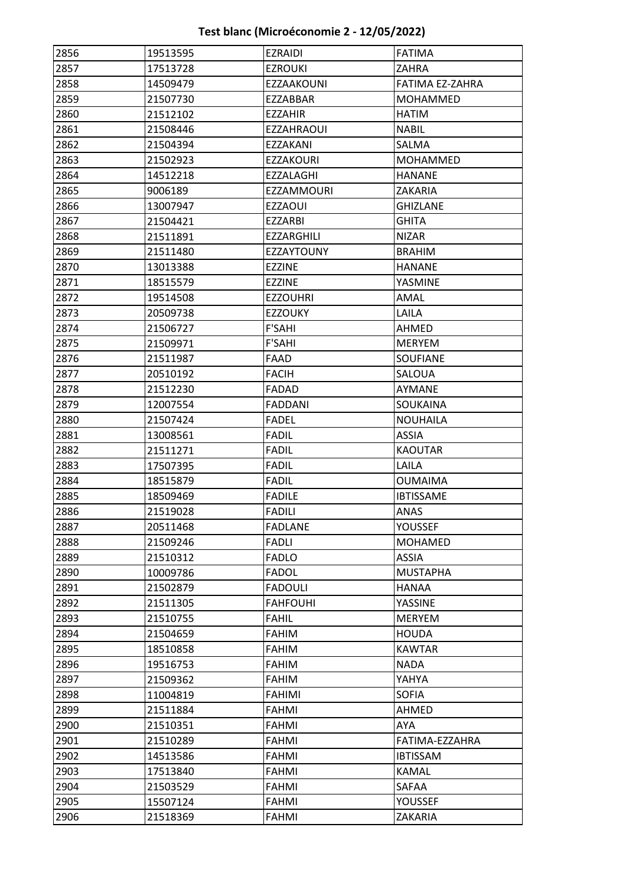| 2856 | 19513595 | <b>EZRAIDI</b>    | <b>FATIMA</b>    |
|------|----------|-------------------|------------------|
| 2857 | 17513728 | <b>EZROUKI</b>    | ZAHRA            |
| 2858 | 14509479 | <b>EZZAAKOUNI</b> | FATIMA EZ-ZAHRA  |
| 2859 | 21507730 | EZZABBAR          | <b>MOHAMMED</b>  |
| 2860 | 21512102 | <b>EZZAHIR</b>    | <b>HATIM</b>     |
| 2861 | 21508446 | <b>EZZAHRAOUI</b> | <b>NABIL</b>     |
| 2862 | 21504394 | EZZAKANI          | SALMA            |
| 2863 | 21502923 | <b>EZZAKOURI</b>  | <b>MOHAMMED</b>  |
| 2864 | 14512218 | EZZALAGHI         | <b>HANANE</b>    |
| 2865 | 9006189  | EZZAMMOURI        | ZAKARIA          |
| 2866 | 13007947 | <b>EZZAOUI</b>    | <b>GHIZLANE</b>  |
| 2867 | 21504421 | <b>EZZARBI</b>    | <b>GHITA</b>     |
| 2868 | 21511891 | EZZARGHILI        | <b>NIZAR</b>     |
| 2869 | 21511480 | <b>EZZAYTOUNY</b> | <b>BRAHIM</b>    |
| 2870 | 13013388 | <b>EZZINE</b>     | <b>HANANE</b>    |
| 2871 | 18515579 | <b>EZZINE</b>     | YASMINE          |
| 2872 | 19514508 | <b>EZZOUHRI</b>   | AMAL             |
| 2873 | 20509738 | <b>EZZOUKY</b>    | LAILA            |
| 2874 | 21506727 | <b>F'SAHI</b>     | AHMED            |
| 2875 | 21509971 | <b>F'SAHI</b>     | <b>MERYEM</b>    |
| 2876 | 21511987 | FAAD              | <b>SOUFIANE</b>  |
| 2877 | 20510192 | <b>FACIH</b>      | SALOUA           |
| 2878 | 21512230 | <b>FADAD</b>      | AYMANE           |
| 2879 | 12007554 | <b>FADDANI</b>    | SOUKAINA         |
| 2880 | 21507424 | <b>FADEL</b>      | <b>NOUHAILA</b>  |
| 2881 | 13008561 | <b>FADIL</b>      | <b>ASSIA</b>     |
| 2882 | 21511271 | <b>FADIL</b>      | <b>KAOUTAR</b>   |
| 2883 | 17507395 | <b>FADIL</b>      | LAILA            |
| 2884 | 18515879 | <b>FADIL</b>      | <b>OUMAIMA</b>   |
| 2885 | 18509469 | <b>FADILE</b>     | <b>IBTISSAME</b> |
| 2886 | 21519028 | <b>FADILI</b>     | <b>ANAS</b>      |
| 2887 | 20511468 | <b>FADLANE</b>    | YOUSSEF          |
| 2888 | 21509246 | <b>FADLI</b>      | <b>MOHAMED</b>   |
| 2889 | 21510312 | <b>FADLO</b>      | ASSIA            |
| 2890 | 10009786 | <b>FADOL</b>      | <b>MUSTAPHA</b>  |
| 2891 | 21502879 | <b>FADOULI</b>    | <b>HANAA</b>     |
| 2892 | 21511305 | <b>FAHFOUHI</b>   | YASSINE          |
| 2893 | 21510755 | <b>FAHIL</b>      | <b>MERYEM</b>    |
| 2894 | 21504659 | <b>FAHIM</b>      | <b>HOUDA</b>     |
| 2895 | 18510858 | <b>FAHIM</b>      | <b>KAWTAR</b>    |
| 2896 | 19516753 | <b>FAHIM</b>      | <b>NADA</b>      |
| 2897 | 21509362 | <b>FAHIM</b>      | YAHYA            |
| 2898 | 11004819 | <b>FAHIMI</b>     | <b>SOFIA</b>     |
| 2899 | 21511884 | <b>FAHMI</b>      | AHMED            |
| 2900 | 21510351 | <b>FAHMI</b>      | AYA              |
| 2901 | 21510289 | FAHMI             | FATIMA-EZZAHRA   |
| 2902 | 14513586 | <b>FAHMI</b>      | <b>IBTISSAM</b>  |
| 2903 | 17513840 | <b>FAHMI</b>      | KAMAL            |
| 2904 | 21503529 | <b>FAHMI</b>      | SAFAA            |
| 2905 | 15507124 | <b>FAHMI</b>      | YOUSSEF          |
| 2906 | 21518369 | FAHMI             | ZAKARIA          |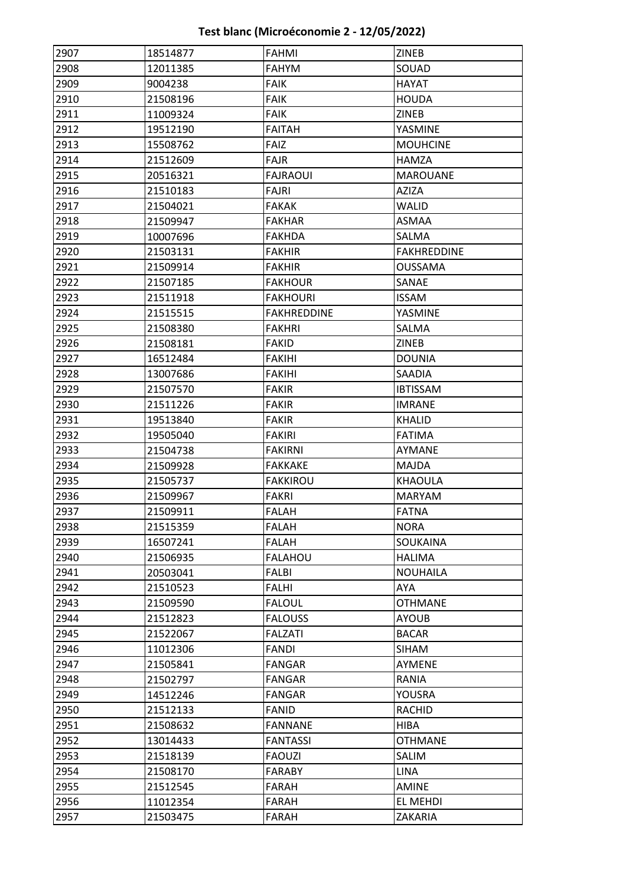| 2907 | 18514877 | <b>FAHMI</b>       | ZINEB              |
|------|----------|--------------------|--------------------|
| 2908 | 12011385 | <b>FAHYM</b>       | SOUAD              |
| 2909 | 9004238  | <b>FAIK</b>        | <b>HAYAT</b>       |
| 2910 | 21508196 | <b>FAIK</b>        | <b>HOUDA</b>       |
| 2911 | 11009324 | <b>FAIK</b>        | <b>ZINEB</b>       |
| 2912 | 19512190 | <b>FAITAH</b>      | YASMINE            |
| 2913 | 15508762 | FAIZ               | <b>MOUHCINE</b>    |
| 2914 | 21512609 | <b>FAJR</b>        | HAMZA              |
| 2915 | 20516321 | <b>FAJRAOUI</b>    | <b>MAROUANE</b>    |
| 2916 | 21510183 | <b>FAJRI</b>       | <b>AZIZA</b>       |
| 2917 | 21504021 | FAKAK              | <b>WALID</b>       |
| 2918 | 21509947 | <b>FAKHAR</b>      | <b>ASMAA</b>       |
| 2919 | 10007696 | <b>FAKHDA</b>      | SALMA              |
| 2920 | 21503131 | <b>FAKHIR</b>      | <b>FAKHREDDINE</b> |
| 2921 | 21509914 | <b>FAKHIR</b>      | OUSSAMA            |
| 2922 | 21507185 | <b>FAKHOUR</b>     | SANAE              |
| 2923 | 21511918 | <b>FAKHOURI</b>    | <b>ISSAM</b>       |
| 2924 | 21515515 | <b>FAKHREDDINE</b> | <b>YASMINE</b>     |
| 2925 | 21508380 | <b>FAKHRI</b>      | <b>SALMA</b>       |
| 2926 | 21508181 | <b>FAKID</b>       | ZINEB              |
| 2927 | 16512484 | <b>FAKIHI</b>      | <b>DOUNIA</b>      |
| 2928 | 13007686 | <b>FAKIHI</b>      | SAADIA             |
| 2929 | 21507570 | <b>FAKIR</b>       | <b>IBTISSAM</b>    |
| 2930 | 21511226 | <b>FAKIR</b>       | <b>IMRANE</b>      |
| 2931 | 19513840 | <b>FAKIR</b>       | <b>KHALID</b>      |
| 2932 | 19505040 | <b>FAKIRI</b>      | <b>FATIMA</b>      |
| 2933 | 21504738 | <b>FAKIRNI</b>     | AYMANE             |
| 2934 | 21509928 | <b>FAKKAKE</b>     | <b>MAJDA</b>       |
| 2935 | 21505737 | <b>FAKKIROU</b>    | KHAOULA            |
| 2936 | 21509967 | FAKRI              | <b>MARYAM</b>      |
| 2937 | 21509911 | <b>FALAH</b>       | <b>FATNA</b>       |
| 2938 | 21515359 | <b>FALAH</b>       | <b>NORA</b>        |
| 2939 | 16507241 | <b>FALAH</b>       | SOUKAINA           |
| 2940 | 21506935 | <b>FALAHOU</b>     | HALIMA             |
| 2941 | 20503041 | <b>FALBI</b>       | <b>NOUHAILA</b>    |
| 2942 | 21510523 | <b>FALHI</b>       | AYA                |
| 2943 | 21509590 | <b>FALOUL</b>      | <b>OTHMANE</b>     |
| 2944 | 21512823 | <b>FALOUSS</b>     | <b>AYOUB</b>       |
| 2945 | 21522067 | <b>FALZATI</b>     | <b>BACAR</b>       |
| 2946 | 11012306 | <b>FANDI</b>       | <b>SIHAM</b>       |
| 2947 | 21505841 | <b>FANGAR</b>      | AYMENE             |
| 2948 | 21502797 | FANGAR             | RANIA              |
| 2949 | 14512246 | <b>FANGAR</b>      | <b>YOUSRA</b>      |
| 2950 | 21512133 | <b>FANID</b>       | <b>RACHID</b>      |
| 2951 | 21508632 | <b>FANNANE</b>     | <b>HIBA</b>        |
| 2952 | 13014433 | <b>FANTASSI</b>    | <b>OTHMANE</b>     |
| 2953 | 21518139 | <b>FAOUZI</b>      | SALIM              |
| 2954 | 21508170 | <b>FARABY</b>      | <b>LINA</b>        |
| 2955 | 21512545 | FARAH              | AMINE              |
| 2956 | 11012354 | <b>FARAH</b>       | EL MEHDI           |
| 2957 | 21503475 | <b>FARAH</b>       | ZAKARIA            |
|      |          |                    |                    |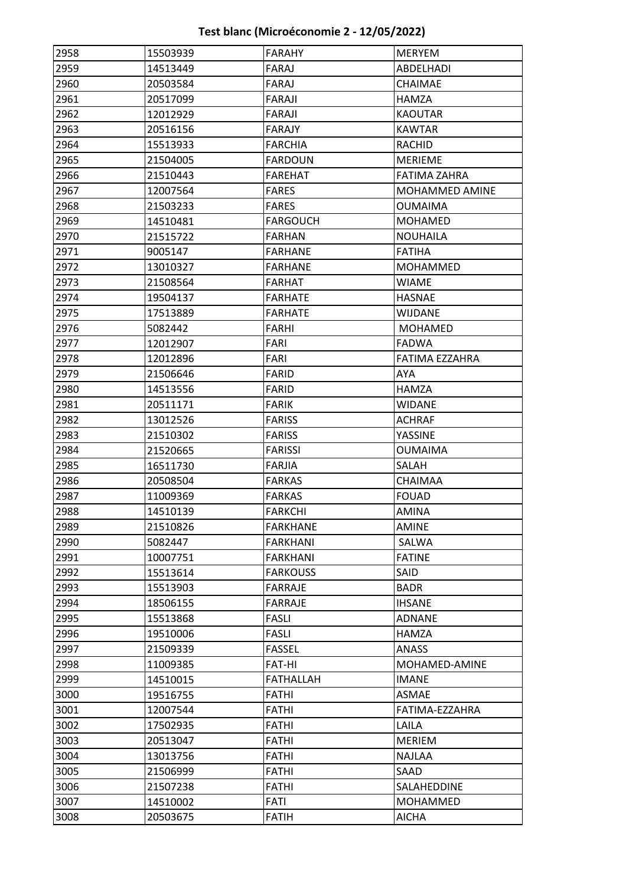| 2958 | 15503939 | <b>FARAHY</b>   | <b>MERYEM</b>       |
|------|----------|-----------------|---------------------|
| 2959 | 14513449 | FARAJ           | ABDELHADI           |
| 2960 | 20503584 | FARAJ           | CHAIMAE             |
| 2961 | 20517099 | FARAJI          | <b>HAMZA</b>        |
| 2962 | 12012929 | FARAJI          | <b>KAOUTAR</b>      |
| 2963 | 20516156 | <b>FARAJY</b>   | KAWTAR              |
| 2964 | 15513933 | <b>FARCHIA</b>  | <b>RACHID</b>       |
| 2965 | 21504005 | <b>FARDOUN</b>  | <b>MERIEME</b>      |
| 2966 | 21510443 | <b>FAREHAT</b>  | <b>FATIMA ZAHRA</b> |
| 2967 | 12007564 | <b>FARES</b>    | MOHAMMED AMINE      |
| 2968 | 21503233 | <b>FARES</b>    | <b>OUMAIMA</b>      |
| 2969 | 14510481 | <b>FARGOUCH</b> | <b>MOHAMED</b>      |
| 2970 | 21515722 | <b>FARHAN</b>   | <b>NOUHAILA</b>     |
| 2971 | 9005147  | <b>FARHANE</b>  | <b>FATIHA</b>       |
| 2972 | 13010327 | <b>FARHANE</b>  | <b>MOHAMMED</b>     |
| 2973 | 21508564 | <b>FARHAT</b>   | <b>WIAME</b>        |
| 2974 | 19504137 | <b>FARHATE</b>  | <b>HASNAE</b>       |
| 2975 | 17513889 | <b>FARHATE</b>  | WIJDANE             |
| 2976 | 5082442  | <b>FARHI</b>    | <b>MOHAMED</b>      |
| 2977 | 12012907 | FARI            | <b>FADWA</b>        |
| 2978 | 12012896 | FARI            | FATIMA EZZAHRA      |
| 2979 | 21506646 | FARID           | <b>AYA</b>          |
| 2980 | 14513556 | FARID           | HAMZA               |
| 2981 | 20511171 | <b>FARIK</b>    | WIDANE              |
| 2982 | 13012526 | <b>FARISS</b>   | <b>ACHRAF</b>       |
| 2983 | 21510302 | <b>FARISS</b>   | YASSINE             |
| 2984 | 21520665 | <b>FARISSI</b>  | <b>OUMAIMA</b>      |
| 2985 | 16511730 | <b>FARJIA</b>   | SALAH               |
| 2986 | 20508504 | <b>FARKAS</b>   | CHAIMAA             |
| 2987 | 11009369 | <b>FARKAS</b>   | <b>FOUAD</b>        |
| 2988 | 14510139 | <b>FARKCHI</b>  | <b>AMINA</b>        |
| 2989 | 21510826 | <b>FARKHANE</b> | <b>AMINE</b>        |
| 2990 | 5082447  | FARKHANI        | SALWA               |
| 2991 | 10007751 | FARKHANI        | <b>FATINE</b>       |
| 2992 | 15513614 | <b>FARKOUSS</b> | SAID                |
| 2993 | 15513903 | FARRAJE         | <b>BADR</b>         |
| 2994 | 18506155 | <b>FARRAJE</b>  | <b>IHSANE</b>       |
| 2995 | 15513868 | <b>FASLI</b>    | <b>ADNANE</b>       |
| 2996 | 19510006 | <b>FASLI</b>    | HAMZA               |
| 2997 | 21509339 | <b>FASSEL</b>   | <b>ANASS</b>        |
| 2998 | 11009385 | <b>FAT-HI</b>   | MOHAMED-AMINE       |
| 2999 | 14510015 | FATHALLAH       | <b>IMANE</b>        |
| 3000 | 19516755 | <b>FATHI</b>    | ASMAE               |
| 3001 | 12007544 | <b>FATHI</b>    | FATIMA-EZZAHRA      |
| 3002 | 17502935 | <b>FATHI</b>    | LAILA               |
| 3003 | 20513047 | <b>FATHI</b>    | <b>MERIEM</b>       |
| 3004 | 13013756 | <b>FATHI</b>    | <b>NAJLAA</b>       |
| 3005 | 21506999 | <b>FATHI</b>    | SAAD                |
| 3006 | 21507238 | <b>FATHI</b>    | SALAHEDDINE         |
| 3007 | 14510002 | FATI            | MOHAMMED            |
| 3008 | 20503675 | <b>FATIH</b>    | <b>AICHA</b>        |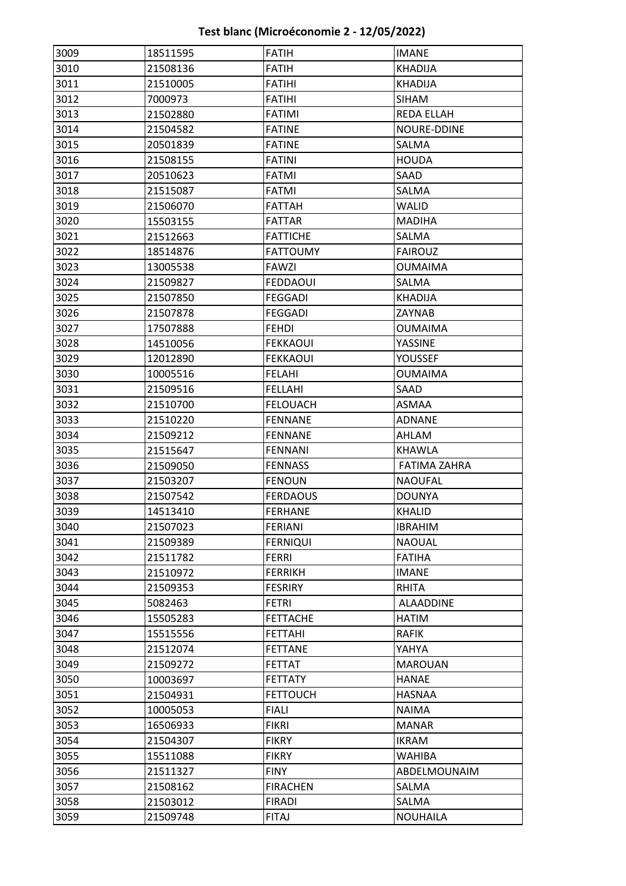| 3009 | 18511595 | <b>FATIH</b>    | <b>IMANE</b>        |
|------|----------|-----------------|---------------------|
| 3010 | 21508136 | <b>FATIH</b>    | <b>KHADIJA</b>      |
| 3011 | 21510005 | <b>FATIHI</b>   | <b>KHADIJA</b>      |
| 3012 | 7000973  | <b>FATIHI</b>   | SIHAM               |
| 3013 | 21502880 | <b>FATIMI</b>   | REDA ELLAH          |
| 3014 | 21504582 | <b>FATINE</b>   | NOURE-DDINE         |
| 3015 | 20501839 | <b>FATINE</b>   | SALMA               |
| 3016 | 21508155 | <b>FATINI</b>   | <b>HOUDA</b>        |
| 3017 | 20510623 | <b>FATMI</b>    | SAAD                |
| 3018 | 21515087 | <b>FATMI</b>    | SALMA               |
| 3019 | 21506070 | <b>FATTAH</b>   | WALID               |
| 3020 | 15503155 | <b>FATTAR</b>   | <b>MADIHA</b>       |
| 3021 | 21512663 | <b>FATTICHE</b> | SALMA               |
| 3022 | 18514876 | <b>FATTOUMY</b> | <b>FAIROUZ</b>      |
| 3023 | 13005538 | FAWZI           | <b>OUMAIMA</b>      |
| 3024 | 21509827 | <b>FEDDAOUI</b> | SALMA               |
| 3025 | 21507850 | <b>FEGGADI</b>  | <b>KHADIJA</b>      |
| 3026 | 21507878 | <b>FEGGADI</b>  | ZAYNAB              |
| 3027 | 17507888 | <b>FEHDI</b>    | <b>OUMAIMA</b>      |
| 3028 | 14510056 | <b>FEKKAOUI</b> | YASSINE             |
| 3029 | 12012890 | <b>FEKKAOUI</b> | <b>YOUSSEF</b>      |
| 3030 | 10005516 | <b>FELAHI</b>   | <b>OUMAIMA</b>      |
| 3031 | 21509516 | <b>FELLAHI</b>  | SAAD                |
| 3032 | 21510700 | <b>FELOUACH</b> | <b>ASMAA</b>        |
| 3033 | 21510220 | <b>FENNANE</b>  | ADNANE              |
| 3034 | 21509212 | <b>FENNANE</b>  | AHLAM               |
| 3035 | 21515647 | <b>FENNANI</b>  | <b>KHAWLA</b>       |
| 3036 | 21509050 | <b>FENNASS</b>  | <b>FATIMA ZAHRA</b> |
| 3037 | 21503207 | <b>FENOUN</b>   | <b>NAOUFAL</b>      |
| 3038 | 21507542 | <b>FERDAOUS</b> | DOUNYA              |
| 3039 | 14513410 | <b>FERHANE</b>  | <b>KHALID</b>       |
| 3040 | 21507023 | <b>FERIANI</b>  | <b>IBRAHIM</b>      |
| 3041 | 21509389 | <b>FERNIQUI</b> | <b>NAOUAL</b>       |
| 3042 | 21511782 | <b>FERRI</b>    | <b>FATIHA</b>       |
| 3043 | 21510972 | <b>FERRIKH</b>  | <b>IMANE</b>        |
| 3044 | 21509353 | <b>FESRIRY</b>  | <b>RHITA</b>        |
| 3045 | 5082463  | <b>FETRI</b>    | ALAADDINE           |
| 3046 | 15505283 | <b>FETTACHE</b> | <b>HATIM</b>        |
| 3047 | 15515556 | <b>FETTAHI</b>  | <b>RAFIK</b>        |
| 3048 | 21512074 | <b>FETTANE</b>  | YAHYA               |
| 3049 | 21509272 | <b>FETTAT</b>   | <b>MAROUAN</b>      |
| 3050 | 10003697 | <b>FETTATY</b>  | HANAE               |
| 3051 | 21504931 | <b>FETTOUCH</b> | <b>HASNAA</b>       |
| 3052 | 10005053 | <b>FIALI</b>    | <b>NAIMA</b>        |
| 3053 | 16506933 | <b>FIKRI</b>    | <b>MANAR</b>        |
| 3054 | 21504307 | <b>FIKRY</b>    | <b>IKRAM</b>        |
| 3055 | 15511088 | <b>FIKRY</b>    | WAHIBA              |
| 3056 | 21511327 | <b>FINY</b>     | ABDELMOUNAIM        |
| 3057 | 21508162 | <b>FIRACHEN</b> | SALMA               |
| 3058 | 21503012 | <b>FIRADI</b>   | SALMA               |
| 3059 | 21509748 | <b>FITAJ</b>    | <b>NOUHAILA</b>     |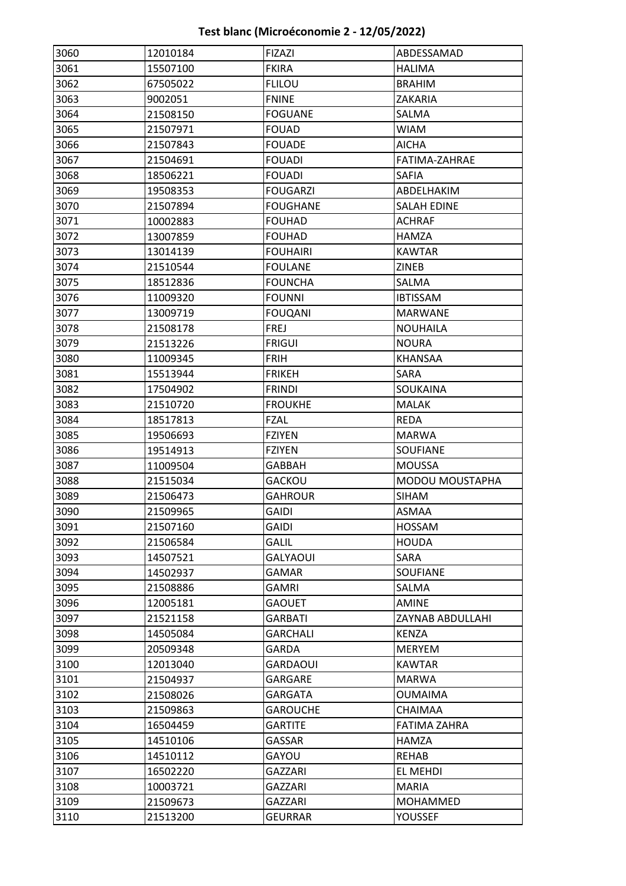| 3060 | 12010184 | <b>FIZAZI</b>   | ABDESSAMAD          |
|------|----------|-----------------|---------------------|
| 3061 | 15507100 | <b>FKIRA</b>    | <b>HALIMA</b>       |
| 3062 | 67505022 | <b>FLILOU</b>   | <b>BRAHIM</b>       |
| 3063 | 9002051  | <b>FNINE</b>    | ZAKARIA             |
| 3064 | 21508150 | <b>FOGUANE</b>  | SALMA               |
| 3065 | 21507971 | <b>FOUAD</b>    | WIAM                |
| 3066 | 21507843 | <b>FOUADE</b>   | <b>AICHA</b>        |
| 3067 | 21504691 | <b>FOUADI</b>   | FATIMA-ZAHRAE       |
| 3068 | 18506221 | <b>FOUADI</b>   | <b>SAFIA</b>        |
| 3069 | 19508353 | <b>FOUGARZI</b> | ABDELHAKIM          |
| 3070 | 21507894 | <b>FOUGHANE</b> | SALAH EDINE         |
| 3071 | 10002883 | <b>FOUHAD</b>   | <b>ACHRAF</b>       |
| 3072 | 13007859 | <b>FOUHAD</b>   | HAMZA               |
| 3073 | 13014139 | <b>FOUHAIRI</b> | <b>KAWTAR</b>       |
| 3074 | 21510544 | <b>FOULANE</b>  | <b>ZINEB</b>        |
| 3075 | 18512836 | <b>FOUNCHA</b>  | SALMA               |
| 3076 | 11009320 | <b>FOUNNI</b>   | <b>IBTISSAM</b>     |
| 3077 | 13009719 | <b>FOUQANI</b>  | <b>MARWANE</b>      |
| 3078 | 21508178 | <b>FREJ</b>     | <b>NOUHAILA</b>     |
| 3079 | 21513226 | <b>FRIGUI</b>   | <b>NOURA</b>        |
| 3080 | 11009345 | <b>FRIH</b>     | <b>KHANSAA</b>      |
| 3081 | 15513944 | <b>FRIKEH</b>   | SARA                |
| 3082 | 17504902 | <b>FRINDI</b>   | SOUKAINA            |
| 3083 | 21510720 | <b>FROUKHE</b>  | <b>MALAK</b>        |
| 3084 | 18517813 | <b>FZAL</b>     | <b>REDA</b>         |
| 3085 | 19506693 | <b>FZIYEN</b>   | <b>MARWA</b>        |
| 3086 | 19514913 | <b>FZIYEN</b>   | SOUFIANE            |
| 3087 | 11009504 | GABBAH          | <b>MOUSSA</b>       |
| 3088 | 21515034 | <b>GACKOU</b>   | MODOU MOUSTAPHA     |
| 3089 | 21506473 | <b>GAHROUR</b>  | <b>SIHAM</b>        |
| 3090 | 21509965 | <b>GAIDI</b>    | ASMAA               |
| 3091 | 21507160 | <b>GAIDI</b>    | HOSSAM              |
| 3092 | 21506584 | <b>GALIL</b>    | <b>HOUDA</b>        |
| 3093 | 14507521 | <b>GALYAOUI</b> | SARA                |
| 3094 | 14502937 | <b>GAMAR</b>    | SOUFIANE            |
| 3095 | 21508886 | GAMRI           | SALMA               |
| 3096 | 12005181 | <b>GAOUET</b>   | <b>AMINE</b>        |
| 3097 | 21521158 | <b>GARBATI</b>  | ZAYNAB ABDULLAHI    |
| 3098 | 14505084 | GARCHALI        | KENZA               |
| 3099 | 20509348 | <b>GARDA</b>    | <b>MERYEM</b>       |
| 3100 | 12013040 | <b>GARDAOUI</b> | KAWTAR              |
| 3101 | 21504937 | GARGARE         | MARWA               |
| 3102 | 21508026 | <b>GARGATA</b>  | OUMAIMA             |
| 3103 | 21509863 | GAROUCHE        | CHAIMAA             |
| 3104 | 16504459 | <b>GARTITE</b>  | <b>FATIMA ZAHRA</b> |
| 3105 | 14510106 | GASSAR          | HAMZA               |
| 3106 | 14510112 | GAYOU           | REHAB               |
| 3107 | 16502220 | <b>GAZZARI</b>  | EL MEHDI            |
| 3108 | 10003721 | GAZZARI         | <b>MARIA</b>        |
| 3109 | 21509673 | <b>GAZZARI</b>  | MOHAMMED            |
| 3110 | 21513200 | <b>GEURRAR</b>  | YOUSSEF             |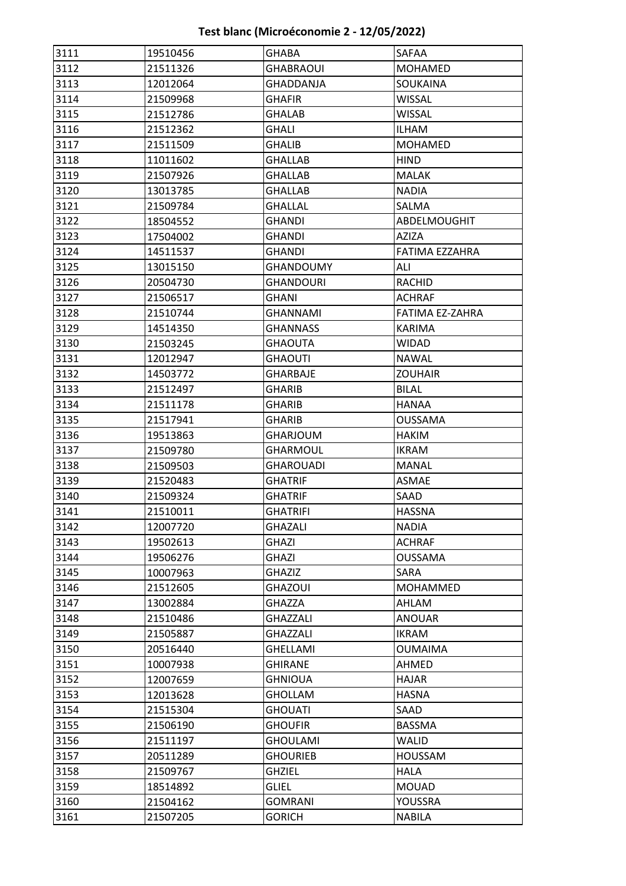| 3111 | 19510456 | <b>GHABA</b>     | SAFAA           |
|------|----------|------------------|-----------------|
| 3112 | 21511326 | <b>GHABRAOUI</b> | <b>MOHAMED</b>  |
| 3113 | 12012064 | GHADDANJA        | SOUKAINA        |
| 3114 | 21509968 | <b>GHAFIR</b>    | WISSAL          |
| 3115 | 21512786 | GHALAB           | WISSAL          |
| 3116 | 21512362 | GHALI            | ILHAM           |
| 3117 | 21511509 | <b>GHALIB</b>    | <b>MOHAMED</b>  |
| 3118 | 11011602 | GHALLAB          | HIND            |
| 3119 | 21507926 | <b>GHALLAB</b>   | <b>MALAK</b>    |
| 3120 | 13013785 | GHALLAB          | <b>NADIA</b>    |
| 3121 | 21509784 | GHALLAL          | SALMA           |
| 3122 | 18504552 | GHANDI           | ABDELMOUGHIT    |
| 3123 | 17504002 | GHANDI           | <b>AZIZA</b>    |
| 3124 | 14511537 | <b>GHANDI</b>    | FATIMA EZZAHRA  |
| 3125 | 13015150 | GHANDOUMY        | ALI             |
| 3126 | 20504730 | <b>GHANDOURI</b> | <b>RACHID</b>   |
| 3127 | 21506517 | GHANI            | <b>ACHRAF</b>   |
| 3128 | 21510744 | <b>GHANNAMI</b>  | FATIMA EZ-ZAHRA |
| 3129 | 14514350 | <b>GHANNASS</b>  | <b>KARIMA</b>   |
| 3130 | 21503245 | GHAOUTA          | WIDAD           |
| 3131 | 12012947 | <b>GHAOUTI</b>   | <b>NAWAL</b>    |
| 3132 | 14503772 | GHARBAJE         | <b>ZOUHAIR</b>  |
| 3133 | 21512497 | <b>GHARIB</b>    | <b>BILAL</b>    |
| 3134 | 21511178 | <b>GHARIB</b>    | HANAA           |
| 3135 | 21517941 | <b>GHARIB</b>    | OUSSAMA         |
| 3136 | 19513863 | GHARJOUM         | <b>HAKIM</b>    |
| 3137 | 21509780 | GHARMOUL         | IKRAM           |
| 3138 | 21509503 | <b>GHAROUADI</b> | <b>MANAL</b>    |
| 3139 | 21520483 | <b>GHATRIF</b>   | ASMAE           |
| 3140 | 21509324 | <b>GHATRIF</b>   | SAAD            |
| 3141 | 21510011 | <b>GHATRIFI</b>  | <b>HASSNA</b>   |
| 3142 | 12007720 | <b>GHAZALI</b>   | NADIA           |
| 3143 | 19502613 | <b>GHAZI</b>     | <b>ACHRAF</b>   |
| 3144 | 19506276 | <b>GHAZI</b>     | OUSSAMA         |
| 3145 | 10007963 | <b>GHAZIZ</b>    | SARA            |
| 3146 | 21512605 | <b>GHAZOUI</b>   | MOHAMMED        |
| 3147 | 13002884 | <b>GHAZZA</b>    | AHLAM           |
| 3148 | 21510486 | <b>GHAZZALI</b>  | <b>ANOUAR</b>   |
| 3149 | 21505887 | <b>GHAZZALI</b>  | <b>IKRAM</b>    |
| 3150 | 20516440 | <b>GHELLAMI</b>  | <b>OUMAIMA</b>  |
| 3151 | 10007938 | GHIRANE          | AHMED           |
| 3152 | 12007659 | <b>GHNIOUA</b>   | <b>HAJAR</b>    |
| 3153 | 12013628 | GHOLLAM          | <b>HASNA</b>    |
| 3154 | 21515304 | <b>GHOUATI</b>   | SAAD            |
| 3155 | 21506190 | <b>GHOUFIR</b>   | <b>BASSMA</b>   |
| 3156 | 21511197 | GHOULAMI         | WALID           |
| 3157 | 20511289 | <b>GHOURIEB</b>  | <b>HOUSSAM</b>  |
| 3158 | 21509767 | <b>GHZIEL</b>    | <b>HALA</b>     |
| 3159 | 18514892 | <b>GLIEL</b>     | <b>MOUAD</b>    |
| 3160 | 21504162 | <b>GOMRANI</b>   | YOUSSRA         |
| 3161 | 21507205 | <b>GORICH</b>    | NABILA          |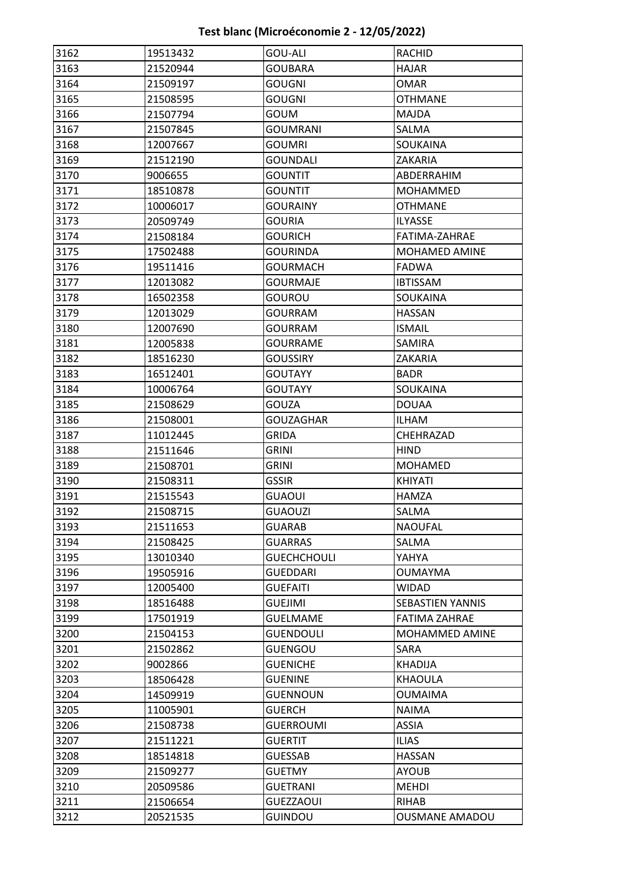| 3162 | 19513432 | GOU-ALI            | <b>RACHID</b>           |
|------|----------|--------------------|-------------------------|
| 3163 | 21520944 | <b>GOUBARA</b>     | <b>HAJAR</b>            |
| 3164 | 21509197 | <b>GOUGNI</b>      | <b>OMAR</b>             |
| 3165 | 21508595 | <b>GOUGNI</b>      | <b>OTHMANE</b>          |
| 3166 | 21507794 | GOUM               | MAJDA                   |
| 3167 | 21507845 | <b>GOUMRANI</b>    | SALMA                   |
| 3168 | 12007667 | <b>GOUMRI</b>      | SOUKAINA                |
| 3169 | 21512190 | GOUNDALI           | ZAKARIA                 |
| 3170 | 9006655  | <b>GOUNTIT</b>     | <b>ABDERRAHIM</b>       |
| 3171 | 18510878 | <b>GOUNTIT</b>     | <b>MOHAMMED</b>         |
| 3172 | 10006017 | <b>GOURAINY</b>    | <b>OTHMANE</b>          |
| 3173 | 20509749 | <b>GOURIA</b>      | <b>ILYASSE</b>          |
| 3174 | 21508184 | <b>GOURICH</b>     | FATIMA-ZAHRAE           |
| 3175 | 17502488 | <b>GOURINDA</b>    | MOHAMED AMINE           |
| 3176 | 19511416 | GOURMACH           | <b>FADWA</b>            |
| 3177 | 12013082 | <b>GOURMAJE</b>    | <b>IBTISSAM</b>         |
| 3178 | 16502358 | GOUROU             | SOUKAINA                |
| 3179 | 12013029 | <b>GOURRAM</b>     | <b>HASSAN</b>           |
| 3180 | 12007690 | <b>GOURRAM</b>     | <b>ISMAIL</b>           |
| 3181 | 12005838 | <b>GOURRAME</b>    | SAMIRA                  |
| 3182 | 18516230 | <b>GOUSSIRY</b>    | ZAKARIA                 |
| 3183 | 16512401 | <b>GOUTAYY</b>     | <b>BADR</b>             |
| 3184 | 10006764 | <b>GOUTAYY</b>     | SOUKAINA                |
| 3185 | 21508629 | GOUZA              | <b>DOUAA</b>            |
| 3186 | 21508001 | <b>GOUZAGHAR</b>   | ILHAM                   |
| 3187 | 11012445 | <b>GRIDA</b>       | CHEHRAZAD               |
| 3188 | 21511646 | <b>GRINI</b>       | <b>HIND</b>             |
| 3189 | 21508701 | <b>GRINI</b>       | <b>MOHAMED</b>          |
| 3190 | 21508311 | <b>GSSIR</b>       | <b>KHIYATI</b>          |
| 3191 | 21515543 | <b>GUAOUI</b>      | HAMZA                   |
| 3192 | 21508715 | <b>GUAOUZI</b>     | SALMA                   |
| 3193 | 21511653 | <b>GUARAB</b>      | <b>NAOUFAL</b>          |
| 3194 | 21508425 | <b>GUARRAS</b>     | <b>SALMA</b>            |
| 3195 | 13010340 | <b>GUECHCHOULI</b> | YAHYA                   |
| 3196 | 19505916 | <b>GUEDDARI</b>    | <b>OUMAYMA</b>          |
| 3197 | 12005400 | <b>GUEFAITI</b>    | WIDAD                   |
| 3198 | 18516488 | <b>GUEJIMI</b>     | <b>SEBASTIEN YANNIS</b> |
| 3199 | 17501919 | <b>GUELMAME</b>    | FATIMA ZAHRAE           |
| 3200 | 21504153 | <b>GUENDOULI</b>   | MOHAMMED AMINE          |
| 3201 | 21502862 | <b>GUENGOU</b>     | SARA                    |
| 3202 | 9002866  | <b>GUENICHE</b>    | <b>KHADIJA</b>          |
| 3203 | 18506428 | <b>GUENINE</b>     | KHAOULA                 |
| 3204 | 14509919 | <b>GUENNOUN</b>    | <b>OUMAIMA</b>          |
| 3205 | 11005901 | <b>GUERCH</b>      | <b>NAIMA</b>            |
| 3206 | 21508738 | <b>GUERROUMI</b>   | <b>ASSIA</b>            |
| 3207 | 21511221 | <b>GUERTIT</b>     | <b>ILIAS</b>            |
| 3208 | 18514818 | <b>GUESSAB</b>     | <b>HASSAN</b>           |
| 3209 | 21509277 | <b>GUETMY</b>      | <b>AYOUB</b>            |
| 3210 | 20509586 | <b>GUETRANI</b>    | <b>MEHDI</b>            |
| 3211 | 21506654 | <b>GUEZZAOUI</b>   | <b>RIHAB</b>            |
| 3212 | 20521535 | <b>GUINDOU</b>     | OUSMANE AMADOU          |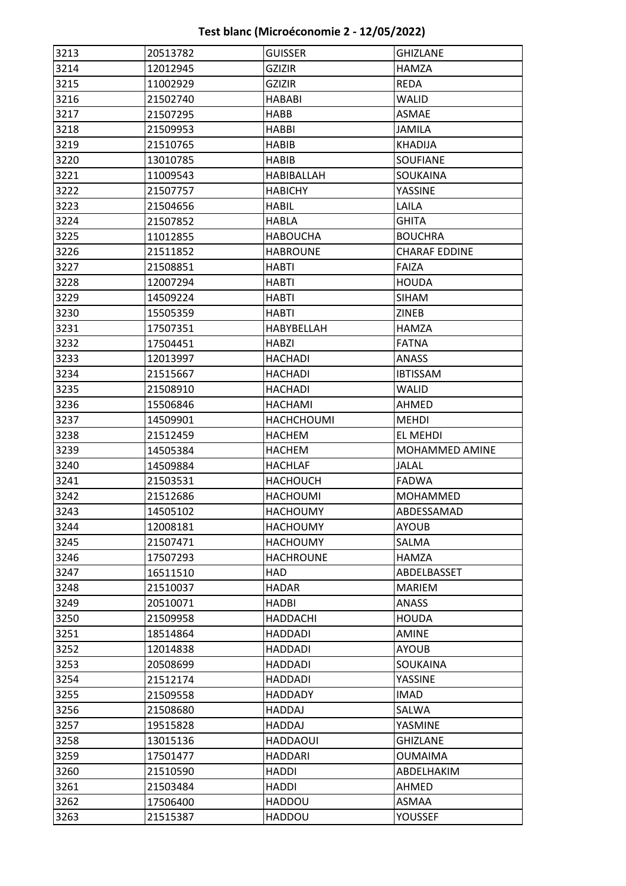| 3213 | 20513782 | <b>GUISSER</b>    | <b>GHIZLANE</b>      |
|------|----------|-------------------|----------------------|
| 3214 | 12012945 | <b>GZIZIR</b>     | <b>HAMZA</b>         |
| 3215 | 11002929 | <b>GZIZIR</b>     | REDA                 |
| 3216 | 21502740 | <b>HABABI</b>     | WALID                |
| 3217 | 21507295 | <b>HABB</b>       | <b>ASMAE</b>         |
| 3218 | 21509953 | HABBI             | JAMILA               |
| 3219 | 21510765 | <b>HABIB</b>      | <b>KHADIJA</b>       |
| 3220 | 13010785 | HABIB             | <b>SOUFIANE</b>      |
| 3221 | 11009543 | <b>HABIBALLAH</b> | SOUKAINA             |
| 3222 | 21507757 | <b>HABICHY</b>    | YASSINE              |
| 3223 | 21504656 | <b>HABIL</b>      | LAILA                |
| 3224 | 21507852 | <b>HABLA</b>      | <b>GHITA</b>         |
| 3225 | 11012855 | <b>HABOUCHA</b>   | <b>BOUCHRA</b>       |
| 3226 | 21511852 | <b>HABROUNE</b>   | <b>CHARAF EDDINE</b> |
| 3227 | 21508851 | <b>HABTI</b>      | <b>FAIZA</b>         |
| 3228 | 12007294 | HABTI             | <b>HOUDA</b>         |
| 3229 | 14509224 | <b>HABTI</b>      | <b>SIHAM</b>         |
| 3230 | 15505359 | <b>HABTI</b>      | <b>ZINEB</b>         |
| 3231 | 17507351 | <b>HABYBELLAH</b> | <b>HAMZA</b>         |
| 3232 | 17504451 | <b>HABZI</b>      | <b>FATNA</b>         |
| 3233 | 12013997 | <b>HACHADI</b>    | <b>ANASS</b>         |
| 3234 | 21515667 | <b>HACHADI</b>    | <b>IBTISSAM</b>      |
| 3235 | 21508910 | HACHADI           | WALID                |
| 3236 | 15506846 | <b>HACHAMI</b>    | AHMED                |
| 3237 | 14509901 | <b>HACHCHOUMI</b> | MEHDI                |
| 3238 | 21512459 | <b>HACHEM</b>     | EL MEHDI             |
| 3239 | 14505384 | HACHEM            | MOHAMMED AMINE       |
| 3240 | 14509884 | <b>HACHLAF</b>    | <b>JALAL</b>         |
| 3241 | 21503531 | <b>HACHOUCH</b>   | <b>FADWA</b>         |
| 3242 | 21512686 | <b>HACHOUMI</b>   | <b>MOHAMMED</b>      |
| 3243 | 14505102 | <b>HACHOUMY</b>   | ABDESSAMAD           |
| 3244 | 12008181 | <b>HACHOUMY</b>   | <b>AYOUB</b>         |
| 3245 | 21507471 | <b>HACHOUMY</b>   | SALMA                |
| 3246 | 17507293 | <b>HACHROUNE</b>  | HAMZA                |
| 3247 | 16511510 | HAD               | ABDELBASSET          |
| 3248 | 21510037 | <b>HADAR</b>      | MARIEM               |
| 3249 | 20510071 | <b>HADBI</b>      | <b>ANASS</b>         |
| 3250 | 21509958 | <b>HADDACHI</b>   | <b>HOUDA</b>         |
| 3251 | 18514864 | <b>HADDADI</b>    | <b>AMINE</b>         |
| 3252 | 12014838 | <b>HADDADI</b>    | <b>AYOUB</b>         |
| 3253 | 20508699 | <b>HADDADI</b>    | SOUKAINA             |
| 3254 | 21512174 | HADDADI           | YASSINE              |
| 3255 | 21509558 | <b>HADDADY</b>    | <b>IMAD</b>          |
| 3256 | 21508680 | <b>HADDAJ</b>     | SALWA                |
| 3257 | 19515828 | HADDAJ            | YASMINE              |
| 3258 | 13015136 | HADDAOUI          | <b>GHIZLANE</b>      |
| 3259 | 17501477 | <b>HADDARI</b>    | OUMAIMA              |
| 3260 | 21510590 | <b>HADDI</b>      | ABDELHAKIM           |
| 3261 | 21503484 | <b>HADDI</b>      | AHMED                |
| 3262 | 17506400 | <b>HADDOU</b>     | ASMAA                |
| 3263 | 21515387 | <b>HADDOU</b>     | YOUSSEF              |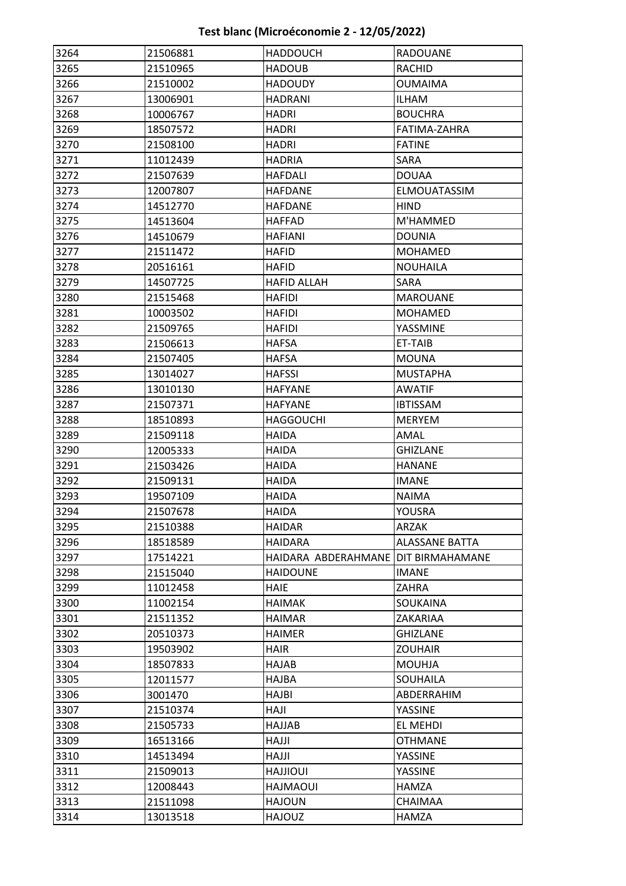| 3264 | 21506881 | <b>HADDOUCH</b>                     | <b>RADOUANE</b>       |
|------|----------|-------------------------------------|-----------------------|
| 3265 | 21510965 | <b>HADOUB</b>                       | <b>RACHID</b>         |
| 3266 | 21510002 | <b>HADOUDY</b>                      | <b>OUMAIMA</b>        |
| 3267 | 13006901 | <b>HADRANI</b>                      | <b>ILHAM</b>          |
| 3268 | 10006767 | <b>HADRI</b>                        | <b>BOUCHRA</b>        |
| 3269 | 18507572 | <b>HADRI</b>                        | FATIMA-ZAHRA          |
| 3270 | 21508100 | <b>HADRI</b>                        | <b>FATINE</b>         |
| 3271 | 11012439 | <b>HADRIA</b>                       | SARA                  |
| 3272 | 21507639 | <b>HAFDALI</b>                      | <b>DOUAA</b>          |
| 3273 | 12007807 | <b>HAFDANE</b>                      | ELMOUATASSIM          |
| 3274 | 14512770 | <b>HAFDANE</b>                      | <b>HIND</b>           |
| 3275 | 14513604 | <b>HAFFAD</b>                       | M'HAMMED              |
| 3276 | 14510679 | <b>HAFIANI</b>                      | <b>DOUNIA</b>         |
| 3277 | 21511472 | <b>HAFID</b>                        | <b>MOHAMED</b>        |
| 3278 | 20516161 | HAFID                               | <b>NOUHAILA</b>       |
| 3279 | 14507725 | <b>HAFID ALLAH</b>                  | SARA                  |
| 3280 | 21515468 | <b>HAFIDI</b>                       | <b>MAROUANE</b>       |
| 3281 | 10003502 | <b>HAFIDI</b>                       | <b>MOHAMED</b>        |
| 3282 | 21509765 | <b>HAFIDI</b>                       | YASSMINE              |
| 3283 | 21506613 | <b>HAFSA</b>                        | ET-TAIB               |
| 3284 | 21507405 | <b>HAFSA</b>                        | <b>MOUNA</b>          |
| 3285 | 13014027 | <b>HAFSSI</b>                       | <b>MUSTAPHA</b>       |
| 3286 | 13010130 | <b>HAFYANE</b>                      | <b>AWATIF</b>         |
| 3287 | 21507371 | <b>HAFYANE</b>                      | <b>IBTISSAM</b>       |
| 3288 | 18510893 | <b>HAGGOUCHI</b>                    | <b>MERYEM</b>         |
| 3289 | 21509118 | <b>HAIDA</b>                        | AMAL                  |
| 3290 | 12005333 | HAIDA                               | <b>GHIZLANE</b>       |
| 3291 | 21503426 | <b>HAIDA</b>                        | <b>HANANE</b>         |
| 3292 | 21509131 | <b>HAIDA</b>                        | <b>IMANE</b>          |
| 3293 | 19507109 | <b>HAIDA</b>                        | <b>NAIMA</b>          |
| 3294 | 21507678 | <b>HAIDA</b>                        | <b>YOUSRA</b>         |
| 3295 | 21510388 | <b>HAIDAR</b>                       | ARZAK                 |
| 3296 | 18518589 | <b>HAIDARA</b>                      | <b>ALASSANE BATTA</b> |
| 3297 | 17514221 | HAIDARA ABDERAHMANE DIT BIRMAHAMANE |                       |
| 3298 | 21515040 | <b>HAIDOUNE</b>                     | <b>IMANE</b>          |
| 3299 | 11012458 | <b>HAIE</b>                         | ZAHRA                 |
| 3300 | 11002154 | <b>HAIMAK</b>                       | SOUKAINA              |
| 3301 | 21511352 | <b>HAIMAR</b>                       | ZAKARIAA              |
| 3302 | 20510373 | <b>HAIMER</b>                       | GHIZLANE              |
| 3303 | 19503902 | <b>HAIR</b>                         | <b>ZOUHAIR</b>        |
| 3304 | 18507833 | HAJAB                               | <b>MOUHJA</b>         |
| 3305 | 12011577 | HAJBA                               | <b>SOUHAILA</b>       |
| 3306 | 3001470  | HAJBI                               | ABDERRAHIM            |
| 3307 | 21510374 | HAJI                                | YASSINE               |
| 3308 | 21505733 | <b>HAJJAB</b>                       | EL MEHDI              |
| 3309 | 16513166 | HAJJI                               | OTHMANE               |
| 3310 | 14513494 | <b>HAJJI</b>                        | YASSINE               |
| 3311 | 21509013 | <b>HAJJIOUI</b>                     | YASSINE               |
| 3312 | 12008443 | HAJMAOUI                            | HAMZA                 |
| 3313 | 21511098 | <b>HAJOUN</b>                       | CHAIMAA               |
| 3314 | 13013518 | <b>HAJOUZ</b>                       | HAMZA                 |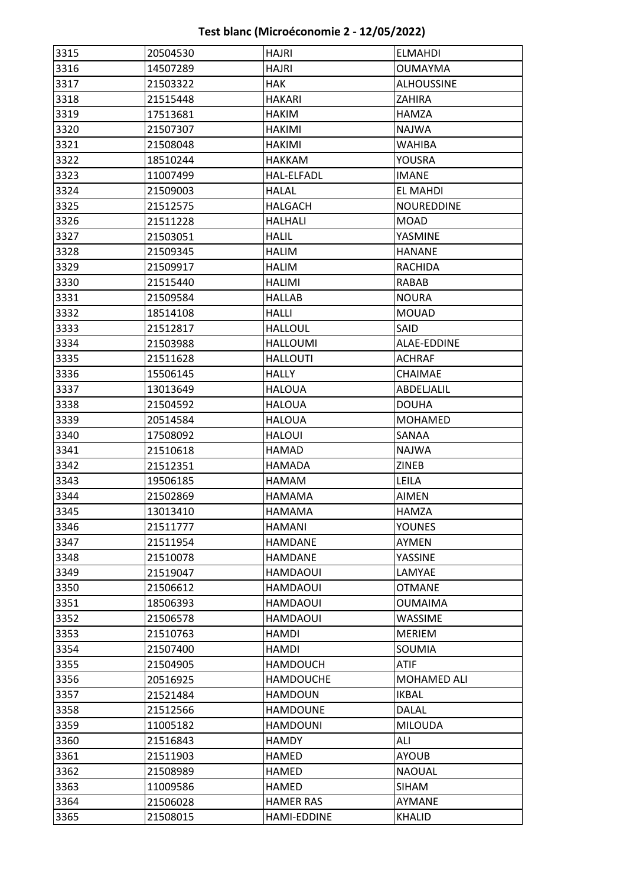| 3315 | 20504530 | <b>HAJRI</b>      | <b>ELMAHDI</b>     |
|------|----------|-------------------|--------------------|
| 3316 | 14507289 | <b>HAJRI</b>      | <b>OUMAYMA</b>     |
| 3317 | 21503322 | <b>HAK</b>        | <b>ALHOUSSINE</b>  |
| 3318 | 21515448 | <b>HAKARI</b>     | <b>ZAHIRA</b>      |
| 3319 | 17513681 | <b>HAKIM</b>      | <b>HAMZA</b>       |
| 3320 | 21507307 | <b>HAKIMI</b>     | NAJWA              |
| 3321 | 21508048 | <b>HAKIMI</b>     | WAHIBA             |
| 3322 | 18510244 | HAKKAM            | YOUSRA             |
| 3323 | 11007499 | <b>HAL-ELFADL</b> | <b>IMANE</b>       |
| 3324 | 21509003 | <b>HALAL</b>      | <b>EL MAHDI</b>    |
| 3325 | 21512575 | <b>HALGACH</b>    | <b>NOUREDDINE</b>  |
| 3326 | 21511228 | <b>HALHALI</b>    | <b>MOAD</b>        |
| 3327 | 21503051 | <b>HALIL</b>      | YASMINE            |
| 3328 | 21509345 | <b>HALIM</b>      | <b>HANANE</b>      |
| 3329 | 21509917 | HALIM             | <b>RACHIDA</b>     |
| 3330 | 21515440 | HALIMI            | RABAB              |
| 3331 | 21509584 | <b>HALLAB</b>     | <b>NOURA</b>       |
| 3332 | 18514108 | HALLI             | <b>MOUAD</b>       |
| 3333 | 21512817 | <b>HALLOUL</b>    | SAID               |
| 3334 | 21503988 | <b>HALLOUMI</b>   | <b>ALAE-EDDINE</b> |
| 3335 | 21511628 | <b>HALLOUTI</b>   | <b>ACHRAF</b>      |
| 3336 | 15506145 | HALLY             | CHAIMAE            |
| 3337 | 13013649 | <b>HALOUA</b>     | ABDELJALIL         |
| 3338 | 21504592 | <b>HALOUA</b>     | <b>DOUHA</b>       |
| 3339 | 20514584 | <b>HALOUA</b>     | <b>MOHAMED</b>     |
| 3340 | 17508092 | <b>HALOUI</b>     | SANAA              |
| 3341 | 21510618 | <b>HAMAD</b>      | <b>NAJWA</b>       |
| 3342 | 21512351 | HAMADA            | ZINEB              |
| 3343 | 19506185 | HAMAM             | LEILA              |
| 3344 | 21502869 | <b>HAMAMA</b>     | AIMEN              |
| 3345 | 13013410 | HAMAMA            | HAMZA              |
| 3346 | 21511777 | <b>HAMANI</b>     | <b>YOUNES</b>      |
| 3347 | 21511954 | <b>HAMDANE</b>    | AYMEN              |
| 3348 | 21510078 | HAMDANE           | YASSINE            |
| 3349 | 21519047 | <b>HAMDAOUI</b>   | LAMYAE             |
| 3350 | 21506612 | <b>HAMDAOUI</b>   | <b>OTMANE</b>      |
| 3351 | 18506393 | <b>HAMDAOUI</b>   | <b>OUMAIMA</b>     |
| 3352 | 21506578 | <b>HAMDAOUI</b>   | WASSIME            |
| 3353 | 21510763 | <b>HAMDI</b>      | <b>MERIEM</b>      |
| 3354 | 21507400 | <b>HAMDI</b>      | SOUMIA             |
| 3355 | 21504905 | <b>HAMDOUCH</b>   | <b>ATIF</b>        |
| 3356 | 20516925 | <b>HAMDOUCHE</b>  | MOHAMED ALI        |
| 3357 | 21521484 | <b>HAMDOUN</b>    | <b>IKBAL</b>       |
| 3358 | 21512566 | <b>HAMDOUNE</b>   | DALAL              |
| 3359 | 11005182 | <b>HAMDOUNI</b>   | <b>MILOUDA</b>     |
| 3360 | 21516843 | <b>HAMDY</b>      | ALI                |
| 3361 | 21511903 | <b>HAMED</b>      | <b>AYOUB</b>       |
| 3362 | 21508989 | HAMED             | <b>NAOUAL</b>      |
| 3363 | 11009586 | <b>HAMED</b>      | <b>SIHAM</b>       |
| 3364 | 21506028 | <b>HAMER RAS</b>  | AYMANE             |
| 3365 | 21508015 | HAMI-EDDINE       | KHALID             |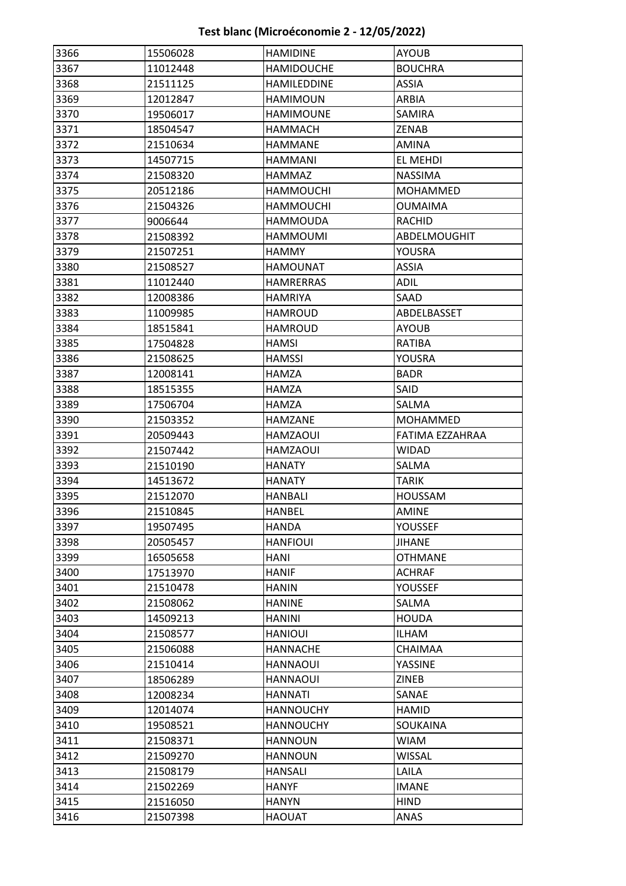| 3366 | 15506028 | <b>HAMIDINE</b>   | AYOUB           |
|------|----------|-------------------|-----------------|
| 3367 | 11012448 | <b>HAMIDOUCHE</b> | <b>BOUCHRA</b>  |
| 3368 | 21511125 | HAMILEDDINE       | <b>ASSIA</b>    |
| 3369 | 12012847 | <b>HAMIMOUN</b>   | ARBIA           |
| 3370 | 19506017 | <b>HAMIMOUNE</b>  | SAMIRA          |
| 3371 | 18504547 | <b>HAMMACH</b>    | ZENAB           |
| 3372 | 21510634 | <b>HAMMANE</b>    | AMINA           |
| 3373 | 14507715 | <b>HAMMANI</b>    | EL MEHDI        |
| 3374 | 21508320 | HAMMAZ            | <b>NASSIMA</b>  |
| 3375 | 20512186 | <b>HAMMOUCHI</b>  | <b>MOHAMMED</b> |
| 3376 | 21504326 | <b>HAMMOUCHI</b>  | <b>OUMAIMA</b>  |
| 3377 | 9006644  | HAMMOUDA          | <b>RACHID</b>   |
| 3378 | 21508392 | <b>HAMMOUMI</b>   | ABDELMOUGHIT    |
| 3379 | 21507251 | <b>HAMMY</b>      | YOUSRA          |
| 3380 | 21508527 | <b>HAMOUNAT</b>   | <b>ASSIA</b>    |
| 3381 | 11012440 | <b>HAMRERRAS</b>  | <b>ADIL</b>     |
| 3382 | 12008386 | <b>HAMRIYA</b>    | SAAD            |
| 3383 | 11009985 | <b>HAMROUD</b>    | ABDELBASSET     |
| 3384 | 18515841 | <b>HAMROUD</b>    | <b>AYOUB</b>    |
| 3385 | 17504828 | <b>HAMSI</b>      | RATIBA          |
| 3386 | 21508625 | <b>HAMSSI</b>     | YOUSRA          |
| 3387 | 12008141 | <b>HAMZA</b>      | <b>BADR</b>     |
| 3388 | 18515355 | HAMZA             | <b>SAID</b>     |
| 3389 | 17506704 | HAMZA             | SALMA           |
| 3390 | 21503352 | HAMZANE           | MOHAMMED        |
| 3391 | 20509443 | <b>HAMZAOUI</b>   | FATIMA EZZAHRAA |
| 3392 | 21507442 | <b>HAMZAOUI</b>   | WIDAD           |
| 3393 | 21510190 | <b>HANATY</b>     | SALMA           |
| 3394 | 14513672 | <b>HANATY</b>     | TARIK           |
| 3395 | 21512070 | <b>HANBALI</b>    | <b>HOUSSAM</b>  |
| 3396 | 21510845 | <b>HANBEL</b>     | <b>AMINE</b>    |
| 3397 | 19507495 | <b>HANDA</b>      | YOUSSEF         |
| 3398 | 20505457 | <b>HANFIOUI</b>   | <b>JIHANE</b>   |
| 3399 | 16505658 | <b>HANI</b>       | OTHMANE         |
| 3400 | 17513970 | <b>HANIF</b>      | <b>ACHRAF</b>   |
| 3401 | 21510478 | <b>HANIN</b>      | YOUSSEF         |
| 3402 | 21508062 | <b>HANINE</b>     | SALMA           |
| 3403 | 14509213 | <b>HANINI</b>     | <b>HOUDA</b>    |
| 3404 | 21508577 | <b>HANIOUI</b>    | <b>ILHAM</b>    |
| 3405 | 21506088 | <b>HANNACHE</b>   | CHAIMAA         |
| 3406 | 21510414 | <b>HANNAOUI</b>   | YASSINE         |
| 3407 | 18506289 | <b>HANNAOUI</b>   | ZINEB           |
| 3408 | 12008234 | <b>HANNATI</b>    | SANAE           |
| 3409 | 12014074 | <b>HANNOUCHY</b>  | HAMID           |
| 3410 | 19508521 | <b>HANNOUCHY</b>  | SOUKAINA        |
| 3411 | 21508371 | <b>HANNOUN</b>    | <b>WIAM</b>     |
| 3412 | 21509270 | <b>HANNOUN</b>    | WISSAL          |
| 3413 | 21508179 | <b>HANSALI</b>    | LAILA           |
| 3414 | 21502269 | <b>HANYF</b>      | <b>IMANE</b>    |
| 3415 | 21516050 | <b>HANYN</b>      | <b>HIND</b>     |
| 3416 | 21507398 | <b>HAOUAT</b>     | ANAS            |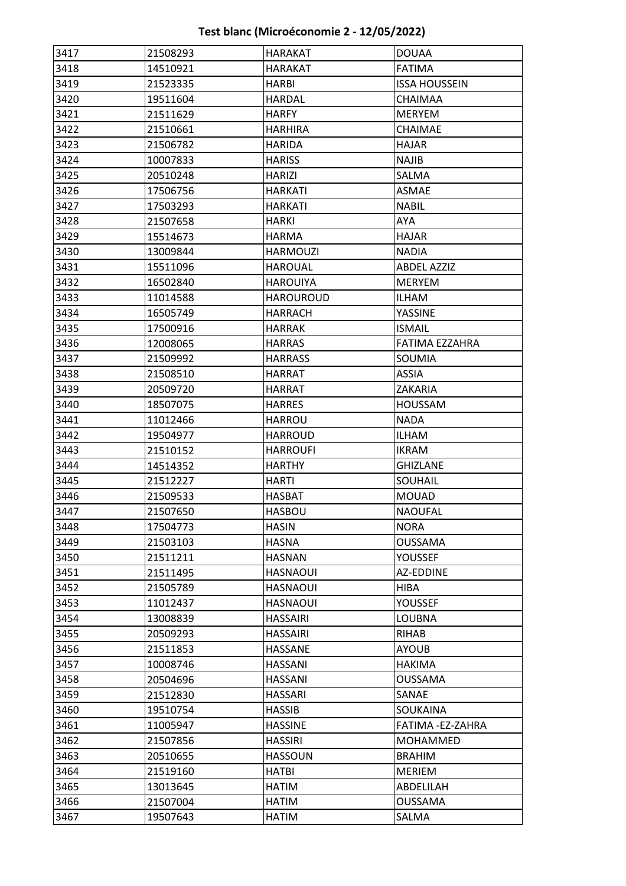| 3417 | 21508293 | <b>HARAKAT</b>   | <b>DOUAA</b>         |
|------|----------|------------------|----------------------|
| 3418 | 14510921 | <b>HARAKAT</b>   | <b>FATIMA</b>        |
| 3419 | 21523335 | <b>HARBI</b>     | <b>ISSA HOUSSEIN</b> |
| 3420 | 19511604 | <b>HARDAL</b>    | CHAIMAA              |
| 3421 | 21511629 | <b>HARFY</b>     | <b>MERYEM</b>        |
| 3422 | 21510661 | <b>HARHIRA</b>   | CHAIMAE              |
| 3423 | 21506782 | <b>HARIDA</b>    | <b>HAJAR</b>         |
| 3424 | 10007833 | <b>HARISS</b>    | <b>NAJIB</b>         |
| 3425 | 20510248 | <b>HARIZI</b>    | SALMA                |
| 3426 | 17506756 | <b>HARKATI</b>   | <b>ASMAE</b>         |
| 3427 | 17503293 | <b>HARKATI</b>   | <b>NABIL</b>         |
| 3428 | 21507658 | <b>HARKI</b>     | AYA                  |
| 3429 | 15514673 | <b>HARMA</b>     | HAJAR                |
| 3430 | 13009844 | <b>HARMOUZI</b>  | <b>NADIA</b>         |
| 3431 | 15511096 | <b>HAROUAL</b>   | <b>ABDEL AZZIZ</b>   |
| 3432 | 16502840 | <b>HAROUIYA</b>  | <b>MERYEM</b>        |
| 3433 | 11014588 | <b>HAROUROUD</b> | <b>ILHAM</b>         |
| 3434 | 16505749 | <b>HARRACH</b>   | YASSINE              |
| 3435 | 17500916 | <b>HARRAK</b>    | <b>ISMAIL</b>        |
| 3436 | 12008065 | <b>HARRAS</b>    | FATIMA EZZAHRA       |
| 3437 | 21509992 | <b>HARRASS</b>   | SOUMIA               |
| 3438 | 21508510 | <b>HARRAT</b>    | <b>ASSIA</b>         |
| 3439 | 20509720 | <b>HARRAT</b>    | ZAKARIA              |
| 3440 | 18507075 | <b>HARRES</b>    | <b>HOUSSAM</b>       |
| 3441 | 11012466 | <b>HARROU</b>    | NADA                 |
| 3442 | 19504977 | <b>HARROUD</b>   | <b>ILHAM</b>         |
| 3443 | 21510152 | <b>HARROUFI</b>  | <b>IKRAM</b>         |
| 3444 | 14514352 | <b>HARTHY</b>    | <b>GHIZLANE</b>      |
| 3445 | 21512227 | <b>HARTI</b>     | SOUHAIL              |
| 3446 | 21509533 | <b>HASBAT</b>    | <b>MOUAD</b>         |
| 3447 | 21507650 | <b>HASBOU</b>    | <b>NAOUFAL</b>       |
| 3448 | 17504773 | <b>HASIN</b>     | <b>NORA</b>          |
| 3449 | 21503103 | <b>HASNA</b>     | <b>OUSSAMA</b>       |
| 3450 | 21511211 | <b>HASNAN</b>    | <b>YOUSSEF</b>       |
| 3451 | 21511495 | <b>HASNAOUI</b>  | AZ-EDDINE            |
| 3452 | 21505789 | <b>HASNAOUI</b>  | <b>HIBA</b>          |
| 3453 | 11012437 | <b>HASNAOUI</b>  | YOUSSEF              |
| 3454 | 13008839 | <b>HASSAIRI</b>  | <b>LOUBNA</b>        |
| 3455 | 20509293 | <b>HASSAIRI</b>  | RIHAB                |
| 3456 | 21511853 | <b>HASSANE</b>   | <b>AYOUB</b>         |
| 3457 | 10008746 | <b>HASSANI</b>   | <b>HAKIMA</b>        |
| 3458 | 20504696 | HASSANI          | OUSSAMA              |
| 3459 | 21512830 | <b>HASSARI</b>   | SANAE                |
| 3460 | 19510754 | <b>HASSIB</b>    | SOUKAINA             |
| 3461 | 11005947 | <b>HASSINE</b>   | FATIMA - EZ-ZAHRA    |
| 3462 | 21507856 | <b>HASSIRI</b>   | <b>MOHAMMED</b>      |
| 3463 | 20510655 | <b>HASSOUN</b>   | <b>BRAHIM</b>        |
| 3464 | 21519160 | <b>HATBI</b>     | <b>MERIEM</b>        |
| 3465 | 13013645 | <b>HATIM</b>     | ABDELILAH            |
| 3466 | 21507004 | <b>HATIM</b>     | <b>OUSSAMA</b>       |
| 3467 | 19507643 | <b>HATIM</b>     | SALMA                |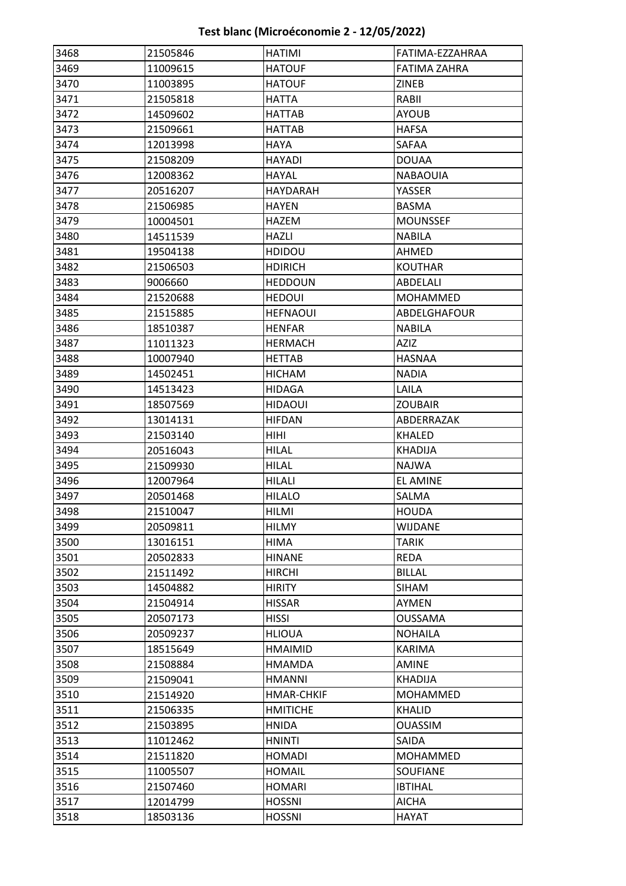| 3468 | 21505846 | <b>HATIMI</b>     | FATIMA-EZZAHRAA |
|------|----------|-------------------|-----------------|
| 3469 | 11009615 | <b>HATOUF</b>     | FATIMA ZAHRA    |
| 3470 | 11003895 | <b>HATOUF</b>     | <b>ZINEB</b>    |
| 3471 | 21505818 | <b>HATTA</b>      | RABII           |
| 3472 | 14509602 | <b>HATTAB</b>     | <b>AYOUB</b>    |
| 3473 | 21509661 | <b>HATTAB</b>     | <b>HAFSA</b>    |
| 3474 | 12013998 | <b>HAYA</b>       | SAFAA           |
| 3475 | 21508209 | <b>HAYADI</b>     | <b>DOUAA</b>    |
| 3476 | 12008362 | <b>HAYAL</b>      | <b>NABAOUIA</b> |
| 3477 | 20516207 | <b>HAYDARAH</b>   | YASSER          |
| 3478 | 21506985 | <b>HAYEN</b>      | <b>BASMA</b>    |
| 3479 | 10004501 | <b>HAZEM</b>      | <b>MOUNSSEF</b> |
| 3480 | 14511539 | HAZLI             | <b>NABILA</b>   |
| 3481 | 19504138 | <b>HDIDOU</b>     | AHMED           |
| 3482 | 21506503 | <b>HDIRICH</b>    | <b>KOUTHAR</b>  |
| 3483 | 9006660  | <b>HEDDOUN</b>    | ABDELALI        |
| 3484 | 21520688 | <b>HEDOUI</b>     | <b>MOHAMMED</b> |
| 3485 | 21515885 | <b>HEFNAOUI</b>   | ABDELGHAFOUR    |
| 3486 | 18510387 | <b>HENFAR</b>     | <b>NABILA</b>   |
| 3487 | 11011323 | <b>HERMACH</b>    | <b>AZIZ</b>     |
| 3488 | 10007940 | <b>HETTAB</b>     | <b>HASNAA</b>   |
| 3489 | 14502451 | <b>HICHAM</b>     | <b>NADIA</b>    |
| 3490 | 14513423 | HIDAGA            | LAILA           |
| 3491 | 18507569 | <b>HIDAOUI</b>    | <b>ZOUBAIR</b>  |
| 3492 | 13014131 | <b>HIFDAN</b>     | ABDERRAZAK      |
| 3493 | 21503140 | <b>HIHI</b>       | <b>KHALED</b>   |
| 3494 | 20516043 | HILAL             | <b>KHADIJA</b>  |
| 3495 | 21509930 | <b>HILAL</b>      | <b>NAJWA</b>    |
| 3496 | 12007964 | <b>HILALI</b>     | EL AMINE        |
| 3497 | 20501468 | <b>HILALO</b>     | SALMA           |
| 3498 | 21510047 | <b>HILMI</b>      | <b>HOUDA</b>    |
| 3499 | 20509811 | <b>HILMY</b>      | WIJDANE         |
| 3500 | 13016151 | <b>HIMA</b>       | <b>TARIK</b>    |
| 3501 | 20502833 | <b>HINANE</b>     | <b>REDA</b>     |
| 3502 | 21511492 | <b>HIRCHI</b>     | <b>BILLAL</b>   |
| 3503 | 14504882 | <b>HIRITY</b>     | <b>SIHAM</b>    |
| 3504 | 21504914 | <b>HISSAR</b>     | AYMEN           |
| 3505 | 20507173 | <b>HISSI</b>      | <b>OUSSAMA</b>  |
| 3506 | 20509237 | <b>HLIOUA</b>     | <b>NOHAILA</b>  |
| 3507 | 18515649 | <b>HMAIMID</b>    | <b>KARIMA</b>   |
| 3508 | 21508884 | <b>HMAMDA</b>     | AMINE           |
| 3509 | 21509041 | <b>HMANNI</b>     | KHADIJA         |
| 3510 | 21514920 | <b>HMAR-CHKIF</b> | MOHAMMED        |
| 3511 | 21506335 | <b>HMITICHE</b>   | <b>KHALID</b>   |
| 3512 | 21503895 | <b>HNIDA</b>      | <b>OUASSIM</b>  |
| 3513 | 11012462 | <b>HNINTI</b>     | SAIDA           |
| 3514 | 21511820 | <b>HOMADI</b>     | MOHAMMED        |
| 3515 | 11005507 | <b>HOMAIL</b>     | SOUFIANE        |
| 3516 | 21507460 | <b>HOMARI</b>     | <b>IBTIHAL</b>  |
| 3517 | 12014799 | <b>HOSSNI</b>     | <b>AICHA</b>    |
| 3518 | 18503136 | <b>HOSSNI</b>     | HAYAT           |
|      |          |                   |                 |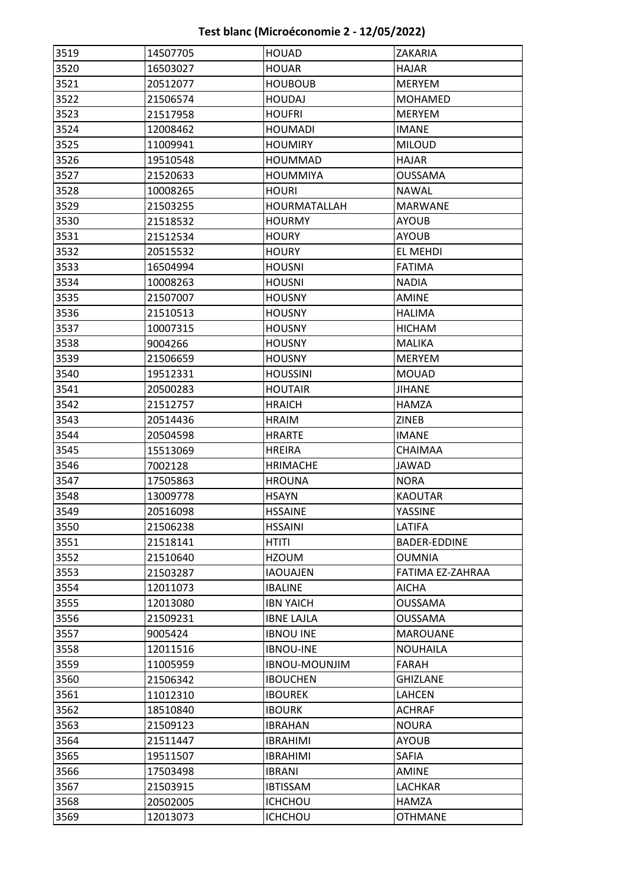| 3519 | 14507705 | <b>HOUAD</b>         | ZAKARIA             |
|------|----------|----------------------|---------------------|
| 3520 | 16503027 | <b>HOUAR</b>         | <b>HAJAR</b>        |
| 3521 | 20512077 | <b>HOUBOUB</b>       | <b>MERYEM</b>       |
| 3522 | 21506574 | <b>HOUDAJ</b>        | <b>MOHAMED</b>      |
| 3523 | 21517958 | <b>HOUFRI</b>        | <b>MERYEM</b>       |
| 3524 | 12008462 | <b>HOUMADI</b>       | <b>IMANE</b>        |
| 3525 | 11009941 | <b>HOUMIRY</b>       | <b>MILOUD</b>       |
| 3526 | 19510548 | <b>HOUMMAD</b>       | <b>HAJAR</b>        |
| 3527 | 21520633 | <b>HOUMMIYA</b>      | OUSSAMA             |
| 3528 | 10008265 | <b>HOURI</b>         | <b>NAWAL</b>        |
| 3529 | 21503255 | <b>HOURMATALLAH</b>  | <b>MARWANE</b>      |
| 3530 | 21518532 | <b>HOURMY</b>        | <b>AYOUB</b>        |
| 3531 | 21512534 | <b>HOURY</b>         | <b>AYOUB</b>        |
| 3532 | 20515532 | <b>HOURY</b>         | EL MEHDI            |
| 3533 | 16504994 | <b>HOUSNI</b>        | <b>FATIMA</b>       |
| 3534 | 10008263 | <b>HOUSNI</b>        | <b>NADIA</b>        |
| 3535 | 21507007 | <b>HOUSNY</b>        | <b>AMINE</b>        |
| 3536 | 21510513 | <b>HOUSNY</b>        | <b>HALIMA</b>       |
| 3537 | 10007315 | <b>HOUSNY</b>        | <b>HICHAM</b>       |
| 3538 | 9004266  | <b>HOUSNY</b>        | MALIKA              |
| 3539 | 21506659 | <b>HOUSNY</b>        | <b>MERYEM</b>       |
| 3540 | 19512331 | <b>HOUSSINI</b>      | <b>MOUAD</b>        |
| 3541 | 20500283 | <b>HOUTAIR</b>       | <b>JIHANE</b>       |
| 3542 | 21512757 | <b>HRAICH</b>        | <b>HAMZA</b>        |
| 3543 | 20514436 | <b>HRAIM</b>         | ZINEB               |
| 3544 | 20504598 | <b>HRARTE</b>        | <b>IMANE</b>        |
| 3545 | 15513069 | <b>HREIRA</b>        | CHAIMAA             |
| 3546 | 7002128  | <b>HRIMACHE</b>      | <b>JAWAD</b>        |
| 3547 | 17505863 | <b>HROUNA</b>        | <b>NORA</b>         |
| 3548 | 13009778 | <b>HSAYN</b>         | <b>KAOUTAR</b>      |
| 3549 | 20516098 | <b>HSSAINE</b>       | YASSINE             |
| 3550 | 21506238 | <b>HSSAINI</b>       | LATIFA              |
| 3551 | 21518141 | <b>HTITI</b>         | <b>BADER-EDDINE</b> |
| 3552 | 21510640 | <b>HZOUM</b>         | <b>OUMNIA</b>       |
| 3553 | 21503287 | <b>IAOUAJEN</b>      | FATIMA EZ-ZAHRAA    |
| 3554 | 12011073 | <b>IBALINE</b>       | <b>AICHA</b>        |
| 3555 | 12013080 | <b>IBN YAICH</b>     | <b>OUSSAMA</b>      |
| 3556 | 21509231 | <b>IBNE LAJLA</b>    | <b>OUSSAMA</b>      |
| 3557 | 9005424  | <b>IBNOU INE</b>     | <b>MAROUANE</b>     |
| 3558 | 12011516 | <b>IBNOU-INE</b>     | <b>NOUHAILA</b>     |
| 3559 | 11005959 | <b>IBNOU-MOUNJIM</b> | <b>FARAH</b>        |
| 3560 | 21506342 | <b>IBOUCHEN</b>      | <b>GHIZLANE</b>     |
| 3561 | 11012310 | <b>IBOUREK</b>       | <b>LAHCEN</b>       |
| 3562 | 18510840 | <b>IBOURK</b>        | <b>ACHRAF</b>       |
| 3563 | 21509123 | <b>IBRAHAN</b>       | <b>NOURA</b>        |
| 3564 | 21511447 | <b>IBRAHIMI</b>      | <b>AYOUB</b>        |
| 3565 | 19511507 | <b>IBRAHIMI</b>      | SAFIA               |
| 3566 | 17503498 | <b>IBRANI</b>        | <b>AMINE</b>        |
| 3567 | 21503915 | <b>IBTISSAM</b>      | LACHKAR             |
| 3568 | 20502005 | <b>ICHCHOU</b>       | <b>HAMZA</b>        |
| 3569 | 12013073 | <b>ICHCHOU</b>       | <b>OTHMANE</b>      |
|      |          |                      |                     |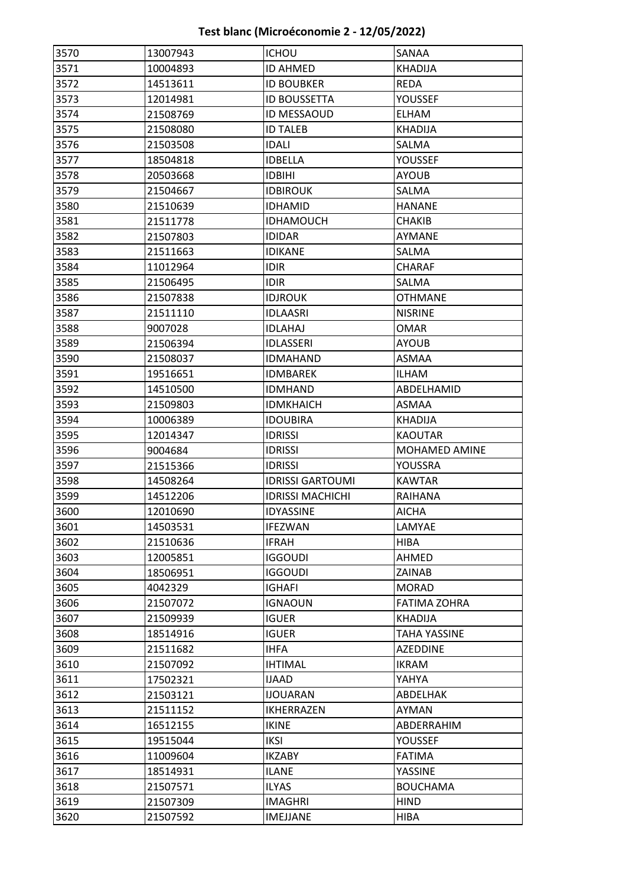| 3570 | 13007943 | <b>ICHOU</b>            | SANAA               |
|------|----------|-------------------------|---------------------|
| 3571 | 10004893 | <b>ID AHMED</b>         | <b>KHADIJA</b>      |
| 3572 | 14513611 | <b>ID BOUBKER</b>       | <b>REDA</b>         |
| 3573 | 12014981 | <b>ID BOUSSETTA</b>     | YOUSSEF             |
| 3574 | 21508769 | ID MESSAOUD             | <b>ELHAM</b>        |
| 3575 | 21508080 | <b>ID TALEB</b>         | <b>KHADIJA</b>      |
| 3576 | 21503508 | <b>IDALI</b>            | SALMA               |
| 3577 | 18504818 | <b>IDBELLA</b>          | YOUSSEF             |
| 3578 | 20503668 | <b>IDBIHI</b>           | <b>AYOUB</b>        |
| 3579 | 21504667 | <b>IDBIROUK</b>         | SALMA               |
| 3580 | 21510639 | <b>IDHAMID</b>          | HANANE              |
| 3581 | 21511778 | <b>IDHAMOUCH</b>        | <b>CHAKIB</b>       |
| 3582 | 21507803 | <b>IDIDAR</b>           | <b>AYMANE</b>       |
| 3583 | 21511663 | <b>IDIKANE</b>          | SALMA               |
| 3584 | 11012964 | <b>IDIR</b>             | <b>CHARAF</b>       |
| 3585 | 21506495 | <b>IDIR</b>             | SALMA               |
| 3586 | 21507838 | <b>IDJROUK</b>          | <b>OTHMANE</b>      |
| 3587 | 21511110 | <b>IDLAASRI</b>         | <b>NISRINE</b>      |
| 3588 | 9007028  | <b>IDLAHAJ</b>          | <b>OMAR</b>         |
| 3589 | 21506394 | <b>IDLASSERI</b>        | AYOUB               |
| 3590 | 21508037 | <b>IDMAHAND</b>         | ASMAA               |
| 3591 | 19516651 | <b>IDMBAREK</b>         | ILHAM               |
| 3592 | 14510500 | <b>IDMHAND</b>          | ABDELHAMID          |
| 3593 | 21509803 | <b>IDMKHAICH</b>        | <b>ASMAA</b>        |
| 3594 | 10006389 | <b>IDOUBIRA</b>         | KHADIJA             |
| 3595 | 12014347 | <b>IDRISSI</b>          | <b>KAOUTAR</b>      |
| 3596 | 9004684  | <b>IDRISSI</b>          | MOHAMED AMINE       |
| 3597 | 21515366 | <b>IDRISSI</b>          | YOUSSRA             |
| 3598 | 14508264 | <b>IDRISSI GARTOUMI</b> | <b>KAWTAR</b>       |
| 3599 | 14512206 | <b>IDRISSI MACHICHI</b> | RAIHANA             |
| 3600 | 12010690 | IDYASSINE               | <b>AICHA</b>        |
| 3601 | 14503531 | <b>IFEZWAN</b>          | LAMYAE              |
| 3602 | 21510636 | <b>IFRAH</b>            | <b>HIBA</b>         |
| 3603 | 12005851 | <b>IGGOUDI</b>          | AHMED               |
| 3604 | 18506951 | <b>IGGOUDI</b>          | ZAINAB              |
| 3605 | 4042329  | <b>IGHAFI</b>           | <b>MORAD</b>        |
| 3606 | 21507072 | <b>IGNAOUN</b>          | <b>FATIMA ZOHRA</b> |
| 3607 | 21509939 | <b>IGUER</b>            | KHADIJA             |
| 3608 | 18514916 | <b>IGUER</b>            | TAHA YASSINE        |
| 3609 | 21511682 | <b>IHFA</b>             | <b>AZEDDINE</b>     |
| 3610 | 21507092 | <b>IHTIMAL</b>          | <b>IKRAM</b>        |
| 3611 | 17502321 | <b>IJAAD</b>            | YAHYA               |
| 3612 | 21503121 | <b>IJOUARAN</b>         | ABDELHAK            |
| 3613 | 21511152 | IKHERRAZEN              | AYMAN               |
| 3614 | 16512155 | <b>IKINE</b>            | ABDERRAHIM          |
| 3615 | 19515044 | <b>IKSI</b>             | YOUSSEF             |
| 3616 | 11009604 | <b>IKZABY</b>           | <b>FATIMA</b>       |
| 3617 | 18514931 | <b>ILANE</b>            | YASSINE             |
| 3618 | 21507571 | <b>ILYAS</b>            | <b>BOUCHAMA</b>     |
| 3619 | 21507309 | <b>IMAGHRI</b>          | <b>HIND</b>         |
| 3620 | 21507592 | <b>IMEJJANE</b>         | <b>HIBA</b>         |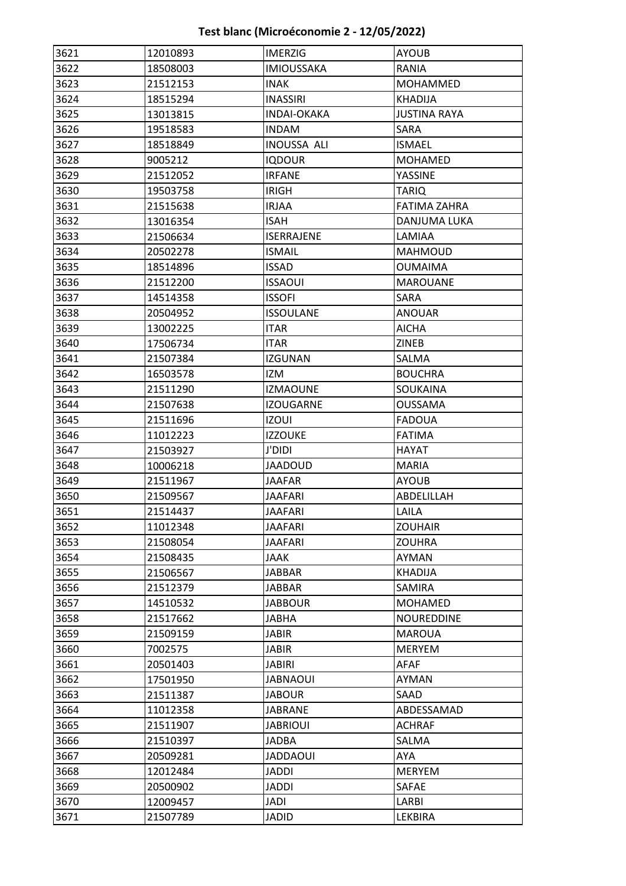| 3621 | 12010893 | <b>IMERZIG</b>     | <b>AYOUB</b>        |
|------|----------|--------------------|---------------------|
| 3622 | 18508003 | <b>IMIOUSSAKA</b>  | RANIA               |
| 3623 | 21512153 | <b>INAK</b>        | <b>MOHAMMED</b>     |
| 3624 | 18515294 | <b>INASSIRI</b>    | <b>KHADIJA</b>      |
| 3625 | 13013815 | <b>INDAI-OKAKA</b> | <b>JUSTINA RAYA</b> |
| 3626 | 19518583 | <b>INDAM</b>       | SARA                |
| 3627 | 18518849 | <b>INOUSSA ALI</b> | <b>ISMAEL</b>       |
| 3628 | 9005212  | <b>IQDOUR</b>      | <b>MOHAMED</b>      |
| 3629 | 21512052 | <b>IRFANE</b>      | YASSINE             |
| 3630 | 19503758 | <b>IRIGH</b>       | TARIQ               |
| 3631 | 21515638 | <b>IRJAA</b>       | <b>FATIMA ZAHRA</b> |
| 3632 | 13016354 | <b>ISAH</b>        | DANJUMA LUKA        |
| 3633 | 21506634 | <b>ISERRAJENE</b>  | LAMIAA              |
| 3634 | 20502278 | <b>ISMAIL</b>      | <b>MAHMOUD</b>      |
| 3635 | 18514896 | <b>ISSAD</b>       | OUMAIMA             |
| 3636 | 21512200 | <b>ISSAOUI</b>     | <b>MAROUANE</b>     |
| 3637 | 14514358 | <b>ISSOFI</b>      | SARA                |
| 3638 | 20504952 | <b>ISSOULANE</b>   | <b>ANOUAR</b>       |
| 3639 | 13002225 | <b>ITAR</b>        | <b>AICHA</b>        |
| 3640 | 17506734 | <b>ITAR</b>        | ZINEB               |
| 3641 | 21507384 | <b>IZGUNAN</b>     | SALMA               |
| 3642 | 16503578 | IZM                | <b>BOUCHRA</b>      |
| 3643 | 21511290 | <b>IZMAOUNE</b>    | SOUKAINA            |
| 3644 | 21507638 | <b>IZOUGARNE</b>   | <b>OUSSAMA</b>      |
| 3645 | 21511696 | <b>IZOUI</b>       | <b>FADOUA</b>       |
| 3646 | 11012223 | <b>IZZOUKE</b>     | <b>FATIMA</b>       |
| 3647 | 21503927 | J'DIDI             | <b>HAYAT</b>        |
| 3648 | 10006218 | <b>JAADOUD</b>     | <b>MARIA</b>        |
| 3649 | 21511967 | JAAFAR             | <b>AYOUB</b>        |
| 3650 | 21509567 | <b>JAAFARI</b>     | ABDELILLAH          |
| 3651 | 21514437 | <b>JAAFARI</b>     | LAILA               |
| 3652 | 11012348 | <b>JAAFARI</b>     | <b>ZOUHAIR</b>      |
| 3653 | 21508054 | <b>JAAFARI</b>     | <b>ZOUHRA</b>       |
| 3654 | 21508435 | JAAK               | AYMAN               |
| 3655 | 21506567 | <b>JABBAR</b>      | <b>KHADIJA</b>      |
| 3656 | 21512379 | JABBAR             | <b>SAMIRA</b>       |
| 3657 | 14510532 | <b>JABBOUR</b>     | <b>MOHAMED</b>      |
| 3658 | 21517662 | <b>JABHA</b>       | <b>NOUREDDINE</b>   |
| 3659 | 21509159 | <b>JABIR</b>       | <b>MAROUA</b>       |
| 3660 | 7002575  | <b>JABIR</b>       | <b>MERYEM</b>       |
| 3661 | 20501403 | JABIRI             | <b>AFAF</b>         |
| 3662 | 17501950 | <b>JABNAOUI</b>    | AYMAN               |
| 3663 | 21511387 | <b>JABOUR</b>      | SAAD                |
| 3664 | 11012358 | JABRANE            | ABDESSAMAD          |
| 3665 | 21511907 | <b>JABRIOUI</b>    | <b>ACHRAF</b>       |
| 3666 | 21510397 | JADBA              | SALMA               |
| 3667 | 20509281 | <b>JADDAOUI</b>    | AYA                 |
| 3668 | 12012484 | <b>JADDI</b>       | <b>MERYEM</b>       |
| 3669 | 20500902 | <b>JADDI</b>       | SAFAE               |
| 3670 | 12009457 | <b>JADI</b>        | LARBI               |
| 3671 | 21507789 | JADID              | LEKBIRA             |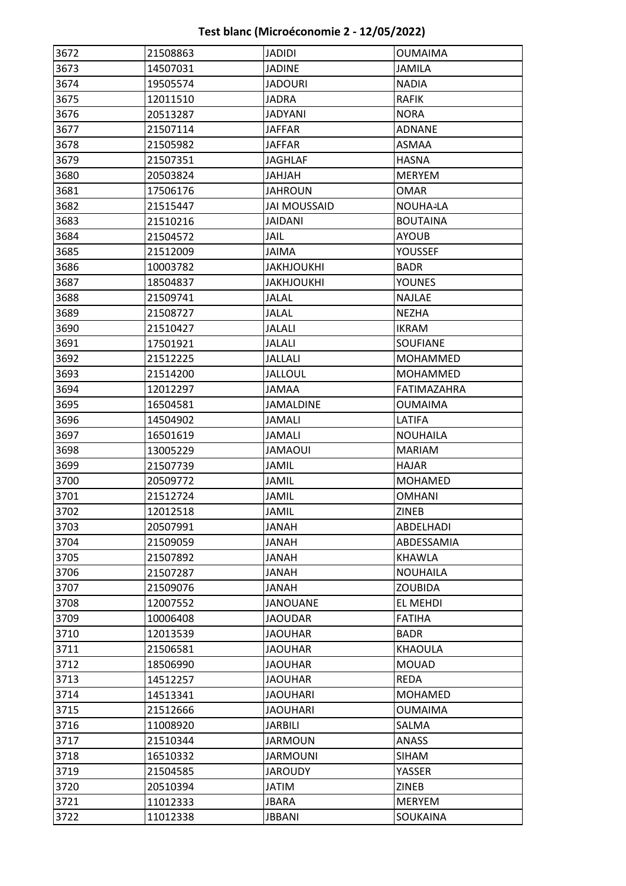| 3673<br><b>JADINE</b><br>14507031<br><b>JAMILA</b><br>3674<br><b>NADIA</b><br>19505574<br><b>JADOURI</b><br>3675<br>12011510<br><b>JADRA</b><br><b>RAFIK</b><br>3676<br><b>JADYANI</b><br><b>NORA</b><br>20513287<br>3677<br>21507114<br><b>JAFFAR</b><br>ADNANE<br>3678<br><b>JAFFAR</b><br><b>ASMAA</b><br>21505982<br>3679<br>JAGHLAF<br>HASNA<br>21507351<br>3680<br><b>HALHAL</b><br><b>MERYEM</b><br>20503824<br>3681<br><b>JAHROUN</b><br><b>OMAR</b><br>17506176<br>3682<br><b>JAI MOUSSAID</b><br><b>NOUHA-LA</b><br>21515447<br>3683<br><b>JAIDANI</b><br><b>BOUTAINA</b><br>21510216<br>3684<br>21504572<br>JAIL<br><b>AYOUB</b><br>3685<br>21512009<br><b>JAIMA</b><br>YOUSSEF<br>3686<br><b>JAKHJOUKHI</b><br>10003782<br><b>BADR</b><br>3687<br><b>YOUNES</b><br><b>JAKHJOUKHI</b><br>18504837<br>3688<br><b>JALAL</b><br><b>NAJLAE</b><br>21509741<br>3689<br>21508727<br><b>NEZHA</b><br>JALAL<br>3690<br>21510427<br><b>JALALI</b><br><b>IKRAM</b><br>3691<br><b>JALALI</b><br>SOUFIANE<br>17501921<br>3692<br>21512225<br><b>JALLALI</b><br>MOHAMMED<br>3693<br><b>JALLOUL</b><br>21514200<br>MOHAMMED<br>3694<br><b>JAMAA</b><br>FATIMAZAHRA<br>12012297<br>3695<br><b>JAMALDINE</b><br><b>OUMAIMA</b><br>16504581<br>3696<br>14504902<br>JAMALI<br>LATIFA<br>3697<br><b>JAMALI</b><br><b>NOUHAILA</b><br>16501619<br>3698<br><b>IUOAMAL</b><br><b>MARIAM</b><br>13005229<br>3699<br>21507739<br><b>JAMIL</b><br><b>HAJAR</b><br>3700<br><b>MOHAMED</b><br>20509772<br>JAMIL<br>3701<br>21512724<br><b>JAMIL</b><br><b>OMHANI</b><br>3702<br><b>JAMIL</b><br><b>ZINEB</b><br>12012518<br>3703<br>20507991<br><b>JANAH</b><br>ABDELHADI<br>3704<br>21509059<br><b>JANAH</b><br>ABDESSAMIA<br>3705<br><b>JANAH</b><br>21507892<br>KHAWLA<br>3706<br><b>JANAH</b><br><b>NOUHAILA</b><br>21507287<br>3707<br><b>JANAH</b><br><b>ZOUBIDA</b><br>21509076<br>3708<br>12007552<br><b>JANOUANE</b><br>EL MEHDI<br>3709<br><b>FATIHA</b><br><b>JAOUDAR</b><br>10006408<br>3710<br>12013539<br><b>JAOUHAR</b><br><b>BADR</b><br>3711<br>21506581<br><b>JAOUHAR</b><br><b>KHAOULA</b><br>3712<br>18506990<br><b>JAOUHAR</b><br><b>MOUAD</b><br>3713<br>REDA<br>14512257<br><b>JAOUHAR</b><br>3714<br>14513341<br><b>JAOUHARI</b><br><b>MOHAMED</b><br>3715<br>21512666<br><b>JAOUHARI</b><br>OUMAIMA<br>3716<br>11008920<br><b>JARBILI</b><br>SALMA<br>3717<br><b>JARMOUN</b><br>ANASS<br>21510344<br>3718<br>16510332<br><b>JARMOUNI</b><br><b>SIHAM</b><br>3719<br><b>JAROUDY</b><br>YASSER<br>21504585<br>3720<br><b>JATIM</b><br><b>ZINEB</b><br>20510394<br>3721<br><b>JBARA</b><br><b>MERYEM</b><br>11012333<br>3722<br>11012338<br><b>JBBANI</b><br>SOUKAINA | 3672 | 21508863 | <b>JADIDI</b> | <b>OUMAIMA</b> |
|-----------------------------------------------------------------------------------------------------------------------------------------------------------------------------------------------------------------------------------------------------------------------------------------------------------------------------------------------------------------------------------------------------------------------------------------------------------------------------------------------------------------------------------------------------------------------------------------------------------------------------------------------------------------------------------------------------------------------------------------------------------------------------------------------------------------------------------------------------------------------------------------------------------------------------------------------------------------------------------------------------------------------------------------------------------------------------------------------------------------------------------------------------------------------------------------------------------------------------------------------------------------------------------------------------------------------------------------------------------------------------------------------------------------------------------------------------------------------------------------------------------------------------------------------------------------------------------------------------------------------------------------------------------------------------------------------------------------------------------------------------------------------------------------------------------------------------------------------------------------------------------------------------------------------------------------------------------------------------------------------------------------------------------------------------------------------------------------------------------------------------------------------------------------------------------------------------------------------------------------------------------------------------------------------------------------------------------------------------------------------------------------------------------------------------------------------------------------------------------------------------------------------------------------------------------------------------------------------------------------------------------------------------------------------------|------|----------|---------------|----------------|
|                                                                                                                                                                                                                                                                                                                                                                                                                                                                                                                                                                                                                                                                                                                                                                                                                                                                                                                                                                                                                                                                                                                                                                                                                                                                                                                                                                                                                                                                                                                                                                                                                                                                                                                                                                                                                                                                                                                                                                                                                                                                                                                                                                                                                                                                                                                                                                                                                                                                                                                                                                                                                                                                             |      |          |               |                |
|                                                                                                                                                                                                                                                                                                                                                                                                                                                                                                                                                                                                                                                                                                                                                                                                                                                                                                                                                                                                                                                                                                                                                                                                                                                                                                                                                                                                                                                                                                                                                                                                                                                                                                                                                                                                                                                                                                                                                                                                                                                                                                                                                                                                                                                                                                                                                                                                                                                                                                                                                                                                                                                                             |      |          |               |                |
|                                                                                                                                                                                                                                                                                                                                                                                                                                                                                                                                                                                                                                                                                                                                                                                                                                                                                                                                                                                                                                                                                                                                                                                                                                                                                                                                                                                                                                                                                                                                                                                                                                                                                                                                                                                                                                                                                                                                                                                                                                                                                                                                                                                                                                                                                                                                                                                                                                                                                                                                                                                                                                                                             |      |          |               |                |
|                                                                                                                                                                                                                                                                                                                                                                                                                                                                                                                                                                                                                                                                                                                                                                                                                                                                                                                                                                                                                                                                                                                                                                                                                                                                                                                                                                                                                                                                                                                                                                                                                                                                                                                                                                                                                                                                                                                                                                                                                                                                                                                                                                                                                                                                                                                                                                                                                                                                                                                                                                                                                                                                             |      |          |               |                |
|                                                                                                                                                                                                                                                                                                                                                                                                                                                                                                                                                                                                                                                                                                                                                                                                                                                                                                                                                                                                                                                                                                                                                                                                                                                                                                                                                                                                                                                                                                                                                                                                                                                                                                                                                                                                                                                                                                                                                                                                                                                                                                                                                                                                                                                                                                                                                                                                                                                                                                                                                                                                                                                                             |      |          |               |                |
|                                                                                                                                                                                                                                                                                                                                                                                                                                                                                                                                                                                                                                                                                                                                                                                                                                                                                                                                                                                                                                                                                                                                                                                                                                                                                                                                                                                                                                                                                                                                                                                                                                                                                                                                                                                                                                                                                                                                                                                                                                                                                                                                                                                                                                                                                                                                                                                                                                                                                                                                                                                                                                                                             |      |          |               |                |
|                                                                                                                                                                                                                                                                                                                                                                                                                                                                                                                                                                                                                                                                                                                                                                                                                                                                                                                                                                                                                                                                                                                                                                                                                                                                                                                                                                                                                                                                                                                                                                                                                                                                                                                                                                                                                                                                                                                                                                                                                                                                                                                                                                                                                                                                                                                                                                                                                                                                                                                                                                                                                                                                             |      |          |               |                |
|                                                                                                                                                                                                                                                                                                                                                                                                                                                                                                                                                                                                                                                                                                                                                                                                                                                                                                                                                                                                                                                                                                                                                                                                                                                                                                                                                                                                                                                                                                                                                                                                                                                                                                                                                                                                                                                                                                                                                                                                                                                                                                                                                                                                                                                                                                                                                                                                                                                                                                                                                                                                                                                                             |      |          |               |                |
|                                                                                                                                                                                                                                                                                                                                                                                                                                                                                                                                                                                                                                                                                                                                                                                                                                                                                                                                                                                                                                                                                                                                                                                                                                                                                                                                                                                                                                                                                                                                                                                                                                                                                                                                                                                                                                                                                                                                                                                                                                                                                                                                                                                                                                                                                                                                                                                                                                                                                                                                                                                                                                                                             |      |          |               |                |
|                                                                                                                                                                                                                                                                                                                                                                                                                                                                                                                                                                                                                                                                                                                                                                                                                                                                                                                                                                                                                                                                                                                                                                                                                                                                                                                                                                                                                                                                                                                                                                                                                                                                                                                                                                                                                                                                                                                                                                                                                                                                                                                                                                                                                                                                                                                                                                                                                                                                                                                                                                                                                                                                             |      |          |               |                |
|                                                                                                                                                                                                                                                                                                                                                                                                                                                                                                                                                                                                                                                                                                                                                                                                                                                                                                                                                                                                                                                                                                                                                                                                                                                                                                                                                                                                                                                                                                                                                                                                                                                                                                                                                                                                                                                                                                                                                                                                                                                                                                                                                                                                                                                                                                                                                                                                                                                                                                                                                                                                                                                                             |      |          |               |                |
|                                                                                                                                                                                                                                                                                                                                                                                                                                                                                                                                                                                                                                                                                                                                                                                                                                                                                                                                                                                                                                                                                                                                                                                                                                                                                                                                                                                                                                                                                                                                                                                                                                                                                                                                                                                                                                                                                                                                                                                                                                                                                                                                                                                                                                                                                                                                                                                                                                                                                                                                                                                                                                                                             |      |          |               |                |
|                                                                                                                                                                                                                                                                                                                                                                                                                                                                                                                                                                                                                                                                                                                                                                                                                                                                                                                                                                                                                                                                                                                                                                                                                                                                                                                                                                                                                                                                                                                                                                                                                                                                                                                                                                                                                                                                                                                                                                                                                                                                                                                                                                                                                                                                                                                                                                                                                                                                                                                                                                                                                                                                             |      |          |               |                |
|                                                                                                                                                                                                                                                                                                                                                                                                                                                                                                                                                                                                                                                                                                                                                                                                                                                                                                                                                                                                                                                                                                                                                                                                                                                                                                                                                                                                                                                                                                                                                                                                                                                                                                                                                                                                                                                                                                                                                                                                                                                                                                                                                                                                                                                                                                                                                                                                                                                                                                                                                                                                                                                                             |      |          |               |                |
|                                                                                                                                                                                                                                                                                                                                                                                                                                                                                                                                                                                                                                                                                                                                                                                                                                                                                                                                                                                                                                                                                                                                                                                                                                                                                                                                                                                                                                                                                                                                                                                                                                                                                                                                                                                                                                                                                                                                                                                                                                                                                                                                                                                                                                                                                                                                                                                                                                                                                                                                                                                                                                                                             |      |          |               |                |
|                                                                                                                                                                                                                                                                                                                                                                                                                                                                                                                                                                                                                                                                                                                                                                                                                                                                                                                                                                                                                                                                                                                                                                                                                                                                                                                                                                                                                                                                                                                                                                                                                                                                                                                                                                                                                                                                                                                                                                                                                                                                                                                                                                                                                                                                                                                                                                                                                                                                                                                                                                                                                                                                             |      |          |               |                |
|                                                                                                                                                                                                                                                                                                                                                                                                                                                                                                                                                                                                                                                                                                                                                                                                                                                                                                                                                                                                                                                                                                                                                                                                                                                                                                                                                                                                                                                                                                                                                                                                                                                                                                                                                                                                                                                                                                                                                                                                                                                                                                                                                                                                                                                                                                                                                                                                                                                                                                                                                                                                                                                                             |      |          |               |                |
|                                                                                                                                                                                                                                                                                                                                                                                                                                                                                                                                                                                                                                                                                                                                                                                                                                                                                                                                                                                                                                                                                                                                                                                                                                                                                                                                                                                                                                                                                                                                                                                                                                                                                                                                                                                                                                                                                                                                                                                                                                                                                                                                                                                                                                                                                                                                                                                                                                                                                                                                                                                                                                                                             |      |          |               |                |
|                                                                                                                                                                                                                                                                                                                                                                                                                                                                                                                                                                                                                                                                                                                                                                                                                                                                                                                                                                                                                                                                                                                                                                                                                                                                                                                                                                                                                                                                                                                                                                                                                                                                                                                                                                                                                                                                                                                                                                                                                                                                                                                                                                                                                                                                                                                                                                                                                                                                                                                                                                                                                                                                             |      |          |               |                |
|                                                                                                                                                                                                                                                                                                                                                                                                                                                                                                                                                                                                                                                                                                                                                                                                                                                                                                                                                                                                                                                                                                                                                                                                                                                                                                                                                                                                                                                                                                                                                                                                                                                                                                                                                                                                                                                                                                                                                                                                                                                                                                                                                                                                                                                                                                                                                                                                                                                                                                                                                                                                                                                                             |      |          |               |                |
|                                                                                                                                                                                                                                                                                                                                                                                                                                                                                                                                                                                                                                                                                                                                                                                                                                                                                                                                                                                                                                                                                                                                                                                                                                                                                                                                                                                                                                                                                                                                                                                                                                                                                                                                                                                                                                                                                                                                                                                                                                                                                                                                                                                                                                                                                                                                                                                                                                                                                                                                                                                                                                                                             |      |          |               |                |
|                                                                                                                                                                                                                                                                                                                                                                                                                                                                                                                                                                                                                                                                                                                                                                                                                                                                                                                                                                                                                                                                                                                                                                                                                                                                                                                                                                                                                                                                                                                                                                                                                                                                                                                                                                                                                                                                                                                                                                                                                                                                                                                                                                                                                                                                                                                                                                                                                                                                                                                                                                                                                                                                             |      |          |               |                |
|                                                                                                                                                                                                                                                                                                                                                                                                                                                                                                                                                                                                                                                                                                                                                                                                                                                                                                                                                                                                                                                                                                                                                                                                                                                                                                                                                                                                                                                                                                                                                                                                                                                                                                                                                                                                                                                                                                                                                                                                                                                                                                                                                                                                                                                                                                                                                                                                                                                                                                                                                                                                                                                                             |      |          |               |                |
|                                                                                                                                                                                                                                                                                                                                                                                                                                                                                                                                                                                                                                                                                                                                                                                                                                                                                                                                                                                                                                                                                                                                                                                                                                                                                                                                                                                                                                                                                                                                                                                                                                                                                                                                                                                                                                                                                                                                                                                                                                                                                                                                                                                                                                                                                                                                                                                                                                                                                                                                                                                                                                                                             |      |          |               |                |
|                                                                                                                                                                                                                                                                                                                                                                                                                                                                                                                                                                                                                                                                                                                                                                                                                                                                                                                                                                                                                                                                                                                                                                                                                                                                                                                                                                                                                                                                                                                                                                                                                                                                                                                                                                                                                                                                                                                                                                                                                                                                                                                                                                                                                                                                                                                                                                                                                                                                                                                                                                                                                                                                             |      |          |               |                |
|                                                                                                                                                                                                                                                                                                                                                                                                                                                                                                                                                                                                                                                                                                                                                                                                                                                                                                                                                                                                                                                                                                                                                                                                                                                                                                                                                                                                                                                                                                                                                                                                                                                                                                                                                                                                                                                                                                                                                                                                                                                                                                                                                                                                                                                                                                                                                                                                                                                                                                                                                                                                                                                                             |      |          |               |                |
|                                                                                                                                                                                                                                                                                                                                                                                                                                                                                                                                                                                                                                                                                                                                                                                                                                                                                                                                                                                                                                                                                                                                                                                                                                                                                                                                                                                                                                                                                                                                                                                                                                                                                                                                                                                                                                                                                                                                                                                                                                                                                                                                                                                                                                                                                                                                                                                                                                                                                                                                                                                                                                                                             |      |          |               |                |
|                                                                                                                                                                                                                                                                                                                                                                                                                                                                                                                                                                                                                                                                                                                                                                                                                                                                                                                                                                                                                                                                                                                                                                                                                                                                                                                                                                                                                                                                                                                                                                                                                                                                                                                                                                                                                                                                                                                                                                                                                                                                                                                                                                                                                                                                                                                                                                                                                                                                                                                                                                                                                                                                             |      |          |               |                |
|                                                                                                                                                                                                                                                                                                                                                                                                                                                                                                                                                                                                                                                                                                                                                                                                                                                                                                                                                                                                                                                                                                                                                                                                                                                                                                                                                                                                                                                                                                                                                                                                                                                                                                                                                                                                                                                                                                                                                                                                                                                                                                                                                                                                                                                                                                                                                                                                                                                                                                                                                                                                                                                                             |      |          |               |                |
|                                                                                                                                                                                                                                                                                                                                                                                                                                                                                                                                                                                                                                                                                                                                                                                                                                                                                                                                                                                                                                                                                                                                                                                                                                                                                                                                                                                                                                                                                                                                                                                                                                                                                                                                                                                                                                                                                                                                                                                                                                                                                                                                                                                                                                                                                                                                                                                                                                                                                                                                                                                                                                                                             |      |          |               |                |
|                                                                                                                                                                                                                                                                                                                                                                                                                                                                                                                                                                                                                                                                                                                                                                                                                                                                                                                                                                                                                                                                                                                                                                                                                                                                                                                                                                                                                                                                                                                                                                                                                                                                                                                                                                                                                                                                                                                                                                                                                                                                                                                                                                                                                                                                                                                                                                                                                                                                                                                                                                                                                                                                             |      |          |               |                |
|                                                                                                                                                                                                                                                                                                                                                                                                                                                                                                                                                                                                                                                                                                                                                                                                                                                                                                                                                                                                                                                                                                                                                                                                                                                                                                                                                                                                                                                                                                                                                                                                                                                                                                                                                                                                                                                                                                                                                                                                                                                                                                                                                                                                                                                                                                                                                                                                                                                                                                                                                                                                                                                                             |      |          |               |                |
|                                                                                                                                                                                                                                                                                                                                                                                                                                                                                                                                                                                                                                                                                                                                                                                                                                                                                                                                                                                                                                                                                                                                                                                                                                                                                                                                                                                                                                                                                                                                                                                                                                                                                                                                                                                                                                                                                                                                                                                                                                                                                                                                                                                                                                                                                                                                                                                                                                                                                                                                                                                                                                                                             |      |          |               |                |
|                                                                                                                                                                                                                                                                                                                                                                                                                                                                                                                                                                                                                                                                                                                                                                                                                                                                                                                                                                                                                                                                                                                                                                                                                                                                                                                                                                                                                                                                                                                                                                                                                                                                                                                                                                                                                                                                                                                                                                                                                                                                                                                                                                                                                                                                                                                                                                                                                                                                                                                                                                                                                                                                             |      |          |               |                |
|                                                                                                                                                                                                                                                                                                                                                                                                                                                                                                                                                                                                                                                                                                                                                                                                                                                                                                                                                                                                                                                                                                                                                                                                                                                                                                                                                                                                                                                                                                                                                                                                                                                                                                                                                                                                                                                                                                                                                                                                                                                                                                                                                                                                                                                                                                                                                                                                                                                                                                                                                                                                                                                                             |      |          |               |                |
|                                                                                                                                                                                                                                                                                                                                                                                                                                                                                                                                                                                                                                                                                                                                                                                                                                                                                                                                                                                                                                                                                                                                                                                                                                                                                                                                                                                                                                                                                                                                                                                                                                                                                                                                                                                                                                                                                                                                                                                                                                                                                                                                                                                                                                                                                                                                                                                                                                                                                                                                                                                                                                                                             |      |          |               |                |
|                                                                                                                                                                                                                                                                                                                                                                                                                                                                                                                                                                                                                                                                                                                                                                                                                                                                                                                                                                                                                                                                                                                                                                                                                                                                                                                                                                                                                                                                                                                                                                                                                                                                                                                                                                                                                                                                                                                                                                                                                                                                                                                                                                                                                                                                                                                                                                                                                                                                                                                                                                                                                                                                             |      |          |               |                |
|                                                                                                                                                                                                                                                                                                                                                                                                                                                                                                                                                                                                                                                                                                                                                                                                                                                                                                                                                                                                                                                                                                                                                                                                                                                                                                                                                                                                                                                                                                                                                                                                                                                                                                                                                                                                                                                                                                                                                                                                                                                                                                                                                                                                                                                                                                                                                                                                                                                                                                                                                                                                                                                                             |      |          |               |                |
|                                                                                                                                                                                                                                                                                                                                                                                                                                                                                                                                                                                                                                                                                                                                                                                                                                                                                                                                                                                                                                                                                                                                                                                                                                                                                                                                                                                                                                                                                                                                                                                                                                                                                                                                                                                                                                                                                                                                                                                                                                                                                                                                                                                                                                                                                                                                                                                                                                                                                                                                                                                                                                                                             |      |          |               |                |
|                                                                                                                                                                                                                                                                                                                                                                                                                                                                                                                                                                                                                                                                                                                                                                                                                                                                                                                                                                                                                                                                                                                                                                                                                                                                                                                                                                                                                                                                                                                                                                                                                                                                                                                                                                                                                                                                                                                                                                                                                                                                                                                                                                                                                                                                                                                                                                                                                                                                                                                                                                                                                                                                             |      |          |               |                |
|                                                                                                                                                                                                                                                                                                                                                                                                                                                                                                                                                                                                                                                                                                                                                                                                                                                                                                                                                                                                                                                                                                                                                                                                                                                                                                                                                                                                                                                                                                                                                                                                                                                                                                                                                                                                                                                                                                                                                                                                                                                                                                                                                                                                                                                                                                                                                                                                                                                                                                                                                                                                                                                                             |      |          |               |                |
|                                                                                                                                                                                                                                                                                                                                                                                                                                                                                                                                                                                                                                                                                                                                                                                                                                                                                                                                                                                                                                                                                                                                                                                                                                                                                                                                                                                                                                                                                                                                                                                                                                                                                                                                                                                                                                                                                                                                                                                                                                                                                                                                                                                                                                                                                                                                                                                                                                                                                                                                                                                                                                                                             |      |          |               |                |
|                                                                                                                                                                                                                                                                                                                                                                                                                                                                                                                                                                                                                                                                                                                                                                                                                                                                                                                                                                                                                                                                                                                                                                                                                                                                                                                                                                                                                                                                                                                                                                                                                                                                                                                                                                                                                                                                                                                                                                                                                                                                                                                                                                                                                                                                                                                                                                                                                                                                                                                                                                                                                                                                             |      |          |               |                |
|                                                                                                                                                                                                                                                                                                                                                                                                                                                                                                                                                                                                                                                                                                                                                                                                                                                                                                                                                                                                                                                                                                                                                                                                                                                                                                                                                                                                                                                                                                                                                                                                                                                                                                                                                                                                                                                                                                                                                                                                                                                                                                                                                                                                                                                                                                                                                                                                                                                                                                                                                                                                                                                                             |      |          |               |                |
|                                                                                                                                                                                                                                                                                                                                                                                                                                                                                                                                                                                                                                                                                                                                                                                                                                                                                                                                                                                                                                                                                                                                                                                                                                                                                                                                                                                                                                                                                                                                                                                                                                                                                                                                                                                                                                                                                                                                                                                                                                                                                                                                                                                                                                                                                                                                                                                                                                                                                                                                                                                                                                                                             |      |          |               |                |
|                                                                                                                                                                                                                                                                                                                                                                                                                                                                                                                                                                                                                                                                                                                                                                                                                                                                                                                                                                                                                                                                                                                                                                                                                                                                                                                                                                                                                                                                                                                                                                                                                                                                                                                                                                                                                                                                                                                                                                                                                                                                                                                                                                                                                                                                                                                                                                                                                                                                                                                                                                                                                                                                             |      |          |               |                |
|                                                                                                                                                                                                                                                                                                                                                                                                                                                                                                                                                                                                                                                                                                                                                                                                                                                                                                                                                                                                                                                                                                                                                                                                                                                                                                                                                                                                                                                                                                                                                                                                                                                                                                                                                                                                                                                                                                                                                                                                                                                                                                                                                                                                                                                                                                                                                                                                                                                                                                                                                                                                                                                                             |      |          |               |                |
|                                                                                                                                                                                                                                                                                                                                                                                                                                                                                                                                                                                                                                                                                                                                                                                                                                                                                                                                                                                                                                                                                                                                                                                                                                                                                                                                                                                                                                                                                                                                                                                                                                                                                                                                                                                                                                                                                                                                                                                                                                                                                                                                                                                                                                                                                                                                                                                                                                                                                                                                                                                                                                                                             |      |          |               |                |
|                                                                                                                                                                                                                                                                                                                                                                                                                                                                                                                                                                                                                                                                                                                                                                                                                                                                                                                                                                                                                                                                                                                                                                                                                                                                                                                                                                                                                                                                                                                                                                                                                                                                                                                                                                                                                                                                                                                                                                                                                                                                                                                                                                                                                                                                                                                                                                                                                                                                                                                                                                                                                                                                             |      |          |               |                |
|                                                                                                                                                                                                                                                                                                                                                                                                                                                                                                                                                                                                                                                                                                                                                                                                                                                                                                                                                                                                                                                                                                                                                                                                                                                                                                                                                                                                                                                                                                                                                                                                                                                                                                                                                                                                                                                                                                                                                                                                                                                                                                                                                                                                                                                                                                                                                                                                                                                                                                                                                                                                                                                                             |      |          |               |                |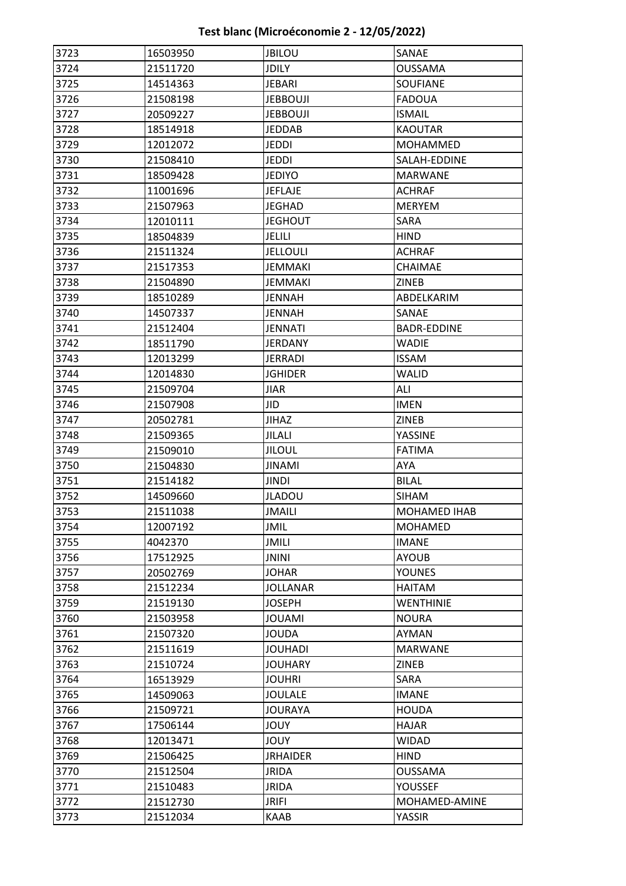| 3723 | 16503950 | <b>JBILOU</b>   | SANAE              |
|------|----------|-----------------|--------------------|
| 3724 | 21511720 | <b>JDILY</b>    | <b>OUSSAMA</b>     |
| 3725 | 14514363 | JEBARI          | SOUFIANE           |
| 3726 | 21508198 | <b>JEBBOUJI</b> | <b>FADOUA</b>      |
| 3727 | 20509227 | <b>JEBBOUJI</b> | <b>ISMAIL</b>      |
| 3728 | 18514918 | <b>JEDDAB</b>   | <b>KAOUTAR</b>     |
| 3729 | 12012072 | <b>JEDDI</b>    | <b>MOHAMMED</b>    |
| 3730 | 21508410 | <b>JEDDI</b>    | SALAH-EDDINE       |
| 3731 | 18509428 | <b>JEDIYO</b>   | <b>MARWANE</b>     |
| 3732 | 11001696 | JEFLAJE         | <b>ACHRAF</b>      |
| 3733 | 21507963 | <b>JEGHAD</b>   | <b>MERYEM</b>      |
| 3734 | 12010111 | <b>JEGHOUT</b>  | SARA               |
| 3735 | 18504839 | JELILI          | <b>HIND</b>        |
| 3736 | 21511324 | <b>JELLOULI</b> | <b>ACHRAF</b>      |
| 3737 | 21517353 | <b>JEMMAKI</b>  | CHAIMAE            |
| 3738 | 21504890 | <b>JEMMAKI</b>  | <b>ZINEB</b>       |
| 3739 | 18510289 | JENNAH          | ABDELKARIM         |
| 3740 | 14507337 | <b>JENNAH</b>   | SANAE              |
| 3741 | 21512404 | <b>JENNATI</b>  | <b>BADR-EDDINE</b> |
| 3742 | 18511790 | JERDANY         | WADIE              |
| 3743 | 12013299 | <b>JERRADI</b>  | <b>ISSAM</b>       |
| 3744 | 12014830 | JGHIDER         | <b>WALID</b>       |
| 3745 | 21509704 | <b>JIAR</b>     | ALI                |
| 3746 | 21507908 | JID             | <b>IMEN</b>        |
| 3747 | 20502781 | <b>JIHAZ</b>    | <b>ZINEB</b>       |
| 3748 | 21509365 | <b>JILALI</b>   | YASSINE            |
| 3749 | 21509010 | <b>JILOUL</b>   | <b>FATIMA</b>      |
| 3750 | 21504830 | JINAMI          | AYA                |
| 3751 | 21514182 | <b>JINDI</b>    | <b>BILAL</b>       |
| 3752 | 14509660 | <b>JLADOU</b>   | <b>SIHAM</b>       |
| 3753 | 21511038 | <b>JMAILI</b>   | MOHAMED IHAB       |
| 3754 | 12007192 | <b>JMIL</b>     | <b>MOHAMED</b>     |
| 3755 | 4042370  | <b>JMILI</b>    | <b>IMANE</b>       |
| 3756 | 17512925 | <b>JNINI</b>    | <b>AYOUB</b>       |
| 3757 | 20502769 | <b>JOHAR</b>    | <b>YOUNES</b>      |
| 3758 | 21512234 | <b>JOLLANAR</b> | HAITAM             |
| 3759 | 21519130 | <b>JOSEPH</b>   | <b>WENTHINIE</b>   |
| 3760 | 21503958 | <b>JOUAMI</b>   | <b>NOURA</b>       |
| 3761 | 21507320 | <b>JOUDA</b>    | AYMAN              |
| 3762 | 21511619 | <b>JOUHADI</b>  | <b>MARWANE</b>     |
| 3763 | 21510724 | <b>JOUHARY</b>  | <b>ZINEB</b>       |
| 3764 | 16513929 | <b>JOUHRI</b>   | SARA               |
| 3765 | 14509063 | <b>JOULALE</b>  | <b>IMANE</b>       |
| 3766 | 21509721 | <b>JOURAYA</b>  | <b>HOUDA</b>       |
| 3767 | 17506144 | <b>JOUY</b>     | <b>HAJAR</b>       |
| 3768 | 12013471 | <b>YUOL</b>     | WIDAD              |
| 3769 | 21506425 | <b>JRHAIDER</b> | <b>HIND</b>        |
| 3770 | 21512504 | <b>JRIDA</b>    | <b>OUSSAMA</b>     |
| 3771 | 21510483 | <b>JRIDA</b>    | <b>YOUSSEF</b>     |
| 3772 | 21512730 | <b>JRIFI</b>    | MOHAMED-AMINE      |
| 3773 | 21512034 | KAAB            | YASSIR             |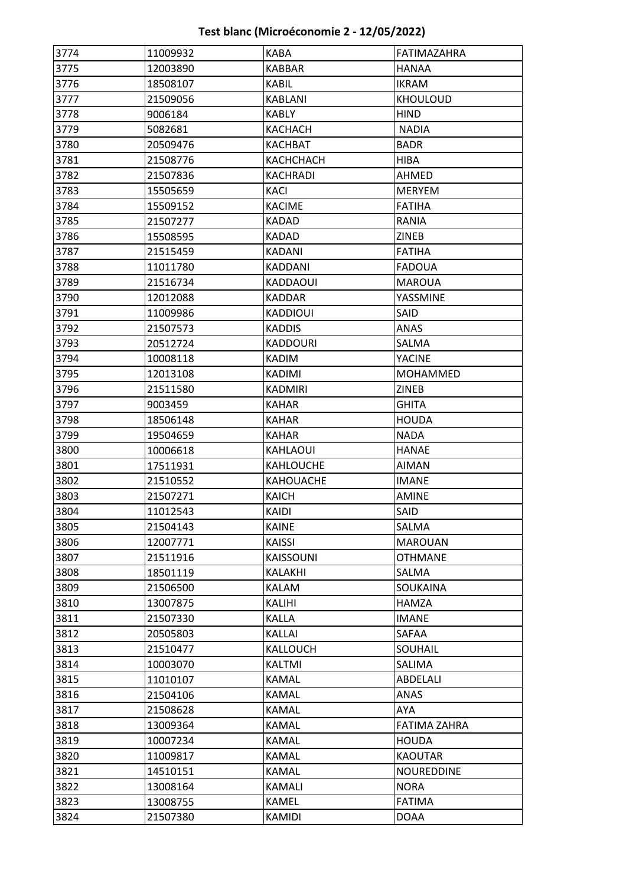| 3774 | 11009932 | <b>KABA</b>      | FATIMAZAHRA         |
|------|----------|------------------|---------------------|
| 3775 | 12003890 | <b>KABBAR</b>    | <b>HANAA</b>        |
| 3776 | 18508107 | <b>KABIL</b>     | <b>IKRAM</b>        |
| 3777 | 21509056 | <b>KABLANI</b>   | <b>KHOULOUD</b>     |
| 3778 | 9006184  | <b>KABLY</b>     | <b>HIND</b>         |
| 3779 | 5082681  | <b>KACHACH</b>   | <b>NADIA</b>        |
| 3780 | 20509476 | <b>KACHBAT</b>   | <b>BADR</b>         |
| 3781 | 21508776 | KACHCHACH        | <b>HIBA</b>         |
| 3782 | 21507836 | <b>KACHRADI</b>  | AHMED               |
| 3783 | 15505659 | <b>KACI</b>      | <b>MERYEM</b>       |
| 3784 | 15509152 | <b>KACIME</b>    | <b>FATIHA</b>       |
| 3785 | 21507277 | <b>KADAD</b>     | RANIA               |
| 3786 | 15508595 | <b>KADAD</b>     | <b>ZINEB</b>        |
| 3787 | 21515459 | <b>KADANI</b>    | <b>FATIHA</b>       |
| 3788 | 11011780 | KADDANI          | <b>FADOUA</b>       |
| 3789 | 21516734 | <b>KADDAOUI</b>  | <b>MAROUA</b>       |
| 3790 | 12012088 | <b>KADDAR</b>    | YASSMINE            |
| 3791 | 11009986 | <b>KADDIOUI</b>  | SAID                |
| 3792 | 21507573 | <b>KADDIS</b>    | ANAS                |
| 3793 | 20512724 | <b>KADDOURI</b>  | SALMA               |
| 3794 | 10008118 | <b>KADIM</b>     | <b>YACINE</b>       |
| 3795 | 12013108 | <b>KADIMI</b>    | <b>MOHAMMED</b>     |
| 3796 | 21511580 | <b>KADMIRI</b>   | <b>ZINEB</b>        |
| 3797 | 9003459  | <b>KAHAR</b>     | <b>GHITA</b>        |
| 3798 | 18506148 | <b>KAHAR</b>     | <b>HOUDA</b>        |
| 3799 | 19504659 | <b>KAHAR</b>     | <b>NADA</b>         |
| 3800 | 10006618 | KAHLAOUI         | HANAE               |
| 3801 | 17511931 | <b>KAHLOUCHE</b> | <b>AIMAN</b>        |
| 3802 | 21510552 | <b>KAHOUACHE</b> | <b>IMANE</b>        |
| 3803 | 21507271 | <b>KAICH</b>     | <b>AMINE</b>        |
| 3804 | 11012543 | KAIDI            | SAID                |
| 3805 | 21504143 | <b>KAINE</b>     | SALMA               |
| 3806 | 12007771 | <b>KAISSI</b>    | <b>MAROUAN</b>      |
| 3807 | 21511916 | KAISSOUNI        | <b>OTHMANE</b>      |
| 3808 | 18501119 | <b>KALAKHI</b>   | SALMA               |
| 3809 | 21506500 | <b>KALAM</b>     | SOUKAINA            |
| 3810 | 13007875 | <b>KALIHI</b>    | HAMZA               |
| 3811 | 21507330 | <b>KALLA</b>     | <b>IMANE</b>        |
| 3812 | 20505803 | KALLAI           | SAFAA               |
| 3813 | 21510477 | KALLOUCH         | SOUHAIL             |
| 3814 | 10003070 | <b>KALTMI</b>    | SALIMA              |
| 3815 | 11010107 | KAMAL            | ABDELALI            |
| 3816 | 21504106 | <b>KAMAL</b>     | ANAS                |
| 3817 | 21508628 | <b>KAMAL</b>     | AYA                 |
| 3818 | 13009364 | <b>KAMAL</b>     | <b>FATIMA ZAHRA</b> |
| 3819 | 10007234 | KAMAL            | <b>HOUDA</b>        |
| 3820 | 11009817 | <b>KAMAL</b>     | <b>KAOUTAR</b>      |
| 3821 | 14510151 | <b>KAMAL</b>     | <b>NOUREDDINE</b>   |
| 3822 | 13008164 | <b>KAMALI</b>    | <b>NORA</b>         |
| 3823 | 13008755 | <b>KAMEL</b>     | <b>FATIMA</b>       |
| 3824 | 21507380 | KAMIDI           | DOAA                |
|      |          |                  |                     |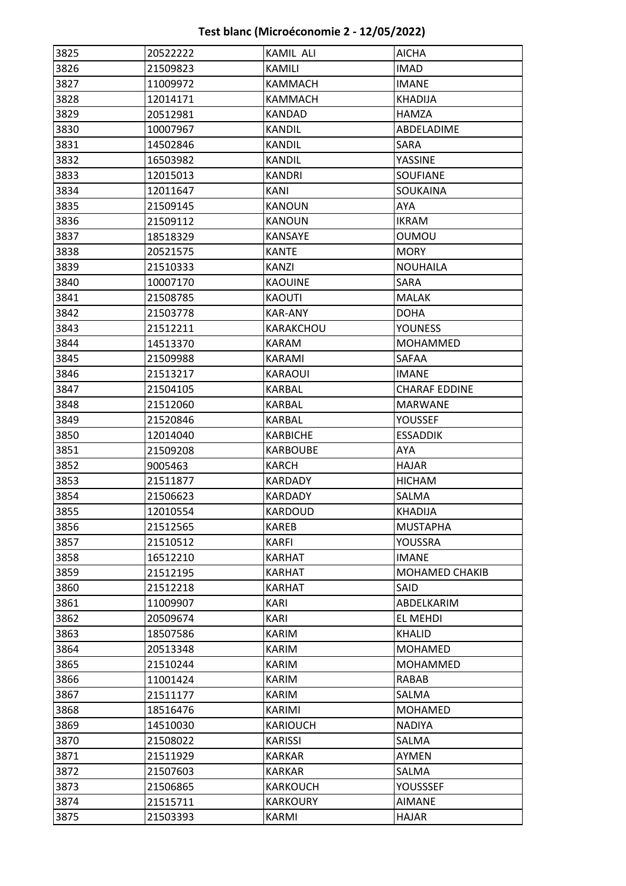| 3825 | 20522222 | KAMIL ALI        | AICHA                |
|------|----------|------------------|----------------------|
| 3826 | 21509823 | <b>KAMILI</b>    | <b>IMAD</b>          |
| 3827 | 11009972 | KAMMACH          | <b>IMANE</b>         |
| 3828 | 12014171 | <b>KAMMACH</b>   | <b>KHADIJA</b>       |
| 3829 | 20512981 | <b>KANDAD</b>    | <b>HAMZA</b>         |
| 3830 | 10007967 | <b>KANDIL</b>    | ABDELADIME           |
| 3831 | 14502846 | <b>KANDIL</b>    | SARA                 |
| 3832 | 16503982 | <b>KANDIL</b>    | YASSINE              |
| 3833 | 12015013 | <b>KANDRI</b>    | <b>SOUFIANE</b>      |
| 3834 | 12011647 | KANI             | SOUKAINA             |
| 3835 | 21509145 | <b>KANOUN</b>    | AYA                  |
| 3836 | 21509112 | <b>KANOUN</b>    | <b>IKRAM</b>         |
| 3837 | 18518329 | <b>KANSAYE</b>   | <b>OUMOU</b>         |
| 3838 | 20521575 | <b>KANTE</b>     | <b>MORY</b>          |
| 3839 | 21510333 | KANZI            | <b>NOUHAILA</b>      |
| 3840 | 10007170 | <b>KAOUINE</b>   | SARA                 |
| 3841 | 21508785 | <b>KAOUTI</b>    | <b>MALAK</b>         |
| 3842 | 21503778 | <b>KAR-ANY</b>   | <b>DOHA</b>          |
| 3843 | 21512211 | <b>KARAKCHOU</b> | <b>YOUNESS</b>       |
| 3844 | 14513370 | KARAM            | MOHAMMED             |
| 3845 | 21509988 | KARAMI           | SAFAA                |
| 3846 | 21513217 | <b>KARAOUI</b>   | <b>IMANE</b>         |
| 3847 | 21504105 | <b>KARBAL</b>    | <b>CHARAF EDDINE</b> |
| 3848 | 21512060 | KARBAL           | <b>MARWANE</b>       |
| 3849 | 21520846 | <b>KARBAL</b>    | YOUSSEF              |
| 3850 | 12014040 | <b>KARBICHE</b>  | <b>ESSADDIK</b>      |
| 3851 | 21509208 | <b>KARBOUBE</b>  | AYA                  |
| 3852 | 9005463  | <b>KARCH</b>     | HAJAR                |
| 3853 | 21511877 | <b>KARDADY</b>   | <b>HICHAM</b>        |
| 3854 | 21506623 | <b>KARDADY</b>   | SALMA                |
| 3855 | 12010554 | <b>KARDOUD</b>   | KHADIJA              |
| 3856 | 21512565 | KAREB            | <b>MUSTAPHA</b>      |
| 3857 | 21510512 | <b>KARFI</b>     | YOUSSRA              |
| 3858 | 16512210 | <b>KARHAT</b>    | <b>IMANE</b>         |
| 3859 | 21512195 | <b>KARHAT</b>    | MOHAMED CHAKIB       |
| 3860 | 21512218 | <b>KARHAT</b>    | SAID                 |
| 3861 | 11009907 | KARI             | ABDELKARIM           |
| 3862 | 20509674 | KARI             | EL MEHDI             |
| 3863 | 18507586 | KARIM            | <b>KHALID</b>        |
| 3864 | 20513348 | <b>KARIM</b>     | MOHAMED              |
| 3865 | 21510244 | <b>KARIM</b>     | MOHAMMED             |
| 3866 | 11001424 | <b>KARIM</b>     | RABAB                |
| 3867 | 21511177 | <b>KARIM</b>     | SALMA                |
| 3868 | 18516476 | KARIMI           | <b>MOHAMED</b>       |
| 3869 | 14510030 | <b>KARIOUCH</b>  | <b>NADIYA</b>        |
| 3870 | 21508022 | <b>KARISSI</b>   | SALMA                |
| 3871 | 21511929 | <b>KARKAR</b>    | AYMEN                |
| 3872 | 21507603 | <b>KARKAR</b>    | SALMA                |
| 3873 | 21506865 | <b>KARKOUCH</b>  | YOUSSSEF             |
| 3874 | 21515711 | <b>KARKOURY</b>  | <b>AIMANE</b>        |
| 3875 | 21503393 | <b>KARMI</b>     | HAJAR                |
|      |          |                  |                      |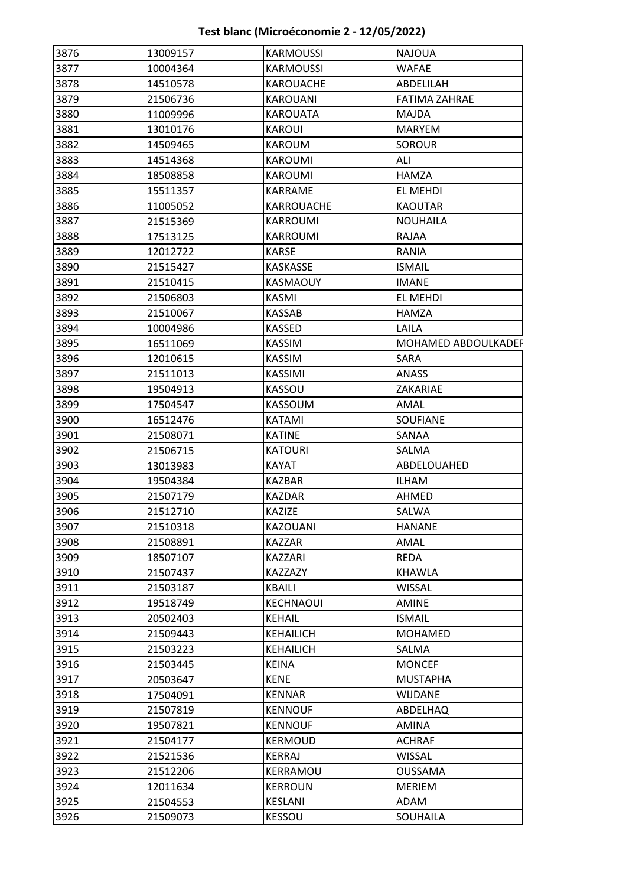| 3876 | 13009157 | <b>KARMOUSSI</b> | <b>NAJOUA</b>        |
|------|----------|------------------|----------------------|
| 3877 | 10004364 | <b>KARMOUSSI</b> | <b>WAFAE</b>         |
| 3878 | 14510578 | KAROUACHE        | ABDELILAH            |
| 3879 | 21506736 | <b>KAROUANI</b>  | <b>FATIMA ZAHRAE</b> |
| 3880 | 11009996 | <b>KAROUATA</b>  | <b>MAJDA</b>         |
| 3881 | 13010176 | KAROUI           | <b>MARYEM</b>        |
| 3882 | 14509465 | <b>KAROUM</b>    | <b>SOROUR</b>        |
| 3883 | 14514368 | <b>KAROUMI</b>   | ALI                  |
| 3884 | 18508858 | <b>KAROUMI</b>   | <b>HAMZA</b>         |
| 3885 | 15511357 | KARRAME          | EL MEHDI             |
| 3886 | 11005052 | KARROUACHE       | <b>KAOUTAR</b>       |
| 3887 | 21515369 | <b>KARROUMI</b>  | <b>NOUHAILA</b>      |
| 3888 | 17513125 | KARROUMI         | <b>RAJAA</b>         |
| 3889 | 12012722 | <b>KARSE</b>     | RANIA                |
| 3890 | 21515427 | <b>KASKASSE</b>  | <b>ISMAIL</b>        |
| 3891 | 21510415 | <b>KASMAOUY</b>  | <b>IMANE</b>         |
| 3892 | 21506803 | <b>KASMI</b>     | <b>EL MEHDI</b>      |
| 3893 | 21510067 | <b>KASSAB</b>    | <b>HAMZA</b>         |
| 3894 | 10004986 | <b>KASSED</b>    | LAILA                |
| 3895 | 16511069 | KASSIM           | MOHAMED ABDOULKADEF  |
| 3896 | 12010615 | <b>KASSIM</b>    | SARA                 |
| 3897 | 21511013 | KASSIMI          | <b>ANASS</b>         |
| 3898 | 19504913 | KASSOU           | ZAKARIAE             |
| 3899 | 17504547 | KASSOUM          | AMAL                 |
| 3900 | 16512476 | KATAMI           | SOUFIANE             |
| 3901 | 21508071 | <b>KATINE</b>    | SANAA                |
| 3902 | 21506715 | <b>KATOURI</b>   | SALMA                |
| 3903 | 13013983 | KAYAT            | ABDELOUAHED          |
| 3904 | 19504384 | <b>KAZBAR</b>    | <b>ILHAM</b>         |
| 3905 | 21507179 | <b>KAZDAR</b>    | AHMED                |
| 3906 | 21512710 | <b>KAZIZE</b>    | SALWA                |
| 3907 | 21510318 | <b>KAZOUANI</b>  | <b>HANANE</b>        |
| 3908 | 21508891 | <b>KAZZAR</b>    | AMAL                 |
| 3909 | 18507107 | <b>KAZZARI</b>   | REDA                 |
| 3910 | 21507437 | KAZZAZY          | <b>KHAWLA</b>        |
| 3911 | 21503187 | <b>KBAILI</b>    | <b>WISSAL</b>        |
| 3912 | 19518749 | KECHNAOUI        | AMINE                |
| 3913 | 20502403 | <b>KEHAIL</b>    | <b>ISMAIL</b>        |
| 3914 | 21509443 | <b>KEHAILICH</b> | MOHAMED              |
| 3915 | 21503223 | <b>KEHAILICH</b> | SALMA                |
| 3916 | 21503445 | <b>KEINA</b>     | <b>MONCEF</b>        |
| 3917 | 20503647 | <b>KENE</b>      | <b>MUSTAPHA</b>      |
| 3918 | 17504091 | <b>KENNAR</b>    | <b>WIJDANE</b>       |
| 3919 | 21507819 | <b>KENNOUF</b>   | ABDELHAQ             |
| 3920 | 19507821 | <b>KENNOUF</b>   | AMINA                |
| 3921 | 21504177 | <b>KERMOUD</b>   | <b>ACHRAF</b>        |
| 3922 | 21521536 | KERRAJ           | WISSAL               |
| 3923 | 21512206 | KERRAMOU         | <b>OUSSAMA</b>       |
| 3924 | 12011634 | <b>KERROUN</b>   | <b>MERIEM</b>        |
| 3925 | 21504553 | <b>KESLANI</b>   | ADAM                 |
| 3926 | 21509073 | <b>KESSOU</b>    | SOUHAILA             |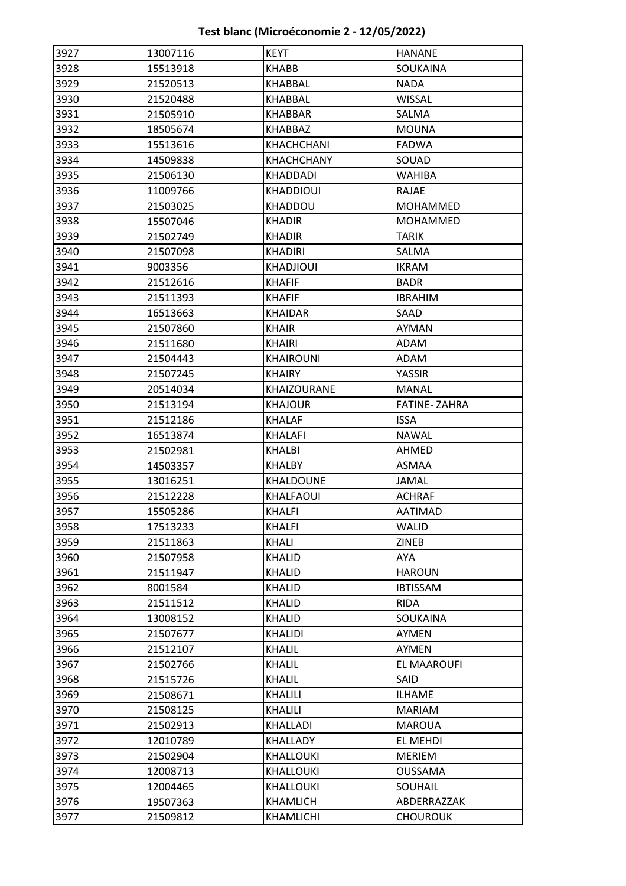| 3927 | 13007116 | <b>KEYT</b>       | <b>HANANE</b>       |
|------|----------|-------------------|---------------------|
| 3928 | 15513918 | <b>KHABB</b>      | SOUKAINA            |
| 3929 | 21520513 | <b>KHABBAL</b>    | <b>NADA</b>         |
| 3930 | 21520488 | <b>KHABBAL</b>    | WISSAL              |
| 3931 | 21505910 | <b>KHABBAR</b>    | SALMA               |
| 3932 | 18505674 | <b>KHABBAZ</b>    | <b>MOUNA</b>        |
| 3933 | 15513616 | KHACHCHANI        | <b>FADWA</b>        |
| 3934 | 14509838 | <b>KHACHCHANY</b> | SOUAD               |
| 3935 | 21506130 | KHADDADI          | <b>WAHIBA</b>       |
| 3936 | 11009766 | <b>KHADDIOUI</b>  | RAJAE               |
| 3937 | 21503025 | KHADDOU           | MOHAMMED            |
| 3938 | 15507046 | <b>KHADIR</b>     | MOHAMMED            |
| 3939 | 21502749 | <b>KHADIR</b>     | <b>TARIK</b>        |
| 3940 | 21507098 | <b>KHADIRI</b>    | SALMA               |
| 3941 | 9003356  | <b>KHADJIOUI</b>  | <b>IKRAM</b>        |
| 3942 | 21512616 | <b>KHAFIF</b>     | <b>BADR</b>         |
| 3943 | 21511393 | <b>KHAFIF</b>     | <b>IBRAHIM</b>      |
| 3944 | 16513663 | <b>KHAIDAR</b>    | SAAD                |
| 3945 | 21507860 | KHAIR             | AYMAN               |
| 3946 | 21511680 | <b>KHAIRI</b>     | ADAM                |
| 3947 | 21504443 | <b>KHAIROUNI</b>  | <b>ADAM</b>         |
| 3948 | 21507245 | <b>KHAIRY</b>     | YASSIR              |
| 3949 | 20514034 | KHAIZOURANE       | <b>MANAL</b>        |
| 3950 | 21513194 | <b>KHAJOUR</b>    | <b>FATINE-ZAHRA</b> |
| 3951 | 21512186 | <b>KHALAF</b>     | <b>ISSA</b>         |
| 3952 | 16513874 | <b>KHALAFI</b>    | <b>NAWAL</b>        |
| 3953 | 21502981 | <b>KHALBI</b>     | AHMED               |
| 3954 | 14503357 | <b>KHALBY</b>     | <b>ASMAA</b>        |
| 3955 | 13016251 | <b>KHALDOUNE</b>  | JAMAL               |
| 3956 | 21512228 | KHALFAOUI         | <b>ACHRAF</b>       |
| 3957 | 15505286 | <b>KHALFI</b>     | AATIMAD             |
| 3958 | 17513233 | <b>KHALFI</b>     | WALID               |
| 3959 | 21511863 | KHALI             | ZINEB               |
| 3960 | 21507958 | <b>KHALID</b>     | AYA                 |
| 3961 | 21511947 | <b>KHALID</b>     | <b>HAROUN</b>       |
| 3962 | 8001584  | KHALID            | <b>IBTISSAM</b>     |
| 3963 | 21511512 | <b>KHALID</b>     | <b>RIDA</b>         |
| 3964 | 13008152 | <b>KHALID</b>     | SOUKAINA            |
| 3965 | 21507677 | <b>KHALIDI</b>    | AYMEN               |
| 3966 | 21512107 | <b>KHALIL</b>     | <b>AYMEN</b>        |
| 3967 | 21502766 | <b>KHALIL</b>     | EL MAAROUFI         |
| 3968 | 21515726 | <b>KHALIL</b>     | SAID                |
| 3969 | 21508671 | KHALILI           | <b>ILHAME</b>       |
| 3970 | 21508125 | <b>KHALILI</b>    | <b>MARIAM</b>       |
| 3971 | 21502913 | <b>KHALLADI</b>   | <b>MAROUA</b>       |
| 3972 | 12010789 | KHALLADY          | EL MEHDI            |
| 3973 | 21502904 | KHALLOUKI         | <b>MERIEM</b>       |
| 3974 | 12008713 | KHALLOUKI         | <b>OUSSAMA</b>      |
| 3975 | 12004465 | KHALLOUKI         | SOUHAIL             |
| 3976 | 19507363 | KHAMLICH          | ABDERRAZZAK         |
| 3977 | 21509812 | KHAMLICHI         | <b>CHOUROUK</b>     |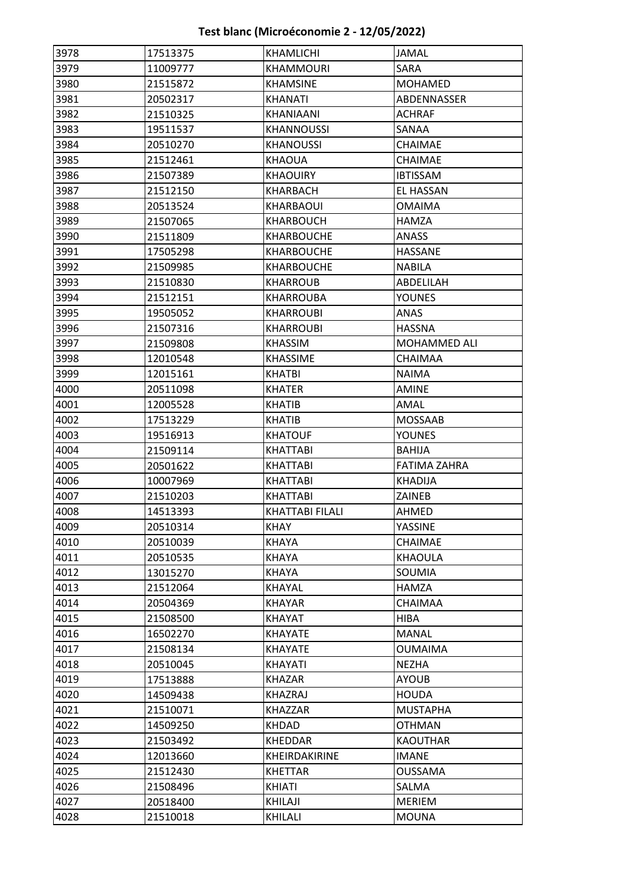| 3978 | 17513375 | <b>KHAMLICHI</b>  | <b>JAMAL</b>        |
|------|----------|-------------------|---------------------|
| 3979 | 11009777 | <b>KHAMMOURI</b>  | <b>SARA</b>         |
| 3980 | 21515872 | <b>KHAMSINE</b>   | <b>MOHAMED</b>      |
| 3981 | 20502317 | <b>KHANATI</b>    | ABDENNASSER         |
| 3982 | 21510325 | <b>KHANIAANI</b>  | <b>ACHRAF</b>       |
| 3983 | 19511537 | <b>KHANNOUSSI</b> | SANAA               |
| 3984 | 20510270 | <b>KHANOUSSI</b>  | CHAIMAE             |
| 3985 | 21512461 | <b>KHAOUA</b>     | <b>CHAIMAE</b>      |
| 3986 | 21507389 | <b>KHAOUIRY</b>   | <b>IBTISSAM</b>     |
| 3987 | 21512150 | <b>KHARBACH</b>   | EL HASSAN           |
| 3988 | 20513524 | <b>KHARBAOUI</b>  | <b>OMAIMA</b>       |
| 3989 | 21507065 | <b>KHARBOUCH</b>  | HAMZA               |
| 3990 | 21511809 | KHARBOUCHE        | <b>ANASS</b>        |
| 3991 | 17505298 | <b>KHARBOUCHE</b> | <b>HASSANE</b>      |
| 3992 | 21509985 | <b>KHARBOUCHE</b> | <b>NABILA</b>       |
| 3993 | 21510830 | <b>KHARROUB</b>   | ABDELILAH           |
| 3994 | 21512151 | <b>KHARROUBA</b>  | <b>YOUNES</b>       |
| 3995 | 19505052 | <b>KHARROUBI</b>  | <b>ANAS</b>         |
| 3996 | 21507316 | <b>KHARROUBI</b>  | <b>HASSNA</b>       |
| 3997 | 21509808 | <b>KHASSIM</b>    | <b>MOHAMMED ALI</b> |
| 3998 | 12010548 | <b>KHASSIME</b>   | CHAIMAA             |
| 3999 | 12015161 | <b>KHATBI</b>     | <b>NAIMA</b>        |
| 4000 | 20511098 | <b>KHATER</b>     | <b>AMINE</b>        |
| 4001 | 12005528 | <b>KHATIB</b>     | AMAL                |
| 4002 | 17513229 | <b>KHATIB</b>     | <b>MOSSAAB</b>      |
| 4003 | 19516913 | <b>KHATOUF</b>    | <b>YOUNES</b>       |
| 4004 | 21509114 | <b>KHATTABI</b>   | <b>BAHIJA</b>       |
| 4005 | 20501622 | <b>KHATTABI</b>   | <b>FATIMA ZAHRA</b> |
| 4006 | 10007969 | <b>KHATTABI</b>   | KHADIJA             |
| 4007 | 21510203 | <b>KHATTABI</b>   | ZAINEB              |
| 4008 | 14513393 | KHATTABI FILALI   | AHMED               |
| 4009 | 20510314 | <b>KHAY</b>       | YASSINE             |
| 4010 | 20510039 | <b>KHAYA</b>      | CHAIMAE             |
| 4011 | 20510535 | <b>KHAYA</b>      | <b>KHAOULA</b>      |
| 4012 | 13015270 | <b>KHAYA</b>      | SOUMIA              |
| 4013 | 21512064 | KHAYAL            | HAMZA               |
| 4014 | 20504369 | <b>KHAYAR</b>     | CHAIMAA             |
| 4015 | 21508500 | <b>KHAYAT</b>     | HIBA                |
| 4016 | 16502270 | <b>KHAYATE</b>    | <b>MANAL</b>        |
| 4017 | 21508134 | <b>KHAYATE</b>    | <b>OUMAIMA</b>      |
| 4018 | 20510045 | KHAYATI           | NEZHA               |
| 4019 | 17513888 | KHAZAR            | AYOUB               |
| 4020 | 14509438 | KHAZRAJ           | <b>HOUDA</b>        |
| 4021 | 21510071 | KHAZZAR           | <b>MUSTAPHA</b>     |
| 4022 | 14509250 | <b>KHDAD</b>      | <b>OTHMAN</b>       |
| 4023 | 21503492 | <b>KHEDDAR</b>    | KAOUTHAR            |
| 4024 | 12013660 | KHEIRDAKIRINE     | <b>IMANE</b>        |
| 4025 | 21512430 | <b>KHETTAR</b>    | OUSSAMA             |
| 4026 | 21508496 | <b>KHIATI</b>     | SALMA               |
| 4027 | 20518400 | KHILAJI           | <b>MERIEM</b>       |
| 4028 | 21510018 | KHILALI           | <b>MOUNA</b>        |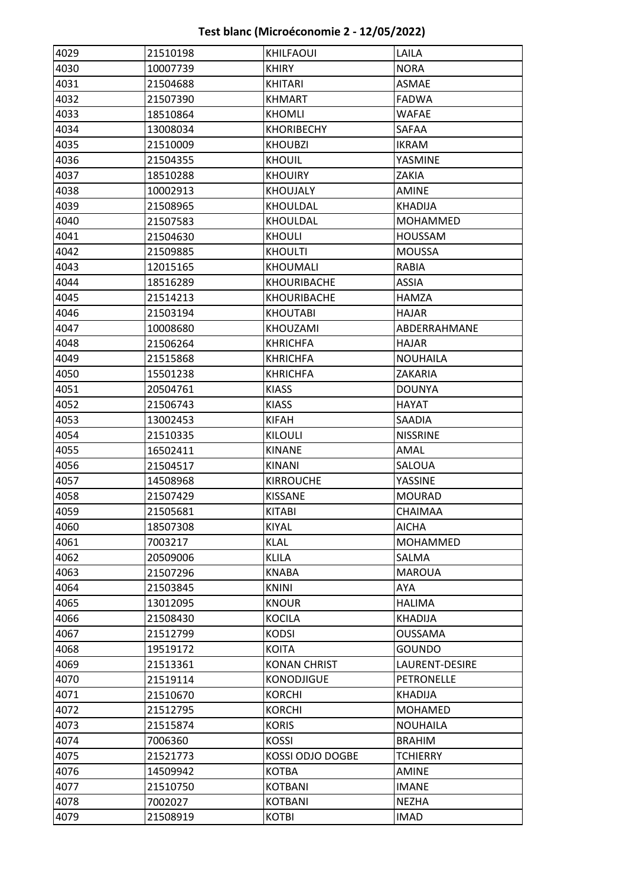| 4029 | 21510198 | <b>KHILFAOUI</b>        | LAILA             |
|------|----------|-------------------------|-------------------|
| 4030 | 10007739 | <b>KHIRY</b>            | <b>NORA</b>       |
| 4031 | 21504688 | <b>KHITARI</b>          | ASMAE             |
| 4032 | 21507390 | <b>KHMART</b>           | <b>FADWA</b>      |
| 4033 | 18510864 | <b>KHOMLI</b>           | WAFAE             |
| 4034 | 13008034 | <b>KHORIBECHY</b>       | SAFAA             |
| 4035 | 21510009 | <b>KHOUBZI</b>          | <b>IKRAM</b>      |
| 4036 | 21504355 | <b>KHOUIL</b>           | YASMINE           |
| 4037 | 18510288 | <b>KHOUIRY</b>          | ZAKIA             |
| 4038 | 10002913 | <b>KHOUJALY</b>         | AMINE             |
| 4039 | 21508965 | KHOULDAL                | <b>KHADIJA</b>    |
| 4040 | 21507583 | KHOULDAL                | MOHAMMED          |
| 4041 | 21504630 | <b>KHOULI</b>           | <b>HOUSSAM</b>    |
| 4042 | 21509885 | <b>KHOULTI</b>          | <b>MOUSSA</b>     |
| 4043 | 12015165 | <b>KHOUMALI</b>         | <b>RABIA</b>      |
| 4044 | 18516289 | KHOURIBACHE             | <b>ASSIA</b>      |
| 4045 | 21514213 | <b>KHOURIBACHE</b>      | <b>HAMZA</b>      |
| 4046 | 21503194 | <b>KHOUTABI</b>         | HAJAR             |
| 4047 | 10008680 | KHOUZAMI                | ABDERRAHMANE      |
| 4048 | 21506264 | <b>KHRICHFA</b>         | HAJAR             |
| 4049 | 21515868 | <b>KHRICHFA</b>         | <b>NOUHAILA</b>   |
| 4050 | 15501238 | <b>KHRICHFA</b>         | ZAKARIA           |
| 4051 | 20504761 | KIASS                   | <b>DOUNYA</b>     |
| 4052 | 21506743 | <b>KIASS</b>            | <b>HAYAT</b>      |
| 4053 | 13002453 | <b>KIFAH</b>            | SAADIA            |
| 4054 | 21510335 | <b>KILOULI</b>          | <b>NISSRINE</b>   |
| 4055 | 16502411 | <b>KINANE</b>           | AMAL              |
| 4056 | 21504517 | <b>KINANI</b>           | SALOUA            |
| 4057 | 14508968 | <b>KIRROUCHE</b>        | YASSINE           |
| 4058 | 21507429 | <b>KISSANE</b>          | <b>MOURAD</b>     |
| 4059 | 21505681 | <b>KITABI</b>           | <b>CHAIMAA</b>    |
| 4060 | 18507308 | <b>KIYAL</b>            | <b>AICHA</b>      |
| 4061 | 7003217  | <b>KLAL</b>             | MOHAMMED          |
| 4062 | 20509006 | <b>KLILA</b>            | SALMA             |
| 4063 | 21507296 | <b>KNABA</b>            | <b>MAROUA</b>     |
| 4064 | 21503845 | <b>KNINI</b>            | AYA               |
| 4065 | 13012095 | <b>KNOUR</b>            | <b>HALIMA</b>     |
| 4066 | 21508430 | <b>KOCILA</b>           | <b>KHADIJA</b>    |
| 4067 | 21512799 | <b>KODSI</b>            | OUSSAMA           |
| 4068 | 19519172 | <b>KOITA</b>            | GOUNDO            |
| 4069 | 21513361 | <b>KONAN CHRIST</b>     | LAURENT-DESIRE    |
| 4070 | 21519114 | <b>KONODJIGUE</b>       | <b>PETRONELLE</b> |
| 4071 | 21510670 | <b>KORCHI</b>           | <b>KHADIJA</b>    |
| 4072 | 21512795 | <b>KORCHI</b>           | <b>MOHAMED</b>    |
| 4073 | 21515874 | <b>KORIS</b>            | <b>NOUHAILA</b>   |
| 4074 | 7006360  | <b>KOSSI</b>            | <b>BRAHIM</b>     |
| 4075 | 21521773 | <b>KOSSI ODJO DOGBE</b> | <b>TCHIERRY</b>   |
| 4076 | 14509942 | <b>KOTBA</b>            | <b>AMINE</b>      |
| 4077 | 21510750 | <b>KOTBANI</b>          | <b>IMANE</b>      |
| 4078 | 7002027  | <b>KOTBANI</b>          | <b>NEZHA</b>      |
| 4079 | 21508919 | <b>KOTBI</b>            | <b>IMAD</b>       |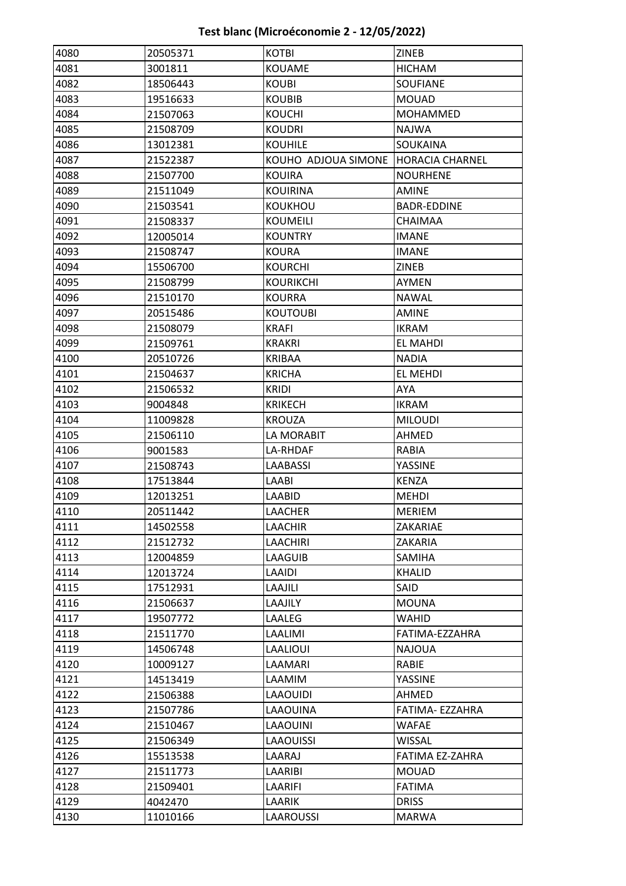| 4080 | 20505371 | KOTBI                               | ZINEB              |
|------|----------|-------------------------------------|--------------------|
| 4081 | 3001811  | <b>KOUAME</b>                       | <b>HICHAM</b>      |
| 4082 | 18506443 | <b>KOUBI</b>                        | <b>SOUFIANE</b>    |
| 4083 | 19516633 | <b>KOUBIB</b>                       | <b>MOUAD</b>       |
| 4084 | 21507063 | <b>KOUCHI</b>                       | <b>MOHAMMED</b>    |
| 4085 | 21508709 | <b>KOUDRI</b>                       | <b>NAJWA</b>       |
| 4086 | 13012381 | <b>KOUHILE</b>                      | SOUKAINA           |
| 4087 | 21522387 | KOUHO ADJOUA SIMONE HORACIA CHARNEL |                    |
| 4088 | 21507700 | <b>KOUIRA</b>                       | <b>NOURHENE</b>    |
| 4089 | 21511049 | <b>KOUIRINA</b>                     | <b>AMINE</b>       |
| 4090 | 21503541 | <b>KOUKHOU</b>                      | <b>BADR-EDDINE</b> |
| 4091 | 21508337 | <b>KOUMEILI</b>                     | <b>CHAIMAA</b>     |
| 4092 | 12005014 | <b>KOUNTRY</b>                      | <b>IMANE</b>       |
| 4093 | 21508747 | <b>KOURA</b>                        | <b>IMANE</b>       |
| 4094 | 15506700 | <b>KOURCHI</b>                      | <b>ZINEB</b>       |
| 4095 | 21508799 | <b>KOURIKCHI</b>                    | AYMEN              |
| 4096 | 21510170 | <b>KOURRA</b>                       | <b>NAWAL</b>       |
| 4097 | 20515486 | <b>KOUTOUBI</b>                     | <b>AMINE</b>       |
| 4098 | 21508079 | <b>KRAFI</b>                        | <b>IKRAM</b>       |
| 4099 | 21509761 | <b>KRAKRI</b>                       | <b>EL MAHDI</b>    |
| 4100 | 20510726 | <b>KRIBAA</b>                       | <b>NADIA</b>       |
| 4101 | 21504637 | <b>KRICHA</b>                       | EL MEHDI           |
| 4102 | 21506532 | <b>KRIDI</b>                        | AYA                |
| 4103 | 9004848  | <b>KRIKECH</b>                      | <b>IKRAM</b>       |
| 4104 | 11009828 | <b>KROUZA</b>                       | <b>MILOUDI</b>     |
| 4105 | 21506110 | LA MORABIT                          | AHMED              |
| 4106 | 9001583  | LA-RHDAF                            | RABIA              |
| 4107 | 21508743 | LAABASSI                            | YASSINE            |
| 4108 | 17513844 | LAABI                               | KENZA              |
| 4109 | 12013251 | LAABID                              | <b>MEHDI</b>       |
| 4110 | 20511442 | <b>LAACHER</b>                      | <b>MERIEM</b>      |
| 4111 | 14502558 | LAACHIR                             | ZAKARIAE           |
| 4112 | 21512732 | LAACHIRI                            | ZAKARIA            |
| 4113 | 12004859 | LAAGUIB                             | SAMIHA             |
| 4114 | 12013724 | LAAIDI                              | <b>KHALID</b>      |
| 4115 | 17512931 | LAAJILI                             | SAID               |
| 4116 | 21506637 | LAAJILY                             | <b>MOUNA</b>       |
| 4117 | 19507772 | LAALEG                              | WAHID              |
| 4118 | 21511770 | LAALIMI                             | FATIMA-EZZAHRA     |
| 4119 | 14506748 | LAALIOUI                            | <b>NAJOUA</b>      |
| 4120 | 10009127 | LAAMARI                             | RABIE              |
| 4121 | 14513419 | LAAMIM                              | YASSINE            |
| 4122 | 21506388 | <b>LAAOUIDI</b>                     | AHMED              |
| 4123 | 21507786 | <b>LAAOUINA</b>                     | FATIMA- EZZAHRA    |
| 4124 | 21510467 | <b>LAAOUINI</b>                     | WAFAE              |
| 4125 | 21506349 | LAAOUISSI                           | WISSAL             |
| 4126 | 15513538 | LAARAJ                              | FATIMA EZ-ZAHRA    |
| 4127 | 21511773 | LAARIBI                             | <b>MOUAD</b>       |
| 4128 | 21509401 | LAARIFI                             | <b>FATIMA</b>      |
| 4129 | 4042470  | LAARIK                              | <b>DRISS</b>       |
| 4130 | 11010166 | LAAROUSSI                           | <b>MARWA</b>       |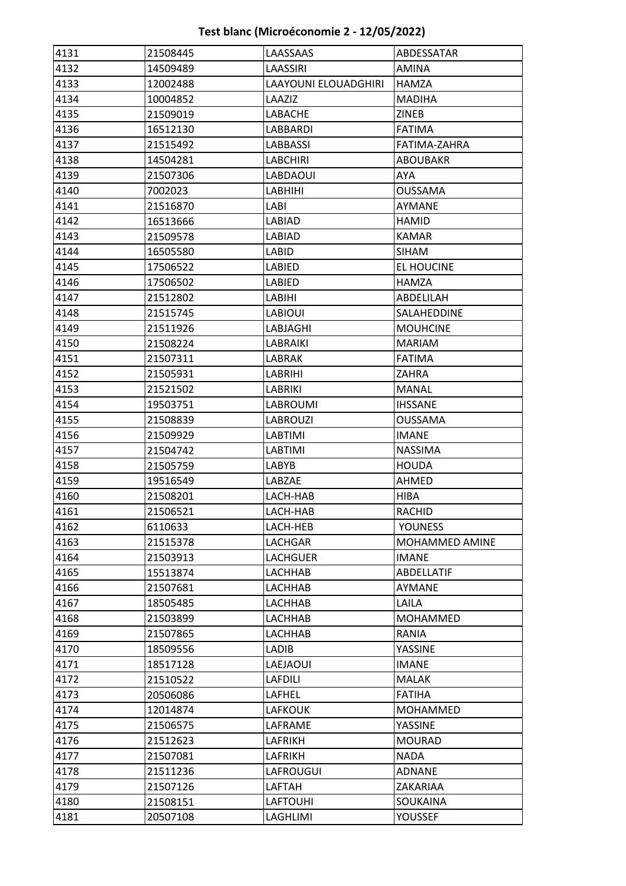| 4131 | 21508445 | LAASSAAS             | ABDESSATAR        |
|------|----------|----------------------|-------------------|
| 4132 | 14509489 | LAASSIRI             | <b>AMINA</b>      |
| 4133 | 12002488 | LAAYOUNI ELOUADGHIRI | HAMZA             |
| 4134 | 10004852 | LAAZIZ               | <b>MADIHA</b>     |
| 4135 | 21509019 | LABACHE              | <b>ZINEB</b>      |
| 4136 | 16512130 | LABBARDI             | <b>FATIMA</b>     |
| 4137 | 21515492 | LABBASSI             | FATIMA-ZAHRA      |
| 4138 | 14504281 | <b>LABCHIRI</b>      | <b>ABOUBAKR</b>   |
| 4139 | 21507306 | LABDAOUI             | <b>AYA</b>        |
| 4140 | 7002023  | LABHIHI              | OUSSAMA           |
| 4141 | 21516870 | LABI                 | AYMANE            |
| 4142 | 16513666 | LABIAD               | <b>HAMID</b>      |
| 4143 | 21509578 | LABIAD               | <b>KAMAR</b>      |
| 4144 | 16505580 | LABID                | <b>SIHAM</b>      |
| 4145 | 17506522 | LABIED               | <b>EL HOUCINE</b> |
| 4146 | 17506502 | LABIED               | HAMZA             |
| 4147 | 21512802 | LABIHI               | ABDELILAH         |
| 4148 | 21515745 | <b>LABIOUI</b>       | SALAHEDDINE       |
| 4149 | 21511926 | LABJAGHI             | <b>MOUHCINE</b>   |
| 4150 | 21508224 | LABRAIKI             | <b>MARIAM</b>     |
| 4151 | 21507311 | LABRAK               | <b>FATIMA</b>     |
| 4152 | 21505931 | LABRIHI              | ZAHRA             |
| 4153 | 21521502 | LABRIKI              | <b>MANAL</b>      |
| 4154 | 19503751 | LABROUMI             | <b>IHSSANE</b>    |
| 4155 | 21508839 | <b>LABROUZI</b>      | OUSSAMA           |
| 4156 | 21509929 | LABTIMI              | <b>IMANE</b>      |
| 4157 | 21504742 | LABTIMI              | <b>NASSIMA</b>    |
| 4158 | 21505759 | LABYB                | <b>HOUDA</b>      |
| 4159 | 19516549 | LABZAE               | AHMED             |
| 4160 | 21508201 | LACH-HAB             | HIBA              |
| 4161 | 21506521 | LACH-HAB             | <b>RACHID</b>     |
| 4162 | 6110633  | LACH-HEB             | <b>YOUNESS</b>    |
| 4163 | 21515378 | LACHGAR              | MOHAMMED AMINE    |
| 4164 | 21503913 | LACHGUER             | <b>IMANE</b>      |
| 4165 | 15513874 | LACHHAB              | ABDELLATIF        |
| 4166 | 21507681 | <b>LACHHAB</b>       | <b>AYMANE</b>     |
| 4167 | 18505485 | LACHHAB              | LAILA             |
| 4168 | 21503899 | LACHHAB              | MOHAMMED          |
| 4169 | 21507865 | LACHHAB              | RANIA             |
| 4170 | 18509556 | LADIB                | YASSINE           |
| 4171 | 18517128 | LAEJAOUI             | <b>IMANE</b>      |
| 4172 | 21510522 | LAFDILI              | <b>MALAK</b>      |
| 4173 | 20506086 | LAFHEL               | <b>FATIHA</b>     |
| 4174 | 12014874 | <b>LAFKOUK</b>       | MOHAMMED          |
| 4175 | 21506575 | LAFRAME              | YASSINE           |
| 4176 | 21512623 | LAFRIKH              | <b>MOURAD</b>     |
| 4177 | 21507081 | LAFRIKH              | <b>NADA</b>       |
| 4178 | 21511236 | LAFROUGUI            | <b>ADNANE</b>     |
| 4179 | 21507126 | LAFTAH               | ZAKARIAA          |
| 4180 | 21508151 | <b>LAFTOUHI</b>      | SOUKAINA          |
| 4181 | 20507108 | LAGHLIMI             | YOUSSEF           |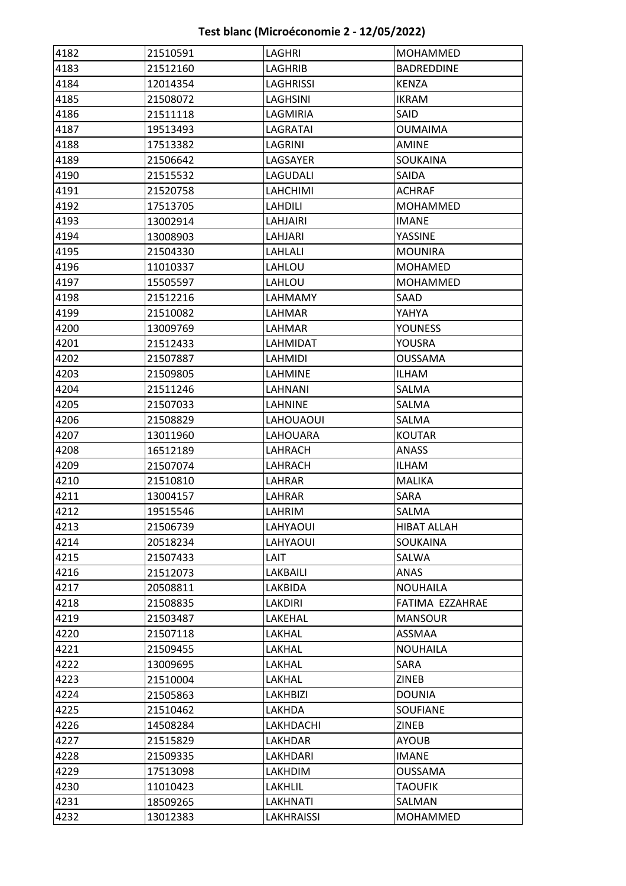| 4182 | 21510591 | <b>LAGHRI</b>    | <b>MOHAMMED</b>    |
|------|----------|------------------|--------------------|
| 4183 | 21512160 | LAGHRIB          | <b>BADREDDINE</b>  |
| 4184 | 12014354 | <b>LAGHRISSI</b> | <b>KENZA</b>       |
| 4185 | 21508072 | <b>LAGHSINI</b>  | <b>IKRAM</b>       |
| 4186 | 21511118 | LAGMIRIA         | SAID               |
| 4187 | 19513493 | LAGRATAI         | <b>OUMAIMA</b>     |
| 4188 | 17513382 | LAGRINI          | <b>AMINE</b>       |
| 4189 | 21506642 | LAGSAYER         | SOUKAINA           |
| 4190 | 21515532 | LAGUDALI         | <b>SAIDA</b>       |
| 4191 | 21520758 | LAHCHIMI         | <b>ACHRAF</b>      |
| 4192 | 17513705 | <b>LAHDILI</b>   | MOHAMMED           |
| 4193 | 13002914 | LAHJAIRI         | <b>IMANE</b>       |
| 4194 | 13008903 | LAHJARI          | YASSINE            |
| 4195 | 21504330 | LAHLALI          | <b>MOUNIRA</b>     |
| 4196 | 11010337 | LAHLOU           | <b>MOHAMED</b>     |
| 4197 | 15505597 | LAHLOU           | MOHAMMED           |
| 4198 | 21512216 | LAHMAMY          | SAAD               |
| 4199 | 21510082 | LAHMAR           | YAHYA              |
| 4200 | 13009769 | LAHMAR           | <b>YOUNESS</b>     |
| 4201 | 21512433 | LAHMIDAT         | YOUSRA             |
| 4202 | 21507887 | LAHMIDI          | <b>OUSSAMA</b>     |
| 4203 | 21509805 | <b>LAHMINE</b>   | <b>ILHAM</b>       |
| 4204 | 21511246 | LAHNANI          | SALMA              |
| 4205 | 21507033 | LAHNINE          | SALMA              |
| 4206 | 21508829 | LAHOUAOUI        | SALMA              |
| 4207 | 13011960 | LAHOUARA         | <b>KOUTAR</b>      |
| 4208 | 16512189 | LAHRACH          | <b>ANASS</b>       |
| 4209 | 21507074 | LAHRACH          | ILHAM              |
| 4210 | 21510810 | LAHRAR           | <b>MALIKA</b>      |
| 4211 | 13004157 | LAHRAR           | SARA               |
| 4212 | 19515546 | LAHRIM           | SALMA              |
| 4213 | 21506739 | <b>LAHYAOUI</b>  | <b>HIBAT ALLAH</b> |
| 4214 | 20518234 | LAHYAOUI         | SOUKAINA           |
| 4215 | 21507433 | LAIT             | SALWA              |
| 4216 | 21512073 | LAKBAILI         | ANAS               |
| 4217 | 20508811 | LAKBIDA          | <b>NOUHAILA</b>    |
| 4218 | 21508835 | <b>LAKDIRI</b>   | FATIMA EZZAHRAE    |
| 4219 | 21503487 | LAKEHAL          | <b>MANSOUR</b>     |
| 4220 | 21507118 | LAKHAL           | <b>ASSMAA</b>      |
| 4221 | 21509455 | LAKHAL           | <b>NOUHAILA</b>    |
| 4222 | 13009695 | LAKHAL           | SARA               |
| 4223 | 21510004 | LAKHAL           | <b>ZINEB</b>       |
| 4224 | 21505863 | LAKHBIZI         | <b>DOUNIA</b>      |
| 4225 | 21510462 | LAKHDA           | <b>SOUFIANE</b>    |
| 4226 | 14508284 | LAKHDACHI        | <b>ZINEB</b>       |
| 4227 | 21515829 | LAKHDAR          | <b>AYOUB</b>       |
| 4228 | 21509335 | LAKHDARI         | <b>IMANE</b>       |
| 4229 | 17513098 | LAKHDIM          | OUSSAMA            |
| 4230 | 11010423 | LAKHLIL          | <b>TAOUFIK</b>     |
| 4231 | 18509265 | LAKHNATI         | SALMAN             |
| 4232 | 13012383 | LAKHRAISSI       | MOHAMMED           |
|      |          |                  |                    |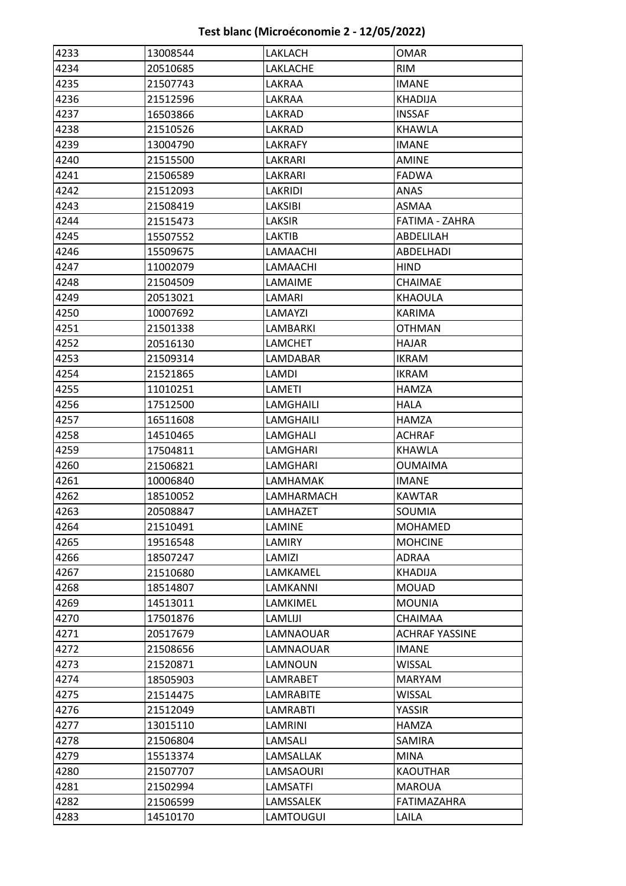| 4233 | 13008544 | LAKLACH          | OMAR                  |
|------|----------|------------------|-----------------------|
| 4234 | 20510685 | LAKLACHE         | <b>RIM</b>            |
| 4235 | 21507743 | LAKRAA           | <b>IMANE</b>          |
| 4236 | 21512596 | LAKRAA           | <b>KHADIJA</b>        |
| 4237 | 16503866 | LAKRAD           | <b>INSSAF</b>         |
| 4238 | 21510526 | LAKRAD           | KHAWLA                |
| 4239 | 13004790 | <b>LAKRAFY</b>   | <b>IMANE</b>          |
| 4240 | 21515500 | LAKRARI          | <b>AMINE</b>          |
| 4241 | 21506589 | LAKRARI          | <b>FADWA</b>          |
| 4242 | 21512093 | LAKRIDI          | <b>ANAS</b>           |
| 4243 | 21508419 | <b>LAKSIBI</b>   | ASMAA                 |
| 4244 | 21515473 | LAKSIR           | FATIMA - ZAHRA        |
| 4245 | 15507552 | LAKTIB           | ABDELILAH             |
| 4246 | 15509675 | LAMAACHI         | ABDELHADI             |
| 4247 | 11002079 | LAMAACHI         | HIND                  |
| 4248 | 21504509 | LAMAIME          | CHAIMAE               |
| 4249 | 20513021 | LAMARI           | KHAOULA               |
| 4250 | 10007692 | LAMAYZI          | <b>KARIMA</b>         |
| 4251 | 21501338 | LAMBARKI         | <b>OTHMAN</b>         |
| 4252 | 20516130 | LAMCHET          | HAJAR                 |
| 4253 | 21509314 | LAMDABAR         | <b>IKRAM</b>          |
| 4254 | 21521865 | LAMDI            | <b>IKRAM</b>          |
| 4255 | 11010251 | LAMETI           | HAMZA                 |
| 4256 | 17512500 | <b>LAMGHAILI</b> | <b>HALA</b>           |
| 4257 | 16511608 | LAMGHAILI        | HAMZA                 |
| 4258 | 14510465 | LAMGHALI         | <b>ACHRAF</b>         |
| 4259 | 17504811 | LAMGHARI         | <b>KHAWLA</b>         |
| 4260 | 21506821 | LAMGHARI         | OUMAIMA               |
| 4261 | 10006840 | LAMHAMAK         | <b>IMANE</b>          |
| 4262 | 18510052 | LAMHARMACH       | <b>KAWTAR</b>         |
| 4263 | 20508847 | LAMHAZET         | SOUMIA                |
| 4264 | 21510491 | LAMINE           | <b>MOHAMED</b>        |
| 4265 | 19516548 | LAMIRY           | <b>MOHCINE</b>        |
| 4266 | 18507247 | LAMIZI           | ADRAA                 |
| 4267 | 21510680 | LAMKAMEL         | KHADIJA               |
| 4268 | 18514807 | LAMKANNI         | <b>MOUAD</b>          |
| 4269 | 14513011 | LAMKIMEL         | <b>MOUNIA</b>         |
| 4270 | 17501876 | LAMLIJI          | CHAIMAA               |
| 4271 | 20517679 | LAMNAOUAR        | <b>ACHRAF YASSINE</b> |
| 4272 | 21508656 | LAMNAOUAR        | <b>IMANE</b>          |
| 4273 | 21520871 | LAMNOUN          | WISSAL                |
| 4274 | 18505903 | LAMRABET         | MARYAM                |
| 4275 | 21514475 | LAMRABITE        | <b>WISSAL</b>         |
| 4276 | 21512049 | <b>LAMRABTI</b>  | YASSIR                |
| 4277 | 13015110 | LAMRINI          | <b>HAMZA</b>          |
| 4278 | 21506804 | LAMSALI          | SAMIRA                |
| 4279 | 15513374 | LAMSALLAK        | <b>MINA</b>           |
| 4280 | 21507707 | <b>LAMSAOURI</b> | <b>KAOUTHAR</b>       |
| 4281 | 21502994 | <b>LAMSATFI</b>  | <b>MAROUA</b>         |
| 4282 | 21506599 | LAMSSALEK        | <b>FATIMAZAHRA</b>    |
| 4283 | 14510170 | <b>LAMTOUGUI</b> | LAILA                 |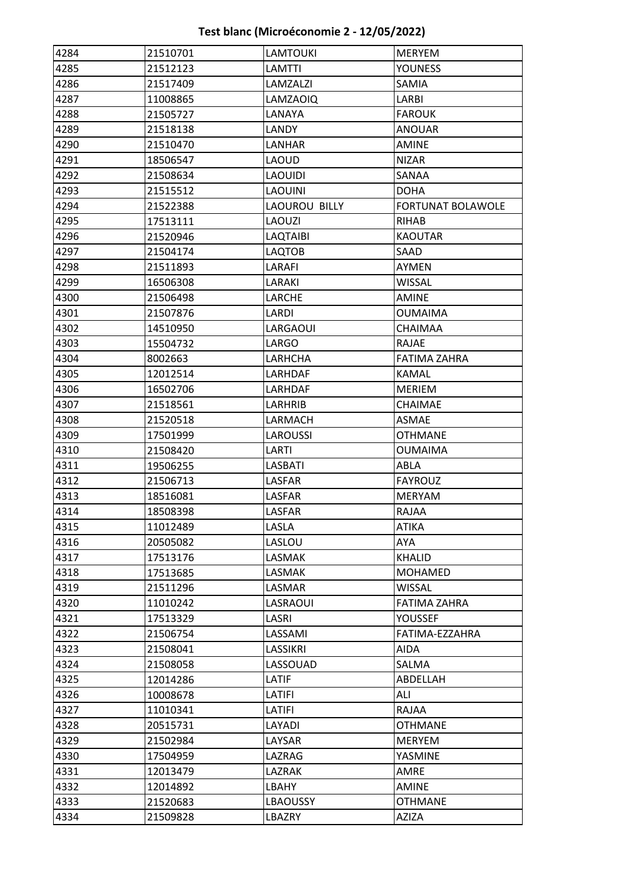| 4284 | 21510701 | LAMTOUKI        | <b>MERYEM</b>       |
|------|----------|-----------------|---------------------|
| 4285 | 21512123 | <b>LAMTTI</b>   | <b>YOUNESS</b>      |
| 4286 | 21517409 | LAMZALZI        | SAMIA               |
| 4287 | 11008865 | LAMZAOIQ        | LARBI               |
| 4288 | 21505727 | LANAYA          | <b>FAROUK</b>       |
| 4289 | 21518138 | <b>LANDY</b>    | <b>ANOUAR</b>       |
| 4290 | 21510470 | LANHAR          | <b>AMINE</b>        |
| 4291 | 18506547 | LAOUD           | <b>NIZAR</b>        |
| 4292 | 21508634 | <b>LAOUIDI</b>  | SANAA               |
| 4293 | 21515512 | LAOUINI         | <b>DOHA</b>         |
| 4294 | 21522388 | LAOUROU BILLY   | FORTUNAT BOLAWOLE   |
| 4295 | 17513111 | LAOUZI          | <b>RIHAB</b>        |
| 4296 | 21520946 | LAQTAIBI        | <b>KAOUTAR</b>      |
| 4297 | 21504174 | LAQTOB          | SAAD                |
| 4298 | 21511893 | LARAFI          | <b>AYMEN</b>        |
| 4299 | 16506308 | LARAKI          | WISSAL              |
| 4300 | 21506498 | LARCHE          | AMINE               |
| 4301 | 21507876 | LARDI           | OUMAIMA             |
| 4302 | 14510950 | LARGAOUI        | <b>CHAIMAA</b>      |
| 4303 | 15504732 | LARGO           | RAJAE               |
| 4304 | 8002663  | LARHCHA         | <b>FATIMA ZAHRA</b> |
| 4305 | 12012514 | LARHDAF         | KAMAL               |
| 4306 | 16502706 | LARHDAF         | <b>MERIEM</b>       |
| 4307 | 21518561 | LARHRIB         | <b>CHAIMAE</b>      |
| 4308 | 21520518 | LARMACH         | ASMAE               |
| 4309 | 17501999 | <b>LAROUSSI</b> | <b>OTHMANE</b>      |
| 4310 | 21508420 | LARTI           | OUMAIMA             |
| 4311 | 19506255 | LASBATI         | ABLA                |
| 4312 | 21506713 | LASFAR          | <b>FAYROUZ</b>      |
| 4313 | 18516081 | LASFAR          | <b>MERYAM</b>       |
| 4314 | 18508398 | LASFAR          | RAJAA               |
| 4315 | 11012489 | LASLA           | <b>ATIKA</b>        |
| 4316 | 20505082 | LASLOU          | AYA                 |
| 4317 | 17513176 | <b>LASMAK</b>   | <b>KHALID</b>       |
| 4318 | 17513685 | <b>LASMAK</b>   | <b>MOHAMED</b>      |
| 4319 | 21511296 | LASMAR          | <b>WISSAL</b>       |
| 4320 | 11010242 | LASRAOUI        | FATIMA ZAHRA        |
| 4321 | 17513329 | LASRI           | YOUSSEF             |
| 4322 | 21506754 | LASSAMI         | FATIMA-EZZAHRA      |
| 4323 | 21508041 | LASSIKRI        | AIDA                |
| 4324 | 21508058 | LASSOUAD        | SALMA               |
| 4325 | 12014286 | LATIF           | ABDELLAH            |
| 4326 | 10008678 | LATIFI          | ALI                 |
| 4327 | 11010341 | LATIFI          | RAJAA               |
| 4328 | 20515731 | LAYADI          | <b>OTHMANE</b>      |
| 4329 | 21502984 | LAYSAR          | <b>MERYEM</b>       |
| 4330 | 17504959 | LAZRAG          | YASMINE             |
| 4331 | 12013479 | LAZRAK          | AMRE                |
| 4332 | 12014892 | LBAHY           | <b>AMINE</b>        |
| 4333 | 21520683 | <b>LBAOUSSY</b> | <b>OTHMANE</b>      |
| 4334 | 21509828 | LBAZRY          | <b>AZIZA</b>        |
|      |          |                 |                     |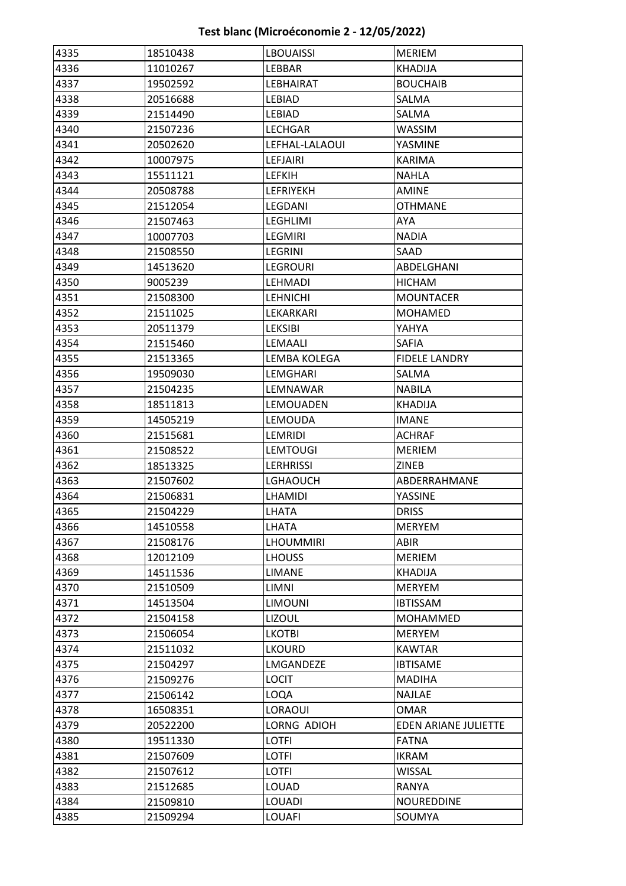| 4335 | 18510438 | <b>LBOUAISSI</b> | <b>MERIEM</b>        |
|------|----------|------------------|----------------------|
| 4336 | 11010267 | LEBBAR           | <b>KHADIJA</b>       |
| 4337 | 19502592 | <b>LEBHAIRAT</b> | <b>BOUCHAIB</b>      |
| 4338 | 20516688 | <b>LEBIAD</b>    | SALMA                |
| 4339 | 21514490 | <b>LEBIAD</b>    | SALMA                |
| 4340 | 21507236 | <b>LECHGAR</b>   | WASSIM               |
| 4341 | 20502620 | LEFHAL-LALAOUI   | YASMINE              |
| 4342 | 10007975 | LEFJAIRI         | KARIMA               |
| 4343 | 15511121 | <b>LEFKIH</b>    | <b>NAHLA</b>         |
| 4344 | 20508788 | LEFRIYEKH        | <b>AMINE</b>         |
| 4345 | 21512054 | LEGDANI          | <b>OTHMANE</b>       |
| 4346 | 21507463 | <b>LEGHLIMI</b>  | AYA                  |
| 4347 | 10007703 | <b>LEGMIRI</b>   | <b>NADIA</b>         |
| 4348 | 21508550 | <b>LEGRINI</b>   | SAAD                 |
| 4349 | 14513620 | <b>LEGROURI</b>  | ABDELGHANI           |
| 4350 | 9005239  | <b>LEHMADI</b>   | <b>HICHAM</b>        |
| 4351 | 21508300 | <b>LEHNICHI</b>  | <b>MOUNTACER</b>     |
| 4352 | 21511025 | LEKARKARI        | <b>MOHAMED</b>       |
| 4353 | 20511379 | <b>LEKSIBI</b>   | YAHYA                |
| 4354 | 21515460 | LEMAALI          | <b>SAFIA</b>         |
| 4355 | 21513365 | LEMBA KOLEGA     | <b>FIDELE LANDRY</b> |
| 4356 | 19509030 | LEMGHARI         | SALMA                |
| 4357 | 21504235 | LEMNAWAR         | <b>NABILA</b>        |
| 4358 | 18511813 | LEMOUADEN        | <b>KHADIJA</b>       |
| 4359 | 14505219 | LEMOUDA          | <b>IMANE</b>         |
| 4360 | 21515681 | <b>LEMRIDI</b>   | <b>ACHRAF</b>        |
| 4361 | 21508522 | <b>LEMTOUGI</b>  | <b>MERIEM</b>        |
| 4362 | 18513325 | <b>LERHRISSI</b> | <b>ZINEB</b>         |
| 4363 | 21507602 | LGHAOUCH         | ABDERRAHMANE         |
| 4364 | 21506831 | <b>LHAMIDI</b>   | YASSINE              |
| 4365 | 21504229 | <b>LHATA</b>     | <b>DRISS</b>         |
| 4366 | 14510558 | <b>LHATA</b>     | <b>MERYEM</b>        |
| 4367 | 21508176 | <b>LHOUMMIRI</b> | <b>ABIR</b>          |
| 4368 | 12012109 | <b>LHOUSS</b>    | <b>MERIEM</b>        |
| 4369 | 14511536 | <b>LIMANE</b>    | <b>KHADIJA</b>       |
| 4370 | 21510509 | LIMNI            | <b>MERYEM</b>        |
| 4371 | 14513504 | <b>LIMOUNI</b>   | <b>IBTISSAM</b>      |
| 4372 | 21504158 | <b>LIZOUL</b>    | MOHAMMED             |
| 4373 | 21506054 | <b>LKOTBI</b>    | <b>MERYEM</b>        |
| 4374 | 21511032 | <b>LKOURD</b>    | <b>KAWTAR</b>        |
| 4375 | 21504297 | LMGANDEZE        | <b>IBTISAME</b>      |
| 4376 | 21509276 | <b>LOCIT</b>     | <b>MADIHA</b>        |
| 4377 | 21506142 | LOQA             | <b>NAJLAE</b>        |
| 4378 | 16508351 | <b>LORAOUI</b>   | OMAR                 |
| 4379 | 20522200 | LORNG ADIOH      | EDEN ARIANE JULIETTE |
| 4380 | 19511330 | <b>LOTFI</b>     | <b>FATNA</b>         |
| 4381 | 21507609 | <b>LOTFI</b>     | <b>IKRAM</b>         |
| 4382 | 21507612 | <b>LOTFI</b>     | <b>WISSAL</b>        |
| 4383 | 21512685 | LOUAD            | RANYA                |
| 4384 | 21509810 | <b>LOUADI</b>    | <b>NOUREDDINE</b>    |
| 4385 | 21509294 | <b>LOUAFI</b>    | SOUMYA               |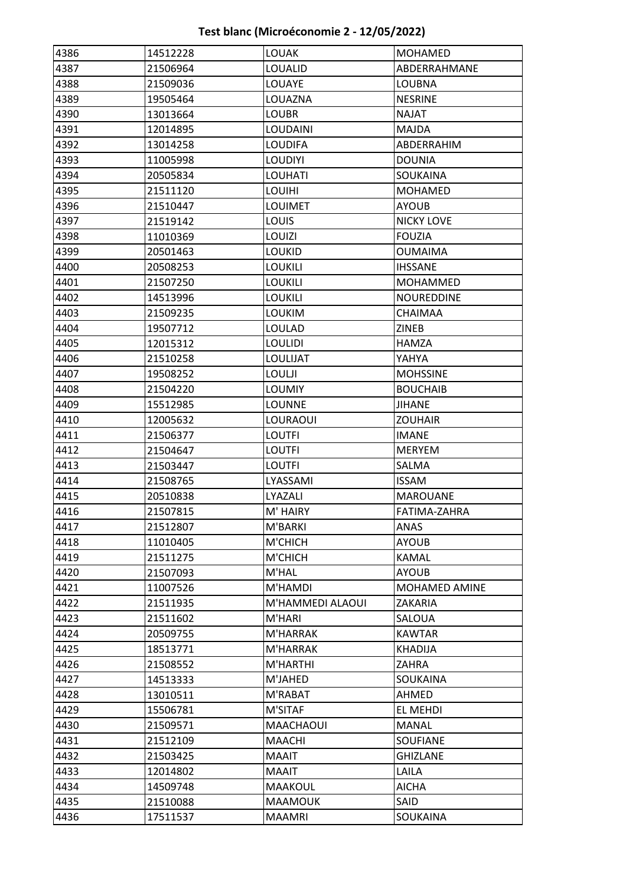| 4386 | 14512228 | <b>LOUAK</b>     | <b>MOHAMED</b>    |
|------|----------|------------------|-------------------|
| 4387 | 21506964 | <b>LOUALID</b>   | ABDERRAHMANE      |
| 4388 | 21509036 | <b>LOUAYE</b>    | <b>LOUBNA</b>     |
| 4389 | 19505464 | LOUAZNA          | <b>NESRINE</b>    |
| 4390 | 13013664 | <b>LOUBR</b>     | <b>NAJAT</b>      |
| 4391 | 12014895 | <b>LOUDAINI</b>  | <b>MAJDA</b>      |
| 4392 | 13014258 | <b>LOUDIFA</b>   | ABDERRAHIM        |
| 4393 | 11005998 | <b>LOUDIYI</b>   | <b>DOUNIA</b>     |
| 4394 | 20505834 | <b>LOUHATI</b>   | <b>SOUKAINA</b>   |
| 4395 | 21511120 | <b>LOUIHI</b>    | <b>MOHAMED</b>    |
| 4396 | 21510447 | <b>LOUIMET</b>   | <b>AYOUB</b>      |
| 4397 | 21519142 | <b>LOUIS</b>     | <b>NICKY LOVE</b> |
| 4398 | 11010369 | <b>LOUIZI</b>    | <b>FOUZIA</b>     |
| 4399 | 20501463 | <b>LOUKID</b>    | <b>OUMAIMA</b>    |
| 4400 | 20508253 | <b>LOUKILI</b>   | <b>IHSSANE</b>    |
| 4401 | 21507250 | <b>LOUKILI</b>   | <b>MOHAMMED</b>   |
| 4402 | 14513996 | <b>LOUKILI</b>   | <b>NOUREDDINE</b> |
| 4403 | 21509235 | <b>LOUKIM</b>    | <b>CHAIMAA</b>    |
| 4404 | 19507712 | <b>LOULAD</b>    | <b>ZINEB</b>      |
| 4405 | 12015312 | <b>LOULIDI</b>   | HAMZA             |
| 4406 | 21510258 | <b>LOULIJAT</b>  | YAHYA             |
| 4407 | 19508252 | <b>LOULJI</b>    | <b>MOHSSINE</b>   |
| 4408 | 21504220 | LOUMIY           | <b>BOUCHAIB</b>   |
| 4409 | 15512985 | <b>LOUNNE</b>    | <b>JIHANE</b>     |
| 4410 | 12005632 | LOURAOUI         | <b>ZOUHAIR</b>    |
| 4411 | 21506377 | <b>LOUTFI</b>    | <b>IMANE</b>      |
| 4412 | 21504647 | <b>LOUTFI</b>    | <b>MERYEM</b>     |
| 4413 | 21503447 | <b>LOUTFI</b>    | SALMA             |
| 4414 | 21508765 | LYASSAMI         | <b>ISSAM</b>      |
| 4415 | 20510838 | LYAZALI          | <b>MAROUANE</b>   |
| 4416 | 21507815 | M' HAIRY         | FATIMA-ZAHRA      |
| 4417 | 21512807 | M'BARKI          | ANAS              |
| 4418 | 11010405 | <b>M'CHICH</b>   | <b>AYOUB</b>      |
| 4419 | 21511275 | M'CHICH          | KAMAL             |
| 4420 | 21507093 | M'HAL            | <b>AYOUB</b>      |
| 4421 | 11007526 | M'HAMDI          | MOHAMED AMINE     |
| 4422 | 21511935 | M'HAMMEDI ALAOUI | ZAKARIA           |
| 4423 | 21511602 | M'HARI           | SALOUA            |
| 4424 | 20509755 | M'HARRAK         | <b>KAWTAR</b>     |
| 4425 | 18513771 | M'HARRAK         | <b>KHADIJA</b>    |
| 4426 | 21508552 | M'HARTHI         | ZAHRA             |
| 4427 | 14513333 | M'JAHED          | SOUKAINA          |
| 4428 | 13010511 | M'RABAT          | AHMED             |
| 4429 | 15506781 | M'SITAF          | EL MEHDI          |
| 4430 | 21509571 | <b>MAACHAOUI</b> | <b>MANAL</b>      |
| 4431 | 21512109 | <b>MAACHI</b>    | <b>SOUFIANE</b>   |
| 4432 | 21503425 | <b>MAAIT</b>     | <b>GHIZLANE</b>   |
| 4433 | 12014802 | MAAIT            | LAILA             |
| 4434 | 14509748 | MAAKOUL          | AICHA             |
| 4435 | 21510088 | <b>MAAMOUK</b>   | SAID              |
| 4436 | 17511537 | <b>MAAMRI</b>    | SOUKAINA          |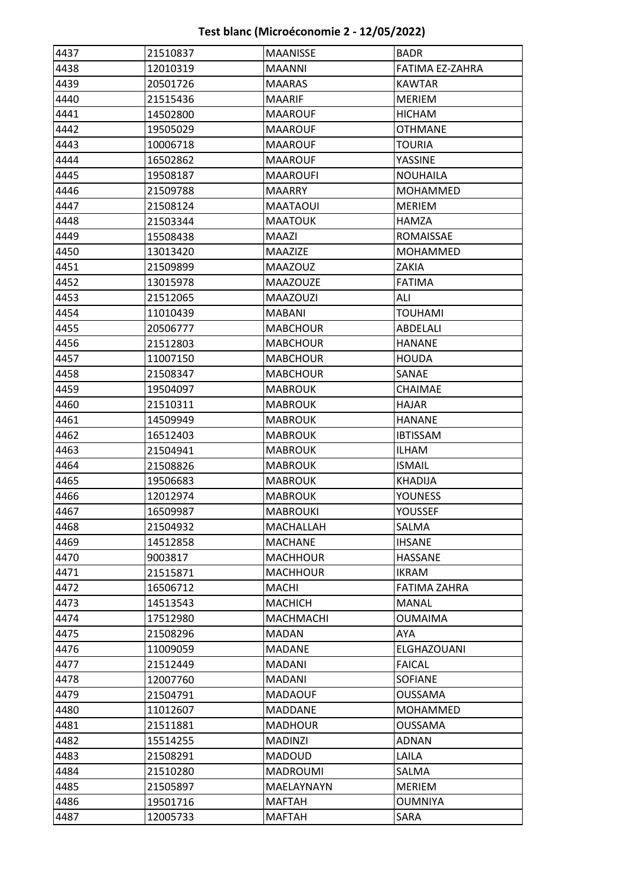| 4437 | 21510837 | <b>MAANISSE</b>  | <b>BADR</b>         |
|------|----------|------------------|---------------------|
| 4438 | 12010319 | <b>MAANNI</b>    | FATIMA EZ-ZAHRA     |
| 4439 | 20501726 | <b>MAARAS</b>    | <b>KAWTAR</b>       |
| 4440 | 21515436 | <b>MAARIF</b>    | <b>MERIEM</b>       |
| 4441 | 14502800 | <b>MAAROUF</b>   | <b>HICHAM</b>       |
| 4442 | 19505029 | <b>MAAROUF</b>   | <b>OTHMANE</b>      |
| 4443 | 10006718 | <b>MAAROUF</b>   | TOURIA              |
| 4444 | 16502862 | <b>MAAROUF</b>   | YASSINE             |
| 4445 | 19508187 | <b>MAAROUFI</b>  | <b>NOUHAILA</b>     |
| 4446 | 21509788 | <b>MAARRY</b>    | MOHAMMED            |
| 4447 | 21508124 | <b>MAATAOUI</b>  | <b>MERIEM</b>       |
| 4448 | 21503344 | <b>MAATOUK</b>   | HAMZA               |
| 4449 | 15508438 | <b>MAAZI</b>     | ROMAISSAE           |
| 4450 | 13013420 | MAAZIZE          | <b>MOHAMMED</b>     |
| 4451 | 21509899 | <b>MAAZOUZ</b>   | ZAKIA               |
| 4452 | 13015978 | <b>MAAZOUZE</b>  | <b>FATIMA</b>       |
| 4453 | 21512065 | <b>MAAZOUZI</b>  | ALI                 |
| 4454 | 11010439 | <b>MABANI</b>    | <b>TOUHAMI</b>      |
| 4455 | 20506777 | <b>MABCHOUR</b>  | ABDELALI            |
| 4456 | 21512803 | <b>MABCHOUR</b>  | <b>HANANE</b>       |
| 4457 | 11007150 | <b>MABCHOUR</b>  | <b>HOUDA</b>        |
| 4458 | 21508347 | <b>MABCHOUR</b>  | SANAE               |
| 4459 | 19504097 | <b>MABROUK</b>   | CHAIMAE             |
| 4460 | 21510311 | <b>MABROUK</b>   | HAJAR               |
| 4461 | 14509949 | <b>MABROUK</b>   | <b>HANANE</b>       |
| 4462 | 16512403 | <b>MABROUK</b>   | <b>IBTISSAM</b>     |
| 4463 | 21504941 | <b>MABROUK</b>   | <b>ILHAM</b>        |
| 4464 | 21508826 | <b>MABROUK</b>   | <b>ISMAIL</b>       |
| 4465 | 19506683 | <b>MABROUK</b>   | <b>KHADIJA</b>      |
| 4466 | 12012974 | <b>MABROUK</b>   | YOUNESS             |
| 4467 | 16509987 | <b>MABROUKI</b>  | <b>YOUSSEF</b>      |
| 4468 | 21504932 | <b>MACHALLAH</b> | SALMA               |
| 4469 | 14512858 | <b>MACHANE</b>   | <b>IHSANE</b>       |
| 4470 | 9003817  | <b>MACHHOUR</b>  | HASSANE             |
| 4471 | 21515871 | <b>MACHHOUR</b>  | <b>IKRAM</b>        |
| 4472 | 16506712 | <b>MACHI</b>     | <b>FATIMA ZAHRA</b> |
| 4473 | 14513543 | <b>MACHICH</b>   | <b>MANAL</b>        |
| 4474 | 17512980 | <b>MACHMACHI</b> | <b>OUMAIMA</b>      |
| 4475 | 21508296 | <b>MADAN</b>     | AYA                 |
| 4476 | 11009059 | <b>MADANE</b>    | <b>ELGHAZOUANI</b>  |
| 4477 | 21512449 | <b>MADANI</b>    | <b>FAICAL</b>       |
| 4478 | 12007760 | MADANI           | SOFIANE             |
| 4479 | 21504791 | <b>MADAOUF</b>   | OUSSAMA             |
| 4480 | 11012607 | <b>MADDANE</b>   | MOHAMMED            |
| 4481 | 21511881 | <b>MADHOUR</b>   | <b>OUSSAMA</b>      |
| 4482 | 15514255 | <b>MADINZI</b>   | ADNAN               |
| 4483 | 21508291 | <b>MADOUD</b>    | LAILA               |
| 4484 | 21510280 | <b>MADROUMI</b>  | SALMA               |
| 4485 | 21505897 | MAELAYNAYN       | <b>MERIEM</b>       |
| 4486 | 19501716 | <b>MAFTAH</b>    | <b>OUMNIYA</b>      |
| 4487 | 12005733 | <b>MAFTAH</b>    | SARA                |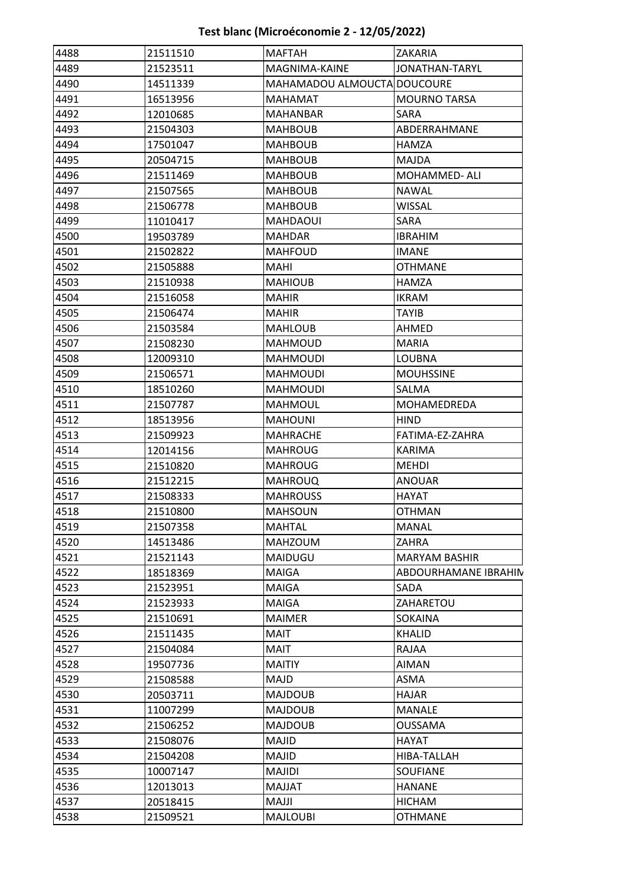| 4488 | 21511510 | <b>MAFTAH</b>               | ZAKARIA              |
|------|----------|-----------------------------|----------------------|
| 4489 | 21523511 | MAGNIMA-KAINE               | JONATHAN-TARYL       |
| 4490 | 14511339 | MAHAMADOU ALMOUCTA DOUCOURE |                      |
| 4491 | 16513956 | <b>MAHAMAT</b>              | <b>MOURNO TARSA</b>  |
| 4492 | 12010685 | <b>MAHANBAR</b>             | <b>SARA</b>          |
| 4493 | 21504303 | <b>MAHBOUB</b>              | ABDERRAHMANE         |
| 4494 | 17501047 | <b>MAHBOUB</b>              | <b>HAMZA</b>         |
| 4495 | 20504715 | <b>MAHBOUB</b>              | <b>MAJDA</b>         |
| 4496 | 21511469 | <b>MAHBOUB</b>              | MOHAMMED-ALI         |
| 4497 | 21507565 | <b>MAHBOUB</b>              | <b>NAWAL</b>         |
| 4498 | 21506778 | <b>MAHBOUB</b>              | <b>WISSAL</b>        |
| 4499 | 11010417 | <b>MAHDAOUI</b>             | SARA                 |
| 4500 | 19503789 | <b>MAHDAR</b>               | <b>IBRAHIM</b>       |
| 4501 | 21502822 | <b>MAHFOUD</b>              | <b>IMANE</b>         |
| 4502 | 21505888 | <b>MAHI</b>                 | <b>OTHMANE</b>       |
| 4503 | 21510938 | <b>MAHIOUB</b>              | <b>HAMZA</b>         |
| 4504 | 21516058 | <b>MAHIR</b>                | <b>IKRAM</b>         |
| 4505 | 21506474 | <b>MAHIR</b>                | <b>TAYIB</b>         |
| 4506 | 21503584 | <b>MAHLOUB</b>              | AHMED                |
| 4507 | 21508230 | <b>MAHMOUD</b>              | <b>MARIA</b>         |
| 4508 | 12009310 | <b>MAHMOUDI</b>             | <b>LOUBNA</b>        |
| 4509 | 21506571 | <b>MAHMOUDI</b>             | <b>MOUHSSINE</b>     |
| 4510 | 18510260 | <b>MAHMOUDI</b>             | SALMA                |
| 4511 | 21507787 | <b>MAHMOUL</b>              | MOHAMEDREDA          |
| 4512 | 18513956 | <b>MAHOUNI</b>              | <b>HIND</b>          |
| 4513 | 21509923 | <b>MAHRACHE</b>             | FATIMA-EZ-ZAHRA      |
| 4514 | 12014156 | <b>MAHROUG</b>              | KARIMA               |
| 4515 | 21510820 | <b>MAHROUG</b>              | <b>MEHDI</b>         |
| 4516 | 21512215 | <b>MAHROUQ</b>              | ANOUAR               |
| 4517 | 21508333 | <b>MAHROUSS</b>             | <b>HAYAT</b>         |
| 4518 | 21510800 | <b>MAHSOUN</b>              | <b>OTHMAN</b>        |
| 4519 | 21507358 | <b>MAHTAL</b>               | <b>MANAL</b>         |
| 4520 | 14513486 | <b>MAHZOUM</b>              | <b>ZAHRA</b>         |
| 4521 | 21521143 | MAIDUGU                     | <b>MARYAM BASHIR</b> |
| 4522 | 18518369 | <b>MAIGA</b>                | ABDOURHAMANE IBRAHIN |
| 4523 | 21523951 | <b>MAIGA</b>                | SADA                 |
| 4524 | 21523933 | <b>MAIGA</b>                | ZAHARETOU            |
| 4525 | 21510691 | <b>MAIMER</b>               | SOKAINA              |
| 4526 | 21511435 | <b>MAIT</b>                 | <b>KHALID</b>        |
| 4527 | 21504084 | <b>MAIT</b>                 | RAJAA                |
| 4528 | 19507736 | <b>MAITIY</b>               | <b>AIMAN</b>         |
| 4529 | 21508588 | <b>MAJD</b>                 | ASMA                 |
| 4530 | 20503711 | <b>MAJDOUB</b>              | <b>HAJAR</b>         |
| 4531 | 11007299 | <b>MAJDOUB</b>              | MANALE               |
| 4532 | 21506252 | <b>MAJDOUB</b>              | <b>OUSSAMA</b>       |
| 4533 | 21508076 | MAJID                       | HAYAT                |
| 4534 | 21504208 | MAJID                       | HIBA-TALLAH          |
| 4535 | 10007147 | MAJIDI                      | <b>SOUFIANE</b>      |
| 4536 | 12013013 | <b>MAJJAT</b>               | <b>HANANE</b>        |
| 4537 | 20518415 | <b>MAJJI</b>                | <b>HICHAM</b>        |
| 4538 | 21509521 | <b>MAJLOUBI</b>             | <b>OTHMANE</b>       |
|      |          |                             |                      |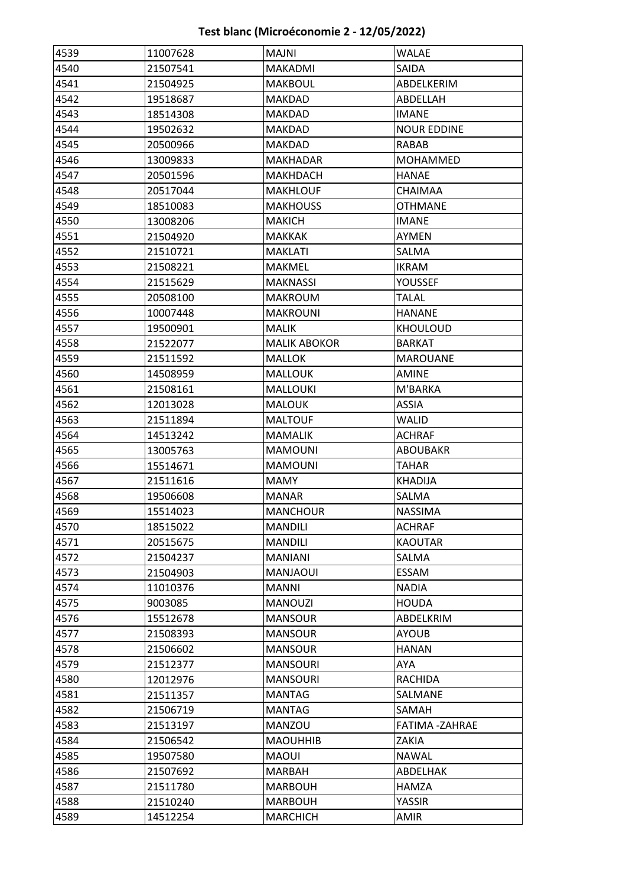| 4539 | 11007628 | <b>MAJNI</b>        | <b>WALAE</b>       |
|------|----------|---------------------|--------------------|
| 4540 | 21507541 | <b>MAKADMI</b>      | SAIDA              |
| 4541 | 21504925 | <b>MAKBOUL</b>      | ABDELKERIM         |
| 4542 | 19518687 | <b>MAKDAD</b>       | ABDELLAH           |
| 4543 | 18514308 | MAKDAD              | <b>IMANE</b>       |
| 4544 | 19502632 | MAKDAD              | <b>NOUR EDDINE</b> |
| 4545 | 20500966 | <b>MAKDAD</b>       | <b>RABAB</b>       |
| 4546 | 13009833 | <b>MAKHADAR</b>     | <b>MOHAMMED</b>    |
| 4547 | 20501596 | <b>MAKHDACH</b>     | <b>HANAE</b>       |
| 4548 | 20517044 | <b>MAKHLOUF</b>     | CHAIMAA            |
| 4549 | 18510083 | <b>MAKHOUSS</b>     | OTHMANE            |
| 4550 | 13008206 | <b>MAKICH</b>       | <b>IMANE</b>       |
| 4551 | 21504920 | <b>MAKKAK</b>       | <b>AYMEN</b>       |
| 4552 | 21510721 | <b>MAKLATI</b>      | SALMA              |
| 4553 | 21508221 | <b>MAKMEL</b>       | IKRAM              |
| 4554 | 21515629 | <b>MAKNASSI</b>     | YOUSSEF            |
| 4555 | 20508100 | <b>MAKROUM</b>      | <b>TALAL</b>       |
| 4556 | 10007448 | <b>MAKROUNI</b>     | <b>HANANE</b>      |
| 4557 | 19500901 | <b>MALIK</b>        | <b>KHOULOUD</b>    |
| 4558 | 21522077 | <b>MALIK ABOKOR</b> | <b>BARKAT</b>      |
| 4559 | 21511592 | <b>MALLOK</b>       | <b>MAROUANE</b>    |
| 4560 | 14508959 | <b>MALLOUK</b>      | AMINE              |
| 4561 | 21508161 | <b>MALLOUKI</b>     | M'BARKA            |
| 4562 | 12013028 | <b>MALOUK</b>       | <b>ASSIA</b>       |
| 4563 | 21511894 | <b>MALTOUF</b>      | <b>WALID</b>       |
| 4564 | 14513242 | <b>MAMALIK</b>      | <b>ACHRAF</b>      |
| 4565 | 13005763 | <b>MAMOUNI</b>      | <b>ABOUBAKR</b>    |
| 4566 | 15514671 | <b>MAMOUNI</b>      | <b>TAHAR</b>       |
| 4567 | 21511616 | <b>MAMY</b>         | <b>KHADIJA</b>     |
| 4568 | 19506608 | <b>MANAR</b>        | SALMA              |
| 4569 | 15514023 | <b>MANCHOUR</b>     | <b>NASSIMA</b>     |
| 4570 | 18515022 | <b>MANDILI</b>      | <b>ACHRAF</b>      |
| 4571 | 20515675 | <b>MANDILI</b>      | <b>KAOUTAR</b>     |
| 4572 | 21504237 | <b>MANIANI</b>      | SALMA              |
| 4573 | 21504903 | <b>MANJAOUI</b>     | <b>ESSAM</b>       |
| 4574 | 11010376 | <b>MANNI</b>        | <b>NADIA</b>       |
| 4575 | 9003085  | <b>MANOUZI</b>      | <b>HOUDA</b>       |
| 4576 | 15512678 | <b>MANSOUR</b>      | ABDELKRIM          |
| 4577 | 21508393 | <b>MANSOUR</b>      | <b>AYOUB</b>       |
| 4578 | 21506602 | <b>MANSOUR</b>      | <b>HANAN</b>       |
| 4579 | 21512377 | <b>MANSOURI</b>     | AYA                |
| 4580 | 12012976 | <b>MANSOURI</b>     | <b>RACHIDA</b>     |
| 4581 | 21511357 | <b>MANTAG</b>       | SALMANE            |
| 4582 | 21506719 | MANTAG              | SAMAH              |
| 4583 | 21513197 | <b>MANZOU</b>       | FATIMA - ZAHRAE    |
| 4584 | 21506542 | <b>MAOUHHIB</b>     | ZAKIA              |
| 4585 | 19507580 | <b>MAOUI</b>        | <b>NAWAL</b>       |
| 4586 | 21507692 | <b>MARBAH</b>       | ABDELHAK           |
| 4587 | 21511780 | <b>MARBOUH</b>      | <b>HAMZA</b>       |
| 4588 | 21510240 | <b>MARBOUH</b>      | YASSIR             |
| 4589 | 14512254 | <b>MARCHICH</b>     | <b>AMIR</b>        |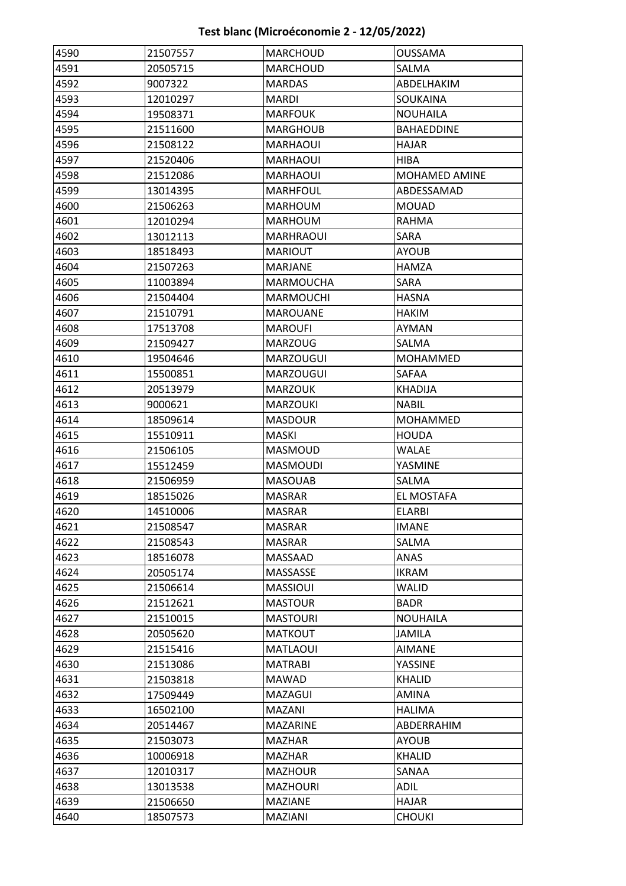| 4590 | 21507557 | <b>MARCHOUD</b>  | <b>OUSSAMA</b>    |
|------|----------|------------------|-------------------|
| 4591 | 20505715 | <b>MARCHOUD</b>  | SALMA             |
| 4592 | 9007322  | <b>MARDAS</b>    | ABDELHAKIM        |
| 4593 | 12010297 | <b>MARDI</b>     | SOUKAINA          |
| 4594 | 19508371 | <b>MARFOUK</b>   | <b>NOUHAILA</b>   |
| 4595 | 21511600 | <b>MARGHOUB</b>  | <b>BAHAEDDINE</b> |
| 4596 | 21508122 | <b>MARHAOUI</b>  | HAJAR             |
| 4597 | 21520406 | <b>MARHAOUI</b>  | HIBA              |
| 4598 | 21512086 | <b>MARHAOUI</b>  | MOHAMED AMINE     |
| 4599 | 13014395 | <b>MARHFOUL</b>  | ABDESSAMAD        |
| 4600 | 21506263 | <b>MARHOUM</b>   | <b>MOUAD</b>      |
| 4601 | 12010294 | <b>MARHOUM</b>   | <b>RAHMA</b>      |
| 4602 | 13012113 | <b>MARHRAOUI</b> | SARA              |
| 4603 | 18518493 | <b>MARIOUT</b>   | <b>AYOUB</b>      |
| 4604 | 21507263 | MARJANE          | HAMZA             |
| 4605 | 11003894 | <b>MARMOUCHA</b> | SARA              |
| 4606 | 21504404 | <b>MARMOUCHI</b> | <b>HASNA</b>      |
| 4607 | 21510791 | <b>MAROUANE</b>  | <b>HAKIM</b>      |
| 4608 | 17513708 | <b>MAROUFI</b>   | <b>AYMAN</b>      |
| 4609 | 21509427 | <b>MARZOUG</b>   | SALMA             |
| 4610 | 19504646 | <b>MARZOUGUI</b> | MOHAMMED          |
| 4611 | 15500851 | <b>MARZOUGUI</b> | SAFAA             |
| 4612 | 20513979 | <b>MARZOUK</b>   | KHADIJA           |
| 4613 | 9000621  | <b>MARZOUKI</b>  | <b>NABIL</b>      |
| 4614 | 18509614 | <b>MASDOUR</b>   | <b>MOHAMMED</b>   |
| 4615 | 15510911 | <b>MASKI</b>     | <b>HOUDA</b>      |
| 4616 | 21506105 | <b>MASMOUD</b>   | WALAE             |
| 4617 | 15512459 | <b>MASMOUDI</b>  | YASMINE           |
| 4618 | 21506959 | <b>MASOUAB</b>   | SALMA             |
| 4619 | 18515026 | <b>MASRAR</b>    | EL MOSTAFA        |
| 4620 | 14510006 | <b>MASRAR</b>    | <b>ELARBI</b>     |
| 4621 | 21508547 | <b>MASRAR</b>    | <b>IMANE</b>      |
| 4622 | 21508543 | <b>MASRAR</b>    | SALMA             |
| 4623 | 18516078 | MASSAAD          | <b>ANAS</b>       |
| 4624 | 20505174 | MASSASSE         | <b>IKRAM</b>      |
| 4625 | 21506614 | <b>MASSIOUI</b>  | WALID             |
| 4626 | 21512621 | <b>MASTOUR</b>   | <b>BADR</b>       |
| 4627 | 21510015 | <b>MASTOURI</b>  | <b>NOUHAILA</b>   |
| 4628 | 20505620 | <b>MATKOUT</b>   | JAMILA            |
| 4629 | 21515416 | <b>MATLAOUI</b>  | <b>AIMANE</b>     |
| 4630 | 21513086 | <b>MATRABI</b>   | YASSINE           |
| 4631 | 21503818 | MAWAD            | <b>KHALID</b>     |
| 4632 | 17509449 | MAZAGUI          | AMINA             |
| 4633 | 16502100 | <b>MAZANI</b>    | HALIMA            |
| 4634 | 20514467 | <b>MAZARINE</b>  | ABDERRAHIM        |
| 4635 | 21503073 | <b>MAZHAR</b>    | AYOUB             |
| 4636 | 10006918 | <b>MAZHAR</b>    | <b>KHALID</b>     |
| 4637 | 12010317 | <b>MAZHOUR</b>   | SANAA             |
| 4638 | 13013538 | <b>MAZHOURI</b>  | <b>ADIL</b>       |
| 4639 | 21506650 | <b>MAZIANE</b>   | HAJAR             |
| 4640 | 18507573 | <b>MAZIANI</b>   | CHOUKI            |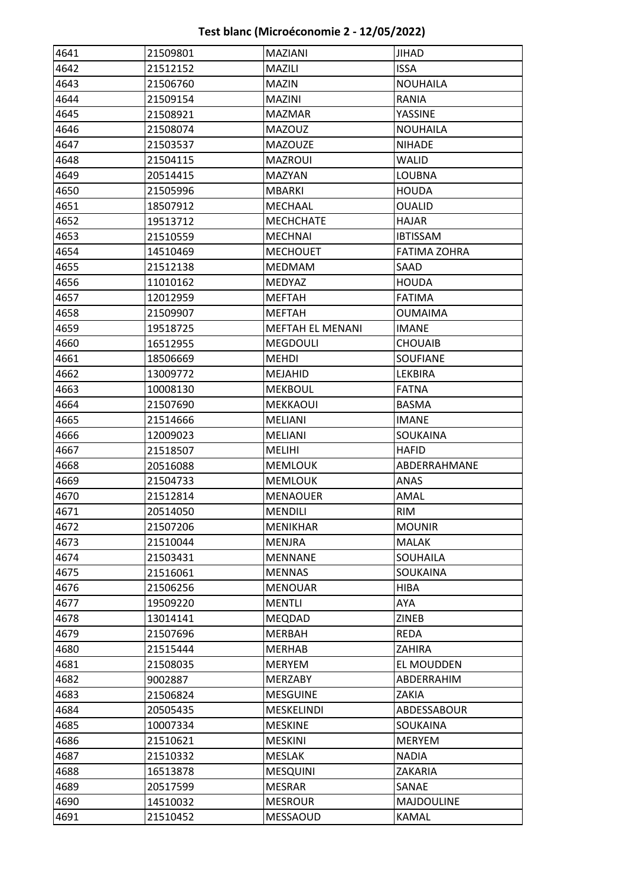| 4641 | 21509801 | <b>MAZIANI</b>          | <b>JIHAD</b>        |
|------|----------|-------------------------|---------------------|
| 4642 | 21512152 | MAZILI                  | <b>ISSA</b>         |
| 4643 | 21506760 | <b>MAZIN</b>            | <b>NOUHAILA</b>     |
| 4644 | 21509154 | <b>MAZINI</b>           | RANIA               |
| 4645 | 21508921 | <b>MAZMAR</b>           | YASSINE             |
| 4646 | 21508074 | <b>MAZOUZ</b>           | <b>NOUHAILA</b>     |
| 4647 | 21503537 | <b>MAZOUZE</b>          | <b>NIHADE</b>       |
| 4648 | 21504115 | <b>MAZROUI</b>          | WALID               |
| 4649 | 20514415 | <b>MAZYAN</b>           | LOUBNA              |
| 4650 | 21505996 | <b>MBARKI</b>           | <b>HOUDA</b>        |
| 4651 | 18507912 | <b>MECHAAL</b>          | <b>OUALID</b>       |
| 4652 | 19513712 | <b>MECHCHATE</b>        | HAJAR               |
| 4653 | 21510559 | <b>MECHNAI</b>          | <b>IBTISSAM</b>     |
| 4654 | 14510469 | <b>MECHOUET</b>         | <b>FATIMA ZOHRA</b> |
| 4655 | 21512138 | <b>MEDMAM</b>           | SAAD                |
| 4656 | 11010162 | MEDYAZ                  | <b>HOUDA</b>        |
| 4657 | 12012959 | <b>MEFTAH</b>           | <b>FATIMA</b>       |
| 4658 | 21509907 | <b>MEFTAH</b>           | <b>OUMAIMA</b>      |
| 4659 | 19518725 | <b>MEFTAH EL MENANI</b> | <b>IMANE</b>        |
| 4660 | 16512955 | <b>MEGDOULI</b>         | CHOUAIB             |
| 4661 | 18506669 | <b>MEHDI</b>            | <b>SOUFIANE</b>     |
| 4662 | 13009772 | MEJAHID                 | LEKBIRA             |
| 4663 | 10008130 | <b>MEKBOUL</b>          | <b>FATNA</b>        |
| 4664 | 21507690 | <b>MEKKAOUI</b>         | <b>BASMA</b>        |
| 4665 | 21514666 | <b>MELIANI</b>          | <b>IMANE</b>        |
| 4666 | 12009023 | <b>MELIANI</b>          | SOUKAINA            |
| 4667 | 21518507 | <b>MELIHI</b>           | <b>HAFID</b>        |
| 4668 | 20516088 | <b>MEMLOUK</b>          | ABDERRAHMANE        |
| 4669 | 21504733 | <b>MEMLOUK</b>          | ANAS                |
| 4670 | 21512814 | <b>MENAOUER</b>         | AMAL                |
| 4671 | 20514050 | <b>MENDILI</b>          | <b>RIM</b>          |
| 4672 | 21507206 | <b>MENIKHAR</b>         | <b>MOUNIR</b>       |
| 4673 | 21510044 | <b>MENJRA</b>           | <b>MALAK</b>        |
| 4674 | 21503431 | <b>MENNANE</b>          | SOUHAILA            |
| 4675 | 21516061 | <b>MENNAS</b>           | SOUKAINA            |
| 4676 | 21506256 | <b>MENOUAR</b>          | <b>HIBA</b>         |
| 4677 | 19509220 | <b>MENTLI</b>           | AYA                 |
| 4678 | 13014141 | <b>MEQDAD</b>           | <b>ZINEB</b>        |
| 4679 | 21507696 | <b>MERBAH</b>           | <b>REDA</b>         |
| 4680 | 21515444 | <b>MERHAB</b>           | ZAHIRA              |
| 4681 | 21508035 | <b>MERYEM</b>           | EL MOUDDEN          |
| 4682 | 9002887  | <b>MERZABY</b>          | ABDERRAHIM          |
| 4683 | 21506824 | <b>MESGUINE</b>         | ZAKIA               |
| 4684 | 20505435 | <b>MESKELINDI</b>       | ABDESSABOUR         |
| 4685 | 10007334 | <b>MESKINE</b>          | SOUKAINA            |
| 4686 | 21510621 | <b>MESKINI</b>          | <b>MERYEM</b>       |
| 4687 | 21510332 | <b>MESLAK</b>           | <b>NADIA</b>        |
| 4688 | 16513878 | <b>MESQUINI</b>         | ZAKARIA             |
| 4689 | 20517599 | <b>MESRAR</b>           | SANAE               |
| 4690 | 14510032 | <b>MESROUR</b>          | <b>MAJDOULINE</b>   |
| 4691 | 21510452 | MESSAOUD                | KAMAL               |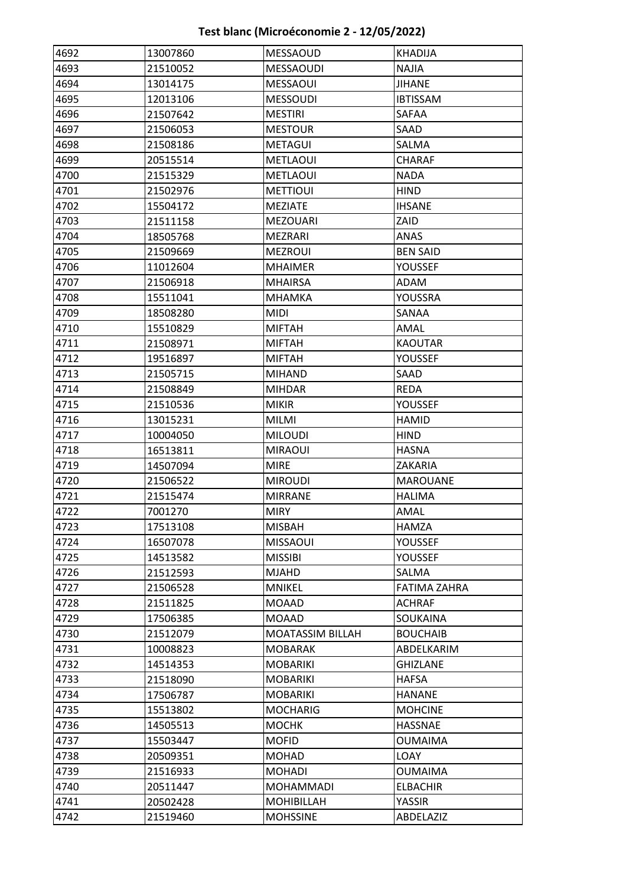| 4692 | 13007860 | <b>MESSAOUD</b>   | <b>KHADIJA</b>      |
|------|----------|-------------------|---------------------|
| 4693 | 21510052 | <b>MESSAOUDI</b>  | <b>NAJIA</b>        |
| 4694 | 13014175 | <b>MESSAOUI</b>   | <b>JIHANE</b>       |
| 4695 | 12013106 | <b>MESSOUDI</b>   | <b>IBTISSAM</b>     |
| 4696 | 21507642 | <b>MESTIRI</b>    | <b>SAFAA</b>        |
| 4697 | 21506053 | <b>MESTOUR</b>    | SAAD                |
| 4698 | 21508186 | <b>METAGUI</b>    | SALMA               |
| 4699 | 20515514 | <b>METLAOUI</b>   | <b>CHARAF</b>       |
| 4700 | 21515329 | <b>METLAOUI</b>   | <b>NADA</b>         |
| 4701 | 21502976 | <b>METTIOUI</b>   | <b>HIND</b>         |
| 4702 | 15504172 | <b>MEZIATE</b>    | <b>IHSANE</b>       |
| 4703 | 21511158 | <b>MEZOUARI</b>   | ZAID                |
| 4704 | 18505768 | <b>MEZRARI</b>    | ANAS                |
| 4705 | 21509669 | <b>MEZROUI</b>    | <b>BEN SAID</b>     |
| 4706 | 11012604 | <b>MHAIMER</b>    | <b>YOUSSEF</b>      |
| 4707 | 21506918 | <b>MHAIRSA</b>    | ADAM                |
| 4708 | 15511041 | MHAMKA            | YOUSSRA             |
| 4709 | 18508280 | <b>MIDI</b>       | SANAA               |
| 4710 | 15510829 | <b>MIFTAH</b>     | AMAL                |
| 4711 | 21508971 | <b>MIFTAH</b>     | <b>KAOUTAR</b>      |
| 4712 | 19516897 | <b>MIFTAH</b>     | <b>YOUSSEF</b>      |
| 4713 | 21505715 | <b>MIHAND</b>     | SAAD                |
| 4714 | 21508849 | <b>MIHDAR</b>     | <b>REDA</b>         |
| 4715 | 21510536 | <b>MIKIR</b>      | <b>YOUSSEF</b>      |
| 4716 | 13015231 | <b>MILMI</b>      | <b>HAMID</b>        |
| 4717 | 10004050 | <b>MILOUDI</b>    | <b>HIND</b>         |
| 4718 | 16513811 | <b>MIRAOUI</b>    | <b>HASNA</b>        |
| 4719 | 14507094 | <b>MIRE</b>       | ZAKARIA             |
| 4720 | 21506522 | <b>MIROUDI</b>    | <b>MAROUANE</b>     |
| 4721 | 21515474 | <b>MIRRANE</b>    | HALIMA              |
| 4722 | 7001270  | <b>MIRY</b>       | AMAL                |
| 4723 | 17513108 | <b>MISBAH</b>     | HAMZA               |
| 4724 | 16507078 | <b>MISSAOUI</b>   | YOUSSEF             |
| 4725 | 14513582 | <b>MISSIBI</b>    | <b>YOUSSEF</b>      |
| 4726 | 21512593 | <b>MJAHD</b>      | SALMA               |
| 4727 | 21506528 | <b>MNIKEL</b>     | <b>FATIMA ZAHRA</b> |
| 4728 | 21511825 | <b>MOAAD</b>      | <b>ACHRAF</b>       |
| 4729 | 17506385 | <b>MOAAD</b>      | SOUKAINA            |
| 4730 | 21512079 | MOATASSIM BILLAH  | <b>BOUCHAIB</b>     |
| 4731 | 10008823 | <b>MOBARAK</b>    | ABDELKARIM          |
| 4732 | 14514353 | <b>MOBARIKI</b>   | <b>GHIZLANE</b>     |
| 4733 | 21518090 | <b>MOBARIKI</b>   | HAFSA               |
| 4734 | 17506787 | <b>MOBARIKI</b>   | <b>HANANE</b>       |
| 4735 | 15513802 | <b>MOCHARIG</b>   | <b>MOHCINE</b>      |
| 4736 | 14505513 | <b>MOCHK</b>      | <b>HASSNAE</b>      |
| 4737 | 15503447 | <b>MOFID</b>      | OUMAIMA             |
| 4738 | 20509351 | <b>MOHAD</b>      | LOAY                |
| 4739 | 21516933 | <b>MOHADI</b>     | <b>OUMAIMA</b>      |
| 4740 | 20511447 | MOHAMMADI         | <b>ELBACHIR</b>     |
| 4741 | 20502428 | <b>MOHIBILLAH</b> | YASSIR              |
| 4742 | 21519460 | <b>MOHSSINE</b>   | ABDELAZIZ           |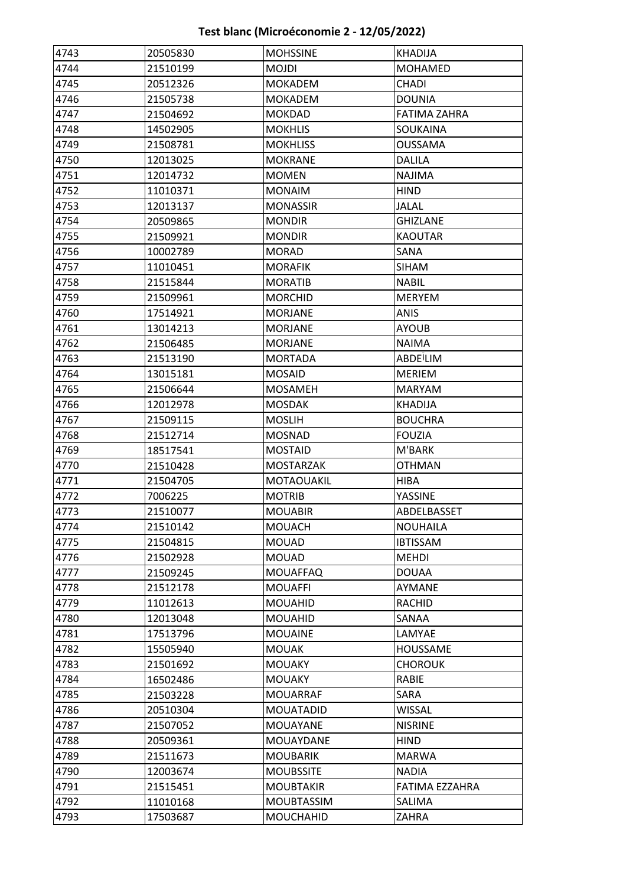| 4743 | 20505830 | <b>MOHSSINE</b>   | <b>KHADIJA</b>      |
|------|----------|-------------------|---------------------|
| 4744 | 21510199 | <b>MOJDI</b>      | MOHAMED             |
| 4745 | 20512326 | <b>MOKADEM</b>    | CHADI               |
| 4746 | 21505738 | <b>MOKADEM</b>    | <b>DOUNIA</b>       |
| 4747 | 21504692 | <b>MOKDAD</b>     | <b>FATIMA ZAHRA</b> |
| 4748 | 14502905 | <b>MOKHLIS</b>    | SOUKAINA            |
| 4749 | 21508781 | <b>MOKHLISS</b>   | <b>OUSSAMA</b>      |
| 4750 | 12013025 | <b>MOKRANE</b>    | DALILA              |
| 4751 | 12014732 | <b>MOMEN</b>      | <b>NAJIMA</b>       |
| 4752 | 11010371 | <b>MONAIM</b>     | <b>HIND</b>         |
| 4753 | 12013137 | <b>MONASSIR</b>   | JALAL               |
| 4754 | 20509865 | <b>MONDIR</b>     | <b>GHIZLANE</b>     |
| 4755 | 21509921 | <b>MONDIR</b>     | <b>KAOUTAR</b>      |
| 4756 | 10002789 | <b>MORAD</b>      | SANA                |
| 4757 | 11010451 | <b>MORAFIK</b>    | <b>SIHAM</b>        |
| 4758 | 21515844 | <b>MORATIB</b>    | <b>NABIL</b>        |
| 4759 | 21509961 | <b>MORCHID</b>    | <b>MERYEM</b>       |
| 4760 | 17514921 | <b>MORJANE</b>    | <b>ANIS</b>         |
| 4761 | 13014213 | <b>MORJANE</b>    | <b>AYOUB</b>        |
| 4762 | 21506485 | <b>MORJANE</b>    | <b>NAIMA</b>        |
| 4763 | 21513190 | <b>MORTADA</b>    | <b>ABDE LIM</b>     |
| 4764 | 13015181 | <b>MOSAID</b>     | <b>MERIEM</b>       |
| 4765 | 21506644 | <b>MOSAMEH</b>    | <b>MARYAM</b>       |
| 4766 | 12012978 | <b>MOSDAK</b>     | <b>KHADIJA</b>      |
| 4767 | 21509115 | <b>MOSLIH</b>     | <b>BOUCHRA</b>      |
| 4768 | 21512714 | <b>MOSNAD</b>     | <b>FOUZIA</b>       |
| 4769 | 18517541 | <b>MOSTAID</b>    | M'BARK              |
| 4770 | 21510428 | <b>MOSTARZAK</b>  | <b>OTHMAN</b>       |
| 4771 | 21504705 | <b>MOTAOUAKIL</b> | <b>HIBA</b>         |
| 4772 | 7006225  | <b>MOTRIB</b>     | YASSINE             |
| 4773 | 21510077 | <b>MOUABIR</b>    | ABDELBASSET         |
| 4774 | 21510142 | <b>MOUACH</b>     | <b>NOUHAILA</b>     |
| 4775 | 21504815 | <b>MOUAD</b>      | <b>IBTISSAM</b>     |
| 4776 | 21502928 | <b>MOUAD</b>      | <b>MEHDI</b>        |
| 4777 | 21509245 | <b>MOUAFFAQ</b>   | <b>DOUAA</b>        |
| 4778 | 21512178 | <b>MOUAFFI</b>    | AYMANE              |
| 4779 | 11012613 | <b>MOUAHID</b>    | <b>RACHID</b>       |
| 4780 | 12013048 | <b>MOUAHID</b>    | SANAA               |
| 4781 | 17513796 | <b>MOUAINE</b>    | LAMYAE              |
| 4782 | 15505940 | <b>MOUAK</b>      | <b>HOUSSAME</b>     |
| 4783 | 21501692 | <b>MOUAKY</b>     | <b>CHOROUK</b>      |
| 4784 | 16502486 | <b>MOUAKY</b>     | RABIE               |
| 4785 | 21503228 | <b>MOUARRAF</b>   | SARA                |
| 4786 | 20510304 | <b>MOUATADID</b>  | WISSAL              |
| 4787 | 21507052 | <b>MOUAYANE</b>   | <b>NISRINE</b>      |
| 4788 | 20509361 | MOUAYDANE         | <b>HIND</b>         |
| 4789 | 21511673 | <b>MOUBARIK</b>   | <b>MARWA</b>        |
| 4790 | 12003674 | <b>MOUBSSITE</b>  | <b>NADIA</b>        |
| 4791 | 21515451 | <b>MOUBTAKIR</b>  | FATIMA EZZAHRA      |
| 4792 | 11010168 | MOUBTASSIM        | SALIMA              |
| 4793 | 17503687 | <b>MOUCHAHID</b>  | ZAHRA               |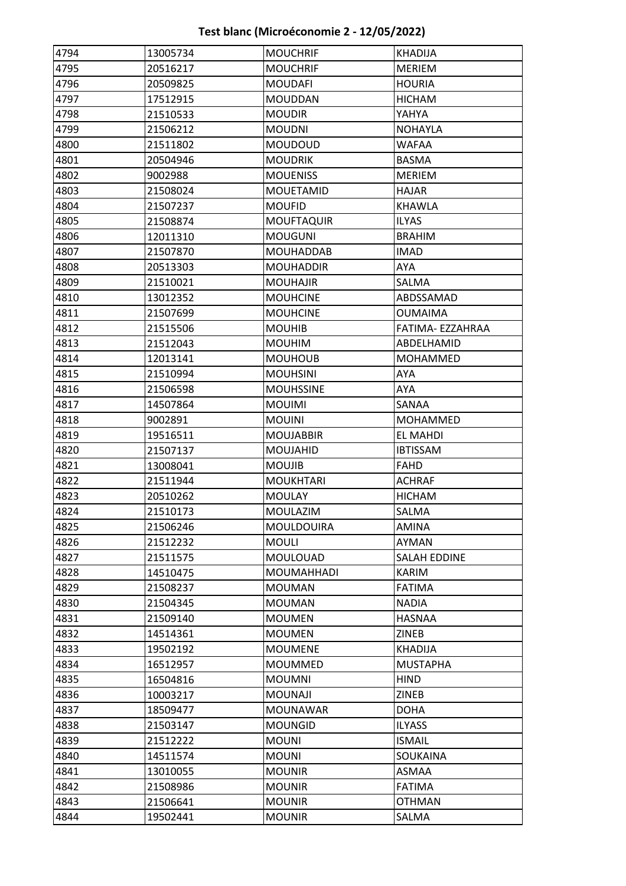| 4794 | 13005734 | <b>MOUCHRIF</b>   | <b>KHADIJA</b>      |
|------|----------|-------------------|---------------------|
| 4795 | 20516217 | <b>MOUCHRIF</b>   | <b>MERIEM</b>       |
| 4796 | 20509825 | <b>MOUDAFI</b>    | <b>HOURIA</b>       |
| 4797 | 17512915 | <b>MOUDDAN</b>    | <b>HICHAM</b>       |
| 4798 | 21510533 | <b>MOUDIR</b>     | YAHYA               |
| 4799 | 21506212 | <b>MOUDNI</b>     | <b>NOHAYLA</b>      |
| 4800 | 21511802 | <b>MOUDOUD</b>    | <b>WAFAA</b>        |
| 4801 | 20504946 | <b>MOUDRIK</b>    | <b>BASMA</b>        |
| 4802 | 9002988  | <b>MOUENISS</b>   | <b>MERIEM</b>       |
| 4803 | 21508024 | <b>MOUETAMID</b>  | <b>HAJAR</b>        |
| 4804 | 21507237 | <b>MOUFID</b>     | <b>KHAWLA</b>       |
| 4805 | 21508874 | <b>MOUFTAQUIR</b> | <b>ILYAS</b>        |
| 4806 | 12011310 | <b>MOUGUNI</b>    | <b>BRAHIM</b>       |
| 4807 | 21507870 | <b>MOUHADDAB</b>  | <b>IMAD</b>         |
| 4808 | 20513303 | <b>MOUHADDIR</b>  | AYA                 |
| 4809 | 21510021 | <b>MOUHAJIR</b>   | SALMA               |
| 4810 | 13012352 | <b>MOUHCINE</b>   | ABDSSAMAD           |
| 4811 | 21507699 | <b>MOUHCINE</b>   | <b>OUMAIMA</b>      |
| 4812 | 21515506 | <b>MOUHIB</b>     | FATIMA- EZZAHRAA    |
| 4813 | 21512043 | <b>MOUHIM</b>     | ABDELHAMID          |
| 4814 | 12013141 | <b>MOUHOUB</b>    | MOHAMMED            |
| 4815 | 21510994 | <b>MOUHSINI</b>   | AYA                 |
| 4816 | 21506598 | <b>MOUHSSINE</b>  | AYA                 |
| 4817 | 14507864 | <b>MOUIMI</b>     | SANAA               |
| 4818 | 9002891  | <b>MOUINI</b>     | MOHAMMED            |
| 4819 | 19516511 | <b>MOUJABBIR</b>  | <b>EL MAHDI</b>     |
| 4820 | 21507137 | <b>MOUJAHID</b>   | <b>IBTISSAM</b>     |
| 4821 | 13008041 | <b>MOUJIB</b>     | <b>FAHD</b>         |
| 4822 | 21511944 | <b>MOUKHTARI</b>  | ACHRAF              |
| 4823 | 20510262 | <b>MOULAY</b>     | <b>HICHAM</b>       |
| 4824 | 21510173 | <b>MOULAZIM</b>   | SALMA               |
| 4825 | 21506246 | <b>MOULDOUIRA</b> | AMINA               |
| 4826 | 21512232 | <b>MOULI</b>      | AYMAN               |
| 4827 | 21511575 | <b>MOULOUAD</b>   | <b>SALAH EDDINE</b> |
| 4828 | 14510475 | MOUMAHHADI        | <b>KARIM</b>        |
| 4829 | 21508237 | <b>MOUMAN</b>     | <b>FATIMA</b>       |
| 4830 | 21504345 | <b>MOUMAN</b>     | <b>NADIA</b>        |
| 4831 | 21509140 | <b>MOUMEN</b>     | <b>HASNAA</b>       |
| 4832 | 14514361 | <b>MOUMEN</b>     | <b>ZINEB</b>        |
| 4833 | 19502192 | <b>MOUMENE</b>    | <b>KHADIJA</b>      |
| 4834 | 16512957 | <b>MOUMMED</b>    | <b>MUSTAPHA</b>     |
| 4835 | 16504816 | <b>MOUMNI</b>     | <b>HIND</b>         |
| 4836 | 10003217 | <b>MOUNAJI</b>    | <b>ZINEB</b>        |
| 4837 | 18509477 | <b>MOUNAWAR</b>   | <b>DOHA</b>         |
| 4838 | 21503147 | <b>MOUNGID</b>    | <b>ILYASS</b>       |
| 4839 | 21512222 | <b>MOUNI</b>      | <b>ISMAIL</b>       |
| 4840 | 14511574 | <b>MOUNI</b>      | SOUKAINA            |
| 4841 | 13010055 | <b>MOUNIR</b>     | ASMAA               |
| 4842 | 21508986 | <b>MOUNIR</b>     | <b>FATIMA</b>       |
| 4843 | 21506641 | <b>MOUNIR</b>     | <b>OTHMAN</b>       |
| 4844 | 19502441 | <b>MOUNIR</b>     | SALMA               |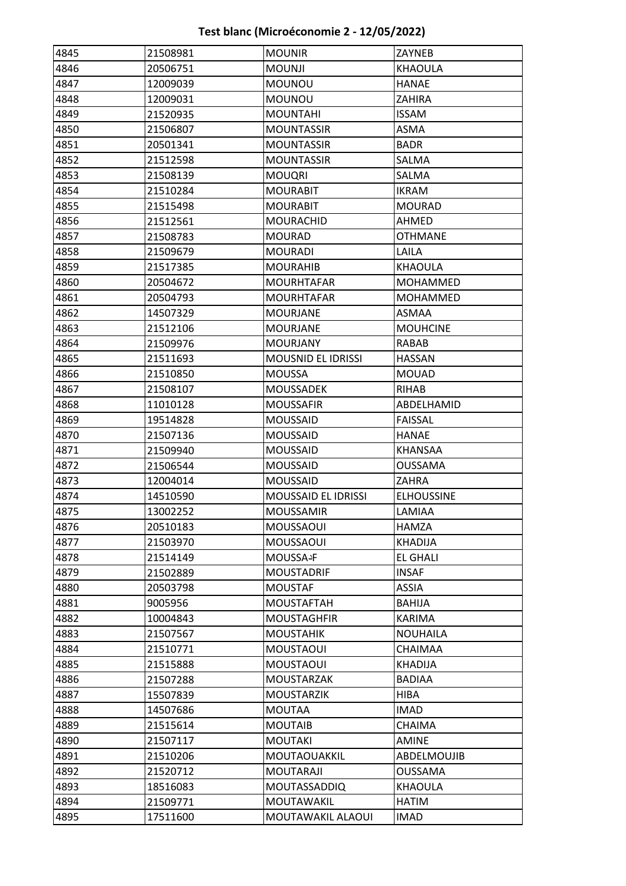| 4845 | 21508981 | <b>MOUNIR</b>              | ZAYNEB            |
|------|----------|----------------------------|-------------------|
| 4846 | 20506751 | <b>MOUNJI</b>              | <b>KHAOULA</b>    |
| 4847 | 12009039 | <b>MOUNOU</b>              | <b>HANAE</b>      |
| 4848 | 12009031 | <b>MOUNOU</b>              | ZAHIRA            |
| 4849 | 21520935 | <b>MOUNTAHI</b>            | <b>ISSAM</b>      |
| 4850 | 21506807 | <b>MOUNTASSIR</b>          | ASMA              |
| 4851 | 20501341 | <b>MOUNTASSIR</b>          | <b>BADR</b>       |
| 4852 | 21512598 | <b>MOUNTASSIR</b>          | SALMA             |
| 4853 | 21508139 | <b>MOUQRI</b>              | SALMA             |
| 4854 | 21510284 | <b>MOURABIT</b>            | <b>IKRAM</b>      |
| 4855 | 21515498 | <b>MOURABIT</b>            | <b>MOURAD</b>     |
| 4856 | 21512561 | MOURACHID                  | AHMED             |
| 4857 | 21508783 | <b>MOURAD</b>              | OTHMANE           |
| 4858 | 21509679 | <b>MOURADI</b>             | LAILA             |
| 4859 | 21517385 | <b>MOURAHIB</b>            | <b>KHAOULA</b>    |
| 4860 | 20504672 | <b>MOURHTAFAR</b>          | <b>MOHAMMED</b>   |
| 4861 | 20504793 | <b>MOURHTAFAR</b>          | MOHAMMED          |
| 4862 | 14507329 | <b>MOURJANE</b>            | <b>ASMAA</b>      |
| 4863 | 21512106 | <b>MOURJANE</b>            | <b>MOUHCINE</b>   |
| 4864 | 21509976 | <b>MOURJANY</b>            | RABAB             |
| 4865 | 21511693 | <b>MOUSNID EL IDRISSI</b>  | <b>HASSAN</b>     |
| 4866 | 21510850 | <b>MOUSSA</b>              | <b>MOUAD</b>      |
| 4867 | 21508107 | <b>MOUSSADEK</b>           | <b>RIHAB</b>      |
| 4868 | 11010128 | <b>MOUSSAFIR</b>           | ABDELHAMID        |
| 4869 | 19514828 | <b>MOUSSAID</b>            | <b>FAISSAL</b>    |
| 4870 | 21507136 | <b>MOUSSAID</b>            | <b>HANAE</b>      |
| 4871 | 21509940 | <b>MOUSSAID</b>            | KHANSAA           |
| 4872 | 21506544 | <b>MOUSSAID</b>            | <b>OUSSAMA</b>    |
| 4873 | 12004014 | <b>MOUSSAID</b>            | ZAHRA             |
| 4874 | 14510590 | <b>MOUSSAID EL IDRISSI</b> | <b>ELHOUSSINE</b> |
| 4875 | 13002252 | <b>MOUSSAMIR</b>           | LAMIAA            |
| 4876 | 20510183 | MOUSSAOUI                  | HAMZA             |
| 4877 | 21503970 | MOUSSAOUI                  | <b>KHADIJA</b>    |
| 4878 | 21514149 | <b>MOUSSA-F</b>            | <b>EL GHALI</b>   |
| 4879 | 21502889 | <b>MOUSTADRIF</b>          | <b>INSAF</b>      |
| 4880 | 20503798 | <b>MOUSTAF</b>             | ASSIA             |
| 4881 | 9005956  | <b>MOUSTAFTAH</b>          | BAHIJA            |
| 4882 | 10004843 | <b>MOUSTAGHFIR</b>         | <b>KARIMA</b>     |
| 4883 | 21507567 | <b>MOUSTAHIK</b>           | <b>NOUHAILA</b>   |
| 4884 | 21510771 | <b>MOUSTAOUI</b>           | CHAIMAA           |
| 4885 | 21515888 | <b>MOUSTAOUI</b>           | <b>KHADIJA</b>    |
| 4886 | 21507288 | <b>MOUSTARZAK</b>          | <b>BADIAA</b>     |
| 4887 | 15507839 | <b>MOUSTARZIK</b>          | <b>HIBA</b>       |
| 4888 | 14507686 | <b>MOUTAA</b>              | <b>IMAD</b>       |
| 4889 | 21515614 | <b>MOUTAIB</b>             | <b>CHAIMA</b>     |
| 4890 | 21507117 | <b>MOUTAKI</b>             | <b>AMINE</b>      |
| 4891 | 21510206 | MOUTAOUAKKIL               | ABDELMOUJIB       |
| 4892 | 21520712 | <b>MOUTARAJI</b>           | <b>OUSSAMA</b>    |
| 4893 | 18516083 | MOUTASSADDIQ               | KHAOULA           |
| 4894 | 21509771 | MOUTAWAKIL                 | <b>HATIM</b>      |
| 4895 | 17511600 | MOUTAWAKIL ALAOUI          | <b>IMAD</b>       |
|      |          |                            |                   |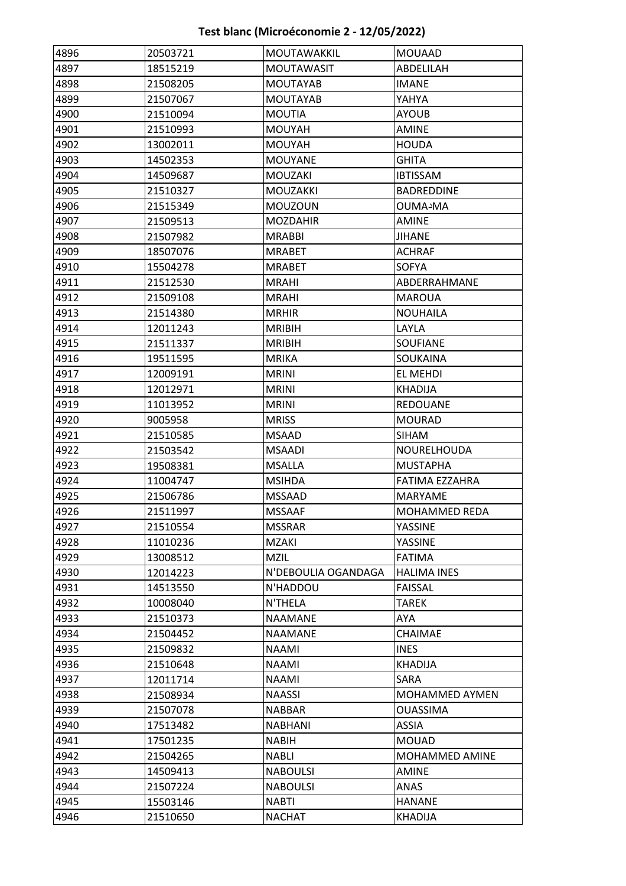| 4896 | 20503721 | MOUTAWAKKIL         | <b>MOUAAD</b>         |
|------|----------|---------------------|-----------------------|
| 4897 | 18515219 | <b>MOUTAWASIT</b>   | ABDELILAH             |
| 4898 | 21508205 | <b>MOUTAYAB</b>     | <b>IMANE</b>          |
| 4899 | 21507067 | <b>MOUTAYAB</b>     | YAHYA                 |
| 4900 | 21510094 | <b>MOUTIA</b>       | <b>AYOUB</b>          |
| 4901 | 21510993 | <b>MOUYAH</b>       | <b>AMINE</b>          |
| 4902 | 13002011 | <b>MOUYAH</b>       | <b>HOUDA</b>          |
| 4903 | 14502353 | <b>MOUYANE</b>      | <b>GHITA</b>          |
| 4904 | 14509687 | <b>MOUZAKI</b>      | <b>IBTISSAM</b>       |
| 4905 | 21510327 | <b>MOUZAKKI</b>     | <b>BADREDDINE</b>     |
| 4906 | 21515349 | <b>MOUZOUN</b>      | AM4AMUO               |
| 4907 | 21509513 | <b>MOZDAHIR</b>     | <b>AMINE</b>          |
| 4908 | 21507982 | <b>MRABBI</b>       | <b>JIHANE</b>         |
| 4909 | 18507076 | <b>MRABET</b>       | <b>ACHRAF</b>         |
| 4910 | 15504278 | <b>MRABET</b>       | SOFYA                 |
| 4911 | 21512530 | <b>MRAHI</b>        | ABDERRAHMANE          |
| 4912 | 21509108 | <b>MRAHI</b>        | <b>MAROUA</b>         |
| 4913 | 21514380 | <b>MRHIR</b>        | NOUHAILA              |
| 4914 | 12011243 | <b>MRIBIH</b>       | LAYLA                 |
| 4915 | 21511337 | <b>MRIBIH</b>       | <b>SOUFIANE</b>       |
| 4916 | 19511595 | <b>MRIKA</b>        | <b>SOUKAINA</b>       |
| 4917 | 12009191 | <b>MRINI</b>        | EL MEHDI              |
| 4918 | 12012971 | <b>MRINI</b>        | <b>KHADIJA</b>        |
| 4919 | 11013952 | <b>MRINI</b>        | REDOUANE              |
| 4920 | 9005958  | <b>MRISS</b>        | <b>MOURAD</b>         |
| 4921 | 21510585 | <b>MSAAD</b>        | <b>SIHAM</b>          |
| 4922 | 21503542 | <b>MSAADI</b>       | NOURELHOUDA           |
| 4923 | 19508381 | <b>MSALLA</b>       | <b>MUSTAPHA</b>       |
| 4924 | 11004747 | <b>MSIHDA</b>       | FATIMA EZZAHRA        |
| 4925 | 21506786 | <b>MSSAAD</b>       | <b>MARYAME</b>        |
| 4926 | 21511997 | <b>MSSAAF</b>       | MOHAMMED REDA         |
| 4927 | 21510554 | <b>MSSRAR</b>       | YASSINE               |
| 4928 | 11010236 | <b>MZAKI</b>        | YASSINE               |
| 4929 | 13008512 | <b>MZIL</b>         | <b>FATIMA</b>         |
| 4930 | 12014223 | N'DEBOULIA OGANDAGA | <b>HALIMA INES</b>    |
| 4931 | 14513550 | N'HADDOU            | <b>FAISSAL</b>        |
| 4932 | 10008040 | <b>N'THELA</b>      | <b>TAREK</b>          |
| 4933 | 21510373 | <b>NAAMANE</b>      | AYA                   |
| 4934 | 21504452 | <b>NAAMANE</b>      | <b>CHAIMAE</b>        |
| 4935 | 21509832 | <b>NAAMI</b>        | <b>INES</b>           |
| 4936 | 21510648 | NAAMI               | <b>KHADIJA</b>        |
| 4937 | 12011714 | NAAMI               | <b>SARA</b>           |
| 4938 | 21508934 | <b>NAASSI</b>       | <b>MOHAMMED AYMEN</b> |
| 4939 | 21507078 | <b>NABBAR</b>       | <b>OUASSIMA</b>       |
| 4940 | 17513482 | <b>NABHANI</b>      | <b>ASSIA</b>          |
| 4941 | 17501235 | <b>NABIH</b>        | <b>MOUAD</b>          |
| 4942 | 21504265 | <b>NABLI</b>        | MOHAMMED AMINE        |
| 4943 | 14509413 | <b>NABOULSI</b>     | <b>AMINE</b>          |
| 4944 | 21507224 | <b>NABOULSI</b>     | ANAS                  |
| 4945 | 15503146 | <b>NABTI</b>        | <b>HANANE</b>         |
| 4946 | 21510650 | <b>NACHAT</b>       | <b>KHADIJA</b>        |
|      |          |                     |                       |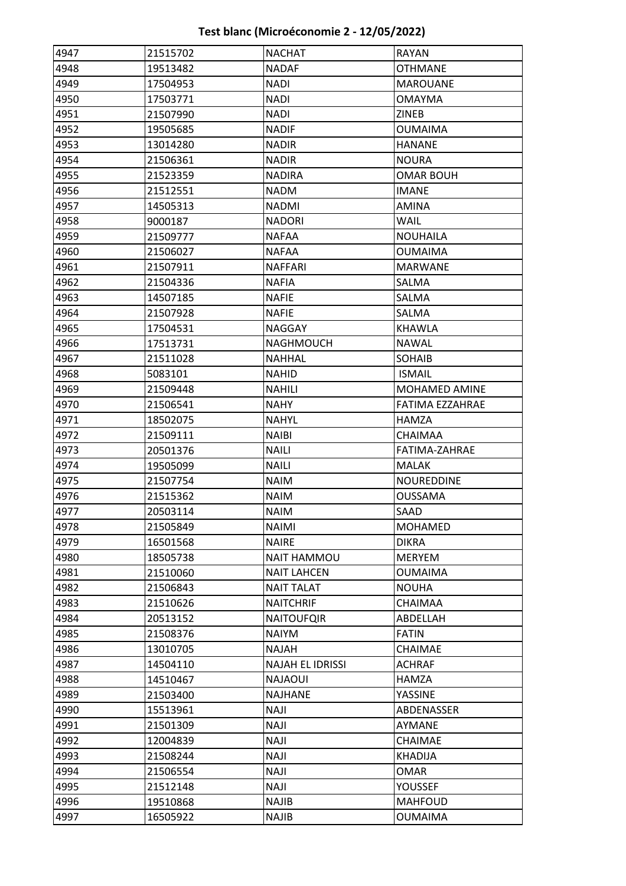| 4947 | 21515702 | <b>NACHAT</b>           | <b>RAYAN</b>      |
|------|----------|-------------------------|-------------------|
| 4948 | 19513482 | <b>NADAF</b>            | <b>OTHMANE</b>    |
| 4949 | 17504953 | <b>NADI</b>             | <b>MAROUANE</b>   |
| 4950 | 17503771 | <b>NADI</b>             | <b>OMAYMA</b>     |
| 4951 | 21507990 | <b>NADI</b>             | <b>ZINEB</b>      |
| 4952 | 19505685 | <b>NADIF</b>            | OUMAIMA           |
| 4953 | 13014280 | <b>NADIR</b>            | <b>HANANE</b>     |
| 4954 | 21506361 | <b>NADIR</b>            | <b>NOURA</b>      |
| 4955 | 21523359 | <b>NADIRA</b>           | OMAR BOUH         |
| 4956 | 21512551 | <b>NADM</b>             | <b>IMANE</b>      |
| 4957 | 14505313 | <b>NADMI</b>            | <b>AMINA</b>      |
| 4958 | 9000187  | <b>NADORI</b>           | WAIL              |
| 4959 | 21509777 | <b>NAFAA</b>            | <b>NOUHAILA</b>   |
| 4960 | 21506027 | <b>NAFAA</b>            | <b>OUMAIMA</b>    |
| 4961 | 21507911 | <b>NAFFARI</b>          | <b>MARWANE</b>    |
| 4962 | 21504336 | <b>NAFIA</b>            | SALMA             |
| 4963 | 14507185 | <b>NAFIE</b>            | SALMA             |
| 4964 | 21507928 | <b>NAFIE</b>            | SALMA             |
| 4965 | 17504531 | <b>NAGGAY</b>           | <b>KHAWLA</b>     |
| 4966 | 17513731 | <b>NAGHMOUCH</b>        | <b>NAWAL</b>      |
| 4967 | 21511028 | <b>NAHHAL</b>           | <b>SOHAIB</b>     |
| 4968 | 5083101  | <b>NAHID</b>            | <b>ISMAIL</b>     |
| 4969 | 21509448 | <b>NAHILI</b>           | MOHAMED AMINE     |
| 4970 | 21506541 | <b>NAHY</b>             | FATIMA EZZAHRAE   |
| 4971 | 18502075 | <b>NAHYL</b>            | HAMZA             |
| 4972 | 21509111 | <b>NAIBI</b>            | CHAIMAA           |
| 4973 | 20501376 | <b>NAILI</b>            | FATIMA-ZAHRAE     |
| 4974 | 19505099 | <b>NAILI</b>            | <b>MALAK</b>      |
| 4975 | 21507754 | <b>NAIM</b>             | <b>NOUREDDINE</b> |
| 4976 | 21515362 | <b>NAIM</b>             | <b>OUSSAMA</b>    |
| 4977 | 20503114 | <b>NAIM</b>             | SAAD              |
| 4978 | 21505849 | <b>NAIMI</b>            | <b>MOHAMED</b>    |
| 4979 | 16501568 | <b>NAIRE</b>            | <b>DIKRA</b>      |
| 4980 | 18505738 | NAIT HAMMOU             | <b>MERYEM</b>     |
| 4981 | 21510060 | <b>NAIT LAHCEN</b>      | <b>OUMAIMA</b>    |
| 4982 | 21506843 | <b>NAIT TALAT</b>       | <b>NOUHA</b>      |
| 4983 | 21510626 | <b>NAITCHRIF</b>        | CHAIMAA           |
| 4984 | 20513152 | <b>NAITOUFQIR</b>       | ABDELLAH          |
| 4985 | 21508376 | <b>NAIYM</b>            | <b>FATIN</b>      |
| 4986 | 13010705 | NAJAH                   | CHAIMAE           |
| 4987 | 14504110 | <b>NAJAH EL IDRISSI</b> | ACHRAF            |
| 4988 | 14510467 | <b>NAJAOUI</b>          | HAMZA             |
| 4989 | 21503400 | <b>NAJHANE</b>          | YASSINE           |
| 4990 | 15513961 | <b>NAJI</b>             | ABDENASSER        |
| 4991 | 21501309 | <b>NAJI</b>             | AYMANE            |
| 4992 | 12004839 | <b>NAJI</b>             | CHAIMAE           |
| 4993 | 21508244 | <b>NAJI</b>             | KHADIJA           |
| 4994 | 21506554 | <b>NAJI</b>             | OMAR              |
| 4995 | 21512148 | <b>NAJI</b>             | <b>YOUSSEF</b>    |
| 4996 | 19510868 | <b>NAJIB</b>            | <b>MAHFOUD</b>    |
| 4997 | 16505922 | <b>NAJIB</b>            | OUMAIMA           |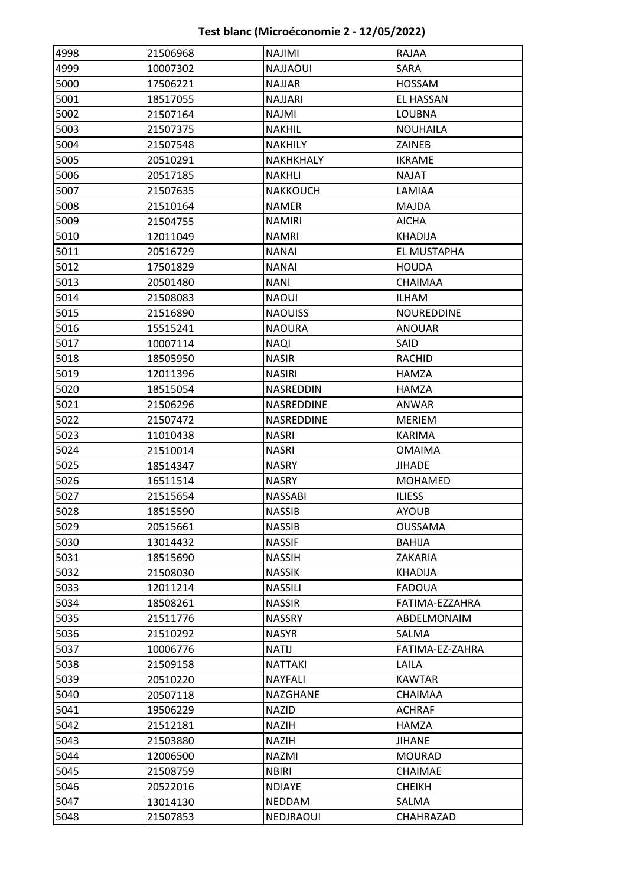| 4998 | 21506968 | <b>NAJIMI</b>     | RAJAA             |
|------|----------|-------------------|-------------------|
| 4999 | 10007302 | <b>NAJJAOUI</b>   | SARA              |
| 5000 | 17506221 | <b>NAJJAR</b>     | <b>HOSSAM</b>     |
| 5001 | 18517055 | <b>NAJJARI</b>    | <b>EL HASSAN</b>  |
| 5002 | 21507164 | <b>NAJMI</b>      | <b>LOUBNA</b>     |
| 5003 | 21507375 | <b>NAKHIL</b>     | <b>NOUHAILA</b>   |
| 5004 | 21507548 | <b>NAKHILY</b>    | ZAINEB            |
| 5005 | 20510291 | <b>NAKHKHALY</b>  | <b>IKRAME</b>     |
| 5006 | 20517185 | <b>NAKHLI</b>     | <b>NAJAT</b>      |
| 5007 | 21507635 | <b>NAKKOUCH</b>   | LAMIAA            |
| 5008 | 21510164 | <b>NAMER</b>      | <b>MAJDA</b>      |
| 5009 | 21504755 | <b>NAMIRI</b>     | <b>AICHA</b>      |
| 5010 | 12011049 | <b>NAMRI</b>      | KHADIJA           |
| 5011 | 20516729 | <b>NANAI</b>      | EL MUSTAPHA       |
| 5012 | 17501829 | <b>NANAI</b>      | <b>HOUDA</b>      |
| 5013 | 20501480 | <b>NANI</b>       | CHAIMAA           |
| 5014 | 21508083 | <b>NAOUI</b>      | <b>ILHAM</b>      |
| 5015 | 21516890 | <b>NAOUISS</b>    | <b>NOUREDDINE</b> |
| 5016 | 15515241 | <b>NAOURA</b>     | <b>ANOUAR</b>     |
| 5017 | 10007114 | <b>NAQI</b>       | SAID              |
| 5018 | 18505950 | <b>NASIR</b>      | <b>RACHID</b>     |
| 5019 | 12011396 | <b>NASIRI</b>     | <b>HAMZA</b>      |
| 5020 | 18515054 | NASREDDIN         | HAMZA             |
| 5021 | 21506296 | NASREDDINE        | ANWAR             |
| 5022 | 21507472 | <b>NASREDDINE</b> | <b>MERIEM</b>     |
| 5023 | 11010438 | <b>NASRI</b>      | <b>KARIMA</b>     |
| 5024 | 21510014 | <b>NASRI</b>      | OMAIMA            |
| 5025 | 18514347 | <b>NASRY</b>      | <b>JIHADE</b>     |
| 5026 | 16511514 | <b>NASRY</b>      | <b>MOHAMED</b>    |
| 5027 | 21515654 | <b>NASSABI</b>    | <b>ILIESS</b>     |
| 5028 | 18515590 | <b>NASSIB</b>     | <b>AYOUB</b>      |
| 5029 | 20515661 | <b>NASSIB</b>     | <b>OUSSAMA</b>    |
| 5030 | 13014432 | <b>NASSIF</b>     | <b>BAHIJA</b>     |
| 5031 | 18515690 | <b>NASSIH</b>     | ZAKARIA           |
| 5032 | 21508030 | <b>NASSIK</b>     | KHADIJA           |
| 5033 | 12011214 | <b>NASSILI</b>    | <b>FADOUA</b>     |
| 5034 | 18508261 | <b>NASSIR</b>     | FATIMA-EZZAHRA    |
| 5035 | 21511776 | <b>NASSRY</b>     | ABDELMONAIM       |
| 5036 | 21510292 | <b>NASYR</b>      | SALMA             |
| 5037 | 10006776 | <b>NATIJ</b>      | FATIMA-EZ-ZAHRA   |
| 5038 | 21509158 | <b>NATTAKI</b>    | LAILA             |
| 5039 | 20510220 | <b>NAYFALI</b>    | KAWTAR            |
| 5040 | 20507118 | NAZGHANE          | CHAIMAA           |
| 5041 | 19506229 | <b>NAZID</b>      | <b>ACHRAF</b>     |
| 5042 | 21512181 | <b>NAZIH</b>      | HAMZA             |
| 5043 | 21503880 | <b>NAZIH</b>      | <b>JIHANE</b>     |
| 5044 | 12006500 | <b>NAZMI</b>      | <b>MOURAD</b>     |
| 5045 | 21508759 | <b>NBIRI</b>      | CHAIMAE           |
| 5046 | 20522016 | <b>NDIAYE</b>     | CHEIKH            |
| 5047 | 13014130 | <b>NEDDAM</b>     | SALMA             |
| 5048 | 21507853 | NEDJRAOUI         | CHAHRAZAD         |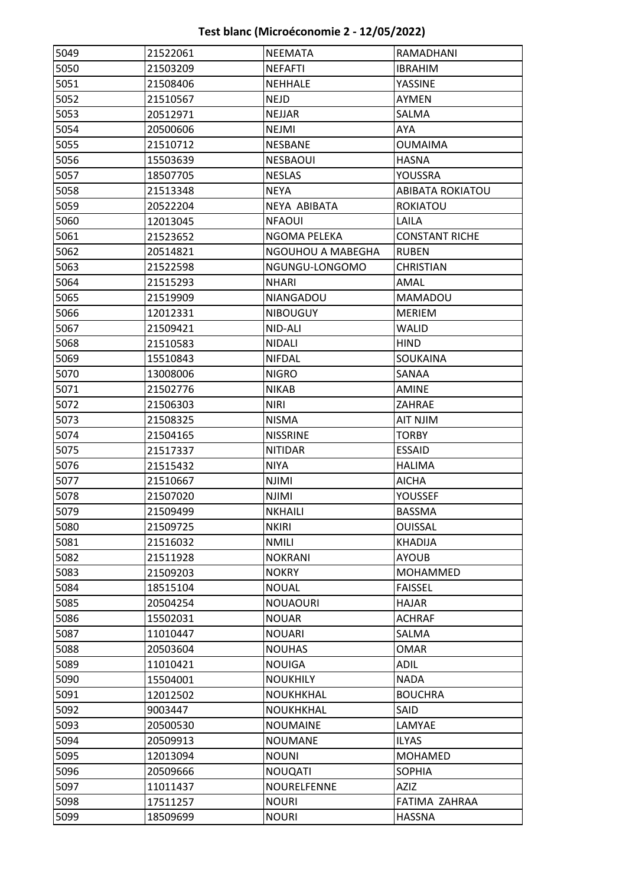| 5049 | 21522061 | <b>NEEMATA</b>     | RAMADHANI             |
|------|----------|--------------------|-----------------------|
| 5050 | 21503209 | <b>NEFAFTI</b>     | <b>IBRAHIM</b>        |
| 5051 | 21508406 | <b>NEHHALE</b>     | YASSINE               |
| 5052 | 21510567 | <b>NEJD</b>        | AYMEN                 |
| 5053 | 20512971 | <b>NEJJAR</b>      | SALMA                 |
| 5054 | 20500606 | <b>NEJMI</b>       | AYA                   |
| 5055 | 21510712 | <b>NESBANE</b>     | <b>OUMAIMA</b>        |
| 5056 | 15503639 | <b>NESBAOUI</b>    | <b>HASNA</b>          |
| 5057 | 18507705 | <b>NESLAS</b>      | YOUSSRA               |
| 5058 | 21513348 | <b>NEYA</b>        | ABIBATA ROKIATOU      |
| 5059 | 20522204 | NEYA ABIBATA       | <b>ROKIATOU</b>       |
| 5060 | 12013045 | <b>NFAOUI</b>      | LAILA                 |
| 5061 | 21523652 | NGOMA PELEKA       | <b>CONSTANT RICHE</b> |
| 5062 | 20514821 | NGOUHOU A MABEGHA  | <b>RUBEN</b>          |
| 5063 | 21522598 | NGUNGU-LONGOMO     | <b>CHRISTIAN</b>      |
| 5064 | 21515293 | <b>NHARI</b>       | AMAL                  |
| 5065 | 21519909 | NIANGADOU          | <b>MAMADOU</b>        |
| 5066 | 12012331 | <b>NIBOUGUY</b>    | <b>MERIEM</b>         |
| 5067 | 21509421 | NID-ALI            | WALID                 |
| 5068 | 21510583 | <b>NIDALI</b>      | <b>HIND</b>           |
| 5069 | 15510843 | <b>NIFDAL</b>      | SOUKAINA              |
| 5070 | 13008006 | <b>NIGRO</b>       | SANAA                 |
| 5071 | 21502776 | <b>NIKAB</b>       | <b>AMINE</b>          |
| 5072 | 21506303 | <b>NIRI</b>        | ZAHRAE                |
| 5073 | 21508325 | <b>NISMA</b>       | <b>AIT NJIM</b>       |
| 5074 | 21504165 | <b>NISSRINE</b>    | <b>TORBY</b>          |
| 5075 | 21517337 | <b>NITIDAR</b>     | <b>ESSAID</b>         |
| 5076 | 21515432 | <b>NIYA</b>        | <b>HALIMA</b>         |
| 5077 | 21510667 | <b>NJIMI</b>       | <b>AICHA</b>          |
| 5078 | 21507020 | <b>NJIMI</b>       | YOUSSEF               |
| 5079 | 21509499 | <b>NKHAILI</b>     | <b>BASSMA</b>         |
| 5080 | 21509725 | <b>NKIRI</b>       | <b>OUISSAL</b>        |
| 5081 | 21516032 | <b>NMILI</b>       | <b>KHADIJA</b>        |
| 5082 | 21511928 | <b>NOKRANI</b>     | <b>AYOUB</b>          |
| 5083 | 21509203 | <b>NOKRY</b>       | MOHAMMED              |
| 5084 | 18515104 | <b>NOUAL</b>       | <b>FAISSEL</b>        |
| 5085 | 20504254 | <b>NOUAOURI</b>    | <b>HAJAR</b>          |
| 5086 | 15502031 | <b>NOUAR</b>       | <b>ACHRAF</b>         |
| 5087 | 11010447 | <b>NOUARI</b>      | SALMA                 |
| 5088 | 20503604 | <b>NOUHAS</b>      | OMAR                  |
| 5089 | 11010421 | <b>NOUIGA</b>      | <b>ADIL</b>           |
| 5090 | 15504001 | <b>NOUKHILY</b>    | <b>NADA</b>           |
| 5091 | 12012502 | NOUKHKHAL          | <b>BOUCHRA</b>        |
| 5092 | 9003447  | <b>NOUKHKHAL</b>   | SAID                  |
| 5093 | 20500530 | <b>NOUMAINE</b>    | LAMYAE                |
| 5094 | 20509913 | <b>NOUMANE</b>     | <b>ILYAS</b>          |
| 5095 | 12013094 | <b>NOUNI</b>       | <b>MOHAMED</b>        |
| 5096 | 20509666 | <b>NOUQATI</b>     | <b>SOPHIA</b>         |
| 5097 | 11011437 | <b>NOURELFENNE</b> | <b>AZIZ</b>           |
| 5098 | 17511257 | <b>NOURI</b>       | FATIMA ZAHRAA         |
| 5099 | 18509699 | <b>NOURI</b>       | <b>HASSNA</b>         |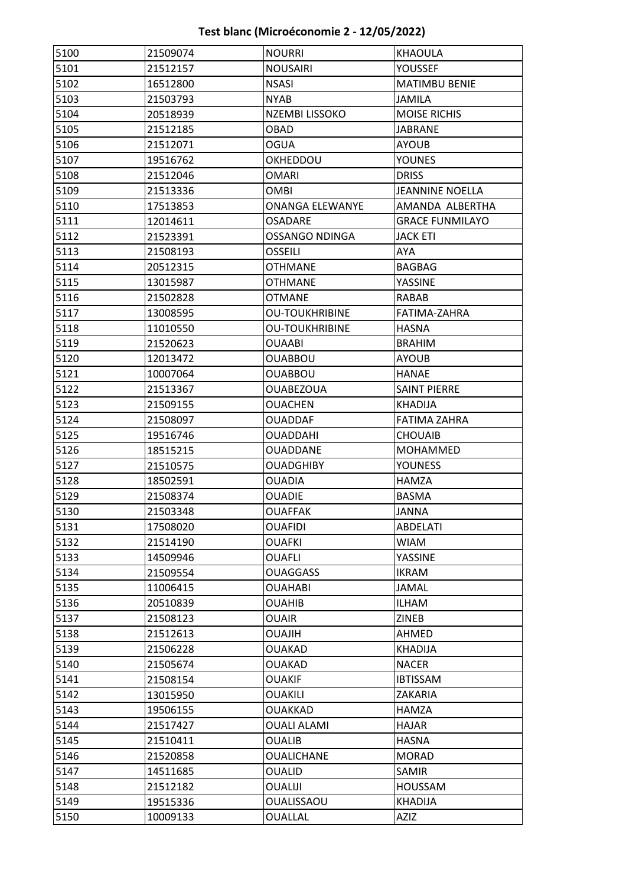| 5100 | 21509074 | <b>NOURRI</b>          | <b>KHAOULA</b>         |
|------|----------|------------------------|------------------------|
| 5101 | 21512157 | <b>NOUSAIRI</b>        | <b>YOUSSEF</b>         |
| 5102 | 16512800 | <b>NSASI</b>           | <b>MATIMBU BENIE</b>   |
| 5103 | 21503793 | <b>NYAB</b>            | <b>JAMILA</b>          |
| 5104 | 20518939 | NZEMBI LISSOKO         | <b>MOISE RICHIS</b>    |
| 5105 | 21512185 | OBAD                   | <b>JABRANE</b>         |
| 5106 | 21512071 | <b>OGUA</b>            | <b>AYOUB</b>           |
| 5107 | 19516762 | <b>OKHEDDOU</b>        | <b>YOUNES</b>          |
| 5108 | 21512046 | <b>OMARI</b>           | <b>DRISS</b>           |
| 5109 | 21513336 | <b>OMBI</b>            | <b>JEANNINE NOELLA</b> |
| 5110 | 17513853 | <b>ONANGA ELEWANYE</b> | AMANDA ALBERTHA        |
| 5111 | 12014611 | <b>OSADARE</b>         | <b>GRACE FUNMILAYO</b> |
| 5112 | 21523391 | OSSANGO NDINGA         | <b>JACK ETI</b>        |
| 5113 | 21508193 | <b>OSSEILI</b>         | AYA                    |
| 5114 | 20512315 | <b>OTHMANE</b>         | <b>BAGBAG</b>          |
| 5115 | 13015987 | <b>OTHMANE</b>         | YASSINE                |
| 5116 | 21502828 | <b>OTMANE</b>          | <b>RABAB</b>           |
| 5117 | 13008595 | <b>OU-TOUKHRIBINE</b>  | FATIMA-ZAHRA           |
| 5118 | 11010550 | <b>OU-TOUKHRIBINE</b>  | <b>HASNA</b>           |
| 5119 | 21520623 | OUAABI                 | <b>BRAHIM</b>          |
| 5120 | 12013472 | <b>OUABBOU</b>         | <b>AYOUB</b>           |
| 5121 | 10007064 | <b>OUABBOU</b>         | <b>HANAE</b>           |
| 5122 | 21513367 | <b>OUABEZOUA</b>       | <b>SAINT PIERRE</b>    |
| 5123 | 21509155 | <b>OUACHEN</b>         | <b>KHADIJA</b>         |
| 5124 | 21508097 | <b>OUADDAF</b>         | <b>FATIMA ZAHRA</b>    |
| 5125 | 19516746 | <b>OUADDAHI</b>        | <b>CHOUAIB</b>         |
| 5126 | 18515215 | <b>OUADDANE</b>        | <b>MOHAMMED</b>        |
| 5127 | 21510575 | <b>OUADGHIBY</b>       | <b>YOUNESS</b>         |
| 5128 | 18502591 | <b>OUADIA</b>          | <b>HAMZA</b>           |
| 5129 | 21508374 | <b>OUADIE</b>          | <b>BASMA</b>           |
| 5130 | 21503348 | <b>OUAFFAK</b>         | <b>JANNA</b>           |
| 5131 | 17508020 | <b>OUAFIDI</b>         | <b>ABDELATI</b>        |
| 5132 | 21514190 | <b>OUAFKI</b>          | <b>WIAM</b>            |
| 5133 | 14509946 | OUAFLI                 | YASSINE                |
| 5134 | 21509554 | OUAGGASS               | <b>IKRAM</b>           |
| 5135 | 11006415 | <b>OUAHABI</b>         | <b>JAMAL</b>           |
| 5136 | 20510839 | OUAHIB                 | <b>ILHAM</b>           |
| 5137 | 21508123 | <b>OUAIR</b>           | ZINEB                  |
| 5138 | 21512613 | <b>HILAUO</b>          | AHMED                  |
| 5139 | 21506228 | OUAKAD                 | <b>KHADIJA</b>         |
| 5140 | 21505674 | <b>OUAKAD</b>          | <b>NACER</b>           |
| 5141 | 21508154 | OUAKIF                 | <b>IBTISSAM</b>        |
| 5142 | 13015950 | <b>OUAKILI</b>         | ZAKARIA                |
| 5143 | 19506155 | OUAKKAD                | HAMZA                  |
| 5144 | 21517427 | <b>OUALI ALAMI</b>     | <b>HAJAR</b>           |
| 5145 | 21510411 | <b>OUALIB</b>          | HASNA                  |
| 5146 | 21520858 | <b>OUALICHANE</b>      | <b>MORAD</b>           |
| 5147 | 14511685 | <b>OUALID</b>          | SAMIR                  |
| 5148 | 21512182 | <b>OUALIJI</b>         | <b>HOUSSAM</b>         |
| 5149 | 19515336 | <b>OUALISSAOU</b>      | <b>KHADIJA</b>         |
| 5150 | 10009133 | <b>OUALLAL</b>         | AZIZ                   |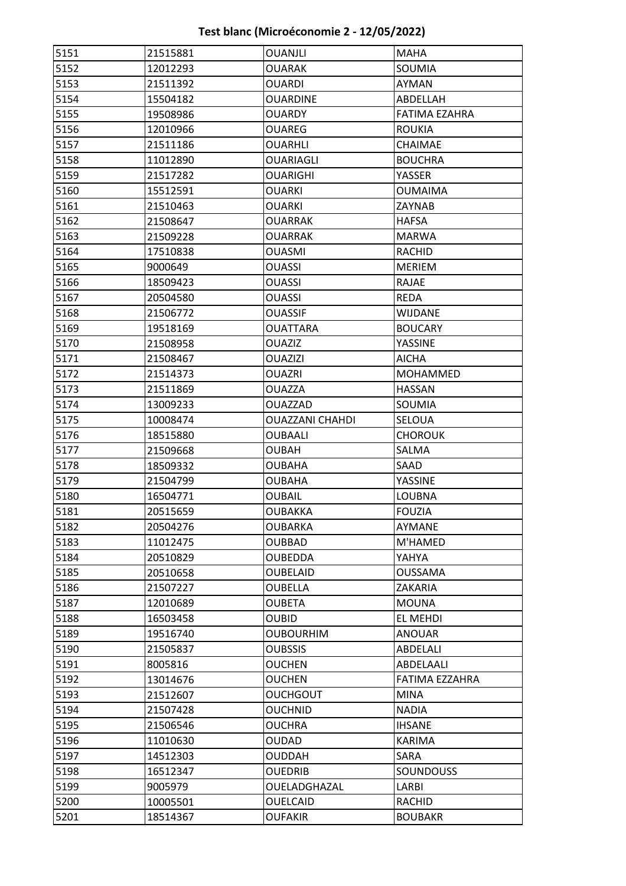| 5151 | 21515881 | OUANJLI                | MAHA             |
|------|----------|------------------------|------------------|
| 5152 | 12012293 | <b>OUARAK</b>          | SOUMIA           |
| 5153 | 21511392 | <b>OUARDI</b>          | AYMAN            |
| 5154 | 15504182 | <b>OUARDINE</b>        | ABDELLAH         |
| 5155 | 19508986 | <b>OUARDY</b>          | FATIMA EZAHRA    |
| 5156 | 12010966 | <b>OUAREG</b>          | <b>ROUKIA</b>    |
| 5157 | 21511186 | <b>OUARHLI</b>         | <b>CHAIMAE</b>   |
| 5158 | 11012890 | <b>OUARIAGLI</b>       | <b>BOUCHRA</b>   |
| 5159 | 21517282 | <b>OUARIGHI</b>        | YASSER           |
| 5160 | 15512591 | <b>OUARKI</b>          | OUMAIMA          |
| 5161 | 21510463 | <b>OUARKI</b>          | ZAYNAB           |
| 5162 | 21508647 | <b>OUARRAK</b>         | <b>HAFSA</b>     |
| 5163 | 21509228 | <b>OUARRAK</b>         | <b>MARWA</b>     |
| 5164 | 17510838 | <b>OUASMI</b>          | <b>RACHID</b>    |
| 5165 | 9000649  | <b>OUASSI</b>          | <b>MERIEM</b>    |
| 5166 | 18509423 | <b>OUASSI</b>          | RAJAE            |
| 5167 | 20504580 | <b>OUASSI</b>          | REDA             |
| 5168 | 21506772 | <b>OUASSIF</b>         | WIJDANE          |
| 5169 | 19518169 | <b>OUATTARA</b>        | <b>BOUCARY</b>   |
| 5170 | 21508958 | OUAZIZ                 | YASSINE          |
| 5171 | 21508467 | <b>OUAZIZI</b>         | <b>AICHA</b>     |
| 5172 | 21514373 | <b>OUAZRI</b>          | MOHAMMED         |
| 5173 | 21511869 | <b>OUAZZA</b>          | <b>HASSAN</b>    |
| 5174 | 13009233 | <b>OUAZZAD</b>         | SOUMIA           |
| 5175 | 10008474 | <b>OUAZZANI CHAHDI</b> | SELOUA           |
| 5176 | 18515880 | <b>OUBAALI</b>         | <b>CHOROUK</b>   |
| 5177 | 21509668 | OUBAH                  | SALMA            |
| 5178 | 18509332 | <b>OUBAHA</b>          | SAAD             |
| 5179 | 21504799 | <b>OUBAHA</b>          | YASSINE          |
| 5180 | 16504771 | <b>OUBAIL</b>          | <b>LOUBNA</b>    |
| 5181 | 20515659 | <b>OUBAKKA</b>         | <b>FOUZIA</b>    |
| 5182 | 20504276 | <b>OUBARKA</b>         | AYMANE           |
| 5183 | 11012475 | <b>OUBBAD</b>          | M'HAMED          |
| 5184 | 20510829 | <b>OUBEDDA</b>         | YAHYA            |
| 5185 | 20510658 | <b>OUBELAID</b>        | <b>OUSSAMA</b>   |
| 5186 | 21507227 | <b>OUBELLA</b>         | ZAKARIA          |
| 5187 | 12010689 | <b>OUBETA</b>          | <b>MOUNA</b>     |
| 5188 | 16503458 | <b>OUBID</b>           | EL MEHDI         |
| 5189 | 19516740 | <b>OUBOURHIM</b>       | <b>ANOUAR</b>    |
| 5190 | 21505837 | <b>OUBSSIS</b>         | ABDELALI         |
| 5191 | 8005816  | OUCHEN                 | ABDELAALI        |
| 5192 | 13014676 | <b>OUCHEN</b>          | FATIMA EZZAHRA   |
| 5193 | 21512607 | <b>OUCHGOUT</b>        | <b>MINA</b>      |
| 5194 | 21507428 | <b>OUCHNID</b>         | <b>NADIA</b>     |
| 5195 | 21506546 | <b>OUCHRA</b>          | <b>IHSANE</b>    |
| 5196 | 11010630 | <b>OUDAD</b>           | KARIMA           |
| 5197 | 14512303 | <b>OUDDAH</b>          | SARA             |
| 5198 | 16512347 | <b>OUEDRIB</b>         | <b>SOUNDOUSS</b> |
| 5199 | 9005979  | OUELADGHAZAL           | LARBI            |
| 5200 | 10005501 | <b>OUELCAID</b>        | RACHID           |
| 5201 | 18514367 | <b>OUFAKIR</b>         | <b>BOUBAKR</b>   |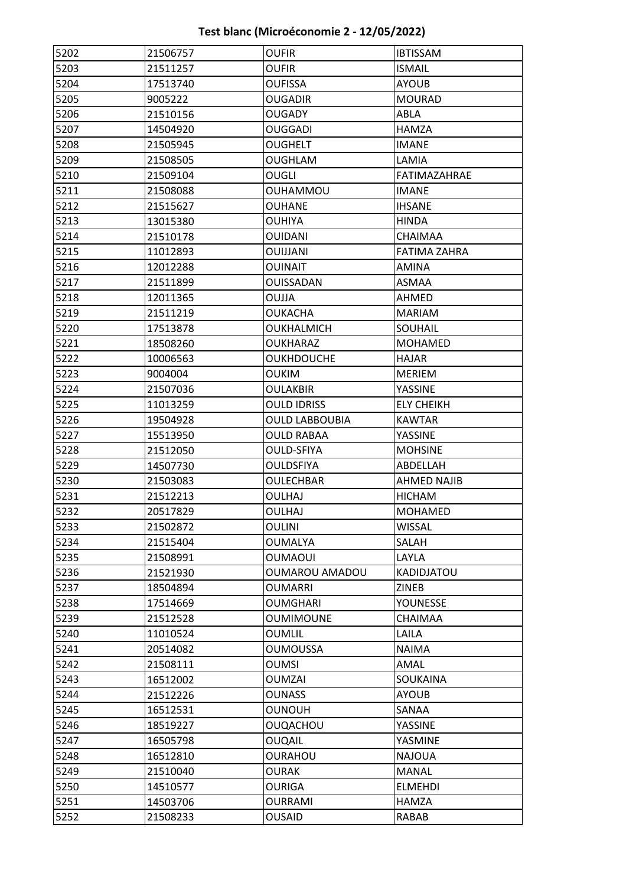| 5202 | 21506757 | <b>OUFIR</b>          | <b>IBTISSAM</b>     |
|------|----------|-----------------------|---------------------|
| 5203 | 21511257 | <b>OUFIR</b>          | <b>ISMAIL</b>       |
| 5204 | 17513740 | <b>OUFISSA</b>        | <b>AYOUB</b>        |
| 5205 | 9005222  | <b>OUGADIR</b>        | <b>MOURAD</b>       |
| 5206 | 21510156 | <b>OUGADY</b>         | ABLA                |
| 5207 | 14504920 | <b>OUGGADI</b>        | HAMZA               |
| 5208 | 21505945 | <b>OUGHELT</b>        | <b>IMANE</b>        |
| 5209 | 21508505 | OUGHLAM               | LAMIA               |
| 5210 | 21509104 | <b>OUGLI</b>          | <b>FATIMAZAHRAE</b> |
| 5211 | 21508088 | <b>OUHAMMOU</b>       | <b>IMANE</b>        |
| 5212 | 21515627 | <b>OUHANE</b>         | <b>IHSANE</b>       |
| 5213 | 13015380 | <b>OUHIYA</b>         | <b>HINDA</b>        |
| 5214 | 21510178 | <b>OUIDANI</b>        | CHAIMAA             |
| 5215 | 11012893 | <b>OUIJJANI</b>       | <b>FATIMA ZAHRA</b> |
| 5216 | 12012288 | <b>OUINAIT</b>        | <b>AMINA</b>        |
| 5217 | 21511899 | <b>OUISSADAN</b>      | ASMAA               |
| 5218 | 12011365 | <b>ALLUO</b>          | AHMED               |
| 5219 | 21511219 | <b>OUKACHA</b>        | <b>MARIAM</b>       |
| 5220 | 17513878 | <b>OUKHALMICH</b>     | SOUHAIL             |
| 5221 | 18508260 | OUKHARAZ              | <b>MOHAMED</b>      |
| 5222 | 10006563 | <b>OUKHDOUCHE</b>     | HAJAR               |
| 5223 | 9004004  | <b>OUKIM</b>          | <b>MERIEM</b>       |
| 5224 | 21507036 | <b>OULAKBIR</b>       | YASSINE             |
| 5225 | 11013259 | <b>OULD IDRISS</b>    | <b>ELY CHEIKH</b>   |
| 5226 | 19504928 | <b>OULD LABBOUBIA</b> | <b>KAWTAR</b>       |
| 5227 | 15513950 | <b>OULD RABAA</b>     | YASSINE             |
| 5228 | 21512050 | OULD-SFIYA            | <b>MOHSINE</b>      |
| 5229 | 14507730 | <b>OULDSFIYA</b>      | ABDELLAH            |
| 5230 | 21503083 | OULECHBAR             | AHMED NAJIB         |
| 5231 | 21512213 | OULHAJ                | <b>HICHAM</b>       |
| 5232 | 20517829 | <b>OULHAJ</b>         | <b>MOHAMED</b>      |
| 5233 | 21502872 | <b>OULINI</b>         | <b>WISSAL</b>       |
| 5234 | 21515404 | <b>OUMALYA</b>        | SALAH               |
| 5235 | 21508991 | <b>NOAMUO</b>         | LAYLA               |
| 5236 | 21521930 | <b>OUMAROU AMADOU</b> | KADIDJATOU          |
| 5237 | 18504894 | <b>OUMARRI</b>        | <b>ZINEB</b>        |
| 5238 | 17514669 | <b>OUMGHARI</b>       | YOUNESSE            |
| 5239 | 21512528 | <b>OUMIMOUNE</b>      | CHAIMAA             |
| 5240 | 11010524 | <b>OUMLIL</b>         | LAILA               |
| 5241 | 20514082 | <b>OUMOUSSA</b>       | <b>NAIMA</b>        |
| 5242 | 21508111 | <b>OUMSI</b>          | AMAL                |
| 5243 | 16512002 | <b>OUMZAI</b>         | SOUKAINA            |
| 5244 | 21512226 | <b>OUNASS</b>         | <b>AYOUB</b>        |
| 5245 | 16512531 | <b>OUNOUH</b>         | SANAA               |
| 5246 | 18519227 | <b>OUQACHOU</b>       | YASSINE             |
| 5247 | 16505798 | <b>OUQAIL</b>         | YASMINE             |
| 5248 | 16512810 | <b>OURAHOU</b>        | <b>NAJOUA</b>       |
| 5249 | 21510040 | <b>OURAK</b>          | <b>MANAL</b>        |
| 5250 | 14510577 | OURIGA                | <b>ELMEHDI</b>      |
| 5251 | 14503706 | <b>OURRAMI</b>        | <b>HAMZA</b>        |
| 5252 | 21508233 | <b>OUSAID</b>         | RABAB               |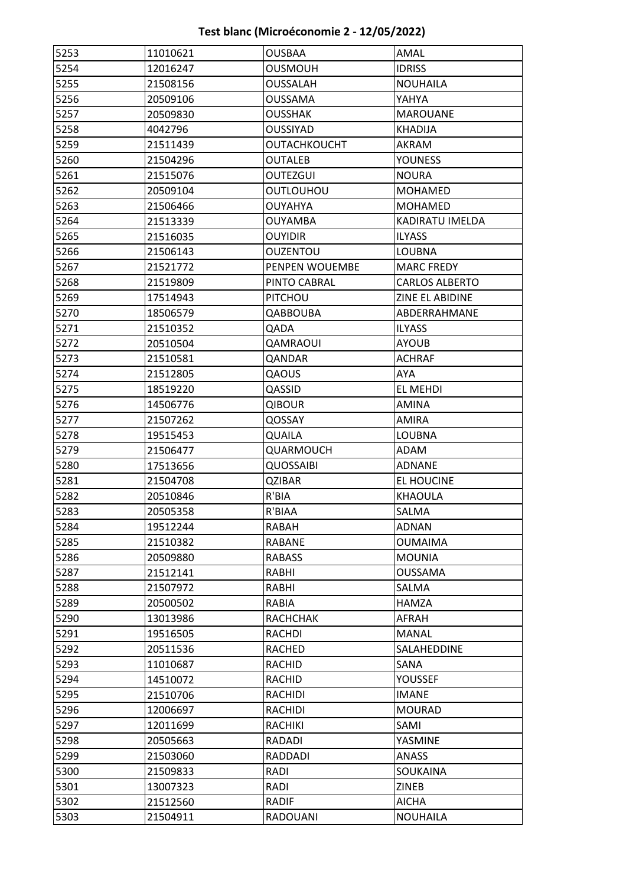| 5253 | 11010621 | <b>OUSBAA</b>       | AMAL                  |
|------|----------|---------------------|-----------------------|
| 5254 | 12016247 | <b>OUSMOUH</b>      | <b>IDRISS</b>         |
| 5255 | 21508156 | OUSSALAH            | <b>NOUHAILA</b>       |
| 5256 | 20509106 | <b>OUSSAMA</b>      | YAHYA                 |
| 5257 | 20509830 | <b>OUSSHAK</b>      | <b>MAROUANE</b>       |
| 5258 | 4042796  | <b>OUSSIYAD</b>     | <b>KHADIJA</b>        |
| 5259 | 21511439 | <b>OUTACHKOUCHT</b> | AKRAM                 |
| 5260 | 21504296 | <b>OUTALEB</b>      | <b>YOUNESS</b>        |
| 5261 | 21515076 | <b>OUTEZGUI</b>     | <b>NOURA</b>          |
| 5262 | 20509104 | <b>OUTLOUHOU</b>    | <b>MOHAMED</b>        |
| 5263 | 21506466 | <b>OUYAHYA</b>      | MOHAMED               |
| 5264 | 21513339 | <b>OUYAMBA</b>      | KADIRATU IMELDA       |
| 5265 | 21516035 | <b>OUYIDIR</b>      | <b>ILYASS</b>         |
| 5266 | 21506143 | <b>OUZENTOU</b>     | <b>LOUBNA</b>         |
| 5267 | 21521772 | PENPEN WOUEMBE      | <b>MARC FREDY</b>     |
| 5268 | 21519809 | PINTO CABRAL        | <b>CARLOS ALBERTO</b> |
| 5269 | 17514943 | <b>PITCHOU</b>      | ZINE EL ABIDINE       |
| 5270 | 18506579 | QABBOUBA            | ABDERRAHMANE          |
| 5271 | 21510352 | QADA                | <b>ILYASS</b>         |
| 5272 | 20510504 | QAMRAOUI            | <b>AYOUB</b>          |
| 5273 | 21510581 | QANDAR              | <b>ACHRAF</b>         |
| 5274 | 21512805 | QAOUS               | AYA                   |
| 5275 | 18519220 | QASSID              | EL MEHDI              |
| 5276 | 14506776 | <b>QIBOUR</b>       | AMINA                 |
| 5277 | 21507262 | QOSSAY              | AMIRA                 |
| 5278 | 19515453 | <b>QUAILA</b>       | <b>LOUBNA</b>         |
| 5279 | 21506477 | QUARMOUCH           | ADAM                  |
| 5280 | 17513656 | <b>QUOSSAIBI</b>    | <b>ADNANE</b>         |
| 5281 | 21504708 | <b>QZIBAR</b>       | EL HOUCINE            |
| 5282 | 20510846 | R'BIA               | <b>KHAOULA</b>        |
| 5283 | 20505358 | R'BIAA              | SALMA                 |
| 5284 | 19512244 | RABAH               | ADNAN                 |
| 5285 | 21510382 | <b>RABANE</b>       | <b>OUMAIMA</b>        |
| 5286 | 20509880 | <b>RABASS</b>       | <b>MOUNIA</b>         |
| 5287 | 21512141 | <b>RABHI</b>        | <b>OUSSAMA</b>        |
| 5288 | 21507972 | RABHI               | SALMA                 |
| 5289 | 20500502 | RABIA               | <b>HAMZA</b>          |
| 5290 | 13013986 | <b>RACHCHAK</b>     | <b>AFRAH</b>          |
| 5291 | 19516505 | <b>RACHDI</b>       | <b>MANAL</b>          |
| 5292 | 20511536 | <b>RACHED</b>       | SALAHEDDINE           |
| 5293 | 11010687 | RACHID              | SANA                  |
| 5294 | 14510072 | <b>RACHID</b>       | <b>YOUSSEF</b>        |
| 5295 | 21510706 | <b>RACHIDI</b>      | <b>IMANE</b>          |
| 5296 | 12006697 | <b>RACHIDI</b>      | <b>MOURAD</b>         |
| 5297 | 12011699 | <b>RACHIKI</b>      | SAMI                  |
| 5298 | 20505663 | RADADI              | YASMINE               |
| 5299 | 21503060 | <b>RADDADI</b>      | ANASS                 |
| 5300 | 21509833 | RADI                | SOUKAINA              |
| 5301 | 13007323 | RADI                | <b>ZINEB</b>          |
| 5302 | 21512560 | <b>RADIF</b>        | <b>AICHA</b>          |
| 5303 | 21504911 | RADOUANI            | <b>NOUHAILA</b>       |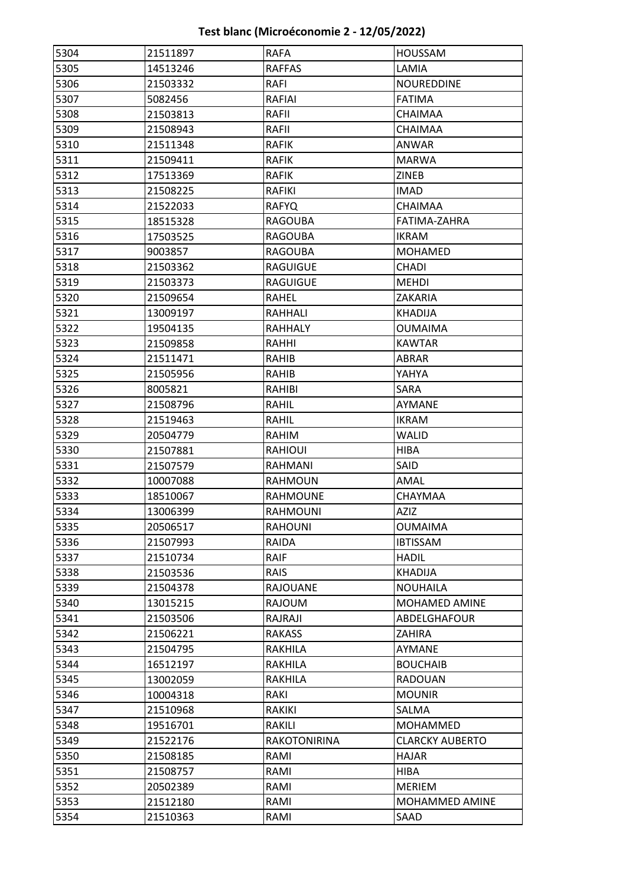| 5304 | 21511897 | <b>RAFA</b>     | <b>HOUSSAM</b>         |
|------|----------|-----------------|------------------------|
| 5305 | 14513246 | <b>RAFFAS</b>   | LAMIA                  |
| 5306 | 21503332 | RAFI            | <b>NOUREDDINE</b>      |
| 5307 | 5082456  | <b>RAFIAI</b>   | <b>FATIMA</b>          |
| 5308 | 21503813 | RAFII           | <b>CHAIMAA</b>         |
| 5309 | 21508943 | RAFII           | CHAIMAA                |
| 5310 | 21511348 | <b>RAFIK</b>    | ANWAR                  |
| 5311 | 21509411 | <b>RAFIK</b>    | <b>MARWA</b>           |
| 5312 | 17513369 | <b>RAFIK</b>    | <b>ZINEB</b>           |
| 5313 | 21508225 | <b>RAFIKI</b>   | <b>IMAD</b>            |
| 5314 | 21522033 | RAFYQ           | CHAIMAA                |
| 5315 | 18515328 | <b>RAGOUBA</b>  | FATIMA-ZAHRA           |
| 5316 | 17503525 | RAGOUBA         | IKRAM                  |
| 5317 | 9003857  | <b>RAGOUBA</b>  | <b>MOHAMED</b>         |
| 5318 | 21503362 | <b>RAGUIGUE</b> | CHADI                  |
| 5319 | 21503373 | RAGUIGUE        | <b>MEHDI</b>           |
| 5320 | 21509654 | RAHEL           | ZAKARIA                |
| 5321 | 13009197 | <b>RAHHALI</b>  | <b>KHADIJA</b>         |
| 5322 | 19504135 | <b>RAHHALY</b>  | <b>OUMAIMA</b>         |
| 5323 | 21509858 | RAHHI           | <b>KAWTAR</b>          |
| 5324 | 21511471 | RAHIB           | ABRAR                  |
| 5325 | 21505956 | RAHIB           | YAHYA                  |
| 5326 | 8005821  | <b>RAHIBI</b>   | SARA                   |
| 5327 | 21508796 | <b>RAHIL</b>    | AYMANE                 |
| 5328 | 21519463 | RAHIL           | IKRAM                  |
| 5329 | 20504779 | <b>RAHIM</b>    | <b>WALID</b>           |
| 5330 | 21507881 | RAHIOUI         | <b>HIBA</b>            |
| 5331 | 21507579 | RAHMANI         | <b>SAID</b>            |
| 5332 | 10007088 | <b>RAHMOUN</b>  | AMAL                   |
| 5333 | 18510067 | RAHMOUNE        | CHAYMAA                |
| 5334 | 13006399 | <b>RAHMOUNI</b> | <b>AZIZ</b>            |
| 5335 | 20506517 | <b>RAHOUNI</b>  | <b>OUMAIMA</b>         |
| 5336 | 21507993 | RAIDA           | <b>IBTISSAM</b>        |
| 5337 | 21510734 | RAIF            | <b>HADIL</b>           |
| 5338 | 21503536 | RAIS            | <b>KHADIJA</b>         |
| 5339 | 21504378 | <b>RAJOUANE</b> | <b>NOUHAILA</b>        |
| 5340 | 13015215 | <b>RAJOUM</b>   | MOHAMED AMINE          |
| 5341 | 21503506 | RAJRAJI         | ABDELGHAFOUR           |
| 5342 | 21506221 | <b>RAKASS</b>   | ZAHIRA                 |
| 5343 | 21504795 | RAKHILA         | AYMANE                 |
| 5344 | 16512197 | RAKHILA         | <b>BOUCHAIB</b>        |
| 5345 | 13002059 | RAKHILA         | RADOUAN                |
| 5346 | 10004318 | RAKI            | <b>MOUNIR</b>          |
| 5347 | 21510968 | RAKIKI          | SALMA                  |
| 5348 | 19516701 | RAKILI          | <b>MOHAMMED</b>        |
| 5349 | 21522176 | RAKOTONIRINA    | <b>CLARCKY AUBERTO</b> |
| 5350 | 21508185 | RAMI            | HAJAR                  |
| 5351 | 21508757 | RAMI            | <b>HIBA</b>            |
| 5352 | 20502389 | RAMI            | <b>MERIEM</b>          |
| 5353 | 21512180 | RAMI            | MOHAMMED AMINE         |
| 5354 | 21510363 | RAMI            | SAAD                   |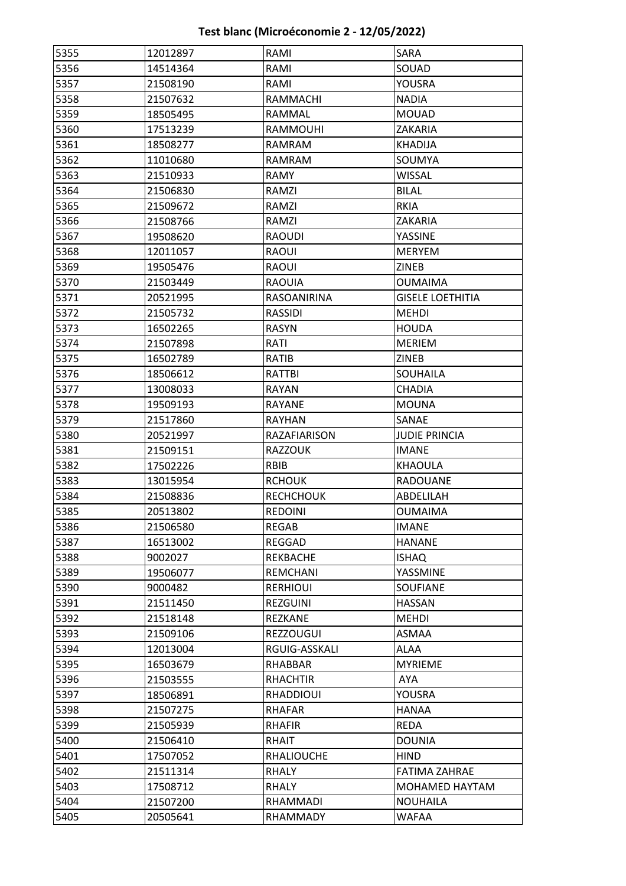| 5355 | 12012897 | RAMI              | SARA                    |
|------|----------|-------------------|-------------------------|
| 5356 | 14514364 | RAMI              | SOUAD                   |
| 5357 | 21508190 | RAMI              | <b>YOUSRA</b>           |
| 5358 | 21507632 | RAMMACHI          | <b>NADIA</b>            |
| 5359 | 18505495 | RAMMAL            | <b>MOUAD</b>            |
| 5360 | 17513239 | RAMMOUHI          | ZAKARIA                 |
| 5361 | 18508277 | RAMRAM            | <b>KHADIJA</b>          |
| 5362 | 11010680 | RAMRAM            | SOUMYA                  |
| 5363 | 21510933 | RAMY              | WISSAL                  |
| 5364 | 21506830 | RAMZI             | <b>BILAL</b>            |
| 5365 | 21509672 | RAMZI             | <b>RKIA</b>             |
| 5366 | 21508766 | RAMZI             | ZAKARIA                 |
| 5367 | 19508620 | <b>RAOUDI</b>     | YASSINE                 |
| 5368 | 12011057 | RAOUI             | <b>MERYEM</b>           |
| 5369 | 19505476 | RAOUI             | ZINEB                   |
| 5370 | 21503449 | <b>RAOUIA</b>     | <b>OUMAIMA</b>          |
| 5371 | 20521995 | RASOANIRINA       | <b>GISELE LOETHITIA</b> |
| 5372 | 21505732 | <b>RASSIDI</b>    | <b>MEHDI</b>            |
| 5373 | 16502265 | <b>RASYN</b>      | <b>HOUDA</b>            |
| 5374 | 21507898 | RATI              | <b>MERIEM</b>           |
| 5375 | 16502789 | RATIB             | <b>ZINEB</b>            |
| 5376 | 18506612 | <b>RATTBI</b>     | SOUHAILA                |
| 5377 | 13008033 | <b>RAYAN</b>      | CHADIA                  |
| 5378 | 19509193 | RAYANE            | <b>MOUNA</b>            |
| 5379 | 21517860 | RAYHAN            | SANAE                   |
| 5380 | 20521997 | RAZAFIARISON      | <b>JUDIE PRINCIA</b>    |
| 5381 | 21509151 | <b>RAZZOUK</b>    | <b>IMANE</b>            |
| 5382 | 17502226 | <b>RBIB</b>       | <b>KHAOULA</b>          |
| 5383 | 13015954 | <b>RCHOUK</b>     | <b>RADOUANE</b>         |
| 5384 | 21508836 | <b>RECHCHOUK</b>  | ABDELILAH               |
| 5385 | 20513802 | <b>REDOINI</b>    | <b>OUMAIMA</b>          |
| 5386 | 21506580 | <b>REGAB</b>      | IMANE                   |
| 5387 | 16513002 | REGGAD            | <b>HANANE</b>           |
| 5388 | 9002027  | REKBACHE          | <b>ISHAQ</b>            |
| 5389 | 19506077 | REMCHANI          | YASSMINE                |
| 5390 | 9000482  | <b>RERHIOUI</b>   | <b>SOUFIANE</b>         |
| 5391 | 21511450 | <b>REZGUINI</b>   | <b>HASSAN</b>           |
| 5392 | 21518148 | REZKANE           | <b>MEHDI</b>            |
| 5393 | 21509106 | <b>REZZOUGUI</b>  | ASMAA                   |
| 5394 | 12013004 | RGUIG-ASSKALI     | <b>ALAA</b>             |
| 5395 | 16503679 | RHABBAR           | <b>MYRIEME</b>          |
| 5396 | 21503555 | RHACHTIR          | AYA                     |
| 5397 | 18506891 | <b>RHADDIOUI</b>  | YOUSRA                  |
| 5398 | 21507275 | <b>RHAFAR</b>     | HANAA                   |
| 5399 | 21505939 | <b>RHAFIR</b>     | <b>REDA</b>             |
| 5400 | 21506410 | RHAIT             | <b>DOUNIA</b>           |
| 5401 | 17507052 | <b>RHALIOUCHE</b> | <b>HIND</b>             |
| 5402 | 21511314 | RHALY             | <b>FATIMA ZAHRAE</b>    |
| 5403 | 17508712 | <b>RHALY</b>      | MOHAMED HAYTAM          |
| 5404 | 21507200 | RHAMMADI          | <b>NOUHAILA</b>         |
| 5405 | 20505641 | RHAMMADY          | WAFAA                   |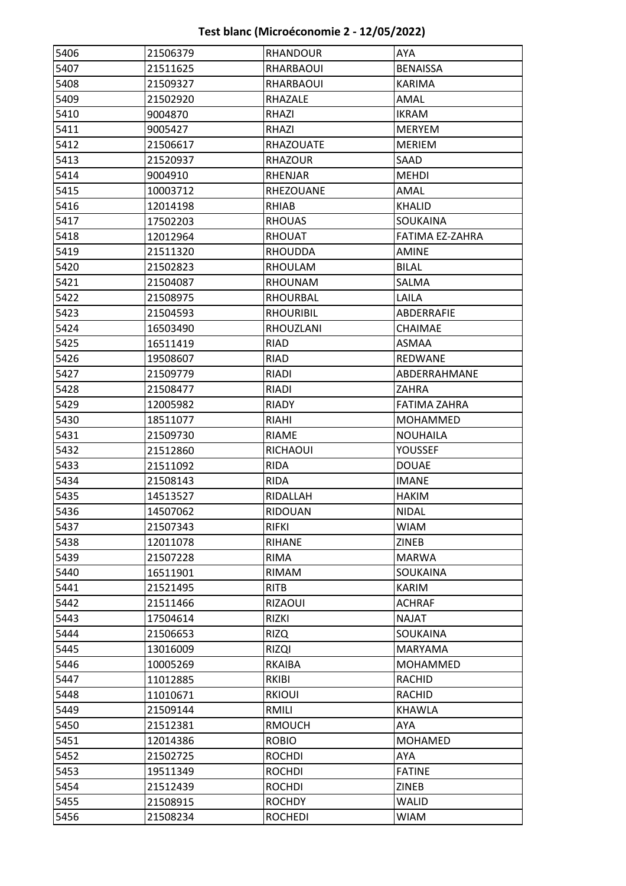| 5406 | 21506379 | <b>RHANDOUR</b>  | AYA               |
|------|----------|------------------|-------------------|
| 5407 | 21511625 | RHARBAOUI        | <b>BENAISSA</b>   |
| 5408 | 21509327 | RHARBAOUI        | <b>KARIMA</b>     |
| 5409 | 21502920 | RHAZALE          | AMAL              |
| 5410 | 9004870  | RHAZI            | <b>IKRAM</b>      |
| 5411 | 9005427  | RHAZI            | <b>MERYEM</b>     |
| 5412 | 21506617 | <b>RHAZOUATE</b> | <b>MERIEM</b>     |
| 5413 | 21520937 | <b>RHAZOUR</b>   | SAAD              |
| 5414 | 9004910  | <b>RHENJAR</b>   | <b>MEHDI</b>      |
| 5415 | 10003712 | RHEZOUANE        | AMAL              |
| 5416 | 12014198 | RHIAB            | <b>KHALID</b>     |
| 5417 | 17502203 | <b>RHOUAS</b>    | <b>SOUKAINA</b>   |
| 5418 | 12012964 | <b>RHOUAT</b>    | FATIMA EZ-ZAHRA   |
| 5419 | 21511320 | <b>RHOUDDA</b>   | <b>AMINE</b>      |
| 5420 | 21502823 | RHOULAM          | <b>BILAL</b>      |
| 5421 | 21504087 | <b>RHOUNAM</b>   | SALMA             |
| 5422 | 21508975 | RHOURBAL         | LAILA             |
| 5423 | 21504593 | <b>RHOURIBIL</b> | <b>ABDERRAFIE</b> |
| 5424 | 16503490 | RHOUZLANI        | <b>CHAIMAE</b>    |
| 5425 | 16511419 | <b>RIAD</b>      | ASMAA             |
| 5426 | 19508607 | <b>RIAD</b>      | <b>REDWANE</b>    |
| 5427 | 21509779 | RIADI            | ABDERRAHMANE      |
| 5428 | 21508477 | RIADI            | <b>ZAHRA</b>      |
| 5429 | 12005982 | RIADY            | FATIMA ZAHRA      |
| 5430 | 18511077 | RIAHI            | <b>MOHAMMED</b>   |
| 5431 | 21509730 | <b>RIAME</b>     | <b>NOUHAILA</b>   |
| 5432 | 21512860 | <b>RICHAOUI</b>  | <b>YOUSSEF</b>    |
| 5433 | 21511092 | <b>RIDA</b>      | <b>DOUAE</b>      |
| 5434 | 21508143 | RIDA             | <b>IMANE</b>      |
| 5435 | 14513527 | RIDALLAH         | <b>HAKIM</b>      |
| 5436 | 14507062 | <b>RIDOUAN</b>   | <b>NIDAL</b>      |
| 5437 | 21507343 | <b>RIFKI</b>     | <b>WIAM</b>       |
| 5438 | 12011078 | <b>RIHANE</b>    | <b>ZINEB</b>      |
| 5439 | 21507228 | RIMA             | <b>MARWA</b>      |
| 5440 | 16511901 | RIMAM            | <b>SOUKAINA</b>   |
| 5441 | 21521495 | <b>RITB</b>      | <b>KARIM</b>      |
| 5442 | 21511466 | <b>RIZAOUI</b>   | <b>ACHRAF</b>     |
| 5443 | 17504614 | <b>RIZKI</b>     | <b>NAJAT</b>      |
| 5444 | 21506653 | <b>RIZQ</b>      | SOUKAINA          |
| 5445 | 13016009 | <b>RIZQI</b>     | <b>MARYAMA</b>    |
| 5446 | 10005269 | <b>RKAIBA</b>    | MOHAMMED          |
| 5447 | 11012885 | <b>RKIBI</b>     | <b>RACHID</b>     |
| 5448 | 11010671 | <b>RKIOUI</b>    | <b>RACHID</b>     |
| 5449 | 21509144 | RMILI            | <b>KHAWLA</b>     |
| 5450 | 21512381 | <b>RMOUCH</b>    | AYA               |
| 5451 | 12014386 | <b>ROBIO</b>     | <b>MOHAMED</b>    |
| 5452 | 21502725 | <b>ROCHDI</b>    | AYA               |
| 5453 | 19511349 | <b>ROCHDI</b>    | <b>FATINE</b>     |
| 5454 | 21512439 | <b>ROCHDI</b>    | <b>ZINEB</b>      |
| 5455 | 21508915 | <b>ROCHDY</b>    | <b>WALID</b>      |
| 5456 | 21508234 | <b>ROCHEDI</b>   | <b>WIAM</b>       |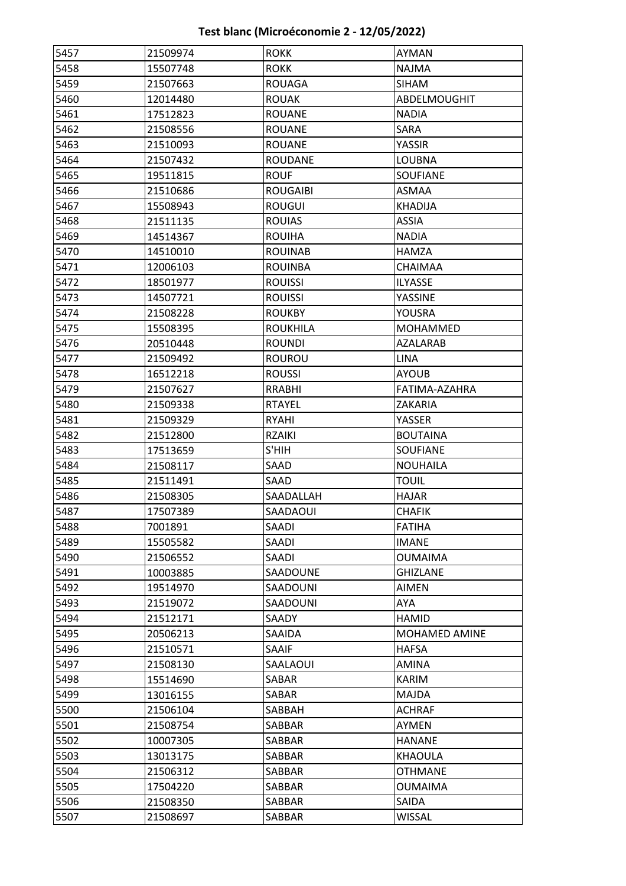| 5457 | 21509974 | <b>ROKK</b>     | <b>AYMAN</b>        |
|------|----------|-----------------|---------------------|
| 5458 | 15507748 | <b>ROKK</b>     | <b>NAJMA</b>        |
| 5459 | 21507663 | <b>ROUAGA</b>   | <b>SIHAM</b>        |
| 5460 | 12014480 | <b>ROUAK</b>    | <b>ABDELMOUGHIT</b> |
| 5461 | 17512823 | <b>ROUANE</b>   | <b>NADIA</b>        |
| 5462 | 21508556 | <b>ROUANE</b>   | SARA                |
| 5463 | 21510093 | <b>ROUANE</b>   | YASSIR              |
| 5464 | 21507432 | <b>ROUDANE</b>  | <b>LOUBNA</b>       |
| 5465 | 19511815 | <b>ROUF</b>     | <b>SOUFIANE</b>     |
| 5466 | 21510686 | <b>ROUGAIBI</b> | <b>ASMAA</b>        |
| 5467 | 15508943 | <b>ROUGUI</b>   | <b>KHADIJA</b>      |
| 5468 | 21511135 | <b>ROUIAS</b>   | <b>ASSIA</b>        |
| 5469 | 14514367 | <b>ROUIHA</b>   | <b>NADIA</b>        |
| 5470 | 14510010 | <b>ROUINAB</b>  | <b>HAMZA</b>        |
| 5471 | 12006103 | <b>ROUINBA</b>  | CHAIMAA             |
| 5472 | 18501977 | <b>ROUISSI</b>  | <b>ILYASSE</b>      |
| 5473 | 14507721 | <b>ROUISSI</b>  | YASSINE             |
| 5474 | 21508228 | <b>ROUKBY</b>   | YOUSRA              |
| 5475 | 15508395 | <b>ROUKHILA</b> | MOHAMMED            |
| 5476 | 20510448 | <b>ROUNDI</b>   | <b>AZALARAB</b>     |
| 5477 | 21509492 | <b>ROUROU</b>   | LINA                |
| 5478 | 16512218 | <b>ROUSSI</b>   | <b>AYOUB</b>        |
| 5479 | 21507627 | RRABHI          | FATIMA-AZAHRA       |
| 5480 | 21509338 | <b>RTAYEL</b>   | ZAKARIA             |
| 5481 | 21509329 | RYAHI           | YASSER              |
| 5482 | 21512800 | RZAIKI          | <b>BOUTAINA</b>     |
| 5483 | 17513659 | S'HIH           | SOUFIANE            |
| 5484 | 21508117 | SAAD            | <b>NOUHAILA</b>     |
| 5485 | 21511491 | SAAD            | <b>TOUIL</b>        |
| 5486 | 21508305 | SAADALLAH       | HAJAR               |
| 5487 | 17507389 | SAADAOUI        | <b>CHAFIK</b>       |
| 5488 | 7001891  | SAADI           | <b>FATIHA</b>       |
| 5489 | 15505582 | SAADI           | <b>IMANE</b>        |
| 5490 | 21506552 | SAADI           | <b>OUMAIMA</b>      |
| 5491 | 10003885 | SAADOUNE        | GHIZLANE            |
| 5492 | 19514970 | SAADOUNI        | <b>AIMEN</b>        |
| 5493 | 21519072 | SAADOUNI        | AYA                 |
| 5494 | 21512171 | SAADY           | <b>HAMID</b>        |
| 5495 | 20506213 | SAAIDA          | MOHAMED AMINE       |
| 5496 | 21510571 | SAAIF           | <b>HAFSA</b>        |
| 5497 | 21508130 | SAALAOUI        | AMINA               |
| 5498 | 15514690 | SABAR           | KARIM               |
| 5499 | 13016155 | SABAR           | MAJDA               |
| 5500 | 21506104 | SABBAH          | <b>ACHRAF</b>       |
| 5501 | 21508754 | SABBAR          | <b>AYMEN</b>        |
| 5502 | 10007305 | SABBAR          | <b>HANANE</b>       |
| 5503 | 13013175 | SABBAR          | KHAOULA             |
| 5504 | 21506312 | SABBAR          | <b>OTHMANE</b>      |
| 5505 | 17504220 | SABBAR          | <b>OUMAIMA</b>      |
| 5506 | 21508350 | SABBAR          | SAIDA               |
| 5507 | 21508697 | SABBAR          | WISSAL              |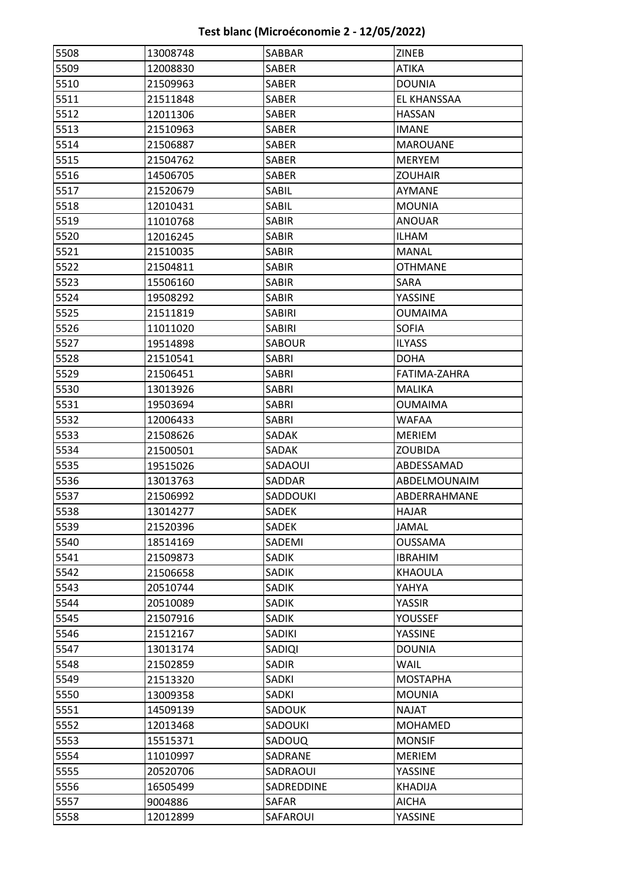| 5508 | 13008748 | SABBAR        | ZINEB           |
|------|----------|---------------|-----------------|
| 5509 | 12008830 | SABER         | <b>ATIKA</b>    |
| 5510 | 21509963 | SABER         | <b>DOUNIA</b>   |
| 5511 | 21511848 | SABER         | EL KHANSSAA     |
| 5512 | 12011306 | <b>SABER</b>  | <b>HASSAN</b>   |
| 5513 | 21510963 | SABER         | <b>IMANE</b>    |
| 5514 | 21506887 | SABER         | <b>MAROUANE</b> |
| 5515 | 21504762 | <b>SABER</b>  | <b>MERYEM</b>   |
| 5516 | 14506705 | SABER         | <b>ZOUHAIR</b>  |
| 5517 | 21520679 | SABIL         | AYMANE          |
| 5518 | 12010431 | SABIL         | <b>MOUNIA</b>   |
| 5519 | 11010768 | <b>SABIR</b>  | <b>ANOUAR</b>   |
| 5520 | 12016245 | <b>SABIR</b>  | <b>ILHAM</b>    |
| 5521 | 21510035 | SABIR         | <b>MANAL</b>    |
| 5522 | 21504811 | SABIR         | OTHMANE         |
| 5523 | 15506160 | SABIR         | SARA            |
| 5524 | 19508292 | SABIR         | <b>YASSINE</b>  |
| 5525 | 21511819 | <b>SABIRI</b> | OUMAIMA         |
| 5526 | 11011020 | <b>SABIRI</b> | <b>SOFIA</b>    |
| 5527 | 19514898 | SABOUR        | <b>ILYASS</b>   |
| 5528 | 21510541 | SABRI         | <b>DOHA</b>     |
| 5529 | 21506451 | SABRI         | FATIMA-ZAHRA    |
| 5530 | 13013926 | SABRI         | <b>MALIKA</b>   |
| 5531 | 19503694 | SABRI         | OUMAIMA         |
| 5532 | 12006433 | SABRI         | WAFAA           |
| 5533 | 21508626 | SADAK         | <b>MERIEM</b>   |
| 5534 | 21500501 | SADAK         | <b>ZOUBIDA</b>  |
| 5535 | 19515026 | SADAOUI       | ABDESSAMAD      |
| 5536 | 13013763 | SADDAR        | ABDELMOUNAIM    |
| 5537 | 21506992 | SADDOUKI      | ABDERRAHMANE    |
| 5538 | 13014277 | SADEK         | <b>HAJAR</b>    |
| 5539 | 21520396 | SADEK         | <b>JAMAL</b>    |
| 5540 | 18514169 | SADEMI        | <b>OUSSAMA</b>  |
| 5541 | 21509873 | <b>SADIK</b>  | <b>IBRAHIM</b>  |
| 5542 | 21506658 | <b>SADIK</b>  | <b>KHAOULA</b>  |
| 5543 | 20510744 | <b>SADIK</b>  | YAHYA           |
| 5544 | 20510089 | <b>SADIK</b>  | YASSIR          |
| 5545 | 21507916 | SADIK         | <b>YOUSSEF</b>  |
| 5546 | 21512167 | SADIKI        | YASSINE         |
| 5547 | 13013174 | SADIQI        | <b>DOUNIA</b>   |
| 5548 | 21502859 | SADIR         | WAIL            |
| 5549 | 21513320 | SADKI         | <b>MOSTAPHA</b> |
| 5550 | 13009358 | SADKI         | <b>MOUNIA</b>   |
| 5551 | 14509139 | <b>SADOUK</b> | <b>NAJAT</b>    |
| 5552 | 12013468 | SADOUKI       | <b>MOHAMED</b>  |
| 5553 | 15515371 | SADOUQ        | <b>MONSIF</b>   |
| 5554 | 11010997 | SADRANE       | <b>MERIEM</b>   |
| 5555 | 20520706 | SADRAOUI      | YASSINE         |
| 5556 | 16505499 | SADREDDINE    | <b>KHADIJA</b>  |
| 5557 | 9004886  | SAFAR         | <b>AICHA</b>    |
| 5558 | 12012899 | SAFAROUI      | YASSINE         |
|      |          |               |                 |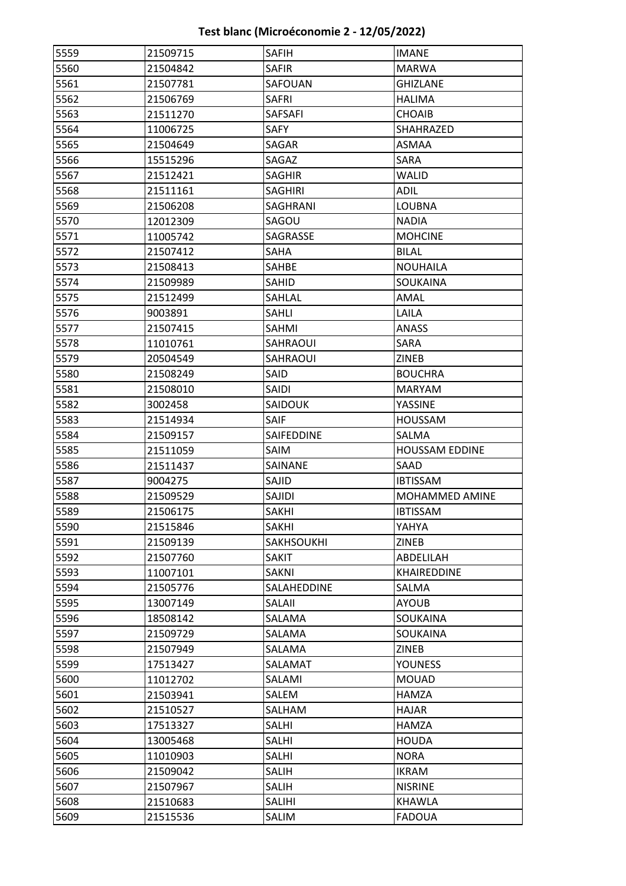| 5559 | 21509715 | SAFIH             | <b>IMANE</b>          |
|------|----------|-------------------|-----------------------|
| 5560 | 21504842 | <b>SAFIR</b>      | <b>MARWA</b>          |
| 5561 | 21507781 | <b>SAFOUAN</b>    | <b>GHIZLANE</b>       |
| 5562 | 21506769 | <b>SAFRI</b>      | <b>HALIMA</b>         |
| 5563 | 21511270 | <b>SAFSAFI</b>    | <b>CHOAIB</b>         |
| 5564 | 11006725 | SAFY              | SHAHRAZED             |
| 5565 | 21504649 | SAGAR             | <b>ASMAA</b>          |
| 5566 | 15515296 | SAGAZ             | SARA                  |
| 5567 | 21512421 | <b>SAGHIR</b>     | WALID                 |
| 5568 | 21511161 | <b>SAGHIRI</b>    | <b>ADIL</b>           |
| 5569 | 21506208 | SAGHRANI          | LOUBNA                |
| 5570 | 12012309 | SAGOU             | <b>NADIA</b>          |
| 5571 | 11005742 | SAGRASSE          | <b>MOHCINE</b>        |
| 5572 | 21507412 | <b>SAHA</b>       | <b>BILAL</b>          |
| 5573 | 21508413 | <b>SAHBE</b>      | <b>NOUHAILA</b>       |
| 5574 | 21509989 | SAHID             | SOUKAINA              |
| 5575 | 21512499 | SAHLAL            | AMAL                  |
| 5576 | 9003891  | <b>SAHLI</b>      | LAILA                 |
| 5577 | 21507415 | SAHMI             | <b>ANASS</b>          |
| 5578 | 11010761 | SAHRAOUI          | SARA                  |
| 5579 | 20504549 | SAHRAOUI          | <b>ZINEB</b>          |
| 5580 | 21508249 | SAID              | <b>BOUCHRA</b>        |
| 5581 | 21508010 | <b>SAIDI</b>      | <b>MARYAM</b>         |
| 5582 | 3002458  | <b>SAIDOUK</b>    | YASSINE               |
| 5583 | 21514934 | <b>SAIF</b>       | <b>HOUSSAM</b>        |
| 5584 | 21509157 | SAIFEDDINE        | SALMA                 |
| 5585 | 21511059 | SAIM              | <b>HOUSSAM EDDINE</b> |
| 5586 | 21511437 | SAINANE           | SAAD                  |
| 5587 | 9004275  | SAJID             | <b>IBTISSAM</b>       |
| 5588 | 21509529 | SAJIDI            | MOHAMMED AMINE        |
| 5589 | 21506175 | <b>SAKHI</b>      | <b>IBTISSAM</b>       |
| 5590 | 21515846 | <b>SAKHI</b>      | YAHYA                 |
| 5591 | 21509139 | <b>SAKHSOUKHI</b> | <b>ZINEB</b>          |
| 5592 | 21507760 | SAKIT             | ABDELILAH             |
| 5593 | 11007101 | <b>SAKNI</b>      | <b>KHAIREDDINE</b>    |
| 5594 | 21505776 | SALAHEDDINE       | SALMA                 |
| 5595 | 13007149 | SALAII            | <b>AYOUB</b>          |
| 5596 | 18508142 | SALAMA            | SOUKAINA              |
| 5597 | 21509729 | SALAMA            | SOUKAINA              |
| 5598 | 21507949 | SALAMA            | <b>ZINEB</b>          |
| 5599 | 17513427 | SALAMAT           | <b>YOUNESS</b>        |
| 5600 | 11012702 | SALAMI            | <b>MOUAD</b>          |
| 5601 | 21503941 | SALEM             | <b>HAMZA</b>          |
| 5602 | 21510527 | SALHAM            | HAJAR                 |
| 5603 | 17513327 | SALHI             | <b>HAMZA</b>          |
| 5604 | 13005468 | SALHI             | <b>HOUDA</b>          |
| 5605 | 11010903 | SALHI             | <b>NORA</b>           |
| 5606 | 21509042 | <b>SALIH</b>      | <b>IKRAM</b>          |
| 5607 | 21507967 | SALIH             | <b>NISRINE</b>        |
| 5608 | 21510683 | SALIHI            | <b>KHAWLA</b>         |
| 5609 | 21515536 | SALIM             | <b>FADOUA</b>         |
|      |          |                   |                       |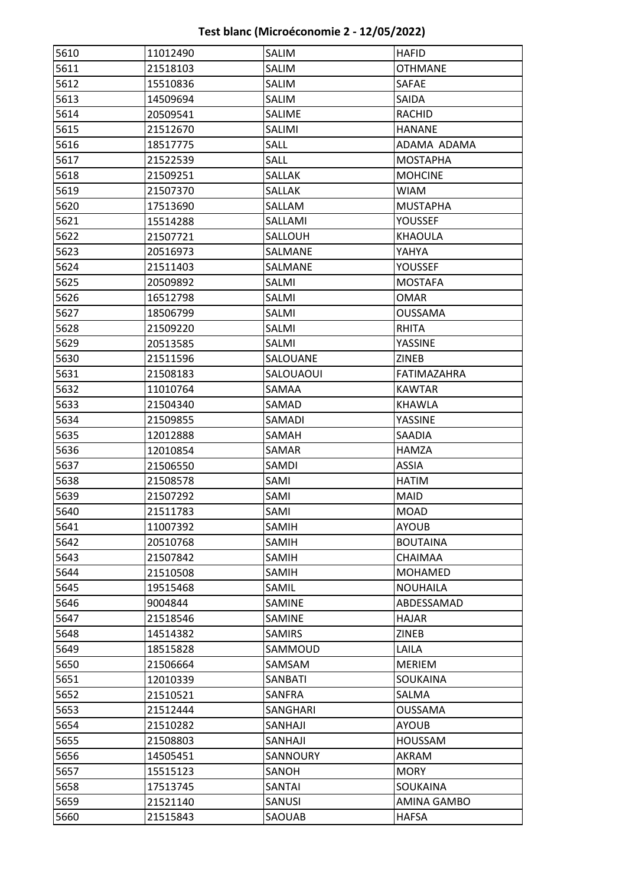| 5610 | 11012490 | SALIM         | <b>HAFID</b>    |
|------|----------|---------------|-----------------|
| 5611 | 21518103 | SALIM         | <b>OTHMANE</b>  |
| 5612 | 15510836 | SALIM         | SAFAE           |
| 5613 | 14509694 | SALIM         | SAIDA           |
| 5614 | 20509541 | SALIME        | RACHID          |
| 5615 | 21512670 | SALIMI        | <b>HANANE</b>   |
| 5616 | 18517775 | SALL          | ADAMA ADAMA     |
| 5617 | 21522539 | SALL          | <b>MOSTAPHA</b> |
| 5618 | 21509251 | SALLAK        | <b>MOHCINE</b>  |
| 5619 | 21507370 | SALLAK        | WIAM            |
| 5620 | 17513690 | SALLAM        | <b>MUSTAPHA</b> |
| 5621 | 15514288 | SALLAMI       | <b>YOUSSEF</b>  |
| 5622 | 21507721 | SALLOUH       | <b>KHAOULA</b>  |
| 5623 | 20516973 | SALMANE       | YAHYA           |
| 5624 | 21511403 | SALMANE       | YOUSSEF         |
| 5625 | 20509892 | SALMI         | <b>MOSTAFA</b>  |
| 5626 | 16512798 | SALMI         | <b>OMAR</b>     |
| 5627 | 18506799 | SALMI         | OUSSAMA         |
| 5628 | 21509220 | SALMI         | <b>RHITA</b>    |
| 5629 | 20513585 | SALMI         | YASSINE         |
| 5630 | 21511596 | SALOUANE      | <b>ZINEB</b>    |
| 5631 | 21508183 | SALOUAOUI     | FATIMAZAHRA     |
| 5632 | 11010764 | SAMAA         | <b>KAWTAR</b>   |
| 5633 | 21504340 | SAMAD         | KHAWLA          |
| 5634 | 21509855 | SAMADI        | YASSINE         |
| 5635 | 12012888 | SAMAH         | <b>SAADIA</b>   |
| 5636 | 12010854 | SAMAR         | HAMZA           |
| 5637 | 21506550 | SAMDI         | <b>ASSIA</b>    |
| 5638 | 21508578 | SAMI          | <b>HATIM</b>    |
| 5639 | 21507292 | SAMI          | <b>MAID</b>     |
| 5640 | 21511783 | SAMI          | <b>MOAD</b>     |
| 5641 | 11007392 | SAMIH         | <b>AYOUB</b>    |
| 5642 | 20510768 | SAMIH         | <b>BOUTAINA</b> |
| 5643 | 21507842 | SAMIH         | CHAIMAA         |
| 5644 | 21510508 | SAMIH         | MOHAMED         |
| 5645 | 19515468 | SAMIL         | <b>NOUHAILA</b> |
| 5646 | 9004844  | SAMINE        | ABDESSAMAD      |
| 5647 | 21518546 | SAMINE        | <b>HAJAR</b>    |
| 5648 | 14514382 | <b>SAMIRS</b> | <b>ZINEB</b>    |
| 5649 | 18515828 | SAMMOUD       | LAILA           |
| 5650 | 21506664 | SAMSAM        | <b>MERIEM</b>   |
| 5651 | 12010339 | SANBATI       | SOUKAINA        |
| 5652 | 21510521 | SANFRA        | SALMA           |
| 5653 | 21512444 | SANGHARI      | <b>OUSSAMA</b>  |
| 5654 | 21510282 | SANHAJI       | <b>AYOUB</b>    |
| 5655 | 21508803 | SANHAJI       | <b>HOUSSAM</b>  |
| 5656 | 14505451 | SANNOURY      | AKRAM           |
| 5657 | 15515123 | SANOH         | <b>MORY</b>     |
| 5658 | 17513745 | SANTAI        | SOUKAINA        |
| 5659 | 21521140 | SANUSI        | AMINA GAMBO     |
| 5660 | 21515843 | SAOUAB        | <b>HAFSA</b>    |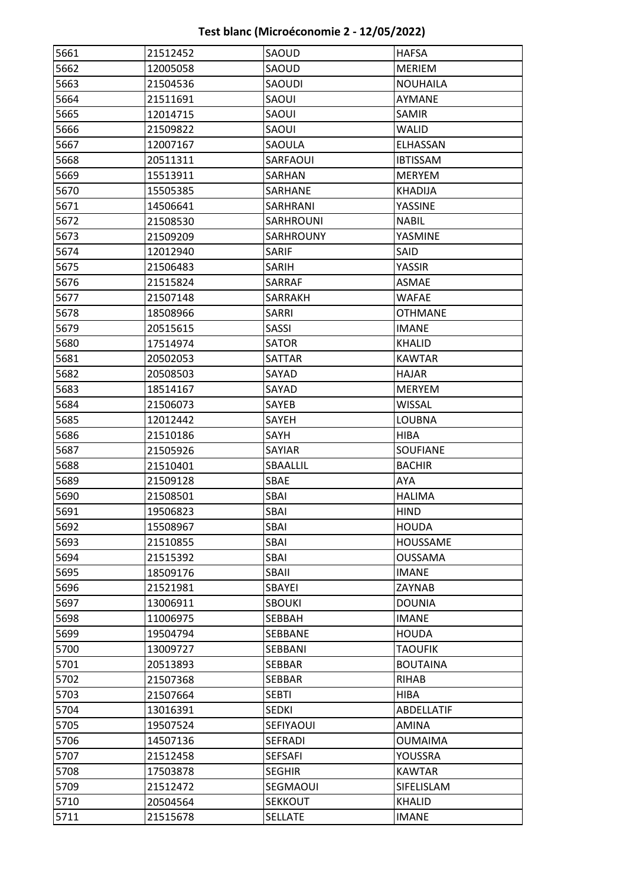| 5661 | 21512452 | SAOUD            | <b>HAFSA</b>      |
|------|----------|------------------|-------------------|
| 5662 | 12005058 | SAOUD            | <b>MERIEM</b>     |
| 5663 | 21504536 | SAOUDI           | <b>NOUHAILA</b>   |
| 5664 | 21511691 | SAOUI            | AYMANE            |
| 5665 | 12014715 | SAOUI            | SAMIR             |
| 5666 | 21509822 | SAOUI            | <b>WALID</b>      |
| 5667 | 12007167 | SAOULA           | ELHASSAN          |
| 5668 | 20511311 | SARFAOUI         | <b>IBTISSAM</b>   |
| 5669 | 15513911 | SARHAN           | <b>MERYEM</b>     |
| 5670 | 15505385 | SARHANE          | <b>KHADIJA</b>    |
| 5671 | 14506641 | SARHRANI         | YASSINE           |
| 5672 | 21508530 | SARHROUNI        | <b>NABIL</b>      |
| 5673 | 21509209 | <b>SARHROUNY</b> | YASMINE           |
| 5674 | 12012940 | <b>SARIF</b>     | <b>SAID</b>       |
| 5675 | 21506483 | <b>SARIH</b>     | YASSIR            |
| 5676 | 21515824 | <b>SARRAF</b>    | <b>ASMAE</b>      |
| 5677 | 21507148 | <b>SARRAKH</b>   | WAFAE             |
| 5678 | 18508966 | <b>SARRI</b>     | <b>OTHMANE</b>    |
| 5679 | 20515615 | SASSI            | <b>IMANE</b>      |
| 5680 | 17514974 | <b>SATOR</b>     | <b>KHALID</b>     |
| 5681 | 20502053 | SATTAR           | <b>KAWTAR</b>     |
| 5682 | 20508503 | SAYAD            | <b>HAJAR</b>      |
| 5683 | 18514167 | SAYAD            | <b>MERYEM</b>     |
| 5684 | 21506073 | SAYEB            | WISSAL            |
| 5685 | 12012442 | SAYEH            | LOUBNA            |
| 5686 | 21510186 | SAYH             | <b>HIBA</b>       |
| 5687 | 21505926 | SAYIAR           | SOUFIANE          |
| 5688 | 21510401 | SBAALLIL         | <b>BACHIR</b>     |
| 5689 | 21509128 | <b>SBAE</b>      | AYA               |
| 5690 | 21508501 | SBAI             | <b>HALIMA</b>     |
| 5691 | 19506823 | SBAI             | <b>HIND</b>       |
| 5692 | 15508967 | SBAI             | <b>HOUDA</b>      |
| 5693 | 21510855 | SBAI             | <b>HOUSSAME</b>   |
| 5694 | 21515392 | SBAI             | <b>OUSSAMA</b>    |
| 5695 | 18509176 | SBAII            | <b>IMANE</b>      |
| 5696 | 21521981 | SBAYEI           | ZAYNAB            |
| 5697 | 13006911 | <b>SBOUKI</b>    | <b>DOUNIA</b>     |
| 5698 | 11006975 | SEBBAH           | <b>IMANE</b>      |
| 5699 | 19504794 | SEBBANE          | <b>HOUDA</b>      |
| 5700 | 13009727 | SEBBANI          | <b>TAOUFIK</b>    |
| 5701 | 20513893 | SEBBAR           | <b>BOUTAINA</b>   |
| 5702 | 21507368 | <b>SEBBAR</b>    | <b>RIHAB</b>      |
| 5703 | 21507664 | <b>SEBTI</b>     | <b>HIBA</b>       |
| 5704 | 13016391 | <b>SEDKI</b>     | <b>ABDELLATIF</b> |
| 5705 | 19507524 | SEFIYAOUI        | AMINA             |
| 5706 | 14507136 | <b>SEFRADI</b>   | <b>OUMAIMA</b>    |
| 5707 | 21512458 | <b>SEFSAFI</b>   | YOUSSRA           |
| 5708 | 17503878 | <b>SEGHIR</b>    | <b>KAWTAR</b>     |
| 5709 | 21512472 | SEGMAOUI         | SIFELISLAM        |
| 5710 | 20504564 | <b>SEKKOUT</b>   | <b>KHALID</b>     |
| 5711 | 21515678 | <b>SELLATE</b>   | <b>IMANE</b>      |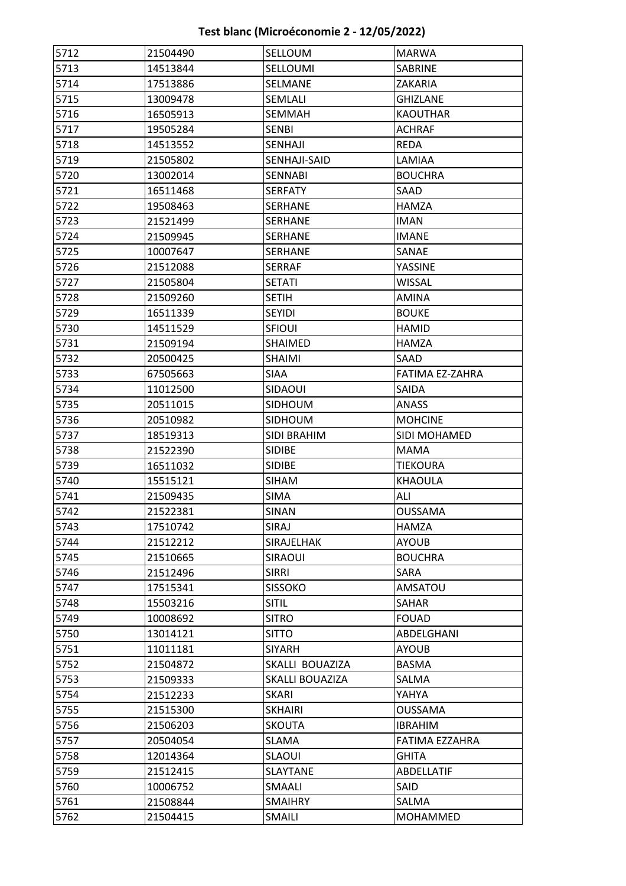| 5712 | 21504490 | SELLOUM            | MARWA           |
|------|----------|--------------------|-----------------|
| 5713 | 14513844 | SELLOUMI           | SABRINE         |
| 5714 | 17513886 | SELMANE            | ZAKARIA         |
| 5715 | 13009478 | SEMLALI            | <b>GHIZLANE</b> |
| 5716 | 16505913 | SEMMAH             | <b>KAOUTHAR</b> |
| 5717 | 19505284 | <b>SENBI</b>       | <b>ACHRAF</b>   |
| 5718 | 14513552 | SENHAJI            | <b>REDA</b>     |
| 5719 | 21505802 | SENHAJI-SAID       | LAMIAA          |
| 5720 | 13002014 | SENNABI            | <b>BOUCHRA</b>  |
| 5721 | 16511468 | <b>SERFATY</b>     | SAAD            |
| 5722 | 19508463 | <b>SERHANE</b>     | HAMZA           |
| 5723 | 21521499 | <b>SERHANE</b>     | <b>IMAN</b>     |
| 5724 | 21509945 | <b>SERHANE</b>     | <b>IMANE</b>    |
| 5725 | 10007647 | <b>SERHANE</b>     | SANAE           |
| 5726 | 21512088 | <b>SERRAF</b>      | YASSINE         |
| 5727 | 21505804 | <b>SETATI</b>      | <b>WISSAL</b>   |
| 5728 | 21509260 | <b>SETIH</b>       | AMINA           |
| 5729 | 16511339 | <b>SEYIDI</b>      | <b>BOUKE</b>    |
| 5730 | 14511529 | SFIOUI             | <b>HAMID</b>    |
| 5731 | 21509194 | <b>SHAIMED</b>     | HAMZA           |
| 5732 | 20500425 | <b>SHAIMI</b>      | SAAD            |
| 5733 | 67505663 | <b>SIAA</b>        | FATIMA EZ-ZAHRA |
| 5734 | 11012500 | SIDAOUI            | <b>SAIDA</b>    |
| 5735 | 20511015 | <b>SIDHOUM</b>     | ANASS           |
| 5736 | 20510982 | <b>SIDHOUM</b>     | <b>MOHCINE</b>  |
| 5737 | 18519313 | <b>SIDI BRAHIM</b> | SIDI MOHAMED    |
| 5738 | 21522390 | <b>SIDIBE</b>      | <b>MAMA</b>     |
| 5739 | 16511032 | <b>SIDIBE</b>      | TIEKOURA        |
| 5740 | 15515121 | <b>SIHAM</b>       | <b>KHAOULA</b>  |
| 5741 | 21509435 | <b>SIMA</b>        | ALI             |
| 5742 | 21522381 | SINAN              | OUSSAMA         |
| 5743 | 17510742 | SIRAJ              | HAMZA           |
| 5744 | 21512212 | SIRAJELHAK         | <b>AYOUB</b>    |
| 5745 | 21510665 | <b>SIRAOUI</b>     | <b>BOUCHRA</b>  |
| 5746 | 21512496 | <b>SIRRI</b>       | SARA            |
| 5747 | 17515341 | <b>SISSOKO</b>     | AMSATOU         |
| 5748 | 15503216 | <b>SITIL</b>       | SAHAR           |
| 5749 | 10008692 | <b>SITRO</b>       | <b>FOUAD</b>    |
| 5750 | 13014121 | <b>SITTO</b>       | ABDELGHANI      |
| 5751 | 11011181 | <b>SIYARH</b>      | <b>AYOUB</b>    |
| 5752 | 21504872 | SKALLI BOUAZIZA    | BASMA           |
| 5753 | 21509333 | SKALLI BOUAZIZA    | SALMA           |
| 5754 | 21512233 | <b>SKARI</b>       | YAHYA           |
| 5755 | 21515300 | <b>SKHAIRI</b>     | OUSSAMA         |
| 5756 | 21506203 | <b>SKOUTA</b>      | <b>IBRAHIM</b>  |
| 5757 | 20504054 | SLAMA              | FATIMA EZZAHRA  |
| 5758 | 12014364 | SLAOUI             | <b>GHITA</b>    |
| 5759 | 21512415 | SLAYTANE           | ABDELLATIF      |
| 5760 | 10006752 | SMAALI             | SAID            |
| 5761 | 21508844 | <b>SMAIHRY</b>     | SALMA           |
| 5762 | 21504415 | SMAILI             | MOHAMMED        |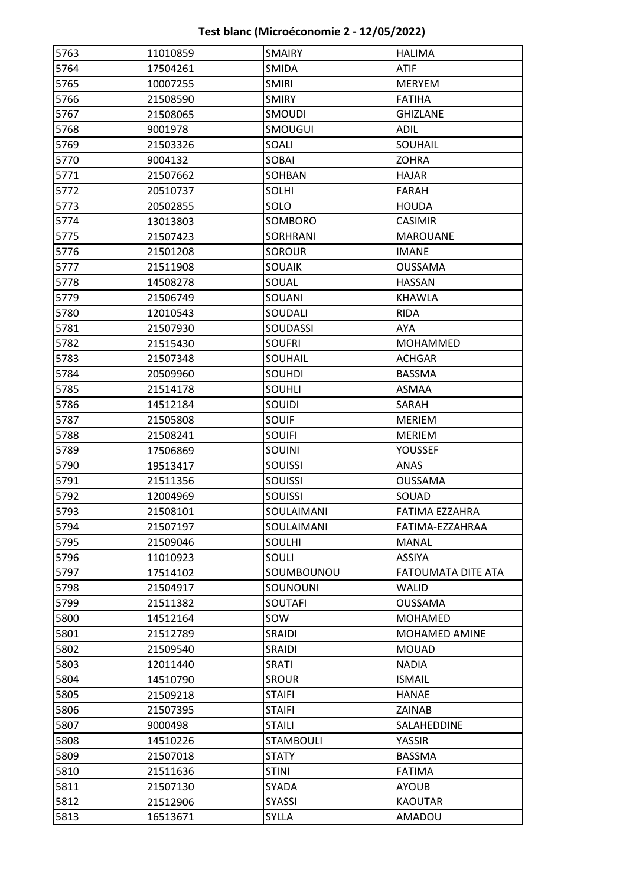| 5763 | 11010859 | <b>SMAIRY</b>    | <b>HALIMA</b>             |
|------|----------|------------------|---------------------------|
| 5764 | 17504261 | SMIDA            | <b>ATIF</b>               |
| 5765 | 10007255 | <b>SMIRI</b>     | <b>MERYEM</b>             |
| 5766 | 21508590 | <b>SMIRY</b>     | <b>FATIHA</b>             |
| 5767 | 21508065 | <b>SMOUDI</b>    | <b>GHIZLANE</b>           |
| 5768 | 9001978  | SMOUGUI          | ADIL                      |
| 5769 | 21503326 | SOALI            | SOUHAIL                   |
| 5770 | 9004132  | SOBAI            | <b>ZOHRA</b>              |
| 5771 | 21507662 | SOHBAN           | <b>HAJAR</b>              |
| 5772 | 20510737 | <b>SOLHI</b>     | <b>FARAH</b>              |
| 5773 | 20502855 | SOLO             | <b>HOUDA</b>              |
| 5774 | 13013803 | SOMBORO          | <b>CASIMIR</b>            |
| 5775 | 21507423 | SORHRANI         | <b>MAROUANE</b>           |
| 5776 | 21501208 | <b>SOROUR</b>    | <b>IMANE</b>              |
| 5777 | 21511908 | <b>SOUAIK</b>    | <b>OUSSAMA</b>            |
| 5778 | 14508278 | SOUAL            | <b>HASSAN</b>             |
| 5779 | 21506749 | SOUANI           | <b>KHAWLA</b>             |
| 5780 | 12010543 | SOUDALI          | <b>RIDA</b>               |
| 5781 | 21507930 | <b>SOUDASSI</b>  | AYA                       |
| 5782 | 21515430 | <b>SOUFRI</b>    | MOHAMMED                  |
| 5783 | 21507348 | SOUHAIL          | <b>ACHGAR</b>             |
| 5784 | 20509960 | SOUHDI           | <b>BASSMA</b>             |
| 5785 | 21514178 | <b>SOUHLI</b>    | ASMAA                     |
| 5786 | 14512184 | SOUIDI           | SARAH                     |
| 5787 | 21505808 | SOUIF            | <b>MERIEM</b>             |
| 5788 | 21508241 | <b>SOUIFI</b>    | <b>MERIEM</b>             |
| 5789 | 17506869 | SOUINI           | <b>YOUSSEF</b>            |
| 5790 | 19513417 | SOUISSI          | <b>ANAS</b>               |
| 5791 | 21511356 | SOUISSI          | <b>OUSSAMA</b>            |
| 5792 | 12004969 | <b>SOUISSI</b>   | SOUAD                     |
| 5793 | 21508101 | SOULAIMANI       | FATIMA EZZAHRA            |
| 5794 | 21507197 | SOULAIMANI       | FATIMA-EZZAHRAA           |
| 5795 | 21509046 | SOULHI           | <b>MANAL</b>              |
| 5796 | 11010923 | SOULI            | <b>ASSIYA</b>             |
| 5797 | 17514102 | SOUMBOUNOU       | <b>FATOUMATA DITE ATA</b> |
| 5798 | 21504917 | SOUNOUNI         | WALID                     |
| 5799 | 21511382 | <b>SOUTAFI</b>   | <b>OUSSAMA</b>            |
| 5800 | 14512164 | SOW              | <b>MOHAMED</b>            |
| 5801 | 21512789 | SRAIDI           | MOHAMED AMINE             |
| 5802 | 21509540 | SRAIDI           | <b>MOUAD</b>              |
| 5803 | 12011440 | <b>SRATI</b>     | <b>NADIA</b>              |
| 5804 | 14510790 | <b>SROUR</b>     | <b>ISMAIL</b>             |
| 5805 | 21509218 | <b>STAIFI</b>    | <b>HANAE</b>              |
| 5806 | 21507395 | <b>STAIFI</b>    | ZAINAB                    |
| 5807 | 9000498  | <b>STAILI</b>    | SALAHEDDINE               |
| 5808 | 14510226 | <b>STAMBOULI</b> | YASSIR                    |
| 5809 | 21507018 | <b>STATY</b>     | <b>BASSMA</b>             |
| 5810 | 21511636 | <b>STINI</b>     | <b>FATIMA</b>             |
| 5811 | 21507130 | SYADA            | <b>AYOUB</b>              |
| 5812 | 21512906 | <b>SYASSI</b>    | <b>KAOUTAR</b>            |
| 5813 | 16513671 | <b>SYLLA</b>     | <b>AMADOU</b>             |
|      |          |                  |                           |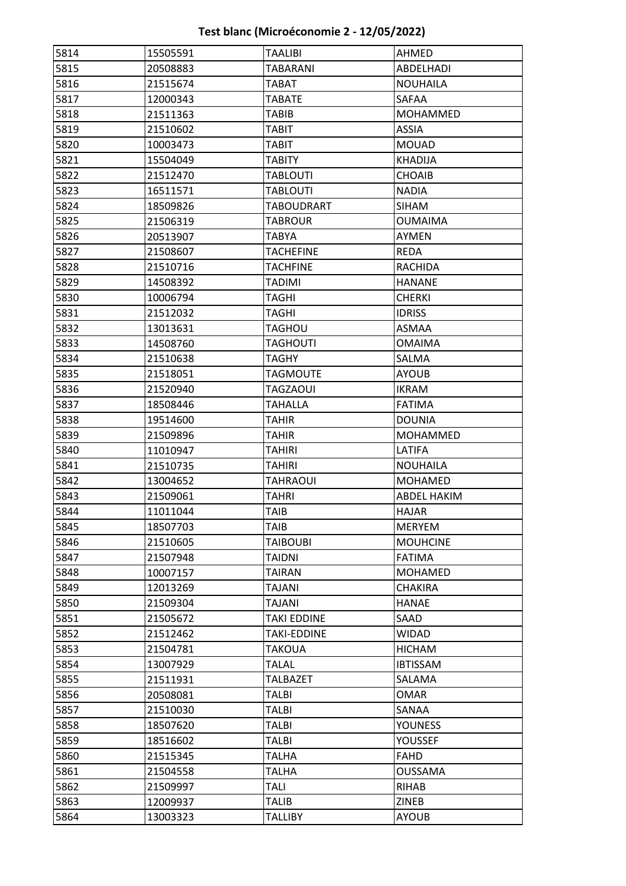| 5814         | 15505591             | TAALIBI                         | AHMED                     |
|--------------|----------------------|---------------------------------|---------------------------|
| 5815         | 20508883             | <b>TABARANI</b>                 | ABDELHADI                 |
| 5816         | 21515674             | <b>TABAT</b>                    | <b>NOUHAILA</b>           |
| 5817         | 12000343             | <b>TABATE</b>                   | SAFAA                     |
| 5818         | 21511363             | <b>TABIB</b>                    | <b>MOHAMMED</b>           |
| 5819         | 21510602             | <b>TABIT</b>                    | <b>ASSIA</b>              |
| 5820         | 10003473             | TABIT                           | <b>MOUAD</b>              |
| 5821         | 15504049             | <b>TABITY</b>                   | <b>KHADIJA</b>            |
| 5822         | 21512470             | <b>TABLOUTI</b>                 | <b>CHOAIB</b>             |
| 5823         | 16511571             | <b>TABLOUTI</b>                 | <b>NADIA</b>              |
| 5824         | 18509826             | <b>TABOUDRART</b>               | <b>SIHAM</b>              |
| 5825         | 21506319             | <b>TABROUR</b>                  | <b>OUMAIMA</b>            |
| 5826         | 20513907             | <b>TABYA</b>                    | AYMEN                     |
| 5827         | 21508607             | <b>TACHEFINE</b>                | <b>REDA</b>               |
| 5828         | 21510716             | TACHFINE                        | <b>RACHIDA</b>            |
| 5829         | 14508392             | <b>TADIMI</b>                   | <b>HANANE</b>             |
| 5830         | 10006794             | TAGHI                           | <b>CHERKI</b>             |
| 5831         | 21512032             | <b>TAGHI</b>                    | <b>IDRISS</b>             |
| 5832         | 13013631             | <b>TAGHOU</b>                   | <b>ASMAA</b>              |
| 5833         | 14508760             | TAGHOUTI                        | OMAIMA                    |
| 5834         | 21510638             | <b>TAGHY</b>                    | SALMA                     |
| 5835         | 21518051             | <b>TAGMOUTE</b>                 | <b>AYOUB</b>              |
| 5836         | 21520940             | TAGZAOUI                        | <b>IKRAM</b>              |
| 5837         | 18508446             | <b>TAHALLA</b>                  | <b>FATIMA</b>             |
| 5838         | 19514600             | <b>TAHIR</b>                    | <b>DOUNIA</b>             |
| 5839         | 21509896             | TAHIR                           | MOHAMMED                  |
| 5840         | 11010947             | TAHIRI                          | LATIFA                    |
| 5841         | 21510735             | <b>TAHIRI</b>                   | <b>NOUHAILA</b>           |
| 5842         | 13004652             | <b>TAHRAOUI</b>                 | <b>MOHAMED</b>            |
| 5843         | 21509061             | <b>TAHRI</b>                    | <b>ABDEL HAKIM</b>        |
| 5844         | 11011044             | <b>TAIB</b>                     | <b>HAJAR</b>              |
| 5845         | 18507703             | <b>TAIB</b>                     | <b>MERYEM</b>             |
| 5846         | 21510605             | <b>TAIBOUBI</b>                 | <b>MOUHCINE</b>           |
| 5847         | 21507948             | <b>TAIDNI</b>                   | <b>FATIMA</b>             |
| 5848         | 10007157             | <b>TAIRAN</b>                   | MOHAMED                   |
| 5849         |                      |                                 | <b>CHAKIRA</b>            |
|              | 12013269<br>21509304 | TAJANI<br><b>TAJANI</b>         | <b>HANAE</b>              |
| 5850<br>5851 |                      | <b>TAKI EDDINE</b>              | SAAD                      |
| 5852         | 21505672<br>21512462 | <b>TAKI-EDDINE</b>              |                           |
| 5853         | 21504781             | <b>TAKOUA</b>                   | WIDAD<br><b>HICHAM</b>    |
|              |                      |                                 |                           |
| 5854         | 13007929             | <b>TALAL</b><br><b>TALBAZET</b> | <b>IBTISSAM</b><br>SALAMA |
| 5855         | 21511931             |                                 |                           |
| 5856         | 20508081             | <b>TALBI</b>                    | OMAR                      |
| 5857         | 21510030             | <b>TALBI</b>                    | SANAA                     |
| 5858         | 18507620             | <b>TALBI</b>                    | <b>YOUNESS</b>            |
| 5859         | 18516602             | <b>TALBI</b>                    | YOUSSEF                   |
| 5860         | 21515345             | <b>TALHA</b>                    | <b>FAHD</b>               |
| 5861         | 21504558             | <b>TALHA</b>                    | <b>OUSSAMA</b>            |
| 5862         | 21509997             | <b>TALI</b>                     | <b>RIHAB</b>              |
| 5863         | 12009937             | <b>TALIB</b>                    | ZINEB                     |
| 5864         | 13003323             | <b>TALLIBY</b>                  | AYOUB                     |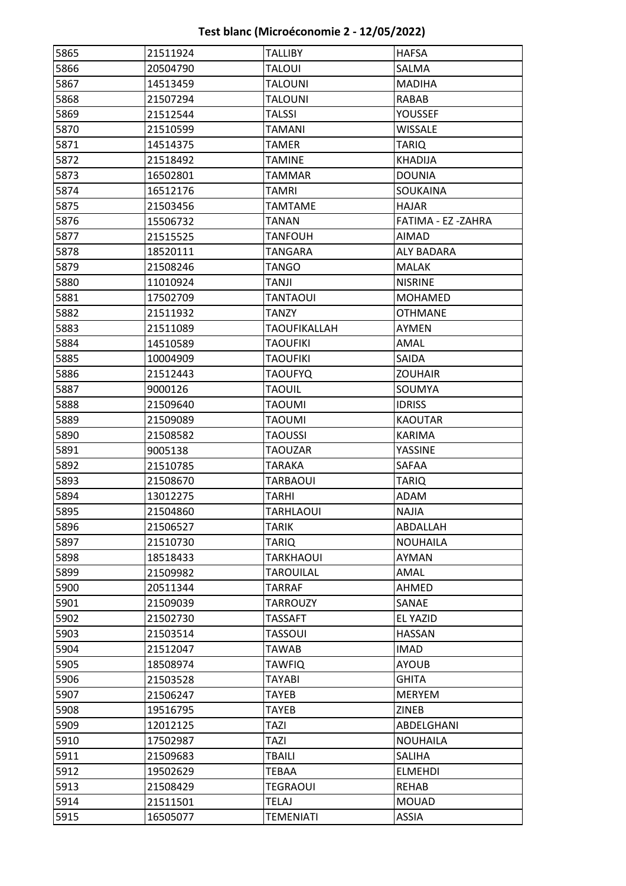| 5865 | 21511924 | <b>TALLIBY</b>      | HAFSA              |
|------|----------|---------------------|--------------------|
| 5866 | 20504790 | <b>TALOUI</b>       | SALMA              |
| 5867 | 14513459 | <b>TALOUNI</b>      | <b>MADIHA</b>      |
| 5868 | 21507294 | <b>TALOUNI</b>      | RABAB              |
| 5869 | 21512544 | <b>TALSSI</b>       | <b>YOUSSEF</b>     |
| 5870 | 21510599 | TAMANI              | WISSALE            |
| 5871 | 14514375 | <b>TAMER</b>        | <b>TARIQ</b>       |
| 5872 | 21518492 | <b>TAMINE</b>       | <b>KHADIJA</b>     |
| 5873 | 16502801 | <b>TAMMAR</b>       | <b>DOUNIA</b>      |
| 5874 | 16512176 | TAMRI               | SOUKAINA           |
| 5875 | 21503456 | <b>TAMTAME</b>      | <b>HAJAR</b>       |
| 5876 | 15506732 | <b>TANAN</b>        | FATIMA - EZ -ZAHRA |
| 5877 | 21515525 | <b>TANFOUH</b>      | AIMAD              |
| 5878 | 18520111 | <b>TANGARA</b>      | <b>ALY BADARA</b>  |
| 5879 | 21508246 | <b>TANGO</b>        | <b>MALAK</b>       |
| 5880 | 11010924 | <b>TANJI</b>        | <b>NISRINE</b>     |
| 5881 | 17502709 | <b>TANTAOUI</b>     | <b>MOHAMED</b>     |
| 5882 | 21511932 | <b>TANZY</b>        | <b>OTHMANE</b>     |
| 5883 | 21511089 | <b>TAOUFIKALLAH</b> | AYMEN              |
| 5884 | 14510589 | <b>TAOUFIKI</b>     | AMAL               |
| 5885 | 10004909 | <b>TAOUFIKI</b>     | SAIDA              |
| 5886 | 21512443 | <b>TAOUFYQ</b>      | <b>ZOUHAIR</b>     |
| 5887 | 9000126  | <b>TAOUIL</b>       | SOUMYA             |
| 5888 | 21509640 | <b>TAOUMI</b>       | <b>IDRISS</b>      |
| 5889 | 21509089 | TAOUMI              | <b>KAOUTAR</b>     |
| 5890 | 21508582 | <b>TAOUSSI</b>      | <b>KARIMA</b>      |
| 5891 | 9005138  | <b>TAOUZAR</b>      | YASSINE            |
| 5892 | 21510785 | <b>TARAKA</b>       | SAFAA              |
| 5893 | 21508670 | <b>TARBAOUI</b>     | <b>TARIQ</b>       |
| 5894 | 13012275 | TARHI               | ADAM               |
| 5895 | 21504860 | <b>TARHLAOUI</b>    | <b>NAJIA</b>       |
| 5896 | 21506527 | <b>TARIK</b>        | ABDALLAH           |
| 5897 | 21510730 | <b>TARIQ</b>        | <b>NOUHAILA</b>    |
| 5898 | 18518433 | <b>TARKHAOUI</b>    | AYMAN              |
| 5899 | 21509982 | <b>TAROUILAL</b>    | AMAL               |
| 5900 | 20511344 | <b>TARRAF</b>       | AHMED              |
| 5901 | 21509039 | <b>TARROUZY</b>     | SANAE              |
| 5902 | 21502730 | <b>TASSAFT</b>      | EL YAZID           |
| 5903 | 21503514 | <b>TASSOUI</b>      | HASSAN             |
| 5904 | 21512047 | <b>TAWAB</b>        | <b>IMAD</b>        |
| 5905 | 18508974 | <b>TAWFIQ</b>       | <b>AYOUB</b>       |
| 5906 | 21503528 | <b>TAYABI</b>       | GHITA              |
| 5907 | 21506247 | <b>TAYEB</b>        | <b>MERYEM</b>      |
| 5908 | 19516795 | <b>TAYEB</b>        | <b>ZINEB</b>       |
| 5909 | 12012125 | <b>TAZI</b>         | ABDELGHANI         |
| 5910 | 17502987 | TAZI                | <b>NOUHAILA</b>    |
| 5911 | 21509683 | <b>TBAILI</b>       | SALIHA             |
| 5912 | 19502629 | <b>TEBAA</b>        | <b>ELMEHDI</b>     |
| 5913 | 21508429 | <b>TEGRAOUI</b>     | REHAB              |
| 5914 | 21511501 | <b>TELAJ</b>        | <b>MOUAD</b>       |
| 5915 | 16505077 | <b>TEMENIATI</b>    | ASSIA              |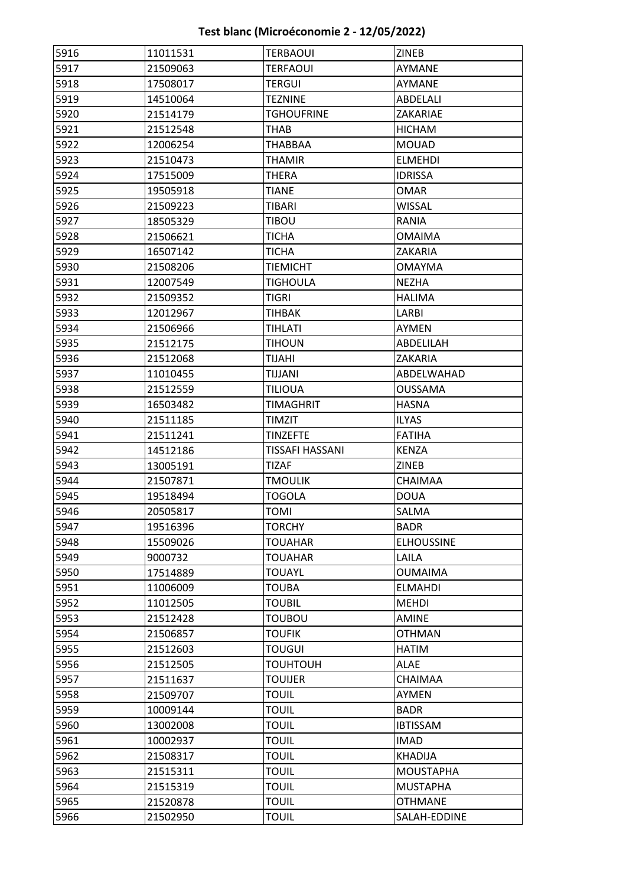| 5916         | 11011531             | <b>TERBAOUI</b>                 | <b>ZINEB</b>          |
|--------------|----------------------|---------------------------------|-----------------------|
| 5917         | 21509063             | <b>TERFAOUI</b>                 | <b>AYMANE</b>         |
| 5918         | 17508017             | <b>TERGUI</b>                   | AYMANE                |
| 5919         | 14510064             | <b>TEZNINE</b>                  | ABDELALI              |
| 5920         | 21514179             | <b>TGHOUFRINE</b>               | ZAKARIAE              |
| 5921         | 21512548             | THAB                            | <b>HICHAM</b>         |
| 5922         | 12006254             | <b>THABBAA</b>                  | <b>MOUAD</b>          |
| 5923         | 21510473             | <b>THAMIR</b>                   | <b>ELMEHDI</b>        |
| 5924         | 17515009             | <b>THERA</b>                    | <b>IDRISSA</b>        |
| 5925         | 19505918             | TIANE                           | OMAR                  |
| 5926         | 21509223             | <b>TIBARI</b>                   | <b>WISSAL</b>         |
| 5927         | 18505329             | TIBOU                           | RANIA                 |
| 5928         | 21506621             | TICHA                           | OMAIMA                |
| 5929         | 16507142             | <b>TICHA</b>                    | ZAKARIA               |
| 5930         | 21508206             | <b>TIEMICHT</b>                 | OMAYMA                |
| 5931         | 12007549             | <b>TIGHOULA</b>                 | <b>NEZHA</b>          |
| 5932         | 21509352             | <b>TIGRI</b>                    | <b>HALIMA</b>         |
| 5933         | 12012967             | <b>TIHBAK</b>                   | LARBI                 |
| 5934         | 21506966             | <b>TIHLATI</b>                  | AYMEN                 |
| 5935         | 21512175             | <b>TIHOUN</b>                   | ABDELILAH             |
| 5936         | 21512068             | <b>TIJAHI</b>                   | ZAKARIA               |
| 5937         | 11010455             | TIJJANI                         | ABDELWAHAD            |
| 5938         | 21512559             | <b>TILIOUA</b>                  | OUSSAMA               |
| 5939         |                      | <b>TIMAGHRIT</b>                | HASNA                 |
| 5940         | 16503482<br>21511185 | <b>TIMZIT</b>                   | <b>ILYAS</b>          |
| 5941         | 21511241             | <b>TINZEFTE</b>                 | <b>FATIHA</b>         |
| 5942         |                      |                                 |                       |
| 5943         | 14512186<br>13005191 | TISSAFI HASSANI<br><b>TIZAF</b> | KENZA<br><b>ZINEB</b> |
|              |                      | <b>TMOULIK</b>                  | CHAIMAA               |
| 5944<br>5945 | 21507871<br>19518494 |                                 |                       |
| 5946         |                      | <b>TOGOLA</b><br><b>TOMI</b>    | <b>DOUA</b><br>SALMA  |
| 5947         | 20505817             |                                 |                       |
| 5948         | 19516396             | <b>TORCHY</b>                   | <b>BADR</b>           |
|              | 15509026             | <b>TOUAHAR</b>                  | <b>ELHOUSSINE</b>     |
| 5949         | 9000732              | <b>TOUAHAR</b>                  | LAILA                 |
| 5950         | 17514889             | <b>TOUAYL</b>                   | <b>OUMAIMA</b>        |
| 5951         | 11006009             | <b>TOUBA</b>                    | <b>ELMAHDI</b>        |
| 5952         | 11012505             | <b>TOUBIL</b>                   | <b>MEHDI</b>          |
| 5953         | 21512428             | <b>TOUBOU</b>                   | <b>AMINE</b>          |
| 5954         | 21506857             | <b>TOUFIK</b>                   | <b>OTHMAN</b>         |
| 5955         | 21512603             | <b>TOUGUI</b>                   | <b>HATIM</b>          |
| 5956         | 21512505             | <b>TOUHTOUH</b>                 | <b>ALAE</b>           |
| 5957         | 21511637             | <b>TOUIJER</b>                  | CHAIMAA               |
| 5958         | 21509707             | <b>TOUIL</b>                    | <b>AYMEN</b>          |
| 5959         | 10009144             | <b>TOUIL</b>                    | <b>BADR</b>           |
| 5960         | 13002008             | <b>TOUIL</b>                    | <b>IBTISSAM</b>       |
| 5961         | 10002937             | <b>TOUIL</b>                    | IMAD                  |
| 5962         | 21508317             | <b>TOUIL</b>                    | <b>KHADIJA</b>        |
| 5963         | 21515311             | <b>TOUIL</b>                    | MOUSTAPHA             |
| 5964         | 21515319             | <b>TOUIL</b>                    | <b>MUSTAPHA</b>       |
| 5965         | 21520878             | <b>TOUIL</b>                    | <b>OTHMANE</b>        |
| 5966         | 21502950             | <b>TOUIL</b>                    | SALAH-EDDINE          |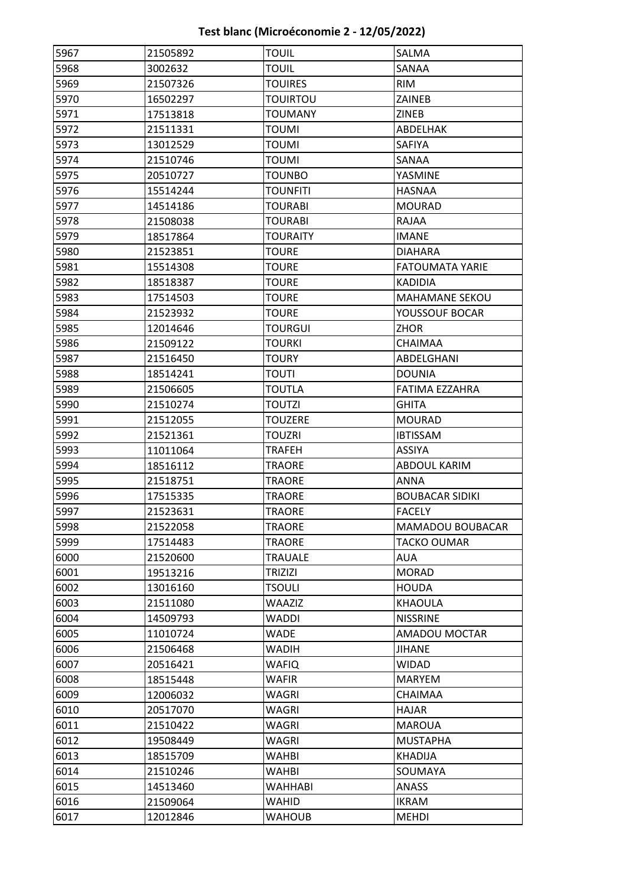| 5967 | 21505892 | <b>TOUIL</b>    | SALMA                   |
|------|----------|-----------------|-------------------------|
| 5968 | 3002632  | <b>TOUIL</b>    | SANAA                   |
| 5969 | 21507326 | <b>TOUIRES</b>  | <b>RIM</b>              |
| 5970 | 16502297 | <b>TOUIRTOU</b> | ZAINEB                  |
| 5971 | 17513818 | <b>TOUMANY</b>  | <b>ZINEB</b>            |
| 5972 | 21511331 | <b>TOUMI</b>    | ABDELHAK                |
| 5973 | 13012529 | <b>TOUMI</b>    | <b>SAFIYA</b>           |
| 5974 | 21510746 | <b>TOUMI</b>    | SANAA                   |
| 5975 | 20510727 | <b>TOUNBO</b>   | YASMINE                 |
| 5976 | 15514244 | <b>TOUNFITI</b> | <b>HASNAA</b>           |
| 5977 | 14514186 | <b>TOURABI</b>  | <b>MOURAD</b>           |
| 5978 | 21508038 | <b>TOURABI</b>  | RAJAA                   |
| 5979 | 18517864 | <b>TOURAITY</b> | <b>IMANE</b>            |
| 5980 | 21523851 | <b>TOURE</b>    | <b>DIAHARA</b>          |
| 5981 | 15514308 | <b>TOURE</b>    | <b>FATOUMATA YARIE</b>  |
| 5982 | 18518387 | <b>TOURE</b>    | <b>KADIDIA</b>          |
| 5983 | 17514503 | <b>TOURE</b>    | <b>MAHAMANE SEKOU</b>   |
| 5984 | 21523932 | <b>TOURE</b>    | YOUSSOUF BOCAR          |
| 5985 | 12014646 | <b>TOURGUI</b>  | <b>ZHOR</b>             |
| 5986 | 21509122 | <b>TOURKI</b>   | CHAIMAA                 |
| 5987 | 21516450 | <b>TOURY</b>    | ABDELGHANI              |
| 5988 | 18514241 | <b>TOUTI</b>    | <b>DOUNIA</b>           |
| 5989 | 21506605 | <b>TOUTLA</b>   | FATIMA EZZAHRA          |
| 5990 | 21510274 | <b>TOUTZI</b>   | <b>GHITA</b>            |
| 5991 | 21512055 | <b>TOUZERE</b>  | <b>MOURAD</b>           |
| 5992 | 21521361 | <b>TOUZRI</b>   | <b>IBTISSAM</b>         |
| 5993 | 11011064 | <b>TRAFEH</b>   | <b>ASSIYA</b>           |
| 5994 | 18516112 | <b>TRAORE</b>   | <b>ABDOUL KARIM</b>     |
| 5995 | 21518751 | <b>TRAORE</b>   | <b>ANNA</b>             |
| 5996 | 17515335 | <b>TRAORE</b>   | <b>BOUBACAR SIDIKI</b>  |
| 5997 | 21523631 | <b>TRAORE</b>   | <b>FACELY</b>           |
| 5998 | 21522058 | TRAORE          | <b>MAMADOU BOUBACAR</b> |
| 5999 | 17514483 | <b>TRAORE</b>   | <b>TACKO OUMAR</b>      |
| 6000 | 21520600 | <b>TRAUALE</b>  | <b>AUA</b>              |
| 6001 | 19513216 | <b>TRIZIZI</b>  | <b>MORAD</b>            |
| 6002 | 13016160 | <b>TSOULI</b>   | <b>HOUDA</b>            |
| 6003 | 21511080 | <b>WAAZIZ</b>   | KHAOULA                 |
| 6004 | 14509793 | WADDI           | <b>NISSRINE</b>         |
| 6005 | 11010724 | <b>WADE</b>     | AMADOU MOCTAR           |
| 6006 | 21506468 | WADIH           | <b>JIHANE</b>           |
| 6007 | 20516421 | WAFIQ           | WIDAD                   |
| 6008 | 18515448 | <b>WAFIR</b>    | MARYEM                  |
| 6009 | 12006032 | WAGRI           | CHAIMAA                 |
| 6010 | 20517070 | WAGRI           | HAJAR                   |
| 6011 | 21510422 | WAGRI           | <b>MAROUA</b>           |
| 6012 | 19508449 | WAGRI           | <b>MUSTAPHA</b>         |
| 6013 | 18515709 | <b>WAHBI</b>    | <b>KHADIJA</b>          |
| 6014 | 21510246 | WAHBI           | SOUMAYA                 |
| 6015 | 14513460 | <b>WAHHABI</b>  | <b>ANASS</b>            |
| 6016 | 21509064 | WAHID           | <b>IKRAM</b>            |
| 6017 | 12012846 | WAHOUB          | <b>MEHDI</b>            |
|      |          |                 |                         |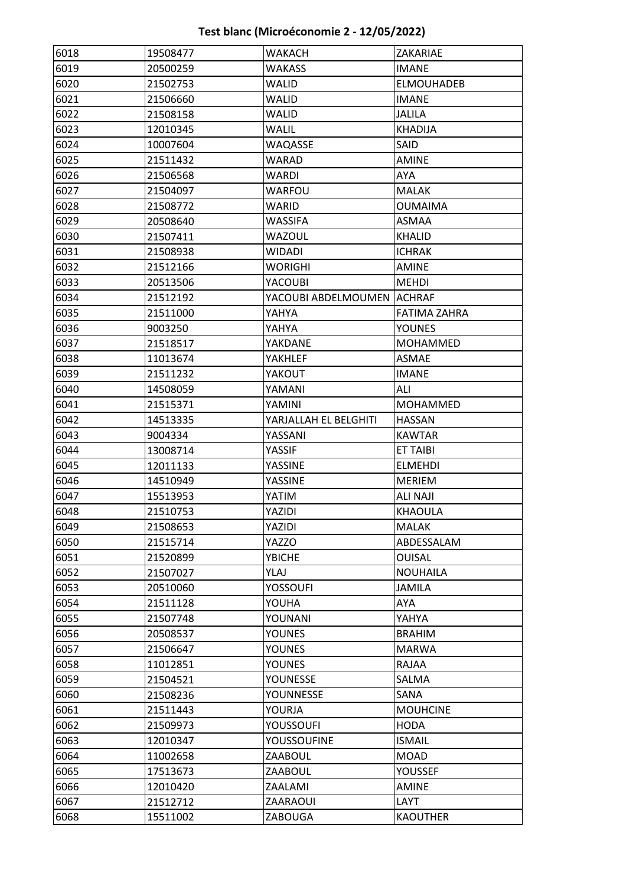| 6018 | 19508477 | WAKACH                     | ZAKARIAE            |
|------|----------|----------------------------|---------------------|
| 6019 | 20500259 | <b>WAKASS</b>              | <b>IMANE</b>        |
| 6020 | 21502753 | <b>WALID</b>               | <b>ELMOUHADEB</b>   |
| 6021 | 21506660 | <b>WALID</b>               | <b>IMANE</b>        |
| 6022 | 21508158 | <b>WALID</b>               | <b>JALILA</b>       |
| 6023 | 12010345 | WALIL                      | <b>KHADIJA</b>      |
| 6024 | 10007604 | WAQASSE                    | SAID                |
| 6025 | 21511432 | WARAD                      | <b>AMINE</b>        |
| 6026 | 21506568 | <b>WARDI</b>               | <b>AYA</b>          |
| 6027 | 21504097 | WARFOU                     | <b>MALAK</b>        |
| 6028 | 21508772 | WARID                      | OUMAIMA             |
| 6029 | 20508640 | <b>WASSIFA</b>             | ASMAA               |
| 6030 | 21507411 | WAZOUL                     | <b>KHALID</b>       |
| 6031 | 21508938 | <b>WIDADI</b>              | <b>ICHRAK</b>       |
| 6032 | 21512166 | <b>WORIGHI</b>             | <b>AMINE</b>        |
| 6033 | 20513506 | <b>YACOUBI</b>             | <b>MEHDI</b>        |
| 6034 | 21512192 | YACOUBI ABDELMOUMEN ACHRAF |                     |
| 6035 | 21511000 | YAHYA                      | <b>FATIMA ZAHRA</b> |
| 6036 | 9003250  | YAHYA                      | <b>YOUNES</b>       |
| 6037 | 21518517 | YAKDANE                    | MOHAMMED            |
| 6038 | 11013674 | <b>YAKHLEF</b>             | ASMAE               |
| 6039 | 21511232 | YAKOUT                     | <b>IMANE</b>        |
| 6040 | 14508059 | YAMANI                     | ALI                 |
| 6041 | 21515371 | YAMINI                     | <b>MOHAMMED</b>     |
| 6042 | 14513335 | YARJALLAH EL BELGHITI      | HASSAN              |
| 6043 | 9004334  | YASSANI                    | <b>KAWTAR</b>       |
| 6044 | 13008714 | YASSIF                     | ET TAIBI            |
| 6045 | 12011133 | YASSINE                    | <b>ELMEHDI</b>      |
| 6046 | 14510949 | YASSINE                    | <b>MERIEM</b>       |
| 6047 | 15513953 | YATIM                      | ALI NAJI            |
| 6048 | 21510753 | YAZIDI                     | <b>KHAOULA</b>      |
| 6049 | 21508653 | YAZIDI                     | <b>MALAK</b>        |
| 6050 | 21515714 | YAZZO                      | ABDESSALAM          |
| 6051 | 21520899 | <b>YBICHE</b>              | OUISAL              |
| 6052 | 21507027 | YLAJ                       | <b>NOUHAILA</b>     |
| 6053 | 20510060 | <b>YOSSOUFI</b>            | <b>JAMILA</b>       |
| 6054 | 21511128 | YOUHA                      | AYA                 |
| 6055 | 21507748 | YOUNANI                    | YAHYA               |
| 6056 | 20508537 | <b>YOUNES</b>              | <b>BRAHIM</b>       |
| 6057 | 21506647 | <b>YOUNES</b>              | <b>MARWA</b>        |
| 6058 | 11012851 | <b>YOUNES</b>              | RAJAA               |
| 6059 | 21504521 | YOUNESSE                   | SALMA               |
| 6060 | 21508236 | YOUNNESSE                  | SANA                |
| 6061 | 21511443 | YOURJA                     | <b>MOUHCINE</b>     |
| 6062 | 21509973 | <b>YOUSSOUFI</b>           | <b>HODA</b>         |
| 6063 | 12010347 | YOUSSOUFINE                | <b>ISMAIL</b>       |
| 6064 | 11002658 | <b>ZAABOUL</b>             | <b>MOAD</b>         |
| 6065 | 17513673 | ZAABOUL                    | YOUSSEF             |
| 6066 | 12010420 | ZAALAMI                    | <b>AMINE</b>        |
| 6067 | 21512712 | ZAARAOUI                   | LAYT                |
| 6068 | 15511002 | ZABOUGA                    | <b>KAOUTHER</b>     |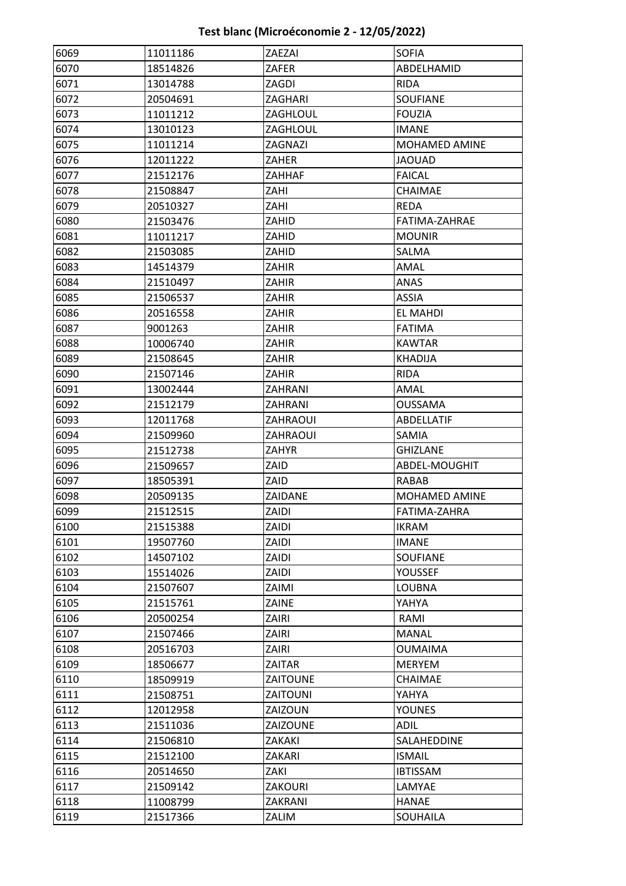| 6069         | 11011186 | ZAEZAI         | <b>SOFIA</b>    |
|--------------|----------|----------------|-----------------|
| 6070         | 18514826 | ZAFER          | ABDELHAMID      |
| 6071         | 13014788 | ZAGDI          | <b>RIDA</b>     |
| 6072         | 20504691 | ZAGHARI        | SOUFIANE        |
| 6073         | 11011212 | ZAGHLOUL       | <b>FOUZIA</b>   |
| 6074         | 13010123 | ZAGHLOUL       | <b>IMANE</b>    |
| 6075         | 11011214 | ZAGNAZI        | MOHAMED AMINE   |
| 6076         | 12011222 | ZAHER          | <b>JAOUAD</b>   |
| 6077         | 21512176 | <b>ZAHHAF</b>  | <b>FAICAL</b>   |
| 6078         | 21508847 | ZAHI           | CHAIMAE         |
| 6079         | 20510327 | ZAHI           | <b>REDA</b>     |
| 6080         | 21503476 | ZAHID          | FATIMA-ZAHRAE   |
| 6081         | 11011217 | ZAHID          | <b>MOUNIR</b>   |
| 6082         | 21503085 | ZAHID          | <b>SALMA</b>    |
| 6083         | 14514379 | ZAHIR          | AMAL            |
| 6084         | 21510497 | ZAHIR          | ANAS            |
| 6085         | 21506537 | ZAHIR          | <b>ASSIA</b>    |
| 6086         | 20516558 | ZAHIR          | EL MAHDI        |
| 6087         | 9001263  | ZAHIR          | <b>FATIMA</b>   |
| 6088         | 10006740 | ZAHIR          | <b>KAWTAR</b>   |
| 6089         | 21508645 | ZAHIR          | <b>KHADIJA</b>  |
| 6090         | 21507146 | ZAHIR          | <b>RIDA</b>     |
| 6091         | 13002444 | ZAHRANI        | AMAL            |
| 6092         | 21512179 | ZAHRANI        | <b>OUSSAMA</b>  |
| 6093         | 12011768 | ZAHRAOUI       | ABDELLATIF      |
| 6094         | 21509960 | ZAHRAOUI       | SAMIA           |
| 6095         | 21512738 | ZAHYR          | GHIZLANE        |
| 6096         | 21509657 | ZAID           | ABDEL-MOUGHIT   |
| 6097         | 18505391 | ZAID           | RABAB           |
| 6098         | 20509135 | ZAIDANE        | MOHAMED AMINE   |
| 6099         | 21512515 | ZAIDI          | FATIMA-ZAHRA    |
| 6100         | 21515388 | ZAIDI          | <b>IKRAM</b>    |
| 6101         | 19507760 | ZAIDI          | <b>IMANE</b>    |
| 6102         | 14507102 | ZAIDI          | SOUFIANE        |
| 6103         | 15514026 | ZAIDI          | <b>YOUSSEF</b>  |
|              |          |                |                 |
| 6104         | 21507607 | ZAIMI          | LOUBNA          |
| 6105<br>6106 | 21515761 | ZAINE          | YAHYA<br>RAMI   |
|              | 20500254 | ZAIRI          |                 |
| 6107<br>6108 | 21507466 | ZAIRI<br>ZAIRI | <b>MANAL</b>    |
|              | 20516703 |                | <b>OUMAIMA</b>  |
| 6109         | 18506677 | ZAITAR         | MERYEM          |
| 6110         | 18509919 | ZAITOUNE       | <b>CHAIMAE</b>  |
| 6111         | 21508751 | ZAITOUNI       | YAHYA           |
| 6112         | 12012958 | ZAIZOUN        | <b>YOUNES</b>   |
| 6113         | 21511036 | ZAIZOUNE       | <b>ADIL</b>     |
| 6114         | 21506810 | ZAKAKI         | SALAHEDDINE     |
| 6115         | 21512100 | ZAKARI         | <b>ISMAIL</b>   |
| 6116         | 20514650 | ZAKI           | <b>IBTISSAM</b> |
| 6117         | 21509142 | <b>ZAKOURI</b> | LAMYAE          |
| 6118         | 11008799 | ZAKRANI        | <b>HANAE</b>    |
| 6119         | 21517366 | ZALIM          | SOUHAILA        |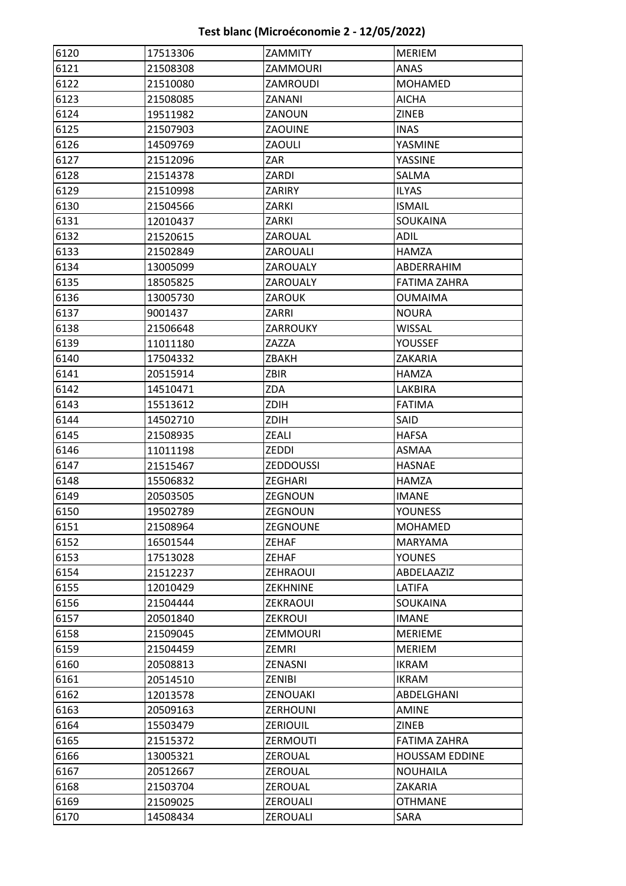| 6120 | 17513306 | ZAMMITY          | <b>MERIEM</b>         |
|------|----------|------------------|-----------------------|
| 6121 | 21508308 | ZAMMOURI         | ANAS                  |
| 6122 | 21510080 | ZAMROUDI         | <b>MOHAMED</b>        |
| 6123 | 21508085 | ZANANI           | <b>AICHA</b>          |
| 6124 | 19511982 | ZANOUN           | <b>ZINEB</b>          |
| 6125 | 21507903 | ZAOUINE          | <b>INAS</b>           |
| 6126 | 14509769 | ZAOULI           | YASMINE               |
| 6127 | 21512096 | ZAR              | YASSINE               |
| 6128 | 21514378 | ZARDI            | SALMA                 |
| 6129 | 21510998 | ZARIRY           | <b>ILYAS</b>          |
| 6130 | 21504566 | ZARKI            | <b>ISMAIL</b>         |
| 6131 | 12010437 | ZARKI            | SOUKAINA              |
| 6132 | 21520615 | ZAROUAL          | <b>ADIL</b>           |
| 6133 | 21502849 | ZAROUALI         | HAMZA                 |
| 6134 | 13005099 | ZAROUALY         | ABDERRAHIM            |
| 6135 | 18505825 | ZAROUALY         | <b>FATIMA ZAHRA</b>   |
| 6136 | 13005730 | ZAROUK           | <b>OUMAIMA</b>        |
| 6137 | 9001437  | ZARRI            | <b>NOURA</b>          |
| 6138 | 21506648 | ZARROUKY         | WISSAL                |
| 6139 | 11011180 | ZAZZA            | YOUSSEF               |
| 6140 | 17504332 | ZBAKH            | ZAKARIA               |
| 6141 | 20515914 | ZBIR             | HAMZA                 |
| 6142 | 14510471 | ZDA              | LAKBIRA               |
| 6143 | 15513612 | ZDIH             | <b>FATIMA</b>         |
| 6144 | 14502710 | ZDIH             | SAID                  |
| 6145 | 21508935 | ZEALI            | <b>HAFSA</b>          |
| 6146 | 11011198 | ZEDDI            | <b>ASMAA</b>          |
| 6147 | 21515467 | <b>ZEDDOUSSI</b> | <b>HASNAE</b>         |
| 6148 | 15506832 | ZEGHARI          | HAMZA                 |
| 6149 | 20503505 | ZEGNOUN          | <b>IMANE</b>          |
| 6150 | 19502789 | <b>ZEGNOUN</b>   | <b>YOUNESS</b>        |
| 6151 | 21508964 | <b>ZEGNOUNE</b>  | <b>MOHAMED</b>        |
| 6152 | 16501544 | <b>ZEHAF</b>     | <b>MARYAMA</b>        |
| 6153 | 17513028 | <b>ZEHAF</b>     | <b>YOUNES</b>         |
| 6154 | 21512237 | ZEHRAOUI         | ABDELAAZIZ            |
| 6155 | 12010429 | <b>ZEKHNINE</b>  | LATIFA                |
| 6156 | 21504444 | ZEKRAOUI         | SOUKAINA              |
| 6157 | 20501840 | ZEKROUI          | <b>IMANE</b>          |
| 6158 | 21509045 | ZEMMOURI         | <b>MERIEME</b>        |
| 6159 | 21504459 | ZEMRI            | <b>MERIEM</b>         |
| 6160 | 20508813 | ZENASNI          | IKRAM                 |
| 6161 | 20514510 | ZENIBI           | <b>IKRAM</b>          |
| 6162 | 12013578 | ZENOUAKI         | ABDELGHANI            |
| 6163 | 20509163 | <b>ZERHOUNI</b>  | <b>AMINE</b>          |
| 6164 | 15503479 | ZERIOUIL         | <b>ZINEB</b>          |
| 6165 | 21515372 | <b>ZERMOUTI</b>  | <b>FATIMA ZAHRA</b>   |
| 6166 | 13005321 | ZEROUAL          | <b>HOUSSAM EDDINE</b> |
| 6167 | 20512667 | ZEROUAL          | <b>NOUHAILA</b>       |
| 6168 | 21503704 | ZEROUAL          | ZAKARIA               |
| 6169 | 21509025 | ZEROUALI         | <b>OTHMANE</b>        |
| 6170 | 14508434 | ZEROUALI         | SARA                  |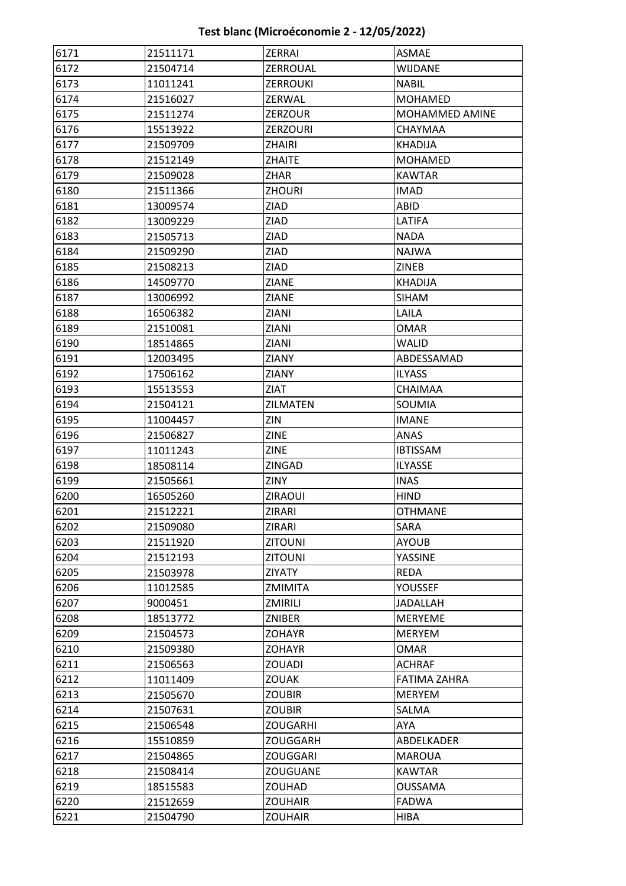| 6171 | 21511171 | <b>ZERRAI</b>   | <b>ASMAE</b>    |
|------|----------|-----------------|-----------------|
| 6172 | 21504714 | ZERROUAL        | WIJDANE         |
| 6173 | 11011241 | <b>ZERROUKI</b> | <b>NABIL</b>    |
| 6174 | 21516027 | ZERWAL          | <b>MOHAMED</b>  |
| 6175 | 21511274 | <b>ZERZOUR</b>  | MOHAMMED AMINE  |
| 6176 | 15513922 | <b>ZERZOURI</b> | CHAYMAA         |
| 6177 | 21509709 | <b>ZHAIRI</b>   | <b>KHADIJA</b>  |
| 6178 | 21512149 | <b>ZHAITE</b>   | <b>MOHAMED</b>  |
| 6179 | 21509028 | <b>ZHAR</b>     | <b>KAWTAR</b>   |
| 6180 | 21511366 | <b>ZHOURI</b>   | <b>IMAD</b>     |
| 6181 | 13009574 | ZIAD            | ABID            |
| 6182 | 13009229 | ZIAD            | LATIFA          |
| 6183 | 21505713 | ZIAD            | <b>NADA</b>     |
| 6184 | 21509290 | <b>ZIAD</b>     | <b>NAJWA</b>    |
| 6185 | 21508213 | ZIAD            | ZINEB           |
| 6186 | 14509770 | ZIANE           | <b>KHADIJA</b>  |
| 6187 | 13006992 | ZIANE           | <b>SIHAM</b>    |
| 6188 | 16506382 | ZIANI           | LAILA           |
| 6189 | 21510081 | ZIANI           | OMAR            |
| 6190 | 18514865 | ZIANI           | WALID           |
| 6191 | 12003495 | ZIANY           | ABDESSAMAD      |
| 6192 | 17506162 | ZIANY           | <b>ILYASS</b>   |
| 6193 | 15513553 | <b>ZIAT</b>     | CHAIMAA         |
| 6194 | 21504121 | ZILMATEN        | SOUMIA          |
| 6195 | 11004457 | ZIN             | <b>IMANE</b>    |
| 6196 | 21506827 | <b>ZINE</b>     | <b>ANAS</b>     |
| 6197 | 11011243 | <b>ZINE</b>     | <b>IBTISSAM</b> |
| 6198 | 18508114 | ZINGAD          | <b>ILYASSE</b>  |
| 6199 | 21505661 | ZINY            | <b>INAS</b>     |
| 6200 | 16505260 | <b>ZIRAOUI</b>  | <b>HIND</b>     |
| 6201 | 21512221 | <b>ZIRARI</b>   | <b>OTHMANE</b>  |
| 6202 | 21509080 | <b>ZIRARI</b>   | SARA            |
| 6203 | 21511920 | <b>ZITOUNI</b>  | <b>AYOUB</b>    |
| 6204 | 21512193 | <b>ZITOUNI</b>  | YASSINE         |
| 6205 | 21503978 | ZIYATY          | <b>REDA</b>     |
| 6206 | 11012585 | ZMIMITA         | <b>YOUSSEF</b>  |
| 6207 | 9000451  | ZMIRILI         | <b>JADALLAH</b> |
| 6208 | 18513772 | ZNIBER          | <b>MERYEME</b>  |
| 6209 | 21504573 | <b>ZOHAYR</b>   | <b>MERYEM</b>   |
| 6210 | 21509380 | <b>ZOHAYR</b>   | <b>OMAR</b>     |
| 6211 | 21506563 | ZOUADI          | <b>ACHRAF</b>   |
| 6212 | 11011409 | ZOUAK           | FATIMA ZAHRA    |
| 6213 | 21505670 | <b>ZOUBIR</b>   | <b>MERYEM</b>   |
| 6214 | 21507631 | <b>ZOUBIR</b>   | SALMA           |
| 6215 | 21506548 | <b>ZOUGARHI</b> | AYA             |
| 6216 | 15510859 | ZOUGGARH        | ABDELKADER      |
| 6217 | 21504865 | <b>ZOUGGARI</b> | <b>MAROUA</b>   |
| 6218 | 21508414 | <b>ZOUGUANE</b> | <b>KAWTAR</b>   |
| 6219 | 18515583 | ZOUHAD          | <b>OUSSAMA</b>  |
| 6220 | 21512659 | <b>ZOUHAIR</b>  | <b>FADWA</b>    |
| 6221 | 21504790 | <b>ZOUHAIR</b>  | HIBA            |